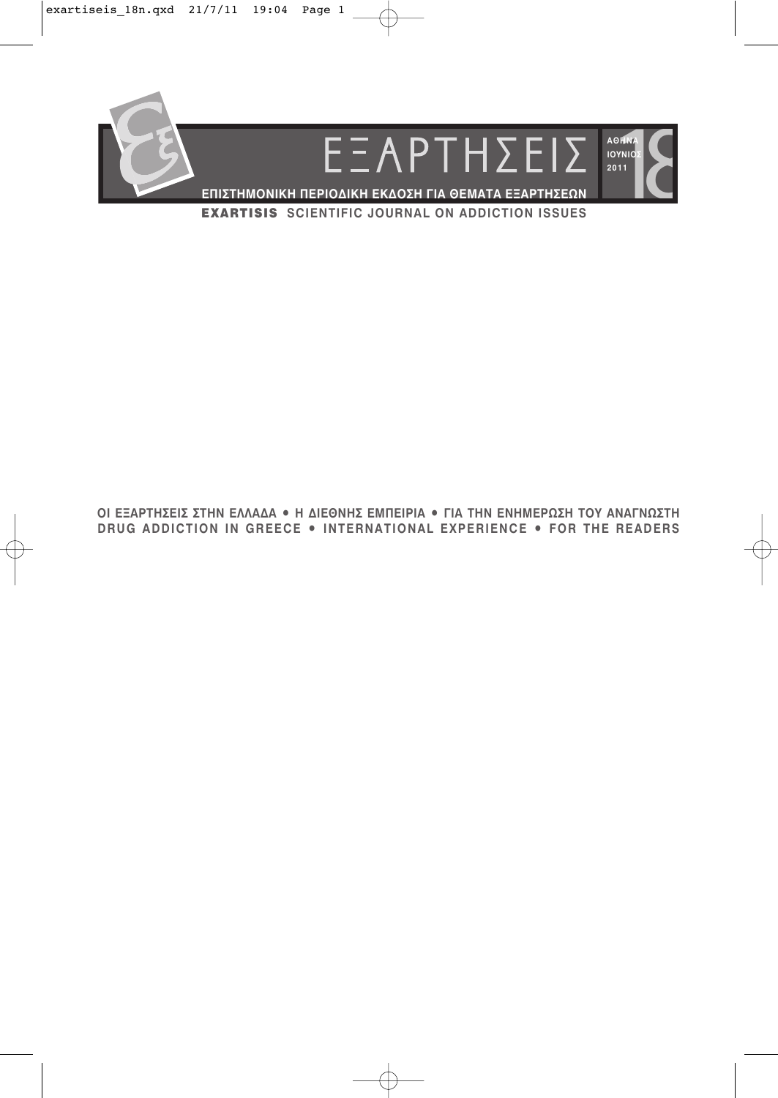

exartiseis\_18n.qxd 21/7/11 19:04 Page 1

ΟΙ ΕΞΑΡΤΗΣΕΙΣ ΣΤΗΝ ΕΛΛΑΔΑ • Η ΔΙΕΘΝΗΣ ΕΜΠΕΙΡΙΑ • ΓΙΑ ΤΗΝ ΕΝΗΜΕΡΩΣΗ ΤΟΥ ΑΝΑΓΝΩΣΤΗ DRUG ADDICTION IN GREECE . INTERNATIONAL EXPERIENCE . FOR THE READERS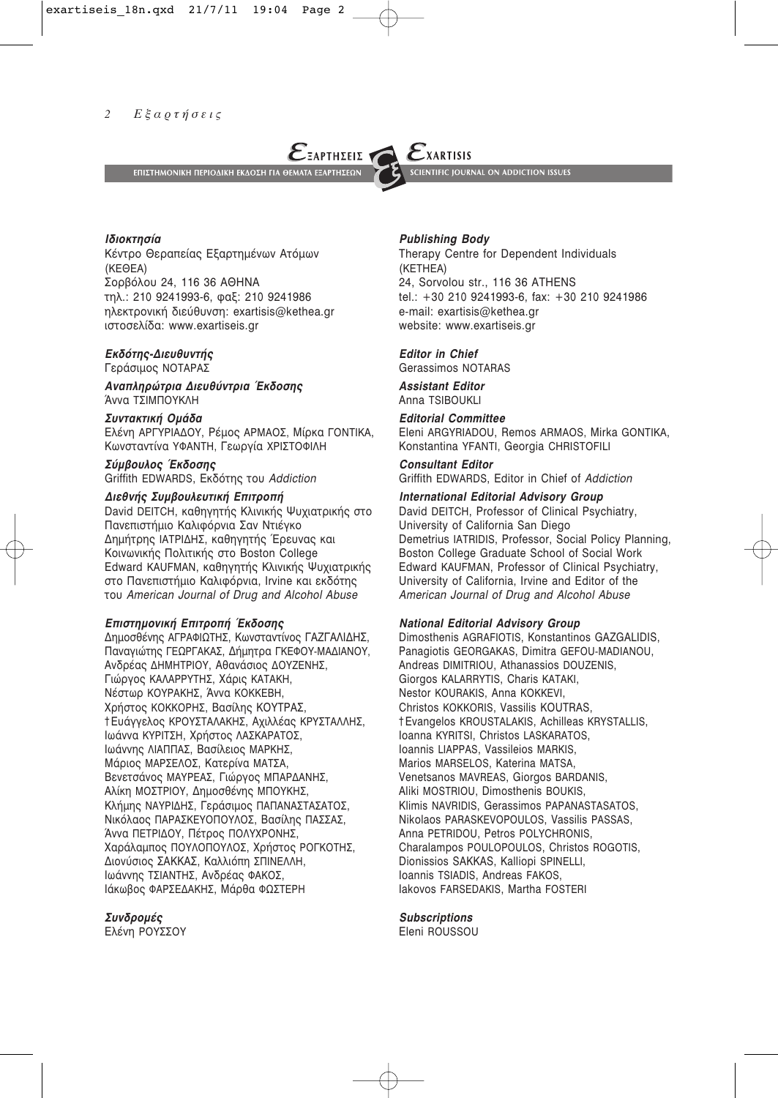

**INTIFIC JOURNAL ON ADDICTION ISSUES** 

#### *Ιδιοκτησία*

Κέντρο Θεραπείας Εξαρτημένων Ατόμων (∫∂£∂∞) Σορβόλου 24, 116 36 ΑΘΗΝΑ τηλ.: 210 9241993-6, φαξ: 210 9241986 ηλεκτρονική διεύθυνση: exartisis@kethea.gr ιστοσελίδα: www.exartiseis.gr

#### *<i>Εκδότης-Διευθυντής*

Γεράσιμος ΝΟΤΑΡΑΣ

 $A$ ναπληρώτρια Διευθύντρια Έκδοσης Άννα ΤΣΙΜΠΟΥΚΛΗ

#### Συντακτική Ομάδα

Ελένη ΑΡΓΥΡΙΑΔΟΥ, Ρέμος ΑΡΜΑΟΣ, Μίρκα ΓΟΝΤΙΚΑ, Κωνσταντίνα ΥΦΑΝΤΗ, Γεωργία ΧΡΙΣΤΟΦΙΛΗ

 $\Sigma$ ύμβουλος Έκδοσης Griffith EDWARDS, Εκδότης του Addiction

## $Διεθνής Συμβουλευτική Επιτροπή$

David DEITCH, καθηγητής Κλινικής Ψυχιατρικής στο Πανεπιστήμιο Καλιφόρνια Σαν Ντιέγκο Δημήτρης ΙΑΤΡΙΔΗΣ, καθηγητής Έρευνας και Κοινωνικής Πολιτικής στο Boston College Edward KAUFMAN, καθηγητής Κλινικής Ψυχιατρικής στο Πανεπιστήμιο Καλιφόρνια, Irvine και εκδότης ÙÔ˘ *∞merican Journal of Drug and Alcohol Abuse*

#### *<i><del>Ēπιστημονική Επιτροπή Έκδοσης</del>*

Δημοσθένης ΑΓΡΑΦΙΩΤΗΣ, Κωνσταντίνος ΓΑΖΓΑΛΙΔΗΣ, Παναγιώτης ΓΕΩΡΓΑΚΑΣ, Δήμητρα ΓΚΕΦΟΥ-ΜΑΔΙΑΝΟΥ, Ανδρέας ΔΗΜΗΤΡΙΟΥ, Αθανάσιος ΔΟΥΖΕΝΗΣ, Γιώργος ΚΑΛΑΡΡΥΤΗΣ, Χάρις ΚΑΤΑΚΗ, Νέστωρ ΚΟΥΡΑΚΗΣ, Άννα ΚΟΚΚΕΒΗ, Χρήστος ΚΟΚΚΟΡΗΣ, Βασίλης ΚΟΥΤΡΑΣ, †Ευάγγελος ΚΡΟΥΣΤΑΛΑΚΗΣ, Αχιλλέας ΚΡΥΣΤΑΛΛΗΣ, Ιωάννα ΚΥΡΙΤΣΗ, Χρήστος ΛΑΣΚΑΡΑΤΟΣ, Ιωάννης ΛΙΑΠΠΑΣ, Βασίλειος ΜΑΡΚΗΣ, Μάριος ΜΑΡΣΕΛΟΣ, Κατερίνα ΜΑΤΣΑ, Βενετσάνος ΜΑΥΡΕΑΣ, Γιώργος ΜΠΑΡΔΑΝΗΣ, Αλίκη ΜΟΣΤΡΙΟΥ, Δημοσθένης ΜΠΟΥΚΗΣ, Κλήμης ΝΑΥΡΙΔΗΣ, Γεράσιμος ΠΑΠΑΝΑΣΤΑΣΑΤΟΣ, Νικόλαος ΠΑΡΑΣΚΕΥΟΠΟΥΛΟΣ, Βασίλης ΠΑΣΣΑΣ, Άννα ΠΕΤΡΙΔΟΥ, Πέτρος ΠΟΛΥΧΡΟΝΗΣ, Χαράλαμπος ΠΟΥΛΟΠΟΥΛΟΣ, Χρήστος ΡΟΓΚΟΤΗΣ, Διονύσιος ΣΑΚΚΑΣ, Καλλιόπη ΣΠΙΝΕΛΛΗ, Ιωάννης ΤΣΙΑΝΤΗΣ, Ανδρέας ΦΑΚΟΣ, Ιάκωβος ΦΑΡΣΕΔΑΚΗΣ, Μάρθα ΦΩΣΤΕΡΗ

#### Συνδρομές

Ελένη ΡΟΥΣΣΟΥ

#### *Publishing Body*

Therapy Centre for Dependent Individuals (KETHEA) 24, Sorvolou str., 116 36 ATHENS tel.: +30 210 9241993-6, fax: +30 210 9241986 e-mail: exartisis@kethea.gr website: www.exartiseis.gr

#### *Editor in Chief*

Gerassimos NOTARAS

*Assistant Editor* Anna TSIBOUKLI

#### *Editorial Committee*

Eleni ARGYRIADOU, Remos ARMAOS, Mirka GONTIKA, Konstantina YFANTI, Georgia CHRISTOFILI

*Consultant Editor*  Griffith EDWARDS, Editor in Chief of *Addiction* 

## *International Editorial Advisory Group*

David DEITCH, Professor of Clinical Psychiatry, University of California San Diego Demetrius IATRIDIS, Professor, Social Policy Planning, Boston College Graduate School of Social Work Edward KAUFMAN, Professor of Clinical Psychiatry, University of California, Irvine and Editor of the *∞merican Journal of Drug and Alcohol Abuse*

#### *National Editorial Advisory Group*

Dimosthenis AGRAFIOTIS, Konstantinos GAZGALIDIS, Panagiotis GEORGAKAS, Dimitra GEFOU-MADIANOU, Andreas DIMITRIOU, Athanassios DOUZENIS, Giorgos KALARRYTIS, Charis KATAKI, Nestor KOURAKIS, Anna KOKKEVI, Christos KOKKORIS, Vassilis KOUTRAS, †Evangelos KROUSTALAKIS, Achilleas KRYSTALLIS, Ioanna KYRITSI, Christos LASKARATOS, Ioannis LIAPPAS, Vassileios MARKIS, Marios MARSELOS, Katerina MATSA, Venetsanos MAVREAS, Giorgos BARDANIS, Aliki MOSTRIOU, Dimosthenis BOUKIS, Klimis NAVRIDIS, Gerassimos PAPANASTASATOS, Nikolaos PARASKEVOPOULOS, Vassilis PASSAS, Anna PETRIDOU, Petros POLYCHRONIS, Charalampos POULOPOULOS, Christos ROGOTIS, Dionissios SAKKAS, Kalliopi SPINELLI, Ioannis TSIADIS, Andreas FAKOS, Iakovos FARSEDAKIS, Martha FOSTERI

## *Subscriptions*

Eleni ROUSSOU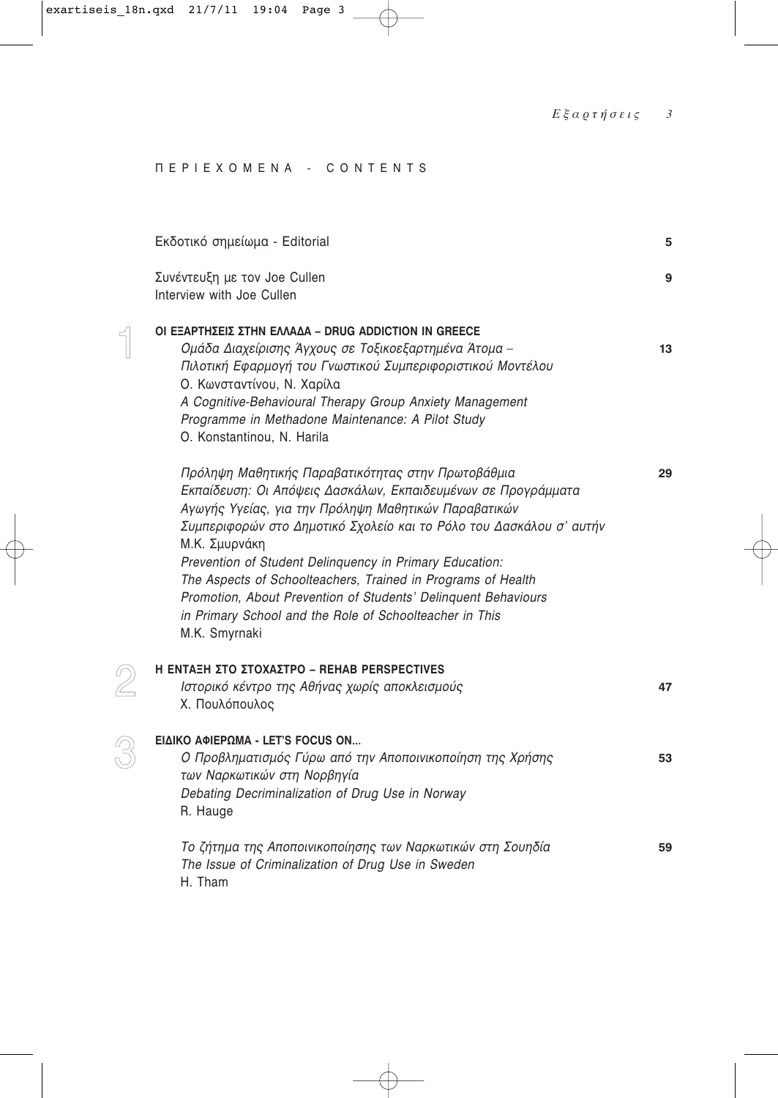## $\Big\vert$ exartiseis\_18n.qxd 21/7/11 19:04 Page 3

## ¶∂ƒπ∂Ã√ª∂¡∞ - CONTENTS

| Εκδοτικό σημείωμα - Editorial                                                                                                                                                                                                                                                                                                                                                                                                                                                                                                                | 5  |
|----------------------------------------------------------------------------------------------------------------------------------------------------------------------------------------------------------------------------------------------------------------------------------------------------------------------------------------------------------------------------------------------------------------------------------------------------------------------------------------------------------------------------------------------|----|
| Συνέντευξη με τον Joe Cullen<br>Interview with Joe Cullen                                                                                                                                                                                                                                                                                                                                                                                                                                                                                    | 9  |
| OI ΕΞΑΡΤΗΣΕΙΣ ΣΤΗΝ ΕΛΛΑΔΑ – DRUG ADDICTION IN GREECE<br>Ομάδα Διαχείρισης Άγχους σε Τοξικοεξαρτημένα Άτομα -<br>Πιλοτική Εφαρμογή του Γνωστικού Συμπεριφοριστικού Μοντέλου<br>Ο. Κωνσταντίνου, Ν. Χαρίλα<br>A Cognitive-Behavioural Therapy Group Anxiety Management<br>Programme in Methadone Maintenance: A Pilot Study<br>O. Konstantinou, N. Harila                                                                                                                                                                                      | 13 |
| Πρόληψη Μαθητικής Παραβατικότητας στην Πρωτοβάθμια<br>Εκπαίδευση: Οι Απόψεις Δασκάλων, Εκπαιδευμένων σε Προγράμματα<br>Αγωγής Υγείας, για την Πρόληψη Μαθητικών Παραβατικών<br>Συμπεριφορών στο Δημοτικό Σχολείο και το Ρόλο του Δασκάλου σ' αυτήν<br>Μ.Κ. Σμυρνάκη<br>Prevention of Student Delinquency in Primary Education:<br>The Aspects of Schoolteachers, Trained in Programs of Health<br>Promotion, About Prevention of Students' Delinquent Behaviours<br>in Primary School and the Role of Schoolteacher in This<br>M.K. Smyrnaki | 29 |
| Η ΕΝΤΑΞΗ ΣΤΟ ΣΤΟΧΑΣΤΡΟ – REHAB PERSPECTIVES<br>Ιστορικό κέντρο της Αθήνας χωρίς αποκλεισμούς<br>Χ. Πουλόπουλος                                                                                                                                                                                                                                                                                                                                                                                                                               | 47 |
| ΕΙΔΙΚΟ ΑΦΙΕΡΩΜΑ - LET'S FOCUS ON<br>Ο Προβληματισμός Γύρω από την Αποποινικοποίηση της Χρήσης<br>των Ναρκωτικών στη Νορβηγία<br>Debating Decriminalization of Drug Use in Norway<br>R. Hauge                                                                                                                                                                                                                                                                                                                                                 | 53 |
| Το ζήτημα της Αποποινικοποίησης των Ναρκωτικών στη Σουηδία<br>The Issue of Criminalization of Drug Use in Sweden<br>H. Tham                                                                                                                                                                                                                                                                                                                                                                                                                  | 59 |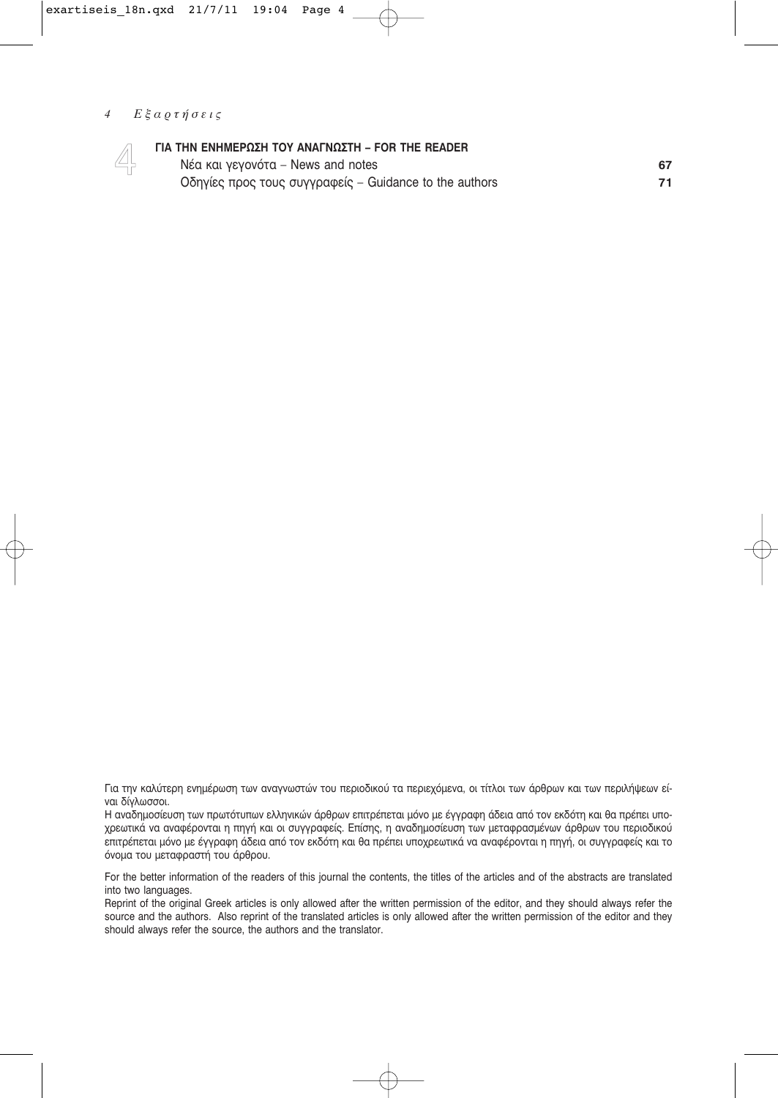#### $\overline{4}$ Εξαρτήσεις



## ΓΙΑ ΤΗΝ ΕΝΗΜΕΡΩΣΗ ΤΟΥ ΑΝΑΓΝΩΣΤΗ - FOR THE READER Νέα και νενονότα - News and notes Οδηγίες προς τους συγγραφείς - Guidance to the authors

67

 $71$ 

Για την καλύτερη ενημέρωση των αναγνωστών του περιοδικού τα περιεχόμενα, οι τίτλοι των άρθρων και των περιλήψεων είναι δίγλωσσοι.

Η αναδημοσίευση των πρωτότυπων ελληνικών άρθρων επιτρέπεται μόνο με έγγραφη άδεια από τον εκδότη και θα πρέπει υποχρεωτικά να αναφέρονται η πηγή και οι συγγραφείς. Επίσης, η αναδημοσίευση των μεταφρασμένων άρθρων του περιοδικού επιτρέπεται μόνο με έγγραφη άδεια από τον εκδότη και θα πρέπει υποχρεωτικά να αναφέρονται η πηγή, οι συγγραφείς και το όνομα του μεταφραστή του άρθρου.

For the better information of the readers of this journal the contents, the titles of the articles and of the abstracts are translated into two languages.

Reprint of the original Greek articles is only allowed after the written permission of the editor, and they should always refer the source and the authors. Also reprint of the translated articles is only allowed after the written permission of the editor and they should always refer the source, the authors and the translator.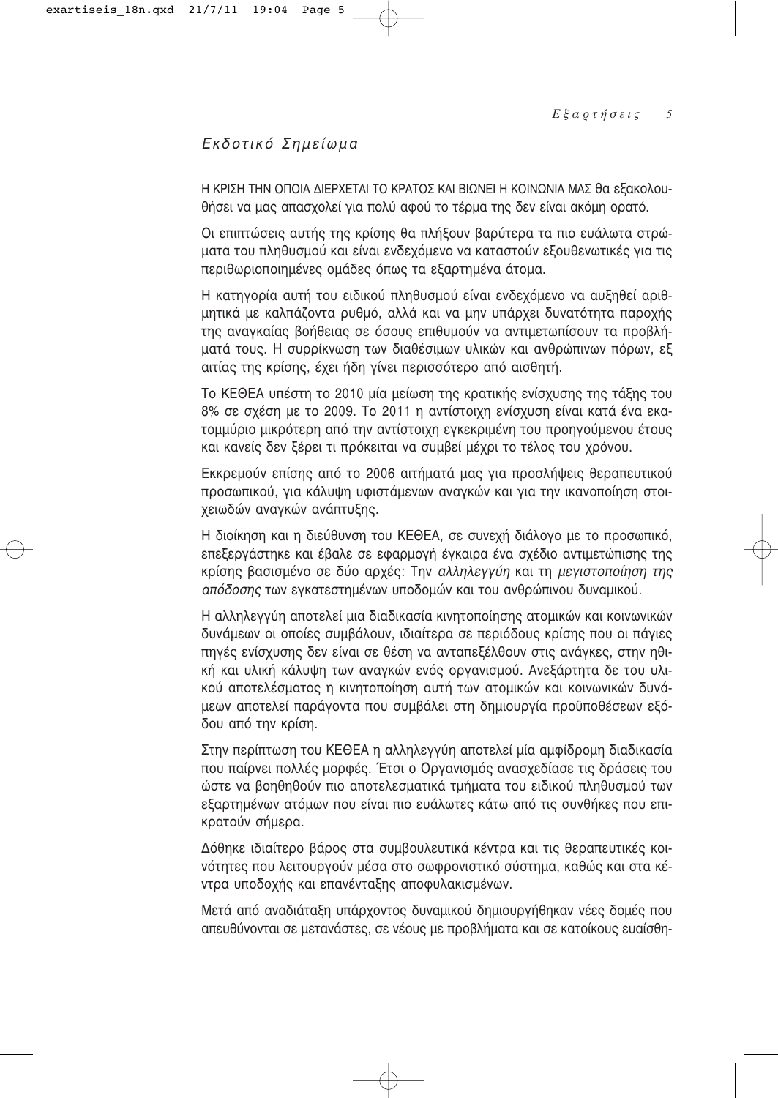## *EΚδοτικό Σημείωμα*

Η ΚΡΙΣΗ ΤΗΝ ΟΠΟΙΑ ΔΙΕΡΧΕΤΑΙ ΤΟ ΚΡΑΤΟΣ ΚΑΙ ΒΙΩΝΕΙ Η ΚΟΙΝΩΝΙΑ ΜΑΣ θα εξακολουθήσει να μας απασχολεί για πολύ αφού το τέρμα της δεν είναι ακόμη ορατό.

Οι επιπτώσεις αυτής της κρίσης θα πλήξουν βαρύτερα τα πιο ευάλωτα στρώματα του πληθυσμού και είναι ενδεχόμενο να καταστούν εξουθενωτικές για τις περιθωριοποιημένες ομάδες όπως τα εξαρτημένα άτομα.

Η κατηγορία αυτή του ειδικού πληθυσμού είναι ενδεχόμενο να αυξηθεί αριθμητικά με καλπάζοντα ρυθμό, αλλά και να μην υπάρχει δυνατότητα παροχής της αναγκαίας βοήθειας σε όσους επιθυμούν να αντιμετωπίσουν τα προβλήματά τους. Η συρρίκνωση των διαθέσιμων υλικών και ανθρώπινων πόρων, εξ αιτίας της κρίσης, έχει ήδη γίνει περισσότερο από αισθητή.

Το ΚΕΘΕΑ υπέστη το 2010 μία μείωση της κρατικής ενίσχυσης της τάξης του 8% σε σχέση με το 2009. Το 2011 η αντίστοιχη ενίσχυση είναι κατά ένα εκατομμύριο μικρότερη από την αντίστοιχη εγκεκριμένη του προηγούμενου έτους και κανείς δεν ξέρει τι πρόκειται να συμβεί μέχρι το τέλος του χρόνου.

Εκκρεμούν επίσης από το 2006 αιτήματά μας για προσλήψεις θεραπευτικού προσωπικού, για κάλυψη υφιστάμενων αναγκών και για την ικανοποίηση στοιχειωδών αναγκών ανάπτυξης.

Η διοίκηση και η διεύθυνση του ΚΕΘΕΑ, σε συνεχή διάλογο με το προσωπικό, επεξεργάστηκε και έβαλε σε εφαρμογή έγκαιρα ένα σχέδιο αντιμετώπισης της κρίσης βασισμένο σε δύο αρχές: Την *αλληλεγγύη* και τη μεγιστοποίηση της *απόδοσης* των εγκατεστημένων υποδομών και του ανθρώπινου δυναμικού.

Η αλληλεγγύη αποτελεί μια διαδικασία κινητοποίησης ατομικών και κοινωνικών δυνάμεων οι οποίες συμβάλουν, ιδιαίτερα σε περιόδους κρίσης που οι πάγιες πηγές ενίσχυσης δεν είναι σε θέση να ανταπεξέλθουν στις ανάγκες, στην ηθική και υλική κάλυψη των αναγκών ενός οργανισμού. Ανεξάρτητα δε του υλικού αποτελέσματος η κινητοποίηση αυτή των ατομικών και κοινωνικών δυνάμεων αποτελεί παράγοντα που συμβάλει στη δημιουργία προϋποθέσεων εξόδου από την κρίση.

Στην περίπτωση του ΚΕΘΕΑ η αλληλεγγύη αποτελεί μία αμφίδρομη διαδικασία που παίρνει πολλές μορφές. Έτσι ο Οργανισμός ανασχεδίασε τις δράσεις του ώστε να βοηθηθούν πιο αποτελεσματικά τμήματα του ειδικού πληθυσμού των εξαρτημένων ατόμων που είναι πιο ευάλωτες κάτω από τις συνθήκες που επικρατούν σήμερα.

Δόθηκε ιδιαίτερο βάρος στα συμβουλευτικά κέντρα και τις θεραπευτικές κοι-VÓΤητες που λειτουργούν μέσα στο σωφρονιστικό σύστημα, καθώς και στα κέντρα υποδοχής και επανένταξης αποφυλακισμένων.

Μετά από αναδιάταξη υπάρχοντος δυναμικού δημιουργήθηκαν νέες δομές που απευθύνονται σε μετανάστες, σε νέους με προβλήματα και σε κατοίκους ευαίσθη-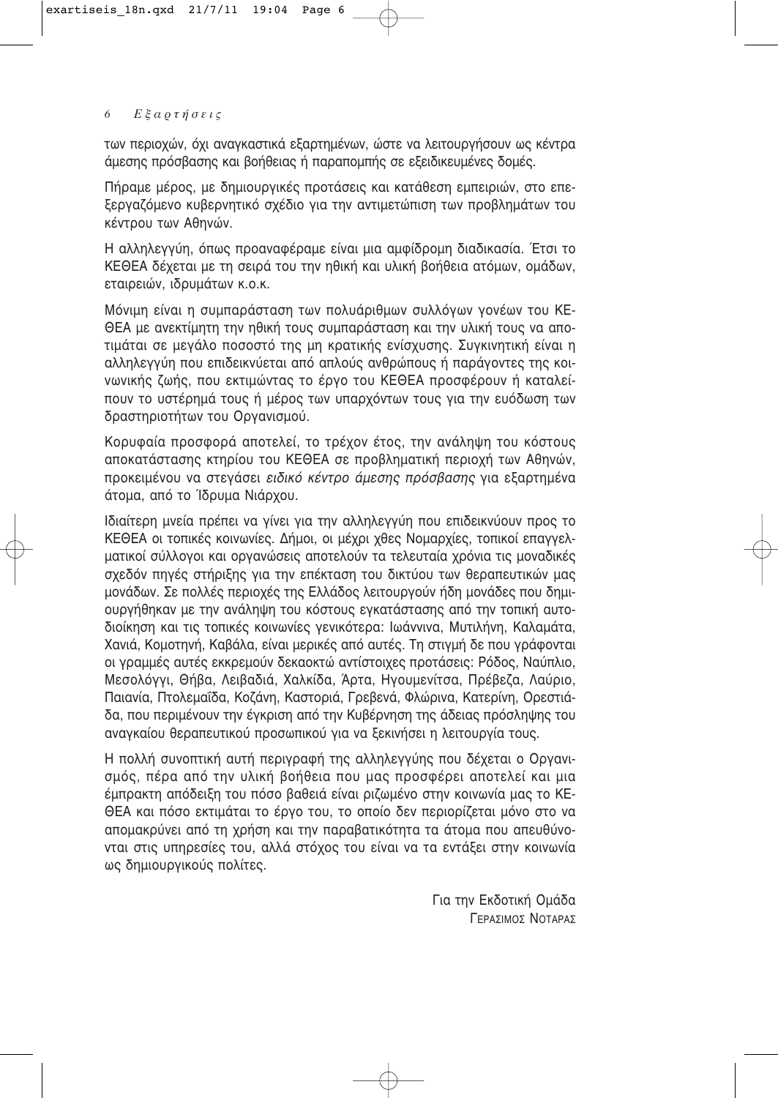των περιοχών, όχι αναγκαστικά εξαρτημένων, ώστε να λειτουργήσουν ως κέντρα άμεσης πρόσβασης και βοήθειας ή παραπομπής σε εξειδικευμένες δομές.

Πήραμε μέρος, με δημιουργικές προτάσεις και κατάθεση εμπειριών, στο επεξεργαζόμενο κυβερνητικό σχέδιο για την αντιμετώπιση των προβλημάτων του κέντρου των Αθηνών.

Η αλληλεγγύη, όπως προαναφέραμε είναι μια αμφίδρομη διαδικασία. Έτσι το ΚΕΘΕΑ δέχεται με τη σειρά του την ηθική και υλική βοήθεια ατόμων, ομάδων, εταιρειών, ιδρυμάτων κ.ο.κ.

Μόνιμη είναι η συμπαράσταση των πολυάριθμων συλλόγων γονέων του ΚΕ-ΘΕΑ με ανεκτίμητη την ηθική τους συμπαράσταση και την υλική τους να αποτιμάται σε μεγάλο ποσοστό της μη κρατικής ενίσχυσης. Συγκινητική είναι η αλληλεγγύη που επιδεικνύεται από απλούς ανθρώπους ή παράγοντες της κοινωνικής ζωής, που εκτιμώντας το έργο του ΚΕΘΕΑ προσφέρουν ή καταλείπουν το υστέρημά τους ή μέρος των υπαρχόντων τους για την ευόδωση των δραστηριοτήτων του Οργανισμού.

Κορυφαία προσφορά αποτελεί, το τρέχον έτος, την ανάληψη του κόστους αποκατάστασης κτηρίου του ΚΕΘΕΑ σε προβληματική περιοχή των Αθηνών, προκειμένου να στεγάσει ειδικό κέντρο άμεσης πρόσβασης για εξαρτημένα άτομα, από το Ίδρυμα Νιάρχου.

Ιδιαίτερη μνεία πρέπει να γίνει για την αλληλεγγύη που επιδεικνύουν προς το ΚΕΘΕΑ οι τοπικές κοινωνίες. Δήμοι, οι μέχρι χθες Νομαρχίες, τοπικοί επαγγελματικοί σύλλογοι και οργανώσεις αποτελούν τα τελευταία χρόνια τις μοναδικές σχεδόν πηγές στήριξης για την επέκταση του δικτύου των θεραπευτικών μας μονάδων. Σε πολλές περιοχές της Ελλάδος λειτουργούν ήδη μονάδες που δημιουργήθηκαν με την ανάληψη του κόστους εγκατάστασης από την τοπική αυτοδιοίκηση και τις τοπικές κοινωνίες γενικότερα: Ιωάννινα, Μυτιλήνη, Καλαμάτα, Χανιά, Κομοτηνή, Καβάλα, είναι μερικές από αυτές. Τη στιγμή δε που γράφονται οι γραμμές αυτές εκκρεμούν δεκαοκτώ αντίστοιχες προτάσεις: Ρόδος, Ναύπλιο, Μεσολόγγι, Θήβα, Λειβαδιά, Χαλκίδα, Άρτα, Ηγουμενίτσα, Πρέβεζα, Λαύριο, Παιανία, Πτολεμαΐδα, Κοζάνη, Καστοριά, Γρεβενά, Φλώρινα, Κατερίνη, Ορεστιάδα, που περιμένουν την έγκριση από την Κυβέρνηση της άδειας πρόσληψης του αναγκαίου θεραπευτικού προσωπικού για να ξεκινήσει η λειτουργία τους.

Η πολλή συνοπτική αυτή περιγραφή της αλληλεγγύης που δέχεται ο Οργανισμός, πέρα από την υλική βοήθεια που μας προσφέρει αποτελεί και μια εμπρακτη απόδειξη του πόσο βαθειά είναι ριζωμένο στην κοινωνία μας το ΚΕ-ΘΕΑ και πόσο εκτιμάται το έργο του, το οποίο δεν περιορίζεται μόνο στο να απομακρύνει από τη χρήση και την παραβατικότητα τα άτομα που απευθύνονται στις υπηρεσίες του, αλλά στόχος του είναι να τα εντάξει στην κοινωνία ως δημιουργικούς πολίτες.

> Για την Εκδοτική Ομάδα ΓΕΡΑΣΙΜΟΣ **ΝΟΤΑΡΑΣ**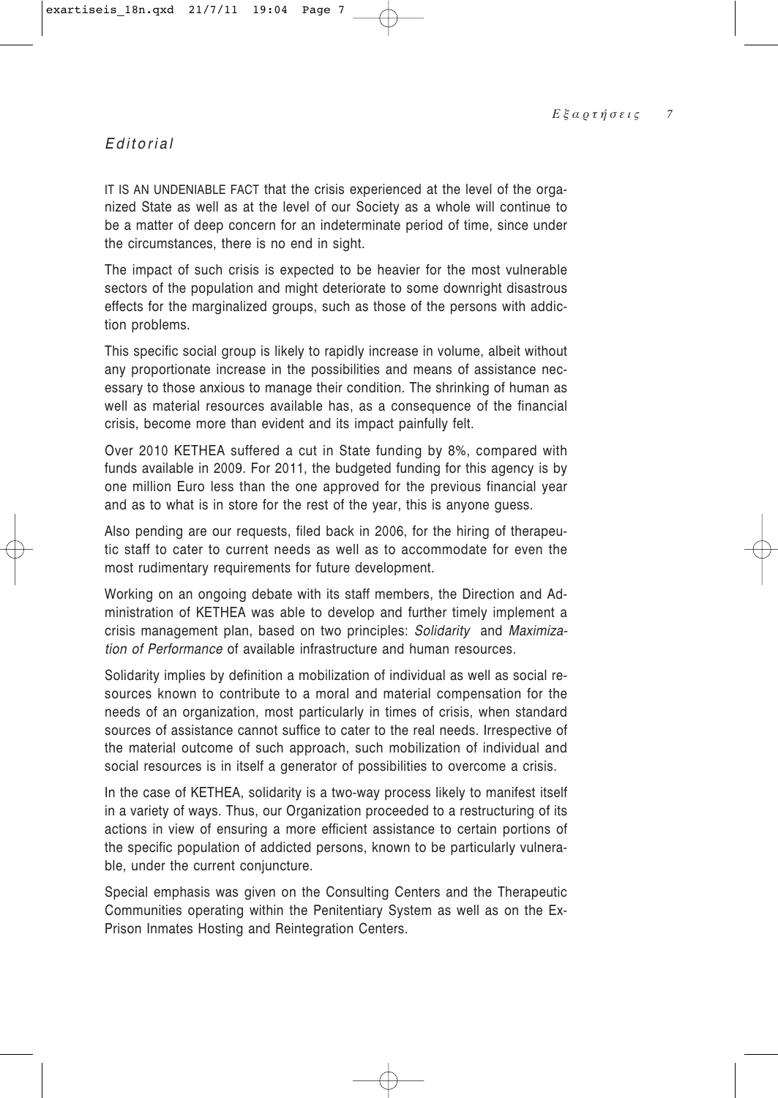## *Editorial*

IT IS AN UNDENIABLE FACT that the crisis experienced at the level of the organized State as well as at the level of our Society as a whole will continue to be a matter of deep concern for an indeterminate period of time, since under the circumstances, there is no end in sight.

The impact of such crisis is expected to be heavier for the most vulnerable sectors of the population and might deteriorate to some downright disastrous effects for the marginalized groups, such as those of the persons with addiction problems.

This specific social group is likely to rapidly increase in volume, albeit without any proportionate increase in the possibilities and means of assistance necessary to those anxious to manage their condition. The shrinking of human as well as material resources available has, as a consequence of the financial crisis, become more than evident and its impact painfully felt.

Over 2010 KETHEA suffered a cut in State funding by 8%, compared with funds available in 2009. For 2011, the budgeted funding for this agency is by one million Euro less than the one approved for the previous financial year and as to what is in store for the rest of the year, this is anyone guess.

Also pending are our requests, filed back in 2006, for the hiring of therapeutic staff to cater to current needs as well as to accommodate for even the most rudimentary requirements for future development.

Working on an ongoing debate with its staff members, the Direction and Administration of KETHEA was able to develop and further timely implement a crisis management plan, based on two principles: *Solidarity* and *Maximization of Performance* of available infrastructure and human resources.

Solidarity implies by definition a mobilization of individual as well as social resources known to contribute to a moral and material compensation for the needs of an organization, most particularly in times of crisis, when standard sources of assistance cannot suffice to cater to the real needs. Irrespective of the material outcome of such approach, such mobilization of individual and social resources is in itself a generator of possibilities to overcome a crisis.

In the case of KETHEA, solidarity is a two-way process likely to manifest itself in a variety of ways. Thus, our Organization proceeded to a restructuring of its actions in view of ensuring a more efficient assistance to certain portions of the specific population of addicted persons, known to be particularly vulnerable, under the current conjuncture.

Special emphasis was given on the Consulting Centers and the Therapeutic Communities operating within the Penitentiary System as well as on the Ex-Prison Inmates Hosting and Reintegration Centers.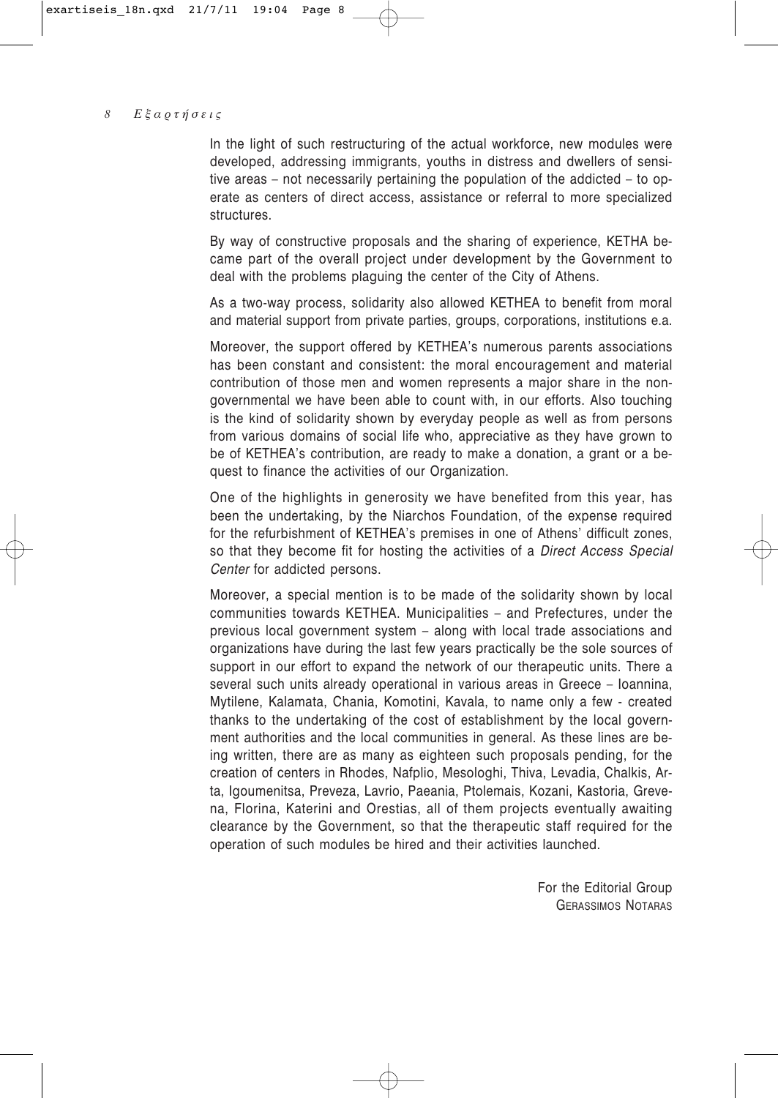In the light of such restructuring of the actual workforce, new modules were developed, addressing immigrants, youths in distress and dwellers of sensitive areas – not necessarily pertaining the population of the addicted – to operate as centers of direct access, assistance or referral to more specialized structures.

By way of constructive proposals and the sharing of experience, KETHA became part of the overall project under development by the Government to deal with the problems plaguing the center of the City of Athens.

As a two-way process, solidarity also allowed KETHEA to benefit from moral and material support from private parties, groups, corporations, institutions e.a.

Moreover, the support offered by KETHEA's numerous parents associations has been constant and consistent: the moral encouragement and material contribution of those men and women represents a major share in the nongovernmental we have been able to count with, in our efforts. Also touching is the kind of solidarity shown by everyday people as well as from persons from various domains of social life who, appreciative as they have grown to be of KETHEA's contribution, are ready to make a donation, a grant or a bequest to finance the activities of our Organization.

One of the highlights in generosity we have benefited from this year, has been the undertaking, by the Niarchos Foundation, of the expense required for the refurbishment of KETHEA's premises in one of Athens' difficult zones, so that they become fit for hosting the activities of a *Direct Access Special Center* for addicted persons.

Moreover, a special mention is to be made of the solidarity shown by local communities towards KETHEA. Municipalities – and Prefectures, under the previous local government system – along with local trade associations and organizations have during the last few years practically be the sole sources of support in our effort to expand the network of our therapeutic units. There a several such units already operational in various areas in Greece – Ioannina, Mytilene, Kalamata, Chania, Komotini, Kavala, to name only a few - created thanks to the undertaking of the cost of establishment by the local government authorities and the local communities in general. As these lines are being written, there are as many as eighteen such proposals pending, for the creation of centers in Rhodes, Nafplio, Mesologhi, Thiva, Levadia, Chalkis, Arta, Igoumenitsa, Preveza, Lavrio, Paeania, Ptolemais, Kozani, Kastoria, Grevena, Florina, Katerini and Orestias, all of them projects eventually awaiting clearance by the Government, so that the therapeutic staff required for the operation of such modules be hired and their activities launched.

> For the Editorial Group GERASSIMOS NOTARAS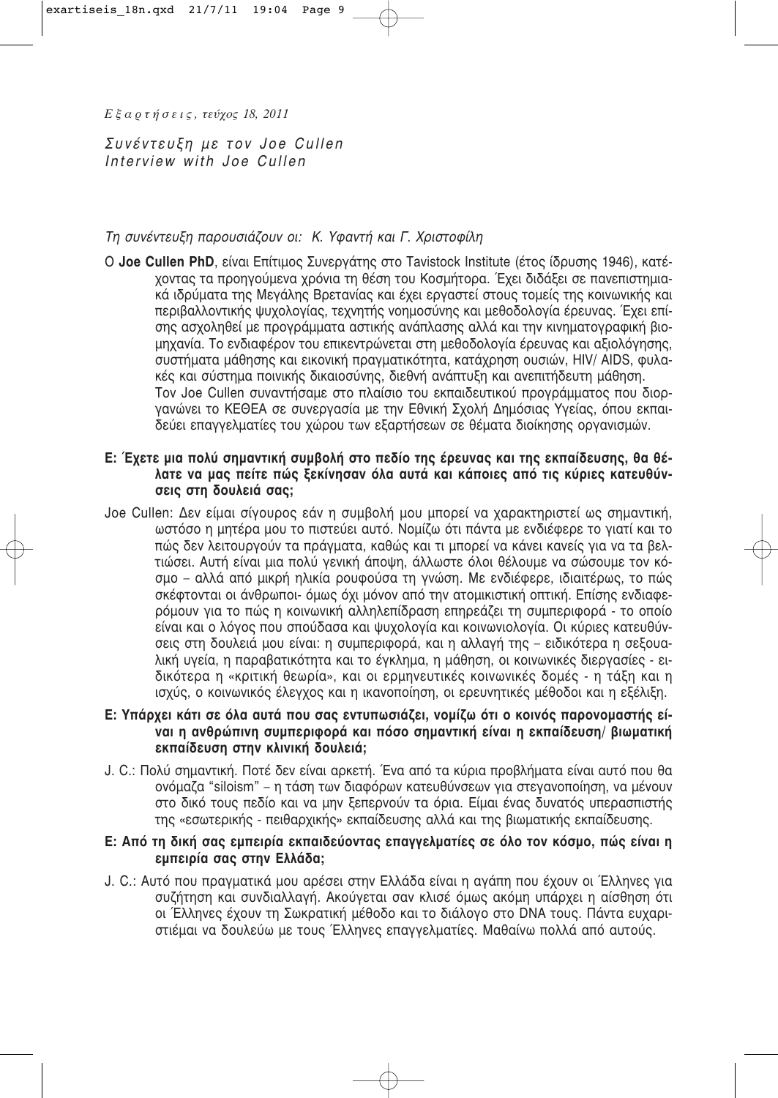*Ε ξ α ρ τ ή σ ε ι ς , τεύχος 18, 2011*

 $\Sigma$ υνέντευξη με τον Joe Cullen *Interview with Joe Cullen* 

## *Τη συνέντευξη παρουσιάζουν οι: Κ. Υφαντή και Γ. Χριστοφίλη*

- Ο Joe Cullen PhD, είναι Επίτιμος Συνεργάτης στο Tavistock Institute (έτος ίδρυσης 1946), κατέχοντας τα προηγούμενα χρόνια τη θέση του Κοσμήτορα. Έχει διδάξει σε πανεπιστημιακά ιδρύματα της Μεγάλης Βρετανίας και έχει εργαστεί στους τομείς της κοινωνικής και περιβαλλοντικής ψυχολογίας, τεχνητής νοημοσύνης και μεθοδολογία έρευνας. Έχει επίσης ασχοληθεί με προγράμματα αστικής ανάπλασης αλλά και την κινηματογραφική βιομηχανία. Το ενδιαφέρον του επικεντρώνεται στη μεθοδολογία έρευνας και αξιολόγησης, συστήματα μάθησης και εικονική πραγματικότητα, κατάχρηση ουσιών, HIV/ AIDS, φυλακές και σύστημα ποινικής δικαιοσύνης, διεθνή ανάπτυξη και ανεπιτήδευτη μάθηση. Toy Joe Cullen συναντήσαμε στο πλαίσιο του εκπαιδευτικού προνράμματος που διοργανώνει το ΚΕΘΕΑ σε συνεργασία με την Εθνική Σχολή Δημόσιας Υγείας, όπου εκπαιδεύει επαγγελματίες του χώρου των εξαρτήσεων σε θέματα διοίκησης ορνανισμών.
- Ε: Έχετε μια πολύ σημαντική συμβολή στο πεδίο της έρευνας και της εκπαίδευσης, θα θέλατε να μας πείτε πώς ξεκίνησαν όλα αυτά και κάποιες από τις κύριες κατευθύν**σεις στη δουλειά σας;**
- Joe Cullen: Δεν είμαι σίγουρος εάν η συμβολή μου μπορεί να χαρακτηριστεί ως σημαντική, ωστόσο η μητέρα μου το πιστεύει αυτό. Νομίζω ότι πάντα με ενδιέφερε το γιατί και το πώς δεν λειτουργούν τα πράγματα, καθώς και τι μπορεί να κάνει κανείς για να τα βελτιώσει. Αυτή είναι μια πολύ γενική άποψη, άλλωστε όλοι θέλουμε να σώσουμε τον κόσμο – αλλά από μικρή ηλικία ρουφούσα τη γνώση. Με ενδιέφερε, ιδιαιτέρως, το πώς σκέφτονται οι άνθρωποι- όμως όχι μόνον από την ατομικιστική οπτική. Επίσης ενδιαφερόμουν για το πώς η κοινωνική αλληλεπίδραση επηρεάζει τη συμπεριφορά - το οποίο είναι και ο λόγος που σπούδασα και ψυχολογία και κοινωνιολογία. Οι κύριες κατευθύνσεις στη δουλειά μου είναι: η συμπεριφορά, και η αλλαγή της – ειδικότερα η σεξουαλική υγεία, η παραβατικότητα και το έγκλημα, η μάθηση, οι κοινωνικές διεργασίες - ειδικότερα η «κριτική θεωρία», και οι ερμηνευτικές κοινωνικές δομές - η τάξη και η ισχύς, ο κοινωνικός έλεγχος και η ικανοποίηση, οι ερευνητικές μέθοδοι και η εξέλιξη.
- Ε: Υπάρχει κάτι σε όλα αυτά που σας εντυπωσιάζει, νομίζω ότι ο κοινός παρονομαστής είvai η ανθρώπινη συμπεριφορά και πόσο σημαντική είναι η εκπαίδευση/ βιωματική **εκπαίδευση στην κλινική δουλειά;**
- J. C.: Πολύ σημαντική. Ποτέ δεν είναι αρκετή. Ένα από τα κύρια προβλήματα είναι αυτό που θα ονόμαζα "siloism" – η τάση των διαφόρων κατευθύνσεων για στεγανοποίηση, να μένουν στο δικό τους πεδίο και να μην ξεπερνούν τα όρια. Είμαι ένας δυνατός υπερασπιστής της «εσωτερικής - πειθαρχικής» εκπαίδευσης αλλά και της βιωματικής εκπαίδευσης.

## Ε: Από τη δική σας εμπειρία εκπαιδεύοντας επαγγελματίες σε όλο τον κόσμο, πώς είναι η εμπειρία σας στην Ελλάδα;

J. C.: Αυτό που πραγματικά μου αρέσει στην Ελλάδα είναι η αγάπη που έχουν οι Έλληνες για συζήτηση και συνδιαλλανή. Ακούνεται σαν κλισέ όμως ακόμη υπάρχει η αίσθηση ότι οι Έλληνες έχουν τη Σωκρατική μέθοδο και το διάλογο στο DNA τους. Πάντα ευχαριστιέμαι να δουλεύω με τους Έλληνες επαγγελματίες. Μαθαίνω πολλά από αυτούς.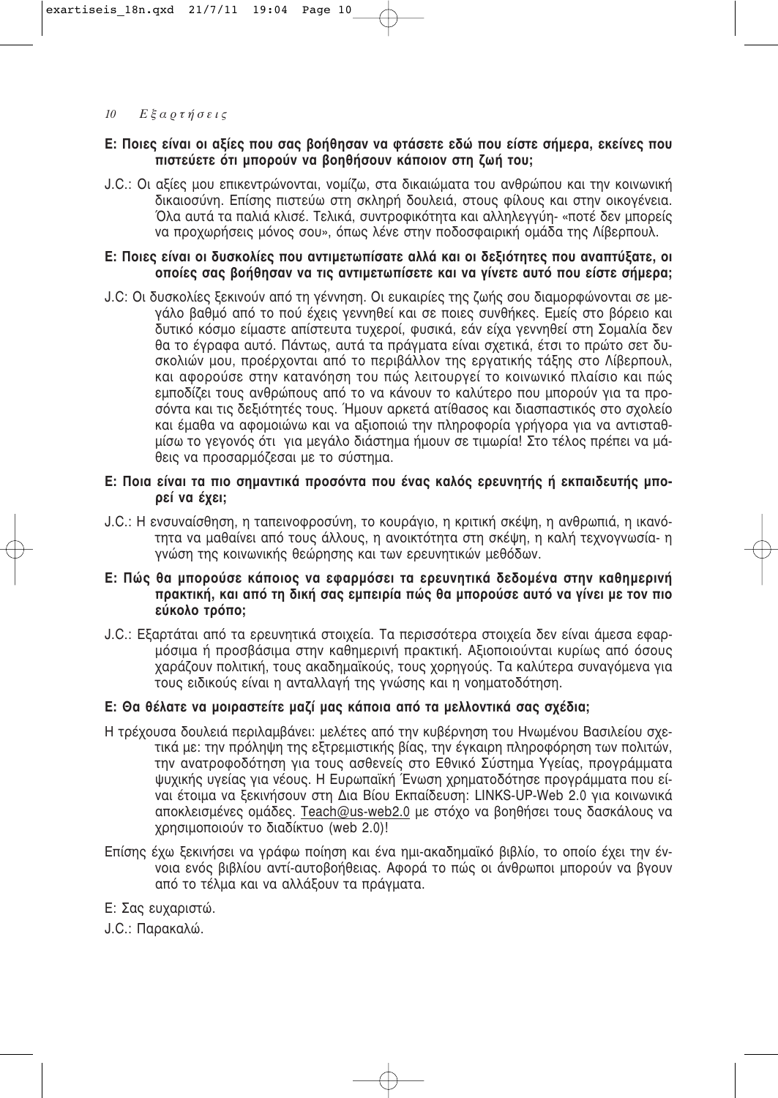## Ε: Ποιες είναι οι αξίες που σας βοήθησαν να φτάσετε εδώ που είστε σήμερα, εκείνες που <u>ΓΠΙστεύετε ότι μπορούν να βοηθήσουν κάποιον στη ζωή του;</u>

J.C.: Οι αξίες μου επικεντρώνονται, νομίζω, στα δικαιώματα του ανθρώπου και την κοινωνική δικαιοσύνη. Επίσης πιστεύω στη σκληρή δουλειά, στους φίλους και στην οικογένεια. Όλα αυτά τα παλιά κλισέ. Τελικά, συντροφικότητα και αλληλεγγύη- «ποτέ δεν μπορείς να προχωρήσεις μόνος σου», όπως λένε στην ποδοσφαιρική ομάδα της Λίβερπουλ.

## **Ε: Ποιες είναι οι δυσκολίες που αντιμετωπίσατε αλλά και οι δεξιότητες που αναπτύξατε, οι** οποίες σας βοήθησαν να τις αντιμετωπίσετε και να γίνετε αυτό που είστε σήμερα;

- J.C: Οι δυσκολίες ξεκινούν από τη γέννηση. Οι ευκαιρίες της ζωής σου διαμορφώνονται σε μεγάλο βαθμό από το πού έχεις γεννηθεί και σε ποιες συνθήκες. Εμείς στο βόρειο και δυτικό κόσμο είμαστε απίστευτα τυχεροί, φυσικά, εάν είχα γεννηθεί στη Σομαλία δεν θα το έγραφα αυτό. Πάντως, αυτά τα πράγματα είναι σχετικά, έτσι το πρώτο σετ δυσκολιών μου, προέρχονται από το περιβάλλον της εργατικής τάξης στο Λίβερπουλ, και αφορούσε στην κατανόηση του πώς λειτουρνεί το κοινωνικό πλαίσιο και πώς εμποδίζει τους ανθρώπους από το να κάνουν το καλύτερο που μπορούν για τα προσόντα και τις δεξιότητές τους. Ήμουν αρκετά ατίθασος και διασπαστικός στο σχολείο και έμαθα να αφομοιώνω και να αξιοποιώ την πληροφορία γρήγορα για να αντισταθμίσω το γεγονός ότι για μεγάλο διάστημα ήμουν σε τιμωρία! Στο τέλος πρέπει να μάθεις να προσαρμόζεσαι με το σύστημα.
- Ε: Ποια είναι τα πιο σημαντικά προσόντα που ένας καλός ερευνητής ή εκπαιδευτής μπο**ρεί να έχει;**
- J.C.: Η ενσυναίσθηση, η ταπεινοφροσύνη, το κουράγιο, η κριτική σκέψη, η ανθρωπιά, η ικανότητα να μαθαίνει από τους άλλους, η ανοικτότητα στη σκέψη, η καλή τεχνογνωσία- η γνώση της κοινωνικής θεώρησης και των ερευνητικών μεθόδων.
- **Ε: Πώς θα μπορούσε κάποιος να εφαρμόσει τα ερευνητικά δεδομένα στην καθημερινή** πρακτική, και από τη δική σας εμπειρία πώς θα μπορούσε αυτό να γίνει με τον πιο **εύκολο τρόπο:**
- J.C.: Εξαρτάται από τα ερευνητικά στοιχεία. Τα περισσότερα στοιχεία δεν είναι άμεσα εφαρμόσιμα ή προσβάσιμα στην καθημερινή πρακτική. Αξιοποιούνται κυρίως από όσους χαράζουν πολιτική, τους ακαδημαϊκούς, τους χορηγούς. Τα καλύτερα συναγόμενα για τους ειδικούς είναι η ανταλλαγή της γνώσης και η νοηματοδότηση.

## Ε: Θα θέλατε να μοιραστείτε μαζί μας κάποια από τα μελλοντικά σας σχέδια;

- Η τρέχουσα δουλειά περιλαμβάνει: μελέτες από την κυβέρνηση του Ηνωμένου Βασιλείου σχετικά με: την πρόληψη της εξτρεμιστικής βίας, την έγκαιρη πληροφόρηση των πολιτών, την ανατροφοδότηση για τους ασθενείς στο Εθνικό Σύστημα Υγείας, προγράμματα ψυχικής υγείας για νέους. Η Ευρωπαϊκή Ένωση χρηματοδότησε προγράμματα που είναι έτοιμα να ξεκινήσουν στη Δια Βίου Εκπαίδευση: LINKS-UP-Web 2.0 για κοινωνικά αποκλεισμένες ομάδες. Teach@us-web2.0 με στόχο να βοηθήσει τους δασκάλους να χρησιμοποιούν το διαδίκτυο (web 2.0)!
- Επίσης έχω ξεκινήσει να γράφω ποίηση και ένα ημι-ακαδημαϊκό βιβλίο, το οποίο έχει την έννοια ενός βιβλίου αντί-αυτοβοήθειας. Αφορά το πώς οι άνθρωποι μπορούν να βγουν από το τέλμα και να αλλάξουν τα πράγματα.
- Ε: Σας ευχαριστώ.
- J.C.: Παρακαλώ.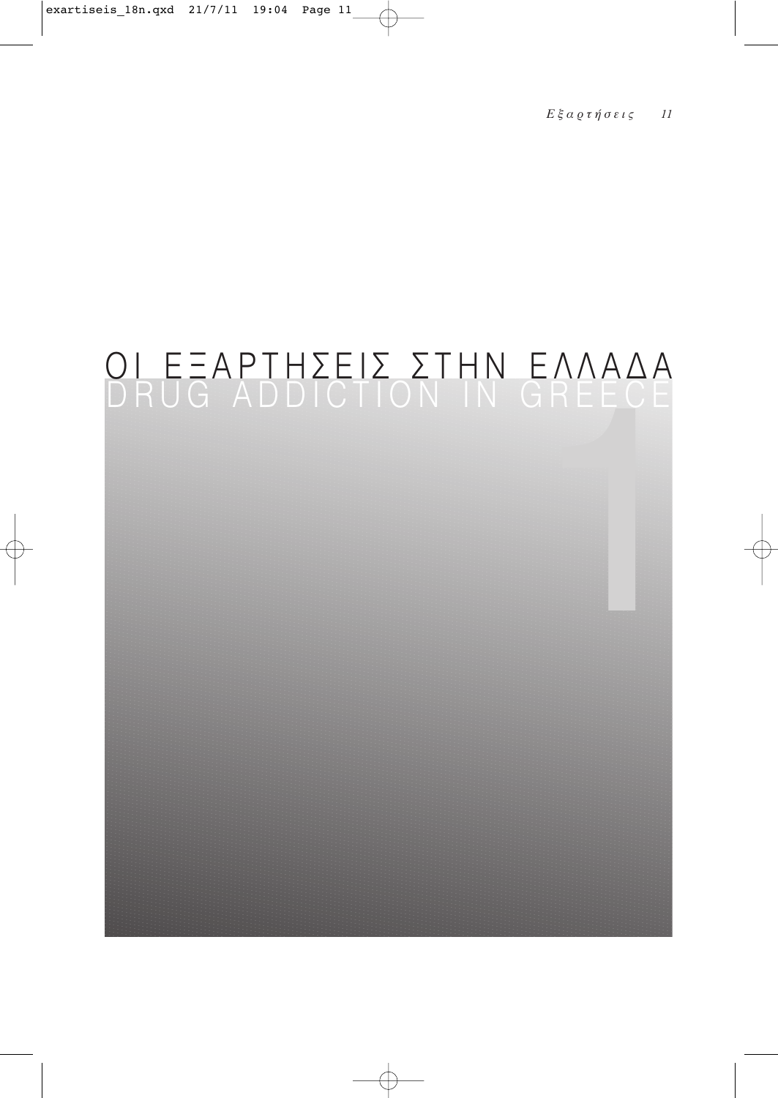$E \xi a \varrho \tau \eta \sigma \varepsilon \iota$ ς 11

# <u>ΟΙ ΕΞΑΡΤΗΣΕΙΣ ΣΤΗΝ ΕΛΛΑΔΑ</u><br>DRUG ADDICTION IN GREECE</u>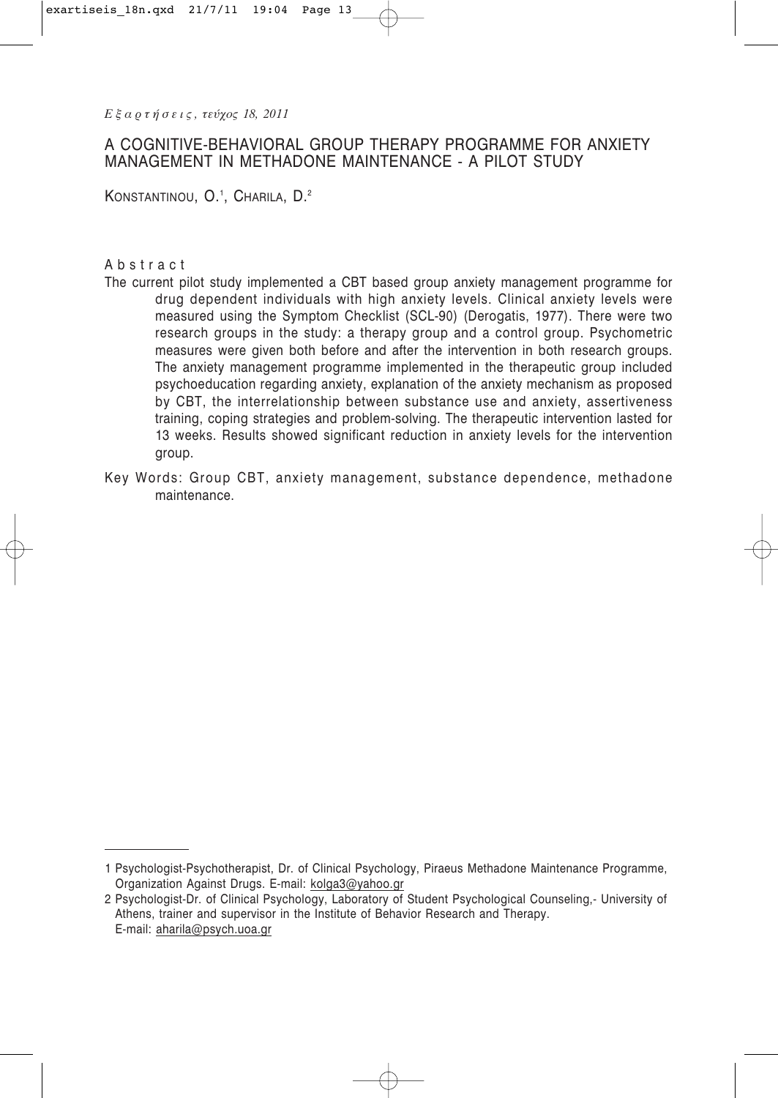*Ε ξ α ρ τ ή σ ε ι ς , τεύχος 18, 2011*

## A COGNITIVE-BEHAVIORAL GROUP THERAPY PROGRAMME FOR ANXIETY MANAGEMENT IN METHADONE MAINTENANCE - A PILOT STUDY

Konstantinou, O.<sup>1</sup>, Charila, D.<del><sup>2</sup></del>

#### Abstract

- The current pilot study implemented a CBT based group anxiety management programme for drug dependent individuals with high anxiety levels. Clinical anxiety levels were measured using the Symptom Checklist (SCL-90) (Derogatis, 1977). There were two research groups in the study: a therapy group and a control group. Psychometric measures were given both before and after the intervention in both research groups. The anxiety management programme implemented in the therapeutic group included psychoeducation regarding anxiety, explanation of the anxiety mechanism as proposed by CBT, the interrelationship between substance use and anxiety, assertiveness training, coping strategies and problem-solving. The therapeutic intervention lasted for 13 weeks. Results showed significant reduction in anxiety levels for the intervention group.
- Key Words: Group CBT, anxiety management, substance dependence, methadone maintenance.

<sup>1</sup> Psychologist-Psychotherapist, Dr. of Clinical Psychology, Piraeus Methadone Maintenance Programme, Organization Against Drugs. E-mail: kolga3@yahoo.gr

<sup>2</sup> Psychologist-Dr. of Clinical Psychology, Laboratory of Student Psychological Counseling,- University of Athens, trainer and supervisor in the Institute of Behavior Research and Therapy. E-mail: aharila@psych.uoa.gr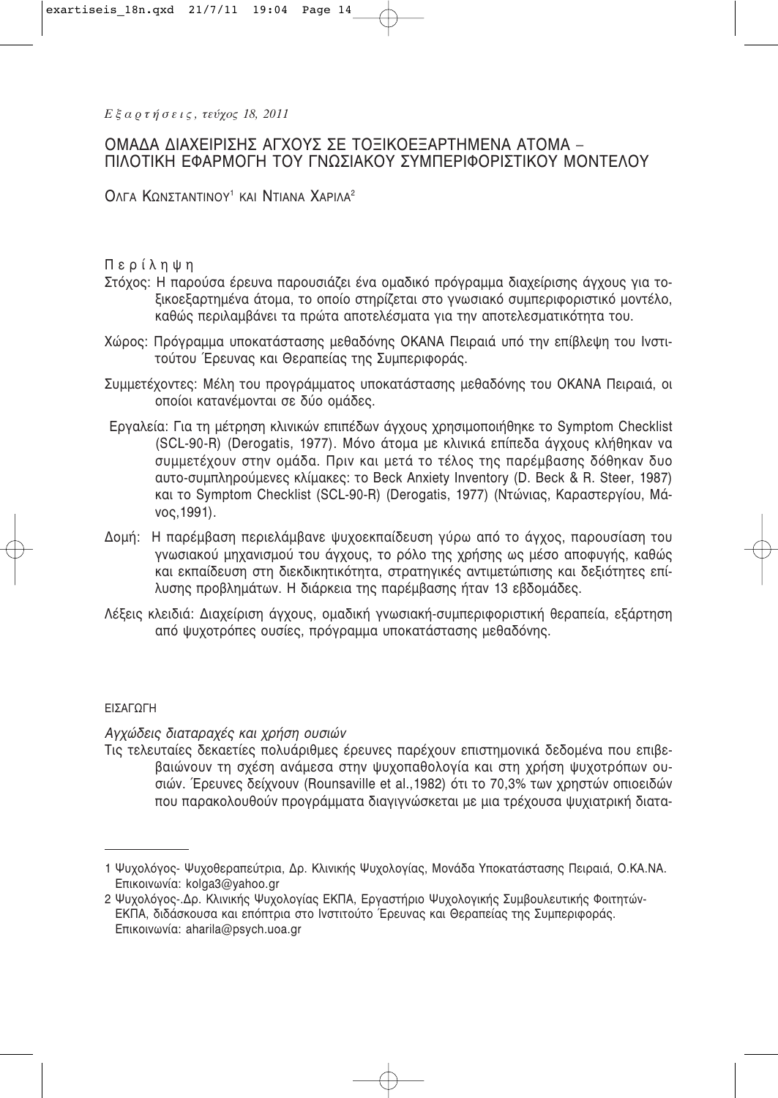Εξαρτήσεις, τεύγος 18, 2011

## ΟΜΑΔΑ ΔΙΑΧΕΙΡΙΣΗΣ ΑΓΧΟΥΣ ΣΕ ΤΟΞΙΚΟΕΞΑΡΤΗΜΕΝΑ ΑΤΟΜΑ -ΠΙΛΟΤΙΚΗ ΕΦΑΡΜΟΓΗ ΤΟΥ ΓΝΩΣΙΑΚΟΥ ΣΥΜΠΕΡΙΦΟΡΙΣΤΙΚΟΥ ΜΟΝΤΕΛΟΥ

OAFA KONSTANTINOY<sup>1</sup> KAI NTIANA XAPIAA<sup>2</sup>

Περίληψη

- Στόχος: Η παρούσα έρευνα παρουσιάζει ένα ομαδικό πρόγραμμα διαχείρισης άγχους για το-Εικοεξαρτημένα άτομα, το οποίο στηρίζεται στο γνωσιακό συμπεριφοριστικό μοντέλο. καθώς περιλαμβάνει τα πρώτα αποτελέσματα για την αποτελεσματικότητα του.
- Χώρος: Πρόγραμμα υποκατάστασης μεθαδόνης ΟΚΑΝΑ Πειραιά υπό την επίβλεψη του Ινστιτούτου Έρευνας και Θεραπείας της Συμπεριφοράς.
- Συμμετέχοντες: Μέλη του προγράμματος υποκατάστασης μεθαδόνης του ΟΚΑΝΑ Πειραιά, οι οποίοι κατανέμονται σε δύο ομάδες.
- Εργαλεία: Για τη μέτρηση κλινικών επιπέδων άγχους χρησιμοποιήθηκε το Symptom Checklist (SCL-90-R) (Derogatis, 1977). Μόνο άτομα με κλινικά επίπεδα άγχους κλήθηκαν να συμμετέχουν στην ομάδα. Πριν και μετά το τέλος της παρέμβασης δόθηκαν δυο αυτο-συμπληρούμενες κλίμακες: το Beck Anxiety Inventory (D. Beck & R. Steer, 1987) και το Symptom Checklist (SCL-90-R) (Derogatis, 1977) (Ντώνιας, Καραστεργίου, Μάvoc. 1991).
- Δομή: Η παρέμβαση περιελάμβανε ψυχοεκπαίδευση γύρω από το άγχος, παρουσίαση του γνωσιακού μηχανισμού του άγχους, το ρόλο της χρήσης ως μέσο αποφυγής, καθώς και εκπαίδευση στη διεκδικητικότητα, στρατηγικές αντιμετώπισης και δεξιότητες επίλυσης προβλημάτων. Η διάρκεια της παρέμβασης ήταν 13 εβδομάδες.
- Λέξεις κλειδιά: Διαχείριση άγχους, ομαδική γνωσιακή-συμπεριφοριστική θεραπεία, εξάρτηση από ψυχοτρόπες ουσίες, πρόγραμμα υποκατάστασης μεθαδόνης.

## **FIΣAΓOΓH**

Αγχώδεις διαταραχές και χρήση ουσιών

Τις τελευταίες δεκαετίες πολυάριθμες έρευνες παρέχουν επιστημονικά δεδομένα που επιβεβαιώνουν τη σχέση ανάμεσα στην ψυχοπαθολογία και στη χρήση ψυχοτρόπων ουσιών. Έρευνες δείχνουν (Rounsaville et al., 1982) ότι το 70,3% των χρηστών οπιοειδών που παρακολουθούν προγράμματα διαγιγνώσκεται με μια τρέχουσα ψυχιατρική διατα-

<sup>1</sup> Ψυχολόγος- Ψυχοθεραπεύτρια, Δρ. Κλινικής Ψυχολογίας, Μονάδα Υποκατάστασης Πειραιά, Ο.ΚΑ.ΝΑ. Επικοινωνία: kolga3@yahoo.gr

<sup>2</sup> Ψυχολόγος-. Δρ. Κλινικής Ψυχολογίας ΕΚΠΑ, Εργαστήριο Ψυχολογικής Συμβουλευτικής Φοιτητών-ΕΚΠΑ, διδάσκουσα και επόπτρια στο Ινστιτούτο Έρευνας και Θεραπείας της Συμπεριφοράς. Επικοινωνία: aharila@psych.uoa.gr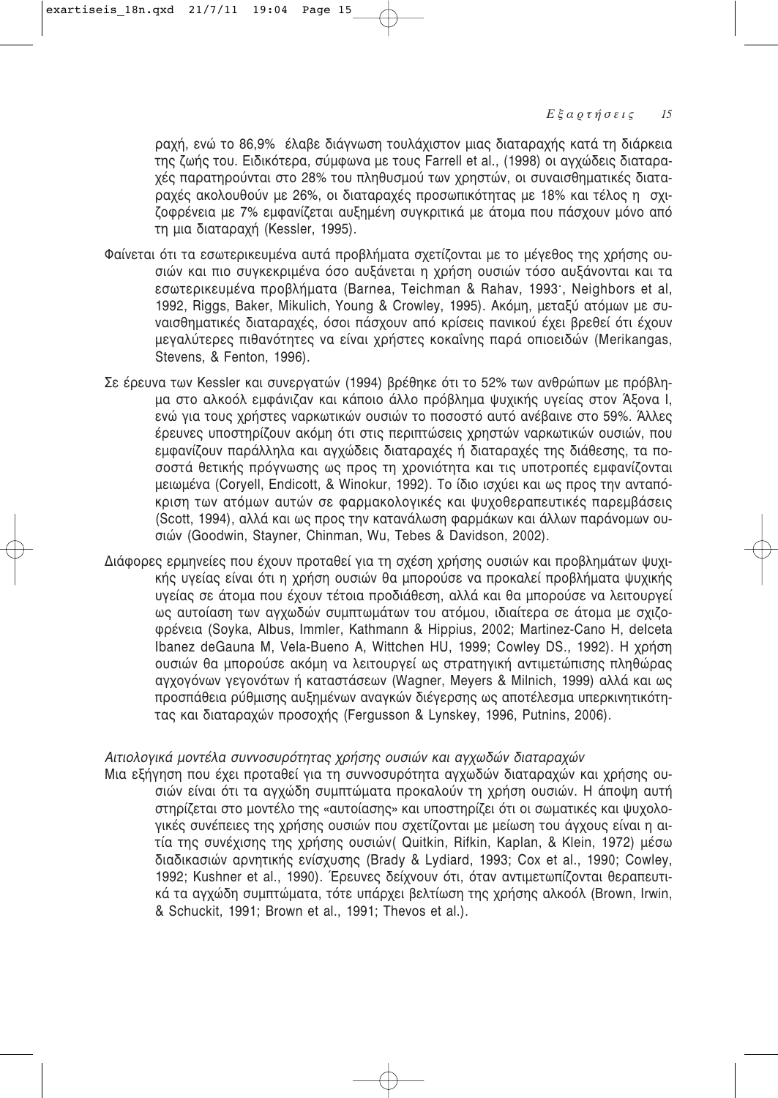ραχή, ενώ το 86,9% έλαβε διάγνωση τουλάχιστον μιας διαταραχής κατά τη διάρκεια της ζωής του. Ειδικότερα, σύμφωνα με τους Farrell et al., (1998) οι αγχώδεις διαταραχές παρατηρούνται στο 28% του πληθυσμού των χρηστών, οι συναισθηματικές διαταραχές ακολουθούν με 26%, οι διαταραχές προσωπικότητας με 18% και τέλος η σχιζοφρένεια με 7% εμφανίζεται αυξημένη συγκριτικά με άτομα που πάσχουν μόνο από τη μια διαταραχή (Kessler, 1995).

- Φαίνεται ότι τα εσωτερικευμένα αυτά προβλήματα σχετίζονται με το μένεθος της χρήσης ουσιών και πιο συγκεκριμένα όσο αυξάνεται η χρήση ουσιών τόσο αυξάνονται και τα εσωτερικευμένα προβλήματα (Barnea, Teichman & Rahav, 1993 , Neighbors et al, 1992, Riggs, Baker, Mikulich, Young & Crowley, 1995). Aκόμη, μεταξύ ατόμων με συναισθηματικές διαταραχές, όσοι πάσχουν από κρίσεις πανικού έχει βρεθεί ότι έχουν μεγαλύτερες πιθανότητες να είναι χρήστες κοκαΐνης παρά οπιοειδών (Merikangas, Stevens, & Fenton, 1996).
- Σε έρευνα των Kessler και συνερνατών (1994) βρέθηκε ότι το 52% των ανθρώπων με πρόβλημα στο αλκοόλ εμφάνιζαν και κάποιο άλλο πρόβλημα ψυχικής υγείας στον Άξονα Ι, ενώ για τους χρήστες ναρκωτικών ουσιών το ποσοστό αυτό ανέβαινε στο 59%. Άλλες έρευνες υποστηρίζουν ακόμη ότι στις περιπτώσεις χρηστών ναρκωτικών ουσιών, που εμφανίζουν παράλληλα και αγχώδεις διαταραχές ή διαταραχές της διάθεσης, τα ποσοστά θετικής πρόγνωσης ως προς τη χρονιότητα και τις υποτροπές εμφανίζονται μειωμένα (Coryell, Endicott, & Winokur, 1992). Το ίδιο ισχύει και ως προς την ανταπόκριση των ατόμων αυτών σε φαρμακολογικές και ψυχοθεραπευτικές παρεμβάσεις (Scott, 1994), αλλά και ως προς την κατανάλωση φαρμάκων και άλλων παράνομων ουσιών (Goodwin, Stayner, Chinman, Wu, Tebes & Davidson, 2002).
- Διάφορες ερμηνείες που έχουν προταθεί για τη σχέση χρήσης ουσιών και προβλημάτων ψυχικής υγείας είναι ότι η χρήση ουσιών θα μπορούσε να προκαλεί προβλήματα ψυχικής υγείας σε άτομα που έχουν τέτοια προδιάθεση, αλλά και θα μπορούσε να λειτουργεί ως αυτοίαση των αγχωδών συμπτωμάτων του ατόμου, ιδιαίτερα σε άτομα με σχιζοφρένεια (Soyka, Albus, Immler, Kathmann & Hippius, 2002; Martinez-Cano H, delceta Ibanez deGauna M, Vela-Bueno A, Wittchen HU, 1999; Cowley DS., 1992). H xpnon ουσιών θα μπορούσε ακόμη να λειτουργεί ως στρατηγική αντιμετώπισης πληθώρας αγχογόνων γεγονότων ή καταστάσεων (Wagner, Meyers & Milnich, 1999) αλλά και ως προσπάθεια ρύθμισης αυξημένων αναγκών διέγερσης ως αποτέλεσμα υπερκινητικότητας και διαταραχών προσοχής (Fergusson & Lynskey, 1996, Putnins, 2006).

## *Aιτιολογικά μοντέλα συννοσυρότητας χρήσης ουσιών και αγχωδών διαταραχών*

Μια εξήγηση που έχει προταθεί για τη συννοσυρότητα αγχωδών διαταραχών και χρήσης ουσιών είναι ότι τα αγχώδη συμπτώματα προκαλούν τη χρήση ουσιών. Η άποψη αυτή στηρίζεται στο μοντέλο της «αυτοίασης» και υποστηρίζει ότι οι σωματικές και ψυχολογικές συνέπειες της χρήσης ουσιών που σχετίζονται με μείωση του άγχους είναι η αιτία της συνέχισης της χρήσης ουσιών (Quitkin, Rifkin, Kaplan, & Klein, 1972) μέσω διαδικασιών αρνητικής ενίσχυσης (Brady & Lydiard, 1993; Cox et al., 1990; Cowley, 1992; Kushner et al., 1990). Έρευνες δείχνουν ότι, όταν αντιμετωπίζονται θεραπευτικά τα αγχώδη συμπτώματα, τότε υπάρχει βελτίωση της χρήσης αλκοόλ (Brown, Irwin, & Schuckit, 1991; Brown et al., 1991; Thevos et al.).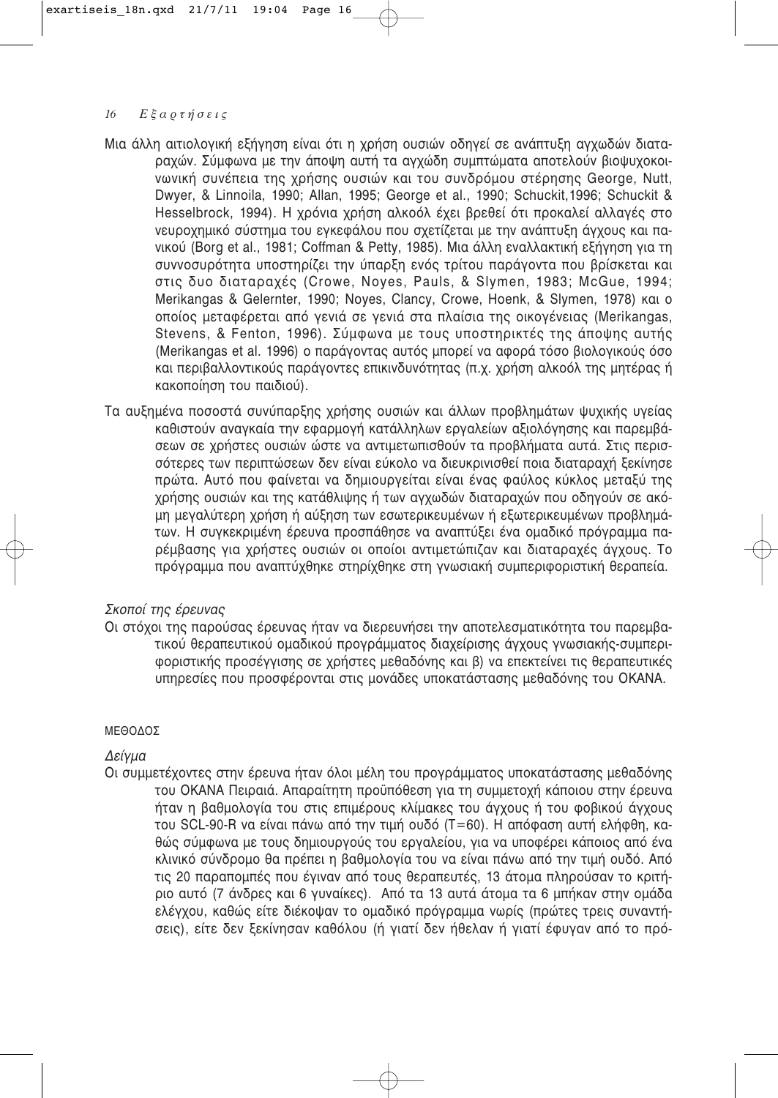- Μια άλλη αιτιολογική εξήγηση είναι ότι η χρήση ουσιών οδηγεί σε ανάπτυξη αγχωδών διαταραχών. Σύμφωνα με την άποψη αυτή τα ανχώδη συμπτώματα αποτελούν βιοψυχοκοινωνική συνέπεια της χρήσης ουσιών και του συνδρόμου στέρησης George, Nutt, Dwyer, & Linnoila, 1990; Allan, 1995; George et al., 1990; Schuckit, 1996; Schuckit & Hesselbrock, 1994). Η χρόνια χρήση αλκοόλ έχει βρεθεί ότι προκαλεί αλλαγές στο νευροχημικό σύστημα του εγκεφάλου που σχετίζεται με την ανάπτυξη άγχους και πανικού (Borg et al., 1981; Coffman & Petty, 1985). Μια άλλη εναλλακτική εξήγηση για τη συννοσυρότητα υποστηρίζει την ύπαρξη ενός τρίτου παράγοντα που βρίσκεται και στις δυο διαταραχές (Crowe, Noyes, Pauls, & Slymen, 1983; McGue, 1994; Merikangas & Gelernter, 1990; Noves, Clancy, Crowe, Hoenk, & Slymen, 1978) και ο οποίος μεταφέρεται από γενιά σε γενιά στα πλαίσια της οικογένειας (Merikangas, Stevens, & Fenton, 1996). Σύμφωνα με τους υποστηρικτές της άποψης αυτής (Merikangas et al. 1996) ο παράγοντας αυτός μπορεί να αφορά τόσο βιολογικούς όσο και περιβαλλοντικούς παράγοντες επικινδυνότητας (π.χ. χρήση αλκοόλ της μητέρας ή κακοποίηση του παιδιού).
- Τα αυξημένα ποσοστά συνύπαρξης χρήσης ουσιών και άλλων προβλημάτων ψυχικής υγείας καθιστούν αναγκαία την εφαρμογή κατάλληλων εργαλείων αξιολόγησης και παρεμβάσεων σε χρήστες ουσιών ώστε να αντιμετωπισθούν τα προβλήματα αυτά. Στις περισσότερες των περιπτώσεων δεν είναι εύκολο να διευκρινισθεί ποια διαταραχή ξεκίνησε πρώτα. Αυτό που φαίνεται να δημιουργείται είναι ένας φαύλος κύκλος μεταξύ της χρήσης ουσιών και της κατάθλιψης ή των αγχωδών διαταραχών που οδηγούν σε ακόμη μεγαλύτερη χρήση ή αύξηση των εσωτερικευμένων ή εξωτερικευμένων προβλημάτων. Η συγκεκριμένη έρευνα προσπάθησε να αναπτύξει ένα ομαδικό πρόγραμμα παρέμβασης για χρήστες ουσιών οι οποίοι αντιμετώπιζαν και διαταραχές άνχους. Το πρόγραμμα που αναπτύχθηκε στηρίχθηκε στη γνωσιακή συμπεριφοριστική θεραπεία.

## Σκοποί της έρευνας

Οι στόχοι της παρούσας έρευνας ήταν να διερευνήσει την αποτελεσματικότητα του παρεμβατικού θεραπευτικού ομαδικού προγράμματος διαχείρισης άγχους γνωσιακής-συμπεριφοριστικής προσέγγισης σε χρήστες μεθαδόνης και β) να επεκτείνει τις θεραπευτικές υπηρεσίες που προσφέρονται στις μονάδες υποκατάστασης μεθαδόνης του ΟΚΑΝΑ.

#### ΜΕΘΟΔΟΣ

## Δείγμα

Οι συμμετέχοντες στην έρευνα ήταν όλοι μέλη του προγράμματος υποκατάστασης μεθαδόνης του ΟΚΑΝΑ Πειραιά. Απαραίτητη προϋπόθεση για τη συμμετοχή κάποιου στην έρευνα ήταν η βαθμολογία του στις επιμέρους κλίμακες του άγχους ή του φοβικού άγχους του SCL-90-R να είναι πάνω από την τιμή ουδό (T=60). Η απόφαση αυτή ελήφθη, καθώς σύμφωνα με τους δημιουργούς του εργαλείου, για να υποφέρει κάποιος από ένα κλινικό σύνδρομο θα πρέπει η βαθμολονία του να είναι πάνω από την τιμή ουδό. Από τις 20 παραπομπές που έγιναν από τους θεραπευτές, 13 άτομα πληρούσαν το κριτήριο αυτό (7 άνδρες και 6 γυναίκες). Από τα 13 αυτά άτομα τα 6 μπήκαν στην ομάδα ελέγχου, καθώς είτε διέκοψαν το ομαδικό πρόγραμμα νωρίς (πρώτες τρεις συναντήσεις), είτε δεν ξεκίνησαν καθόλου (ή γιατί δεν ήθελαν ή γιατί έφυγαν από το πρό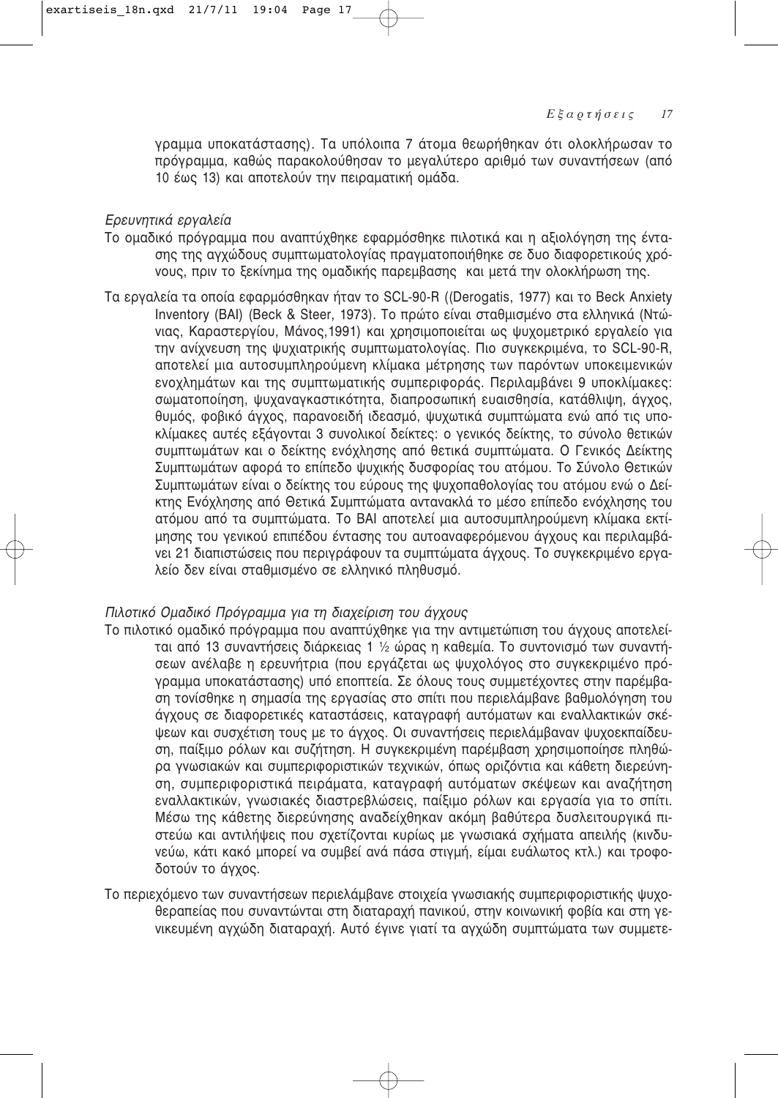γραμμα υποκατάστασης). Τα υπόλοιπα 7 άτομα θεωρήθηκαν ότι ολοκλήρωσαν το πρόγραμμα, καθώς παρακολούθησαν το μεγαλύτερο αριθμό των συναντήσεων (από 10 έως 13) και αποτελούν την πειραματική ομάδα.

## *Ερευνητικά εργαλεία*

- Το ομαδικό πρόγραμμα που αναπτύχθηκε εφαρμόσθηκε πιλοτικά και η αξιολόγηση της έντασης της αγχώδους συμπτωματολογίας πραγματοποιήθηκε σε δυο διαφορετικούς χρόνους, πριν το ξεκίνημα της ομαδικής παρεμβασης και μετά την ολοκλήρωση της.
- Τα εργαλεία τα οποία εφαρμόσθηκαν ήταν το SCL-90-R ((Derogatis, 1977) και το Beck Anxiety Inventory (BAI) (Beck & Steer, 1973). Το πρώτο είναι σταθμισμένο στα ελληνικά (Ντώνιας, Καραστεργίου, Μάνος, 1991) και χρησιμοποιείται ως ψυχομετρικό εργαλείο για την ανίχνευση της ψυχιατρικής συμπτωματολογίας. Πιο συγκεκριμένα, το SCL-90-R, αποτελεί μια αυτοσυμπληρούμενη κλίμακα μέτρησης των παρόντων υποκειμενικών ενοχλημάτων και της συμπτωματικής συμπεριφοράς. Περιλαμβάνει 9 υποκλίμακες: σωματοποίηση, ψυχαναγκαστικότητα, διαπροσωπική ευαισθησία, κατάθλιψη, άγχος, θυμός, φοβικό άγχος, παρανοειδή ιδεασμό, ψυχωτικά συμπτώματα ενώ από τις υποκλίμακες αυτές εξάγονται 3 συνολικοί δείκτες: ο γενικός δείκτης, το σύνολο θετικών συμπτωμάτων και ο δείκτης ενόχλησης από θετικά συμπτώματα. Ο Γενικός Δείκτης Συμπτωμάτων αφορά το επίπεδο ψυχικής δυσφορίας του ατόμου. Το Σύνολο Θετικών Συμπτωμάτων είναι ο δείκτης του εύρους της ψυχοπαθολογίας του ατόμου ενώ ο Δείκτης Ενόχλησης από Θετικά Συμπτώματα αντανακλά το μέσο επίπεδο ενόχλησης του ατόμου από τα συμπτώματα. Το BAI αποτελεί μια αυτοσυμπληρούμενη κλίμακα εκτίμησης του γενικού επιπέδου έντασης του αυτοαναφερόμενου άγχους και περιλαμβά-Vει 21 διαπιστώσεις που περιγράφουν τα συμπτώματα άγχους. Το συγκεκριμένο εργαλείο δεν είναι σταθμισμένο σε ελληνικό πληθυσμό.

## Πιλοτικό Ομαδικό Πρόγραμμα για τη διαχείριση του άγχους

- Το πιλοτικό ομαδικό πρόγραμμα που αναπτύχθηκε για την αντιμετώπιση του άγχους αποτελείται από 13 συναντήσεις διάρκειας 1 ½ ώρας η καθεμία. Το συντονισμό των συναντήσεων ανέλαβε η ερευνήτρια (που εργάζεται ως ψυχολόγος στο συγκεκριμένο πρόγραμμα υποκατάστασης) υπό εποπτεία. Σε όλους τους συμμετέχοντες στην παρέμβαση τονίσθηκε η σημασία της εργασίας στο σπίτι που περιελάμβανε βαθμολόνηση του άγχους σε διαφορετικές καταστάσεις, καταγραφή αυτόματων και εναλλακτικών σκέψεων και συσχέτιση τους με το άγχος. Οι συναντήσεις περιελάμβαναν ψυχοεκπαίδευση, παίξιμο ρόλων και συζήτηση. Η συγκεκριμένη παρέμβαση χρησιμοποίησε πληθώρα γνωσιακών και συμπεριφοριστικών τεχνικών, όπως οριζόντια και κάθετη διερεύνηση, συμπεριφοριστικά πειράματα, καταγραφή αυτόματων σκέψεων και αναζήτηση εναλλακτικών, γνωσιακές διαστρεβλώσεις, παίξιμο ρόλων και εργασία για το σπίτι. Μέσω της κάθετης διερεύνησης αναδείχθηκαν ακόμη βαθύτερα δυσλειτουργικά πιστεύω και αντιλήψεις που σχετίζονται κυρίως με γνωσιακά σχήματα απειλής (κινδυνεύω, κάτι κακό μπορεί να συμβεί ανά πάσα στιγμή, είμαι ευάλωτος κτλ.) και τροφοδοτούν το άγχος.
- Το περιεχόμενο των συναντήσεων περιελάμβανε στοιχεία γνωσιακής συμπεριφοριστικής ψυχοθεραπείας που συναντώνται στη διαταραχή πανικού, στην κοινωνική φοβία και στη γεvικευμένη αγχώδη διαταραχή. Αυτό έγινε γιατί τα αγχώδη συμπτώματα των συμμετε-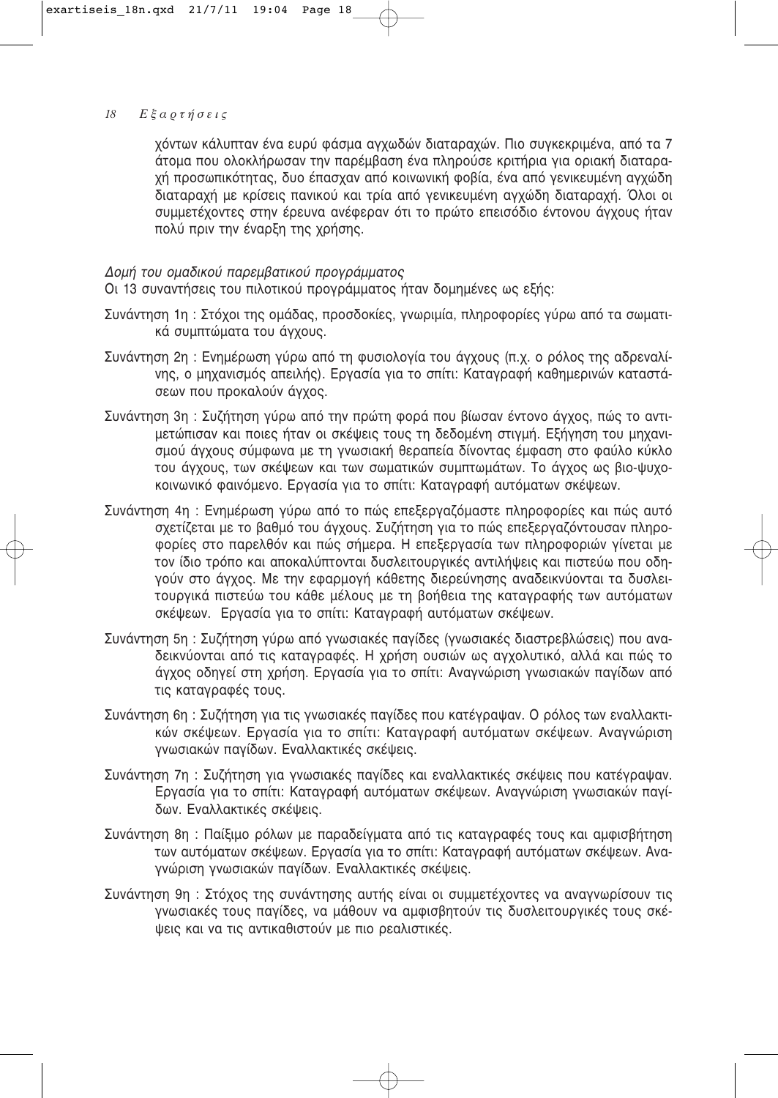χόντων κάλυπταν ένα ευρύ φάσμα αγχωδών διαταραχών. Πιο συγκεκριμένα, από τα 7 άτομα που ολοκλήρωσαν την παρέμβαση ένα πληρούσε κριτήρια για οριακή διαταραχή προσωπικότητας, δυο έπασχαν από κοινωνική φοβία, ένα από γενικευμένη αγχώδη διαταραχή με κρίσεις πανικού και τρία από γενικευμένη αγχώδη διαταραχή. Όλοι οι συμμετέχοντες στην έρευνα ανέφεραν ότι το πρώτο επεισόδιο έντονου άγχους ήταν πολύ πριν την έναρξη της χρήσης.

*Δομή του ομαδικού παρεμβατικού προγράμματος* 

Οι 13 συναντήσεις του πιλοτικού προνράμματος ήταν δομημένες ως εξής:

- Συνάντηση 1η: Στόχοι της ομάδας, προσδοκίες, γνωριμία, πληροφορίες γύρω από τα σωματικά συμπτώματα του άγχους.
- Συνάντηση 2η : Ενημέρωση γύρω από τη φυσιολογία του άγχους (π.χ. ο ρόλος της αδρεναλίνης, ο μηχανισμός απειλής). Εργασία για το σπίτι: Καταγραφή καθημερινών καταστάσεων που προκαλούν άγχος.
- Συνάντηση 3η : Συζήτηση γύρω από την πρώτη φορά που βίωσαν έντονο άγχος, πώς το αντιμετώπισαν και ποιες ήταν οι σκέψεις τους τη δεδομένη στιγμή. Εξήγηση του μηχανισμού άγχους σύμφωνα με τη γνωσιακή θεραπεία δίνοντας έμφαση στο φαύλο κύκλο του άγχους, των σκέψεων και των σωματικών συμπτωμάτων. Το άγχος ως βιο-ψυχοκοινωνικό φαινόμενο. Εργασία για το σπίτι: Καταγραφή αυτόματων σκέψεων.
- Συνάντηση 4η : Ενημέρωση γύρω από το πώς επεξεργαζόμαστε πληροφορίες και πώς αυτό σχετίζεται με το βαθμό του άγχους. Συζήτηση για το πώς επεξεργαζόντουσαν πληροφορίες στο παρελθόν και πώς σήμερα. Η επεξεργασία των πληροφοριών γίνεται με τον ίδιο τρόπο και αποκαλύπτονται δυσλειτουργικές αντιλήψεις και πιστεύω που οδηγούν στο άγχος. Με την εφαρμογή κάθετης διερεύνησης αναδεικνύονται τα δυσλειτουργικά πιστεύω του κάθε μέλους με τη βοήθεια της καταγραφής των αυτόματων σκέψεων. Εργασία για το σπίτι: Καταγραφή αυτόματων σκέψεων.
- Συνάντηση 5η : Συζήτηση γύρω από γνωσιακές παγίδες (γνωσιακές διαστρεβλώσεις) που αναδεικνύονται από τις καταγραφές. Η χρήση ουσιών ως αγχολυτικό, αλλά και πώς το άγχος οδηγεί στη χρήση. Εργασία για το σπίτι: Αναγνώριση γνωσιακών παγίδων από τις καταγραφές τους.
- Συνάντηση 6η: Συζήτηση για τις γνωσιακές παγίδες που κατέγραψαν. Ο ρόλος των εναλλακτικών σκέψεων. Εργασία για το σπίτι: Καταγραφή αυτόματων σκέψεων. Αναγνώριση γνωσιακών παγίδων. Εναλλακτικές σκέψεις.
- Συνάντηση 7η: Συζήτηση για γνωσιακές παγίδες και εναλλακτικές σκέψεις που κατέγραψαν. Εργασία για το σπίτι: Καταγραφή αυτόματων σκέψεων. Αναγνώριση γνωσιακών παγίδων. Εναλλακτικές σκέψεις.
- Συνάντηση 8η : Παίξιμο ρόλων με παραδείγματα από τις καταγραφές τους και αμφισβήτηση των αυτόματων σκέψεων. Εργασία για το σπίτι: Καταγραφή αυτόματων σκέψεων. Αναγνώριση γνωσιακών παγίδων. Εναλλακτικές σκέψεις.
- Συνάντηση 9η : Στόχος της συνάντησης αυτής είναι οι συμμετέχοντες να αναγνωρίσουν τις γνωσιακές τους παγίδες, να μάθουν να αμφισβητούν τις δυσλειτουργικές τους σκέψεις και να τις αντικαθιστούν με πιο ρεαλιστικές.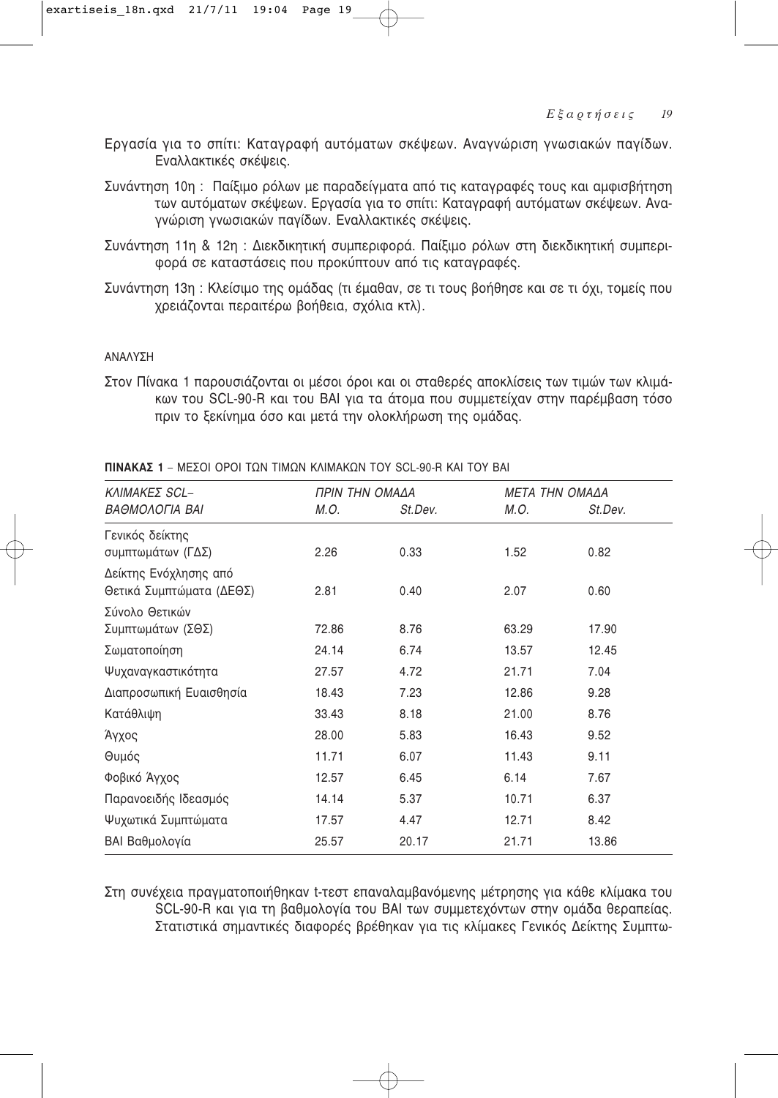exartiseis 18n.qxd 21/7/11 19:04 Page 19

- Εργασία για το σπίτι: Καταγραφή αυτόματων σκέψεων. Αναγνώριση γνωσιακών παγίδων. Εναλλακτικές σκέψεις.
- Συνάντηση 10η: Παίξιμο ρόλων με παραδείγματα από τις καταγραφές τους και αμφισβήτηση των αυτόματων σκέψεων. Εργασία για το σπίτι: Καταγραφή αυτόματων σκέψεων. Αναγνώριση γνωσιακών παγίδων. Εναλλακτικές σκέψεις.
- Συνάντηση 11η & 12η : Διεκδικητική συμπεριφορά. Παίξιμο ρόλων στη διεκδικητική συμπεριφορά σε καταστάσεις που προκύπτουν από τις καταγραφές.
- Συνάντηση 13η: Κλείσιμο της ομάδας (τι έμαθαν, σε τι τους βοήθησε και σε τι όχι, τομείς που χρειάζονται περαιτέρω βοήθεια, σχόλια κτλ).

## ΑΝΑΛΥΣΗ

Στον Πίνακα 1 παρουσιάζονται οι μέσοι όροι και οι σταθερές αποκλίσεις των τιμών των κλιμάκων του SCL-90-R και του BAI για τα άτομα που συμμετείχαν στην παρέμβαση τόσο πριν το ξεκίνημα όσο και μετά την ολοκλήρωση της ομάδας.

| KΛIMAKEΣ SCL-            | <b><i>TIPIN THN OMAAA</i></b> |         | <b>META THN OMAAA</b> |         |
|--------------------------|-------------------------------|---------|-----------------------|---------|
| BAOMOAOFIA BAI           | M.O.                          | St.Dev. | M.O.                  | St.Dev. |
| Γενικός δείκτης          |                               |         |                       |         |
| συμπτωμάτων (ΓΔΣ)        | 2.26                          | 0.33    | 1.52                  | 0.82    |
| Δείκτης Ενόχλησης από    |                               |         |                       |         |
| Θετικά Συμπτώματα (ΔΕΘΣ) | 2.81                          | 0.40    | 2.07                  | 0.60    |
| Σύνολο Θετικών           |                               |         |                       |         |
| Συμπτωμάτων (ΣΘΣ)        | 72.86                         | 8.76    | 63.29                 | 17.90   |
| Σωματοποίηση             | 24.14                         | 6.74    | 13.57                 | 12.45   |
| Ψυχαναγκαστικότητα       | 27.57                         | 4.72    | 21.71                 | 7.04    |
| Διαπροσωπική Ευαισθησία  | 18.43                         | 7.23    | 12.86                 | 9.28    |
| Κατάθλιψη                | 33.43                         | 8.18    | 21.00                 | 8.76    |
| Άγχος                    | 28.00                         | 5.83    | 16.43                 | 9.52    |
| Θυμός                    | 11.71                         | 6.07    | 11.43                 | 9.11    |
| Φοβικό Άγχος             | 12.57                         | 6.45    | 6.14                  | 7.67    |
| Παρανοειδής Ιδεασμός     | 14.14                         | 5.37    | 10.71                 | 6.37    |
| Ψυχωτικά Συμπτώματα      | 17.57                         | 4.47    | 12.71                 | 8.42    |
| BAI Βαθμολογία           | 25.57                         | 20.17   | 21.71                 | 13.86   |

ΠΙΝΑΚΑΣ 1 - ΜΕΣΟΙ ΟΡΟΙ ΤΩΝ ΤΙΜΩΝ ΚΛΙΜΑΚΩΝ ΤΟΥ SCL-90-R ΚΑΙ ΤΟΥ ΒΑΙ

Στη συνέχεια πραγματοποιήθηκαν t-τεστ επαναλαμβανόμενης μέτρησης για κάθε κλίμακα του SCL-90-R και για τη βαθμολογία του BAI των συμμετεχόντων στην ομάδα θεραπείας. Στατιστικά σημαντικές διαφορές βρέθηκαν για τις κλίμακες Γενικός Δείκτης Συμπτω-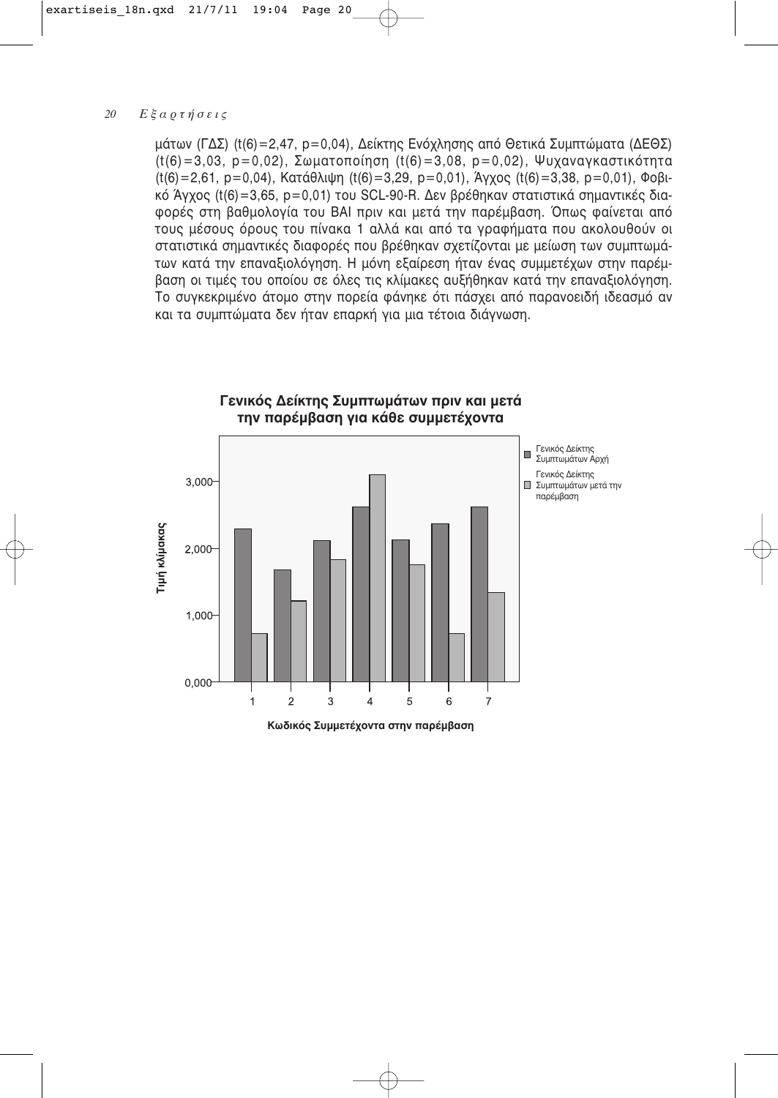μάτων (ΓΔΣ) (t(6)=2,47, p=0,04), Δείκτης Ενόχλησης από Θετικά Συμπτώματα (ΔΕΘΣ)  $(t(6)=3,03, p=0,02)$ , Σωματοποίηση  $(t(6)=3,08, p=0,02)$ , Ψυχαναγκαστικότητα  $(t(6)=2,61, p=0,04)$ , Κατάθλιψη  $(t(6)=3,29, p=0,01)$ , Άγχος  $(t(6)=3,38, p=0,01)$ , Φοβι- $K$ ό Άγχος (t(6)=3,65, p=0,01) του SCL-90-R. Δεν βρέθηκαν στατιστικά σημαντικές διαφορές στη βαθμολογία του BAI πριν και μετά την παρέμβαση. Όπως φαίνεται από τους μέσους όρους του πίνακα 1 αλλά και από τα γραφήματα που ακολουθούν οι στατιστικά σημαντικές διαφορές που βρέθηκαν σχετίζονται με μείωση των συμπτωμάτων κατά την επαναξιολόγηση. Η μόνη εξαίρεση ήταν ένας συμμετέχων στην παρέμβαση οι τιμές του οποίου σε όλες τις κλίμακες αυξήθηκαν κατά την επαναξιολόγηση. Το συγκεκριμένο άτομο στην πορεία φάνηκε ότι πάσχει από παρανοειδή ιδεασμό αν και τα συμπτώματα δεν ήταν επαρκή για μια τέτοια διάγνωση.

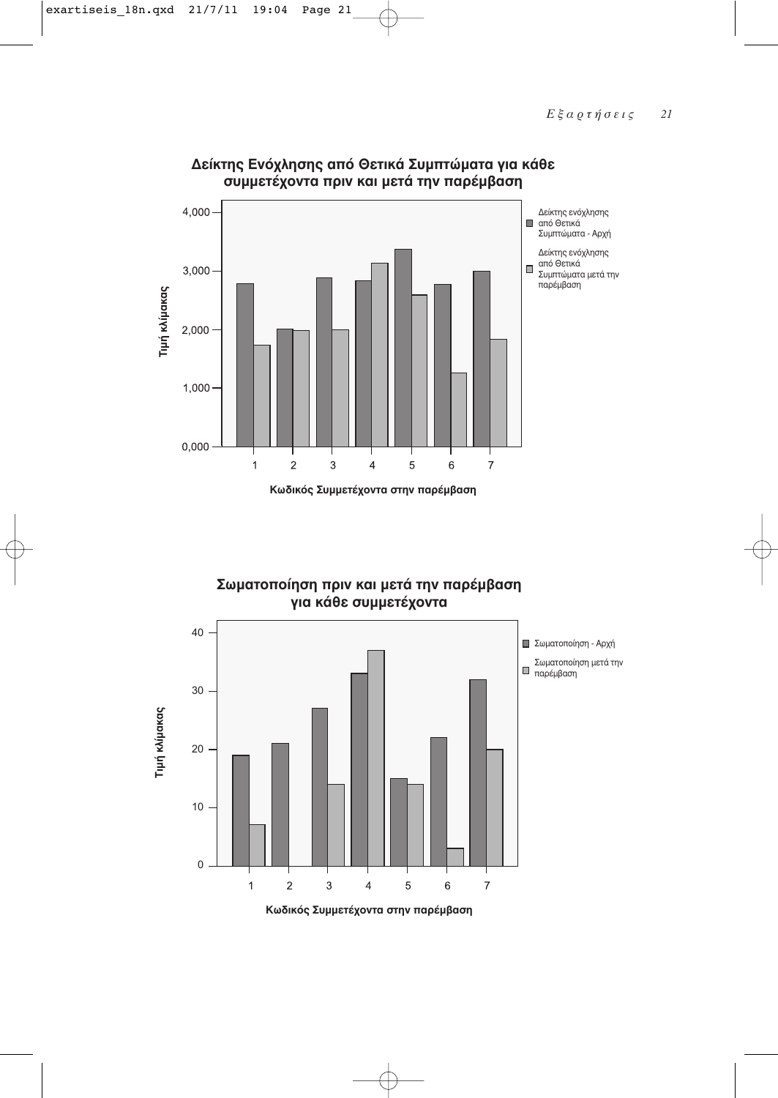

**Δείκτης Ενόχλησης από Θετικά Συμπτώματα για κάθε συμμετέχοντα πριν και μετά την παρέμβαση**



**Σωματοποίηση πριν και μετά την παρέμβαση για κάθε συμμετέχοντα**



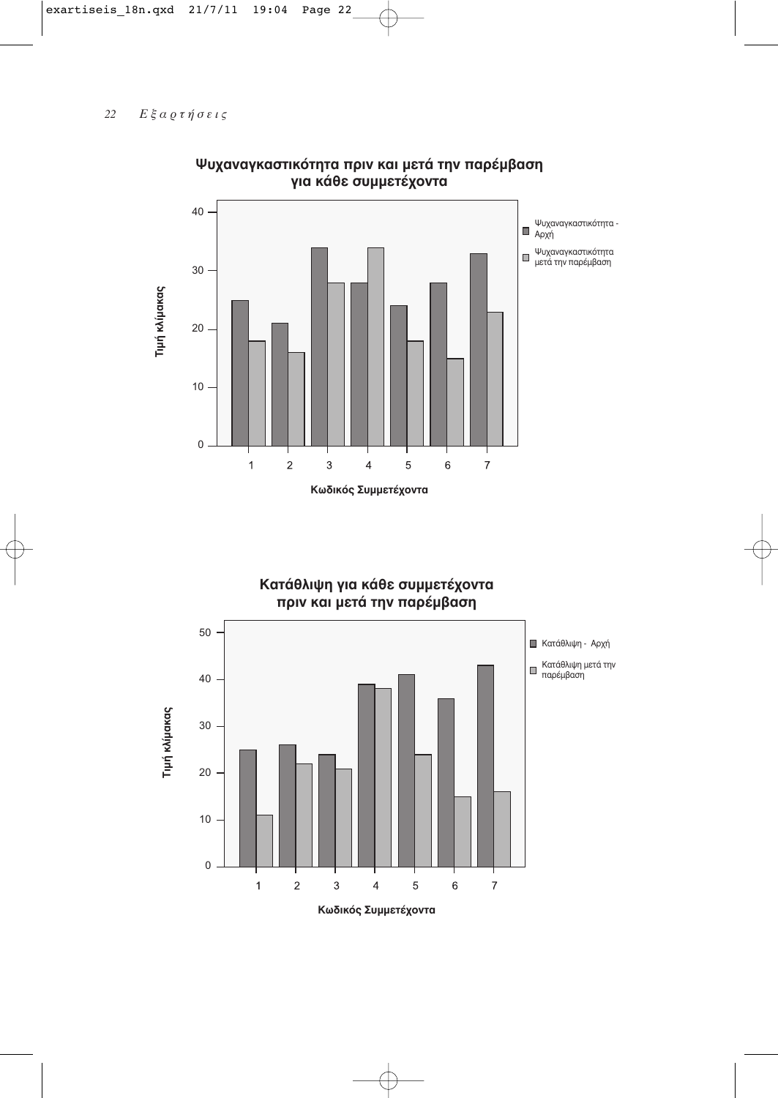

**Κατάθλιψη για κάθε συμμετέχοντα πριν και μετά την παρέμβαση**

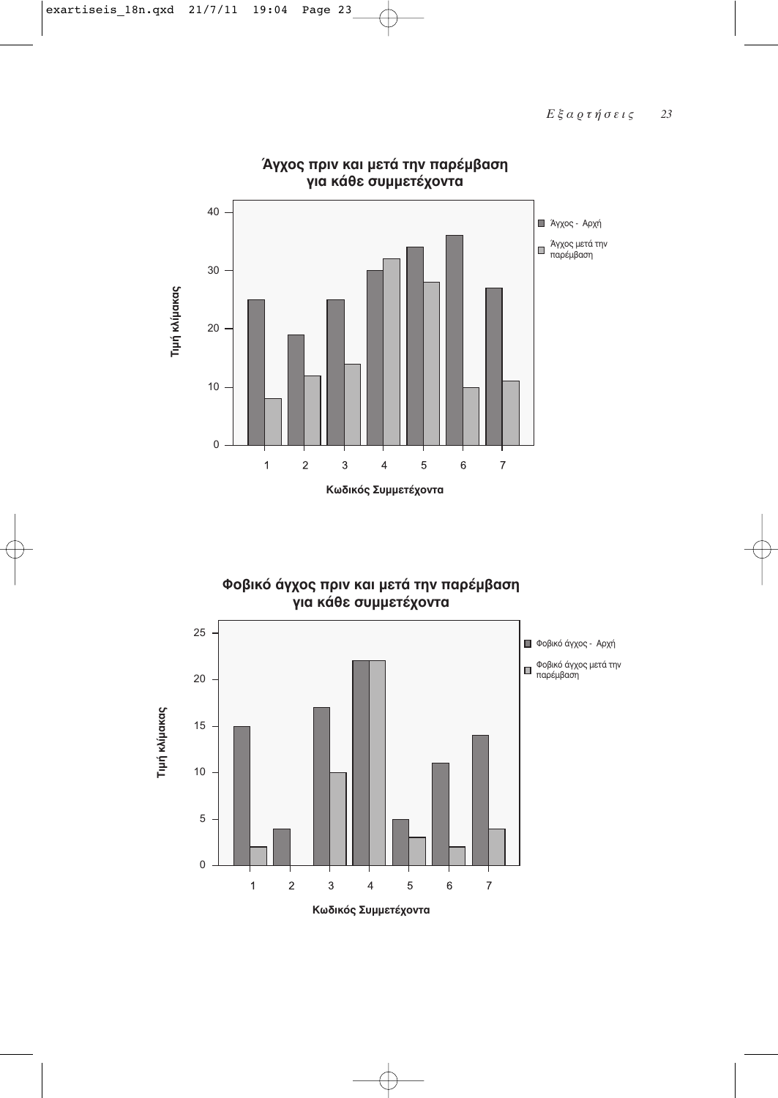

**Φοβικό άγχος πριν και μετά την παρέμβαση για κάθε συμμετέχοντα**

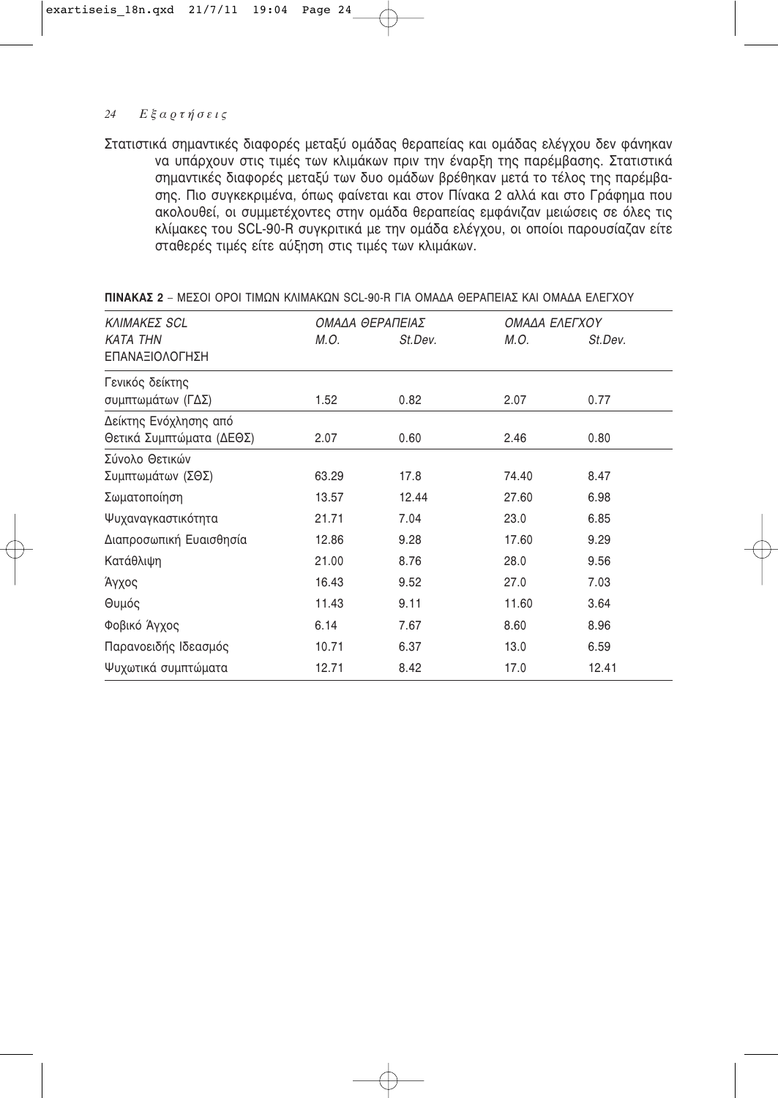Στατιστικά σημαντικές διαφορές μεταξύ ομάδας θεραπείας και ομάδας ελέγχου δεν φάνηκαν να υπάρχουν στις τιμές των κλιμάκων πριν την έναρξη της παρέμβασης. Στατιστικά σημαντικές διαφορές μεταξύ των δυο ομάδων βρέθηκαν μετά το τέλος της παρέμβασης. Πιο συγκεκριμένα, όπως φαίνεται και στον Πίνακα 2 αλλά και στο Γράφημα που ακολουθεί, οι συμμετέχοντες στην ομάδα θεραπείας εμφάνιζαν μειώσεις σε όλες τις κλίμακες του SCL-90-R συγκριτικά με την ομάδα ελέγχου, οι οποίοι παρουσίαζαν είτε σταθερές τιμές είτε αύξηση στις τιμές των κλιμάκων.

| <b>ΚΛΙΜΑΚΕΣ SCL</b>      | ΟΜΑΔΑ ΘΕΡΑΠΕΙΑΣ |         | ΟΜΑΔΑ ΕΛΕΓΧΟΥ |         |
|--------------------------|-----------------|---------|---------------|---------|
| <b>KATA THN</b>          | M.O.            | St.Dev. | M.O.          | St.Dev. |
| ΕΠΑΝΑΞΙΟΛΟΓΗΣΗ           |                 |         |               |         |
| Γενικός δείκτης          |                 |         |               |         |
| συμπτωμάτων (ΓΔΣ)        | 1.52            | 0.82    | 2.07          | 0.77    |
| Δείκτης Ενόχλησης από    |                 |         |               |         |
| Θετικά Συμπτώματα (ΔΕΘΣ) | 2.07            | 0.60    | 2.46          | 0.80    |
| Σύνολο Θετικών           |                 |         |               |         |
| Συμπτωμάτων (ΣΘΣ)        | 63.29           | 17.8    | 74.40         | 8.47    |
| Σωματοποίηση             | 13.57           | 12.44   | 27.60         | 6.98    |
| Ψυχαναγκαστικότητα       | 21.71           | 7.04    | 23.0          | 6.85    |
| Διαπροσωπική Ευαισθησία  | 12.86           | 9.28    | 17.60         | 9.29    |
| Κατάθλιψη                | 21.00           | 8.76    | 28.0          | 9.56    |
| Άγχος                    | 16.43           | 9.52    | 27.0          | 7.03    |
| Θυμός                    | 11.43           | 9.11    | 11.60         | 3.64    |
| Φοβικό Άγχος             | 6.14            | 7.67    | 8.60          | 8.96    |
| Παρανοειδής Ιδεασμός     | 10.71           | 6.37    | 13.0          | 6.59    |
| Ψυχωτικά συμπτώματα      | 12.71           | 8.42    | 17.0          | 12.41   |

ΠΙΝΑΚΑΣ 2 – ΜΕΣΟΙ ΟΡΟΙ ΤΙΜΩΝ ΚΛΙΜΑΚΩΝ SCL-90-R ΓΙΑ ΟΜΑΔΑ ΘΕΡΑΠΕΙΑΣ ΚΑΙ ΟΜΑΔΑ ΕΛΕΓΧΟΥ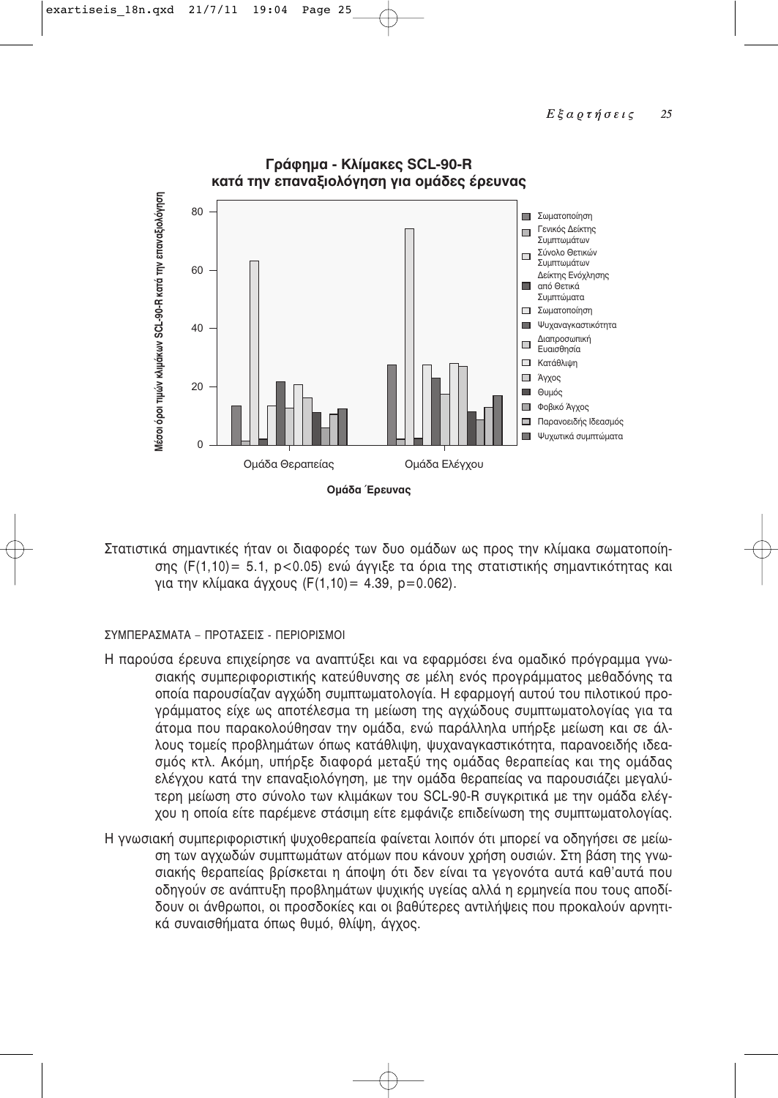

Στατιστικά σημαντικές ήταν οι διαφορές των δυο ομάδων ως προς την κλίμακα σωματοποίησης (F(1,10) = 5.1, p<0.05) ενώ άγγιξε τα όρια της στατιστικής σημαντικότητας και για την κλίμακα άγχους (F(1,10) = 4.39, p=0.062).

## ΣΥΜΠΕΡΑΣΜΑΤΑ – ΠΡΩΤΑΣΕΙΣ - ΠΕΡΙΩΡΙΣΜΩΙ

- Η παρούσα έρευνα επιχείρησε να αναπτύξει και να εφαρμόσει ένα ομαδικό πρόγραμμα γνωσιακής συμπεριφοριστικής κατεύθυνσης σε μέλη ενός προγράμματος μεθαδόνης τα οποία παρουσίαζαν αγχώδη συμπτωματολογία. Η εφαρμογή αυτού του πιλοτικού προγράμματος είχε ως αποτέλεσμα τη μείωση της αγχώδους συμπτωματολογίας για τα άτομα που παρακολούθησαν την ομάδα, ενώ παράλληλα υπήρξε μείωση και σε άλλους τομείς προβλημάτων όπως κατάθλιψη, ψυχαναγκαστικότητα, παρανοειδής ιδεασμός κτλ. Ακόμη, υπήρξε διαφορά μεταξύ της ομάδας θεραπείας και της ομάδας ελέγχου κατά την επαναξιολόγηση, με την ομάδα θεραπείας να παρουσιάζει μεγαλύτερη μείωση στο σύνολο των κλιμάκων του SCL-90-R συγκριτικά με την ομάδα ελέγχου η οποία είτε παρέμενε στάσιμη είτε εμφάνιζε επιδείνωση της συμπτωματολογίας.
- Η γνωσιακή συμπεριφοριστική ψυχοθεραπεία φαίνεται λοιπόν ότι μπορεί να οδηγήσει σε μείωση των αγχωδών συμπτωμάτων ατόμων που κάνουν χρήση ουσιών. Στη βάση της γνωσιακής θεραπείας βρίσκεται η άποψη ότι δεν είναι τα γεγονότα αυτά καθ'αυτά που οδηγούν σε ανάπτυξη προβλημάτων ψυχικής υγείας αλλά η ερμηνεία που τους αποδίδουν οι άνθρωποι, οι προσδοκίες και οι βαθύτερες αντιλήψεις που προκαλούν αρνητικά συναισθήματα όπως θυμό, θλίψη, άγχος.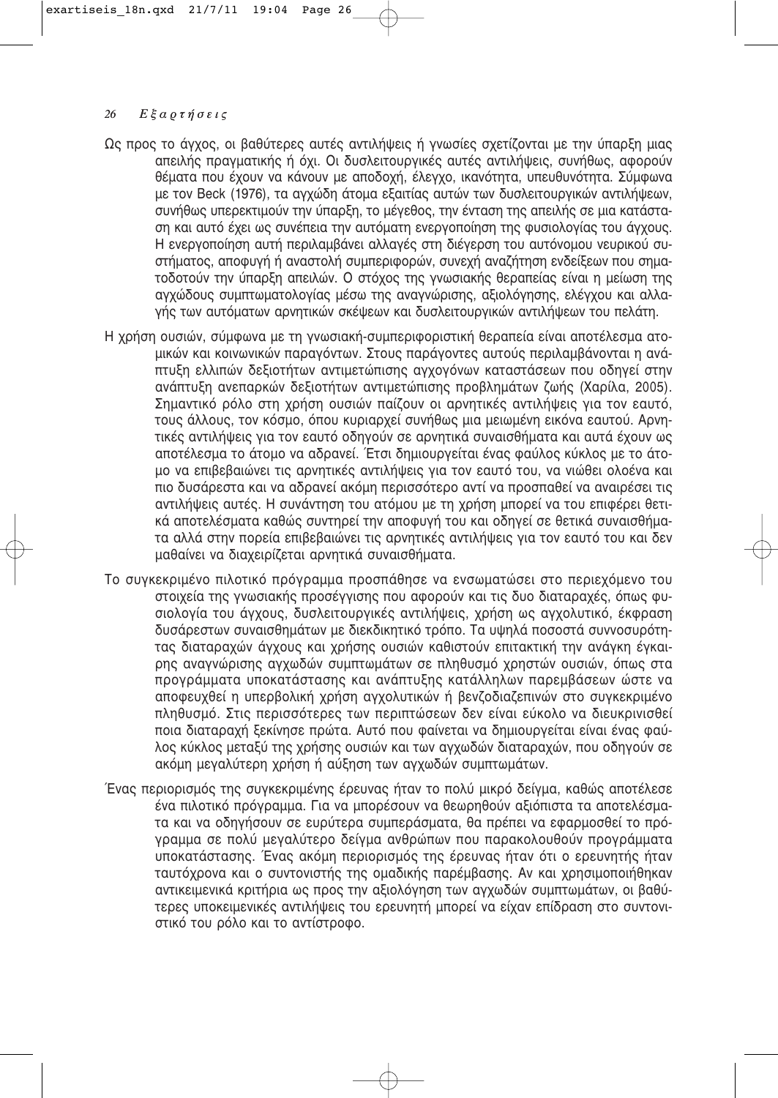- Ως προς το άγχος, οι βαθύτερες αυτές αντιλήψεις ή γνωσίες σχετίζονται με την ύπαρξη μιας απειλής πραγματικής ή όχι. Οι δυσλειτουργικές αυτές αντιλήψεις, συνήθως, αφορούν θέματα που έχουν να κάνουν με αποδοχή, έλεγχο, ικανότητα, υπευθυνότητα. Σύμφωνα με τον Beck (1976), τα αγχώδη άτομα εξαιτίας αυτών των δυσλειτουργικών αντιλήψεων, συνήθως υπερεκτιμούν την ύπαρξη, το μέγεθος, την ένταση της απειλής σε μια κατάσταση και αυτό έχει ως συνέπεια την αυτόματη ενεργοποίηση της φυσιολογίας του άγχους. Η ενεργοποίηση αυτή περιλαμβάνει αλλαγές στη διέγερση του αυτόνομου νευρικού συστήματος, αποφυγή ή αναστολή συμπεριφορών, συνεχή αναζήτηση ενδείξεων που σηματοδοτούν την ύπαρξη απειλών. Ο στόχος της γνωσιακής θεραπείας είναι η μείωση της αγχώδους συμπτωματολογίας μέσω της αναγνώρισης, αξιολόγησης, ελέγχου και αλλαγής των αυτόματων αρνητικών σκέψεων και δυσλειτουργικών αντιλήψεων του πελάτη.
- Η χρήση ουσιών, σύμφωνα με τη γνωσιακή-συμπεριφοριστική θεραπεία είναι αποτέλεσμα ατομικών και κοινωνικών παραγόντων. Στους παράγοντες αυτούς περιλαμβάνονται η ανάπτυξη ελλιπών δεξιοτήτων αντιμετώπισης αγχογόνων καταστάσεων που οδηγεί στην ανάπτυξη ανεπαρκών δεξιοτήτων αντιμετώπισης προβλημάτων ζωής (Χαρίλα, 2005). Σημαντικό ρόλο στη χρήση ουσιών παίζουν οι αρνητικές αντιλήψεις για τον εαυτό, τους άλλους, τον κόσμο, όπου κυριαρχεί συνήθως μια μειωμένη εικόνα εαυτού. Αρνητικές αντιλήψεις για τον εαυτό οδηγούν σε αρνητικά συναισθήματα και αυτά έχουν ως αποτέλεσμα το άτομο να αδρανεί. Έτσι δημιουργείται ένας φαύλος κύκλος με το άτομο να επιβεβαιώνει τις αρνητικές αντιλήψεις για τον εαυτό του, να νιώθει ολοένα και πιο δυσάρεστα και να αδρανεί ακόμη περισσότερο αντί να προσπαθεί να αναιρέσει τις αντιλήψεις αυτές. Η συνάντηση του ατόμου με τη χρήση μπορεί να του επιφέρει θετικά αποτελέσματα καθώς συντηρεί την αποφυγή του και οδηγεί σε θετικά συναισθήματα αλλά στην πορεία επιβεβαιώνει τις αρνητικές αντιλήψεις για τον εαυτό του και δεν μαθαίνει να διαχειρίζεται αρνητικά συναισθήματα.
- <u>Το συγκεκριμένο πιλοτικό πρόγραμμα προσπάθησε να ενσωματώσει στο περιεχόμενο του</u> στοιχεία της γνωσιακής προσέγγισης που αφορούν και τις δυο διαταραχές, όπως φυσιολογία του άγχους, δυσλειτουργικές αντιλήψεις, χρήση ως αγχολυτικό, έκφραση δυσάρεστων συναισθημάτων με διεκδικητικό τρόπο. Τα υψηλά ποσοστά συννοσυρότητας διαταραχών άγχους και χρήσης ουσιών καθιστούν επιτακτική την ανάγκη έγκαιρης αναγνώρισης αγχωδών συμπτωμάτων σε πληθυσμό χρηστών ουσιών, όπως στα προγράμματα υποκατάστασης και ανάπτυξης κατάλληλων παρεμβάσεων ώστε να αποφευχθεί η υπερβολική χρήση αγχολυτικών ή βενζοδιαζεπινών στο συγκεκριμένο πληθυσμό. Στις περισσότερες των περιπτώσεων δεν είναι εύκολο να διευκρινισθεί ποια διαταραχή ξεκίνησε πρώτα. Αυτό που φαίνεται να δημιουργείται είναι ένας φαύλος κύκλος μεταξύ της χρήσης ουσιών και των αγχωδών διαταραχών, που οδηγούν σε ακόμη μεγαλύτερη χρήση ή αύξηση των αγχωδών συμπτωμάτων.
- Ένας περιορισμός της συγκεκριμένης έρευνας ήταν το πολύ μικρό δείγμα, καθώς αποτέλεσε ένα πιλοτικό πρόγραμμα. Για να μπορέσουν να θεωρηθούν αξιόπιστα τα αποτελέσματα και να οδηνήσουν σε ευρύτερα συμπεράσματα. θα πρέπει να εφαρμοσθεί το πρόγραμμα σε πολύ μεγαλύτερο δείγμα ανθρώπων που παρακολουθούν προγράμματα υποκατάστασης. Ένας ακόμη περιορισμός της έρευνας ήταν ότι ο ερευνητής ήταν ταυτόχρονα και ο συντονιστής της ομαδικής παρέμβασης. Αν και χρησιμοποιήθηκαν αντικειμενικά κριτήρια ως προς την αξιολόγηση των αγχωδών συμπτωμάτων, οι βαθύτερες υποκειμενικές αντιλήψεις του ερευνητή μπορεί να είχαν επίδραση στο συντονιστικό του ρόλο και το αντίστροφο.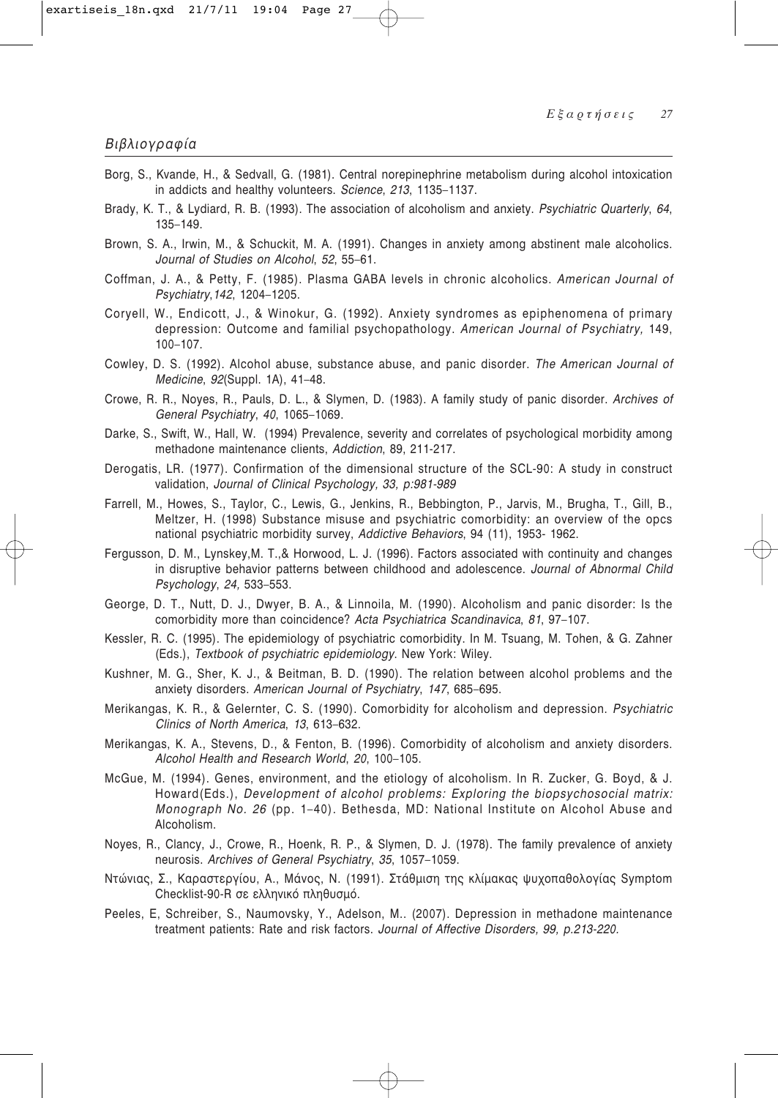#### exartiseis\_18n.qxd 21/7/11 19:04 Page 27

#### *Βιβλιο*γραφία

- Borg, S., Kvande, H., & Sedvall, G. (1981). Central norepinephrine metabolism during alcohol intoxication in addicts and healthy volunteers. *Science*, *213*, 1135–1137.
- Brady, K. T., & Lydiard, R. B. (1993). The association of alcoholism and anxiety. *Psychiatric Quarterly*, *64*, 135–149.
- Brown, S. A., Irwin, M., & Schuckit, M. A. (1991). Changes in anxiety among abstinent male alcoholics. *Journal of Studies on Alcohol*, *52*, 55–61.
- Coffman, J. A., & Petty, F. (1985). Plasma GABA levels in chronic alcoholics. *American Journal of Psychiatry*,*142*, 1204–1205.
- Coryell, W., Endicott, J., & Winokur, G. (1992). Anxiety syndromes as epiphenomena of primary depression: Outcome and familial psychopathology. *American Journal of Psychiatry,* 149, 100–107.
- Cowley, D. S. (1992). Alcohol abuse, substance abuse, and panic disorder. *The American Journal of Medicine*, *92*(Suppl. 1A), 41–48.
- Crowe, R. R., Noyes, R., Pauls, D. L., & Slymen, D. (1983). A family study of panic disorder. *Archives of General Psychiatry*, *40*, 1065–1069.
- Darke, S., Swift, W., Hall, W. (1994) Prevalence, severity and correlates of psychological morbidity among methadone maintenance clients, *Addiction*, 89, 211-217.
- Derogatis, LR. (1977). Confirmation of the dimensional structure of the SCL-90: A study in construct validation, *Journal of Clinical Psychology, 33, p:981-989*
- Farrell, M., Howes, S., Taylor, C., Lewis, G., Jenkins, R., Bebbington, P., Jarvis, M., Brugha, T., Gill, B., Meltzer, H. (1998) Substance misuse and psychiatric comorbidity: an overview of the opcs national psychiatric morbidity survey, *Addictive Behaviors*, 94 (11), 1953- 1962.
- Fergusson, D. M., Lynskey,M. T.,& Horwood, L. J. (1996). Factors associated with continuity and changes in disruptive behavior patterns between childhood and adolescence. *Journal of Abnormal Child Psychology*, *24,* 533–553.
- George, D. T., Nutt, D. J., Dwyer, B. A., & Linnoila, M. (1990). Alcoholism and panic disorder: Is the comorbidity more than coincidence? *Acta Psychiatrica Scandinavica*, *81*, 97–107.
- Kessler, R. C. (1995). The epidemiology of psychiatric comorbidity. In M. Tsuang, M. Tohen, & G. Zahner (Eds.), *Textbook of psychiatric epidemiology*. New York: Wiley.
- Kushner, M. G., Sher, K. J., & Beitman, B. D. (1990). The relation between alcohol problems and the anxiety disorders. *American Journal of Psychiatry*, *147*, 685–695.
- Merikangas, K. R., & Gelernter, C. S. (1990). Comorbidity for alcoholism and depression. *Psychiatric Clinics of North America*, *13*, 613–632.
- Merikangas, K. A., Stevens, D., & Fenton, B. (1996). Comorbidity of alcoholism and anxiety disorders. *Alcohol Health and Research World*, *20*, 100–105.
- McGue, M. (1994). Genes, environment, and the etiology of alcoholism. In R. Zucker, G. Boyd, & J. Howard(Eds.), *Development of alcohol problems: Exploring the biopsychosocial matrix: Monograph No. 26* (pp. 1–40). Bethesda, MD: National Institute on Alcohol Abuse and Alcoholism.
- Noyes, R., Clancy, J., Crowe, R., Hoenk, R. P., & Slymen, D. J. (1978). The family prevalence of anxiety neurosis. *Archives of General Psychiatry*, *35*, 1057–1059.
- Ντώνιας, Σ., Καραστεργίου, Α., Μάνος, Ν. (1991). Στάθμιση της κλίμακας ψυχοπαθολογίας Symptom Checklist-90-R σε ελληνικό πληθυσμό.
- Peeles, E, Schreiber, S., Naumovsky, Y., Adelson, M.. (2007). Depression in methadone maintenance treatment patients: Rate and risk factors. *Journal of Affective Disorders, 99, p.213-220.*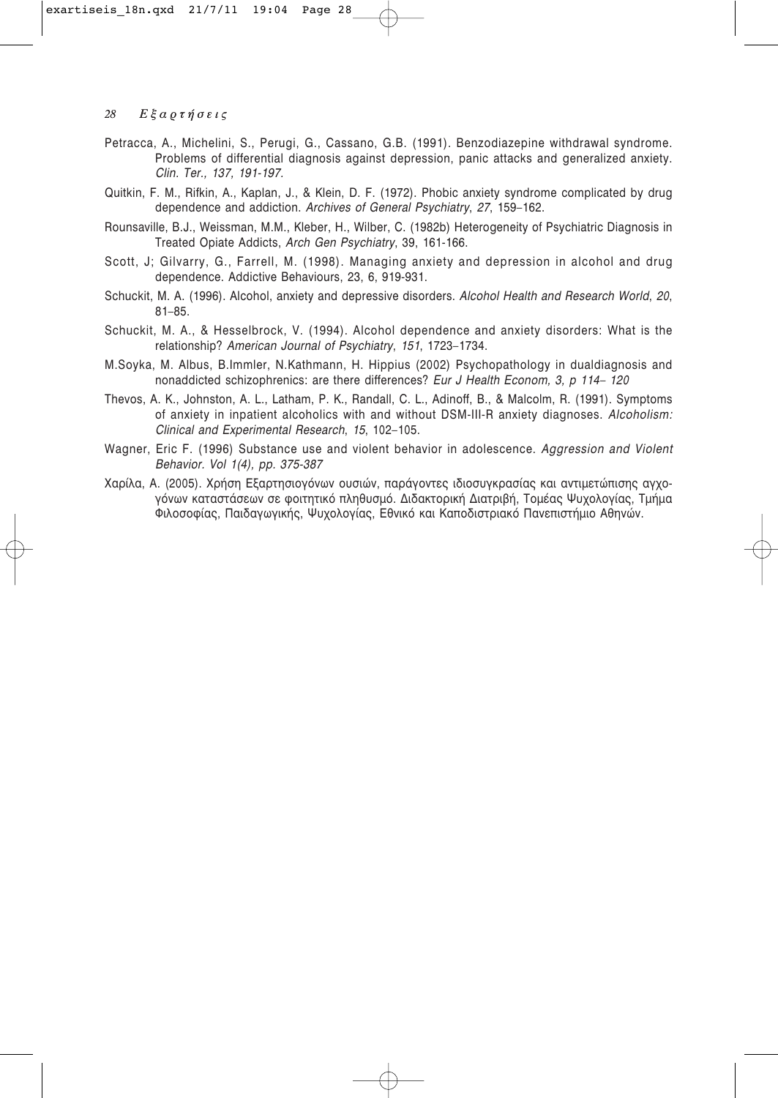exartiseis\_18n.qxd 21/7/11 19:04 Page 28

*28 Εξαρτήσεις*

- Petracca, A., Michelini, S., Perugi, G., Cassano, G.B. (1991). Benzodiazepine withdrawal syndrome. Problems of differential diagnosis against depression, panic attacks and generalized anxiety. *Clin. Ter., 137, 191-197.*
- Quitkin, F. M., Rifkin, A., Kaplan, J., & Klein, D. F. (1972). Phobic anxiety syndrome complicated by drug dependence and addiction. *Archives of General Psychiatry*, *27*, 159–162.
- Rounsaville, B.J., Weissman, M.M., Kleber, H., Wilber, C. (1982b) Heterogeneity of Psychiatric Diagnosis in Treated Opiate Addicts, *Arch Gen Psychiatry*, 39, 161-166.
- Scott, J; Gilvarry, G., Farrell, M. (1998). Managing anxiety and depression in alcohol and drug dependence. Addictive Behaviours, 23, 6, 919-931.
- Schuckit, M. A. (1996). Alcohol, anxiety and depressive disorders. *Alcohol Health and Research World*, *20*, 81–85.
- Schuckit, M. A., & Hesselbrock, V. (1994). Alcohol dependence and anxiety disorders: What is the relationship? *American Journal of Psychiatry*, *151*, 1723–1734.
- M.Soyka, M. Albus, B.Immler, N.Kathmann, H. Hippius (2002) Psychopathology in dualdiagnosis and nonaddicted schizophrenics: are there differences? *Eur J Health Econom, 3, p 114– 120*
- Thevos, A. K., Johnston, A. L., Latham, P. K., Randall, C. L., Adinoff, B., & Malcolm, R. (1991). Symptoms of anxiety in inpatient alcoholics with and without DSM-III-R anxiety diagnoses. *Alcoholism: Clinical and Experimental Research*, *15*, 102–105.
- Wagner, Eric F. (1996) Substance use and violent behavior in adolescence. *Aggression and Violent Behavior. Vol 1(4), pp. 375-387*
- Χαρίλα, Α. (2005). Χρήση Εξαρτησιογόνων ουσιών, παράγοντες ιδιοσυγκρασίας και αντιμετώπισης αγχογόνων καταστάσεων σε φοιτητικό πληθυσμό. Διδακτορική Διατριβή, Τομέας Ψυχολογίας, Τμήμα Φιλοσοφίας, Παιδαγωγικής, Ψυχολογίας, Εθνικό και Καποδιστριακό Πανεπιστήμιο Αθηνών.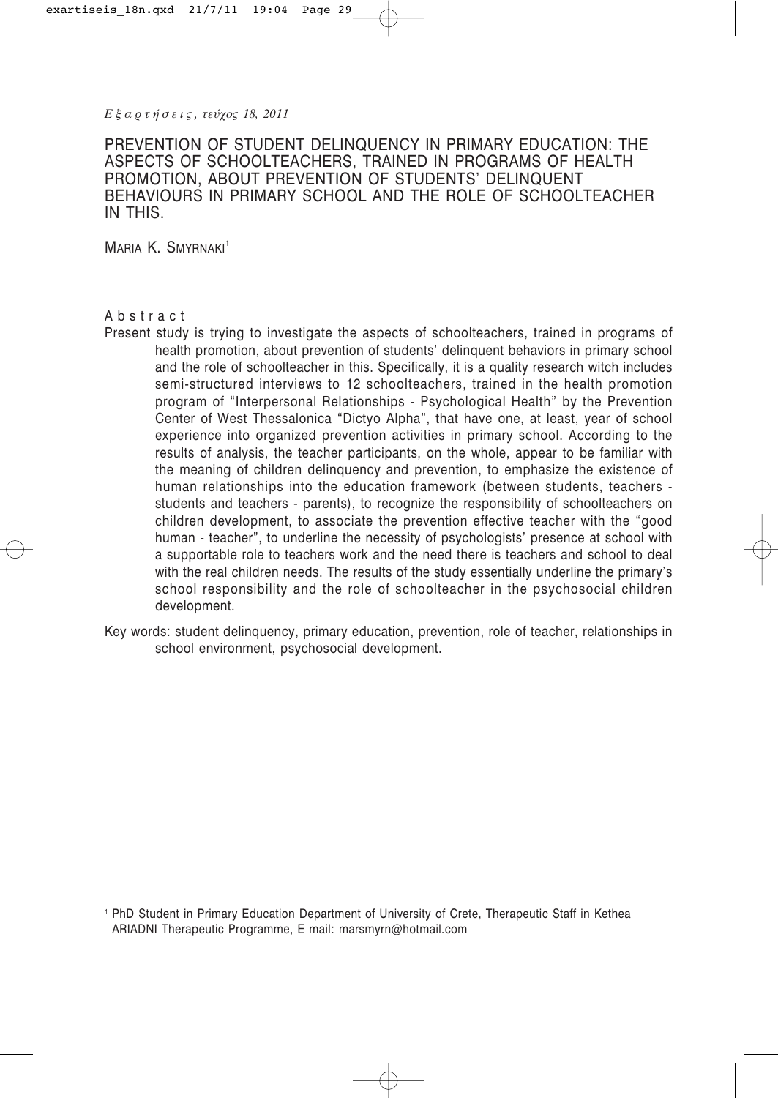*Ε ξ α ρ τ ή σ ε ι ς , τεύχος 18, 2011*

PREVENTION OF STUDENT DELINQUENCY IN PRIMARY EDUCATION: THE ASPECTS OF SCHOOLTEACHERS, TRAINED IN PROGRAMS OF HEALTH PROMOTION, ABOUT PREVENTION OF STUDENTS' DELINQUENT BEHAVIOURS IN PRIMARY SCHOOL AND THE ROLE OF SCHOOLTEACHER IN THIS.

MARIA K. SMYRNAKI<sup>1</sup>

Abstract

- Present study is trying to investigate the aspects of schoolteachers, trained in programs of health promotion, about prevention of students' delinquent behaviors in primary school and the role of schoolteacher in this. Specifically, it is a quality research witch includes semi-structured interviews to 12 schoolteachers, trained in the health promotion program of "Interpersonal Relationships - Psychological Health" by the Prevention Center of West Thessalonica "Dictyo Alpha", that have one, at least, year of school experience into organized prevention activities in primary school. According to the results of analysis, the teacher participants, on the whole, appear to be familiar with the meaning of children delinquency and prevention, to emphasize the existence of human relationships into the education framework (between students, teachers students and teachers - parents), to recognize the responsibility of schoolteachers on children development, to associate the prevention effective teacher with the "good human - teacher", to underline the necessity of psychologists' presence at school with a supportable role to teachers work and the need there is teachers and school to deal with the real children needs. The results of the study essentially underline the primary's school responsibility and the role of schoolteacher in the psychosocial children development.
- Key words: student delinquency, primary education, prevention, role of teacher, relationships in school environment, psychosocial development.

<sup>1</sup> PhD Student in Primary Education Department of University of Crete, Therapeutic Staff in Kethea ARIADNI Therapeutic Programme, E mail: marsmyrn@hotmail.com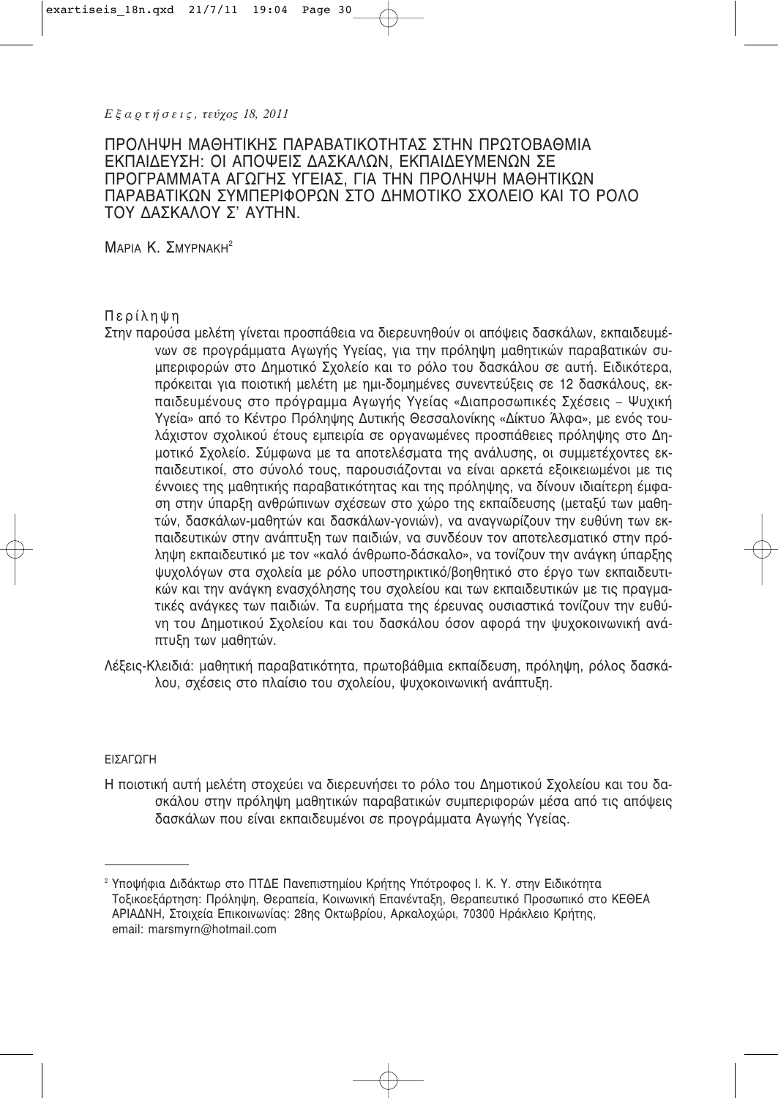Εξαρτήσεις, τεύγος 18, 2011

## ΠΡΟΛΗΨΗ ΜΑΘΗΤΙΚΗΣ ΠΑΡΑΒΑΤΙΚΟΤΗΤΑΣ ΣΤΗΝ ΠΡΩΤΟΒΑΘΜΙΑ ΕΚΠΑΙΔΕΥΣΗ: ΟΙ ΑΠΟΨΕΙΣ ΔΑΣΚΑΛΩΝ, ΕΚΠΑΙΔΕΥΜΕΝΩΝ ΣΕ ΠΡΟΓΡΑΜΜΑΤΑ ΑΓΩΓΗΣ ΥΓΕΙΑΣ. ΓΙΑ ΤΗΝ ΠΡΟΛΗΨΗ ΜΑΘΗΤΙΚΩΝ ΠΑΡΑΒΑΤΙΚΩΝ ΣΥΜΠΕΡΙΦΟΡΩΝ ΣΤΟ ΔΗΜΟΤΙΚΟ ΣΧΟΛΕΙΟ ΚΑΙ ΤΟ ΡΟΛΟ ΤΟΥ ΔΑΣΚΑΛΟΥ Σ' ΑΥΤΗΝ.

**ΜΑΡΙΑ Κ. ΣΜΥΡΝΑΚΗ<sup>2</sup>** 

## Περίληψη

- Στην παρούσα μελέτη γίνεται προσπάθεια να διερευνηθούν οι απόψεις δασκάλων, εκπαιδευμένων σε προγράμματα Αγωγής Υγείας, για την πρόληψη μαθητικών παραβατικών συμπεριφορών στο Δημοτικό Σχολείο και το ρόλο του δασκάλου σε αυτή. Ειδικότερα, πρόκειται για ποιοτική μελέτη με ημι-δομημένες συνεντεύξεις σε 12 δασκάλους, εκπαιδευμένους στο πρόγραμμα Αγωγής Υγείας «Διαπροσωπικές Σχέσεις - Ψυχική Υγεία» από το Κέντρο Πρόληψης Δυτικής Θεσσαλονίκης «Δίκτυο Άλφα», με ενός τουλάχιστον σχολικού έτους εμπειρία σε οργανωμένες προσπάθειες πρόληψης στο Δημοτικό Σχολείο. Σύμφωνα με τα αποτελέσματα της ανάλυσης, οι συμμετέχοντες εκπαιδευτικοί, στο σύνολό τους, παρουσιάζονται να είναι αρκετά εξοικειωμένοι με τις έννοιες της μαθητικής παραβατικότητας και της πρόληψης, να δίνουν ιδιαίτερη έμφαση στην ύπαρξη ανθρώπινων σχέσεων στο χώρο της εκπαίδευσης (μεταξύ των μαθητών, δασκάλων-μαθητών και δασκάλων-γονιών), να αναγνωρίζουν την ευθύνη των εκπαιδευτικών στην ανάπτυξη των παιδιών, να συνδέουν τον αποτελεσματικό στην πρόληψη εκπαιδευτικό με τον «καλό άνθρωπο-δάσκαλο», να τονίζουν την ανάγκη ύπαρξης ψυχολόγων στα σχολεία με ρόλο υποστηρικτικό/βοηθητικό στο έργο των εκπαιδευτικών και την ανάγκη ενασχόλησης του σχολείου και των εκπαιδευτικών με τις πραγματικές ανάγκες των παιδιών. Τα ευρήματα της έρευνας ουσιαστικά τονίζουν την ευθύνη του Δημοτικού Σχολείου και του δασκάλου όσον αφορά την ψυχοκοινωνική ανάπτυξη των μαθητών.
- Λέξεις-Κλειδιά: μαθητική παραβατικότητα, πρωτοβάθμια εκπαίδευση, πρόληψη, ρόλος δασκάλου, σχέσεις στο πλαίσιο του σχολείου, ψυχοκοινωνική ανάπτυξη.

#### ΕΙΣΑΓΩΓΗ

Η ποιοτική αυτή μελέτη στοχεύει να διερευνήσει το ρόλο του Δημοτικού Σχολείου και του δασκάλου στην πρόληψη μαθητικών παραβατικών συμπεριφορών μέσα από τις απόψεις δασκάλων που είναι εκπαιδευμένοι σε προγράμματα Αγωγής Υγείας.

<sup>&</sup>lt;sup>2</sup> Υποψήφια Διδάκτωρ στο ΠΤΔΕ Πανεπιστημίου Κρήτης Υπότροφος Ι. Κ. Υ. στην Ειδικότητα Τοξικοεξάρτηση: Πρόληψη, Θεραπεία, Κοινωνική Επανένταξη, Θεραπευτικό Προσωπικό στο ΚΕΘΕΑ ΑΡΙΑΔΝΗ, Στοιχεία Επικοινωνίας: 28ης Οκτωβρίου, Αρκαλοχώρι, 70300 Ηράκλειο Κρήτης, email: marsmyrn@hotmail.com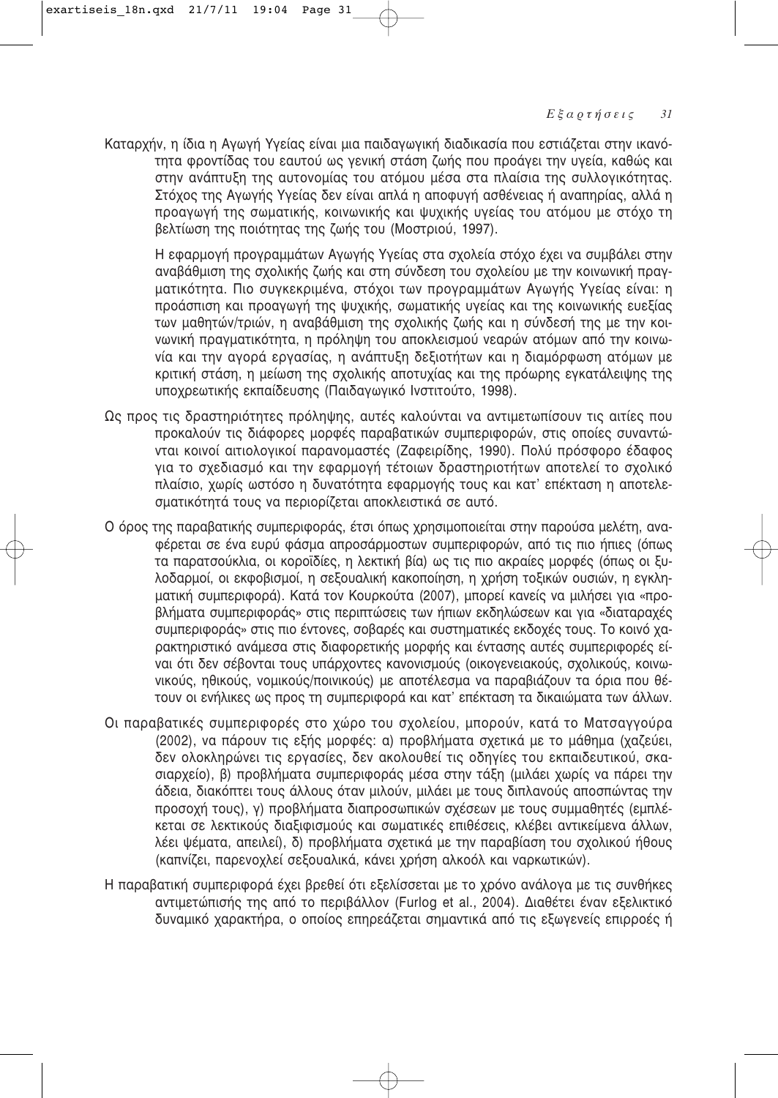Καταρχήν, η ίδια η Αγωγή Υγείας είναι μια παιδαγωγική διαδικασία που εστιάζεται στην ικανότητα φροντίδας του εαυτού ως γενική στάση ζωής που προάγει την υγεία, καθώς και στην ανάπτυξη της αυτονομίας του ατόμου μέσα στα πλαίσια της συλλογικότητας. Στόχος της Αγωγής Υγείας δεν είναι απλά η αποφυγή ασθένειας ή αναπηρίας, αλλά η προαγωγή της σωματικής, κοινωνικής και ψυχικής υγείας του ατόμου με στόχο τη  $\beta$ ελτίωση της ποιότητας της ζωής του (Μοστριού, 1997).

Η εφαρμονή προνραμμάτων Ανωνής Υνείας στα σχολεία στόχο έχει να συμβάλει στην αναβάθμιση της σχολικής ζωής και στη σύνδεση του σχολείου με την κοινωνική πραγματικότητα. Πιο συγκεκριμένα, στόχοι των προγραμμάτων Αγωγής Υγείας είναι: η προάσπιση και προαγωγή της ψυχικής, σωματικής υγείας και της κοινωνικής ευεξίας των μαθητών/τριών, η αναβάθμιση της σχολικής ζωής και η σύνδεσή της με την κοινωνική πραγματικότητα, η πρόληψη του αποκλεισμού νεαρών ατόμων από την κοινωνία και την αγορά εργασίας, η ανάπτυξη δεξιοτήτων και η διαμόρφωση ατόμων με Κριτική στάση, η μείωση της σχολικής αποτυχίας και της πρόωρης εγκατάλειψης της υποχρεωτικής εκπαίδευσης (Παιδαγωγικό Ινστιτούτο, 1998).

- Ως προς τις δραστηριότητες πρόληψης, αυτές καλούνται να αντιμετωπίσουν τις αιτίες που προκαλούν τις διάφορες μορφές παραβατικών συμπεριφορών, στις οποίες συναντώνται κοινοί αιτιολογικοί παρανομαστές (Ζαφειρίδης, 1990). Πολύ πρόσφορο έδαφος για το σχεδιασμό και την εφαρμογή τέτοιων δραστηριοτήτων αποτελεί το σχολικό πλαίσιο, χωρίς ωστόσο η δυνατότητα εφαρμογής τους και κατ' επέκταση η αποτελεσματικότητά τους να περιορίζεται αποκλειστικά σε αυτό.
- Ο όρος της παραβατικής συμπεριφοράς, έτσι όπως χρησιμοποιείται στην παρούσα μελέτη, αναφέρεται σε ένα ευρύ φάσμα απροσάρμοστων συμπεριφορών, από τις πιο ήπιες (όπως τα παρατσούκλια, οι κοροϊδίες, η λεκτική βία) ως τις πιο ακραίες μορφές (όπως οι ξυλοδαρμοί, οι εκφοβισμοί, η σεξουαλική κακοποίηση, η χρήση τοξικών ουσιών, η εγκληματική συμπεριφορά). Κατά τον Κουρκούτα (2007), μπορεί κανείς να μιλήσει για «προβλήματα συμπεριφοράς» στις περιπτώσεις των ήπιων εκδηλώσεων και για «διαταραχές συμπεριφοράς» στις πιο έντονες, σοβαρές και συστηματικές εκδοχές τους. Το κοινό χαρακτηριστικό ανάμεσα στις διαφορετικής μορφής και έντασης αυτές συμπεριφορές είναι ότι δεν σέβονται τους υπάρχοντες κανονισμούς (οικογενειακούς, σχολικούς, κοινωνικούς, ηθικούς, νομικούς/ποινικούς) με αποτέλεσμα να παραβιάζουν τα όρια που θέτουν οι ενήλικες ως προς τη συμπεριφορά και κατ' επέκταση τα δικαιώματα των άλλων.
- Οι παραβατικές συμπεριφορές στο χώρο του σχολείου, μπορούν, κατά το Ματσαγγούρα (2002), να πάρουν τις εξής μορφές: α) προβλήματα σχετικά με το μάθημα (χαζεύει, δεν ολοκληρώνει τις εργασίες, δεν ακολουθεί τις οδηγίες του εκπαιδευτικού, σκασιαρχείο), β) προβλήματα συμπεριφοράς μέσα στην τάξη (μιλάει χωρίς να πάρει την άδεια, διακόπτει τους άλλους όταν μιλούν, μιλάει με τους διπλανούς αποσπώντας την προσοχή τους), γ) προβλήματα διαπροσωπικών σχέσεων με τους συμμαθητές (εμπλέ-Κεται σε λεκτικούς διαξιφισμούς και σωματικές επιθέσεις, κλέβει αντικείμενα άλλων, λέει ψέματα, απειλεί), δ) προβλήματα σχετικά με την παραβίαση του σχολικού ήθους (καπνίζει, παρενοχλεί σεξουαλικά, κάνει χρήση αλκοόλ και ναρκωτικών).
- Η παραβατική συμπεριφορά έχει βρεθεί ότι εξελίσσεται με το χρόνο ανάλογα με τις συνθήκες αντιμετώπισής της από το περιβάλλον (Furlog et al., 2004). Διαθέτει έναν εξελικτικό δυναμικό χαρακτήρα, ο οποίος επηρεάζεται σημαντικά από τις εξωγενείς επιρροές ή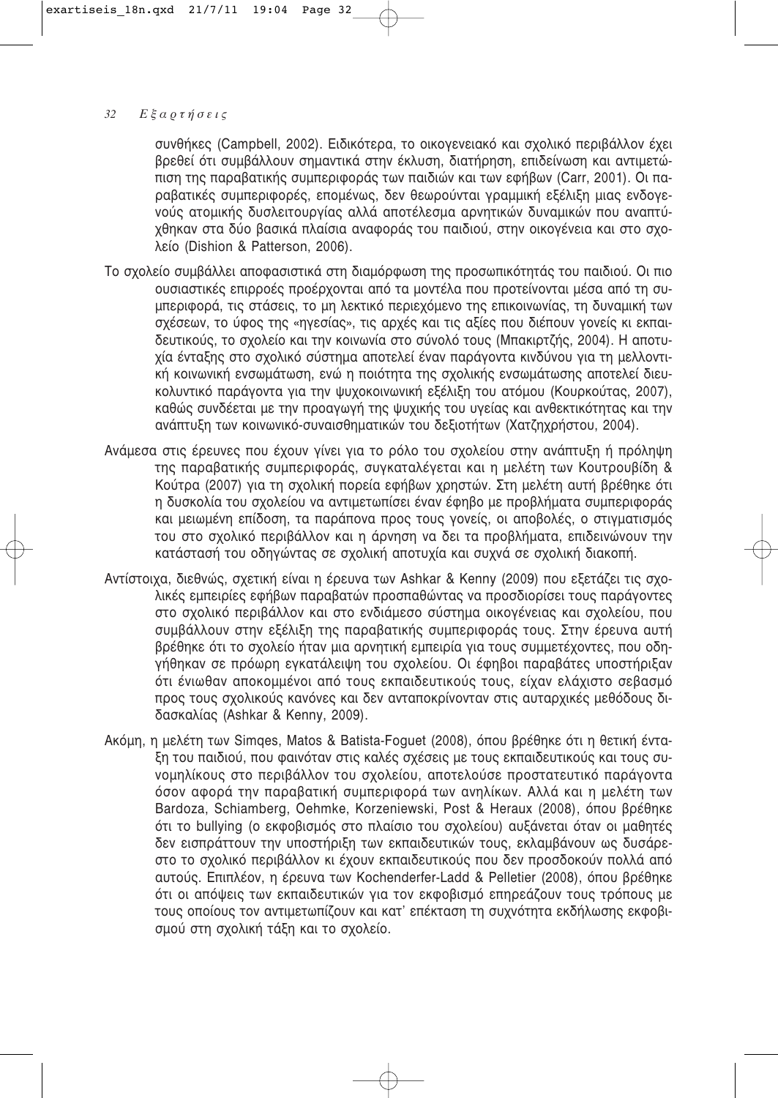συνθήκες (Campbell, 2002). Ειδικότερα, το οικογενειακό και σχολικό περιβάλλον έχει βρεθεί ότι συμβάλλουν σημαντικά στην έκλυση, διατήρηση, επιδείνωση και αντιμετώπιση της παραβατικής συμπεριφοράς των παιδιών και των εφήβων (Carr, 2001). Οι παpαβατικές συμπεριφορές, επομένως, δεν θεωρούνται γραμμική εξέλιξη μιας ενδογενούς ατομικής δυσλειτουργίας αλλά αποτέλεσμα αρνητικών δυναμικών που αναπτύχθηκαν στα δύο βασικά πλαίσια αναφοράς του παιδιού, στην οικογένεια και στο σχολείο (Dishion & Patterson, 2006).

- Το σχολείο συμβάλλει αποφασιστικά στη διαμόρφωση της προσωπικότητάς του παιδιού. Οι πιο ουσιαστικές επιρροές προέρχονται από τα μοντέλα που προτείνονται μέσα από τη συμπεριφορά, τις στάσεις, το μη λεκτικό περιεχόμενο της επικοινωνίας, τη δυναμική των σχέσεων, το ύφος της «ηγεσίας», τις αρχές και τις αξίες που διέπουν γονείς κι εκπαιδευτικούς, το σχολείο και την κοινωνία στο σύνολό τους (Μπακιρτζής, 2004). Η αποτυχία ένταξης στο σχολικό σύστημα αποτελεί έναν παράγοντα κινδύνου για τη μελλοντι-Κή Κοινωνική ενσωμάτωση, ενώ η ποιότητα της σχολικής ενσωμάτωσης αποτελεί διευ-ΚΟλυντικό παράγοντα για την ψυχοκοινωνική εξέλιξη του ατόμου (Κουρκούτας, 2007), καθώς συνδέεται με την προαγωγή της ψυχικής του υγείας και ανθεκτικότητας και την ανάπτυξη των κοινωνικό-συναισθηματικών του δεξιοτήτων (Χατζηχρήστου, 2004).
- Ανάμεσα στις έρευνες που έχουν γίνει για το ρόλο του σχολείου στην ανάπτυξη ή πρόληψη της παραβατικής συμπεριφοράς, συγκαταλέγεται και η μελέτη των Κουτρουβίδη & Κούτρα (2007) για τη σχολική πορεία εφήβων χρηστών. Στη μελέτη αυτή βρέθηκε ότι η δυσκολία του σχολείου να αντιμετωπίσει έναν έφηβο με προβλήματα συμπεριφοράς και μειωμένη επίδοση, τα παράπονα προς τους γονείς, οι αποβολές, ο στιγματισμός του στο σχολικό περιβάλλον και η άρνηση να δει τα προβλήματα, επιδεινώνουν την κατάστασή του οδηγώντας σε σχολική αποτυχία και συχνά σε σχολική διακοπή.
- Αντίστοιχα, διεθνώς, σχετική είναι η έρευνα των Ashkar & Kenny (2009) που εξετάζει τις σχολικές εμπειρίες εφήβων παραβατών προσπαθώντας να προσδιορίσει τους παράγοντες στο σχολικό περιβάλλον και στο ενδιάμεσο σύστημα οικογένειας και σχολείου, που συμβάλλουν στην εξέλιξη της παραβατικής συμπεριφοράς τους. Στην έρευνα αυτή βρέθηκε ότι το σχολείο ήταν μια αρνητική εμπειρία για τους συμμετέχοντες, που οδηγήθηκαν σε πρόωρη εγκατάλειψη του σχολείου. Οι έφηβοι παραβάτες υποστήριξαν ότι ένιωθαν αποκομμένοι από τους εκπαιδευτικούς τους, είχαν ελάχιστο σεβασμό προς τους σχολικούς κανόνες και δεν ανταποκρίνονταν στις αυταρχικές μεθόδους διδασκαλίας (Ashkar & Kenny, 2009).
- Aκόμη, η μελέτη των Simges, Matos & Batista-Foguet (2008), όπου βρέθηκε ότι η θετική ένταξη του παιδιού, που φαινόταν στις καλές σχέσεις με τους εκπαιδευτικούς και τους συνομηλίκους στο περιβάλλον του σχολείου, αποτελούσε προστατευτικό παράγοντα όσον αφορά την παραβατική συμπεριφορά των ανηλίκων. Αλλά και η μελέτη των Bardoza, Schiamberg, Oehmke, Korzeniewski, Post & Heraux (2008), όπου βρέθηκε ότι το bullying (ο εκφοβισμός στο πλαίσιο του σχολείου) αυξάνεται όταν οι μαθητές δεν εισπράττουν την υποστήριξη των εκπαιδευτικών τους, εκλαμβάνουν ως δυσάρεστο το σχολικό περιβάλλον κι έχουν εκπαιδευτικούς που δεν προσδοκούν πολλά από αυτούς. Επιπλέον, η έρευνα των Kochenderfer-Ladd & Pelletier (2008), όπου βρέθηκε ότι οι απόψεις των εκπαιδευτικών για τον εκφοβισμό επηρεάζουν τους τρόπους με τους οποίους τον αντιμετωπίζουν και κατ' επέκταση τη συχνότητα εκδήλωσης εκφοβισμού στη σχολική τάξη και το σχολείο.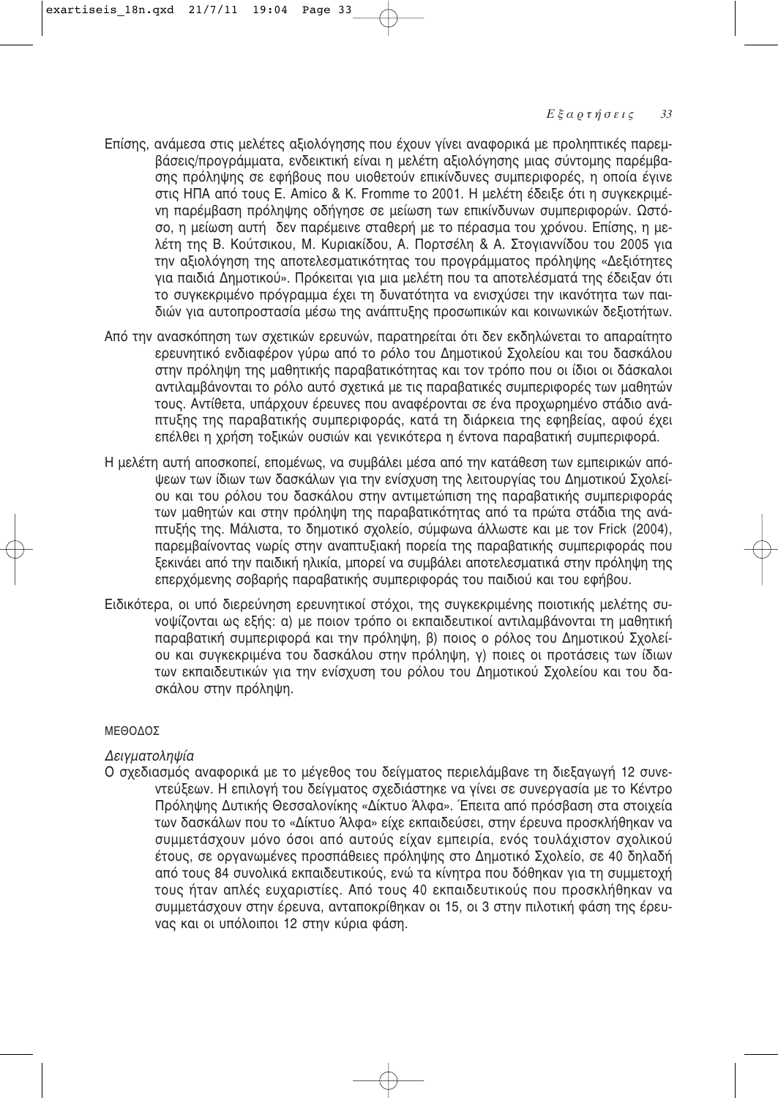#### exartiseis\_18n.qxd 21/7/11 19:04 Page 33

#### *Εξαρτήσεις 33*

- Επίσης, ανάμεσα στις μελέτες αξιολόγησης που έχουν γίνει αναφορικά με προληπτικές παρεμ- $\beta$ άσεις/προνράμματα, ενδεικτική είναι η μελέτη αξιολόνησης μιας σύντομης παρέμβασης πρόληψης σε εφήβους που υιοθετούν επικίνδυνες συμπεριφορές, η οποία έγινε στις ΗΠΑ από τους Ε. Amico & K. Fromme το 2001. Η μελέτη έδειξε ότι η συγκεκριμένη παρέμβαση πρόληψης οδήγησε σε μείωση των επικίνδυνων συμπεριφορών. Ωστόσο, η μείωση αυτή δεν παρέμεινε σταθερή με το πέρασμα του χρόνου. Επίσης, η μελέτη της Β. Κούτσικου, Μ. Κυριακίδου, Α. Πορτσέλη & Α. Στογιαννίδου του 2005 για την αξιολόγηση της αποτελεσματικότητας του προγράμματος πρόληψης «Δεξιότητες για παιδιά Δημοτικού». Πρόκειται για μια μελέτη που τα αποτελέσματά της έδειξαν ότι το συγκεκριμένο πρόγραμμα έχει τη δυνατότητα να ενισχύσει την ικανότητα των παιδιών για αυτοπροστασία μέσω της ανάπτυξης προσωπικών και κοινωνικών δεξιοτήτων.
- Aπό την ανασκόπηση των σχετικών ερευνών, παρατηρείται ότι δεν εκδηλώνεται το απαραίτητο ερευνητικό ενδιαφέρον γύρω από το ρόλο του Δημοτικού Σχολείου και του δασκάλου στην πρόληψη της μαθητικής παραβατικότητας και τον τρόπο που οι ίδιοι οι δάσκαλοι αντιλαμβάνονται το ρόλο αυτό σχετικά με τις παραβατικές συμπεριφορές των μαθητών τους. Αντίθετα, υπάρχουν έρευνες που αναφέρονται σε ένα προχωρημένο στάδιο ανάπτυξης της παραβατικής συμπεριφοράς, κατά τη διάρκεια της εφηβείας, αφού έχει επέλθει η χρήση τοξικών ουσιών και γενικότερα η έντονα παραβατική συμπεριφορά.
- Η μελέτη αυτή αποσκοπεί, επομένως, να συμβάλει μέσα από την κατάθεση των εμπειρικών απόψεων των ίδιων των δασκάλων για την ενίσχυση της λειτουργίας του Δημοτικού Σχολείου και του ρόλου του δασκάλου στην αντιμετώπιση της παραβατικής συμπεριφοράς των μαθητών και στην πρόληψη της παραβατικότητας από τα πρώτα στάδια της ανάπτυξής της. Μάλιστα, το δημοτικό σχολείο, σύμφωνα άλλωστε και με τον Frick (2004), παρεμβαίνοντας νωρίς στην αναπτυξιακή πορεία της παραβατικής συμπεριφοράς που ξεκινάει από την παιδική ηλικία, μπορεί να συμβάλει αποτελεσματικά στην πρόληψη της επερχόμενης σοβαρής παραβατικής συμπεριφοράς του παιδιού και του εφήβου.
- Ειδικότερα, οι υπό διερεύνηση ερευνητικοί στόχοι, της συγκεκριμένης ποιοτικής μελέτης συνοψίζονται ως εξής: α) με ποιον τρόπο οι εκπαιδευτικοί αντιλαμβάνονται τη μαθητική παραβατική συμπεριφορά και την πρόληψη, β) ποιος ο ρόλος του Δημοτικού Σχολείου και συγκεκριμένα του δασκάλου στην πρόληψη, γ) ποιες οι προτάσεις των ίδιων των εκπαιδευτικών για την ενίσχυση του ρόλου του Δημοτικού Σχολείου και του δασκάλου στην πρόληψη.

#### ª∂£√¢√™

## $\Delta$ ειγματοληψία

Ο σχεδιασμός αναφορικά με το μέγεθος του δείγματος περιελάμβανε τη διεξαγωγή 12 συνεντεύξεων. Η επιλογή του δείγματος σχεδιάστηκε να γίνει σε συνεργασία με το Κέντρο Πρόληψης Δυτικής Θεσσαλονίκης «Δίκτυο Άλφα». Έπειτα από πρόσβαση στα στοιχεία των δασκάλων που το «Δίκτυο Άλφα» είχε εκπαιδεύσει, στην έρευνα προσκλήθηκαν να συμμετάσχουν μόνο όσοι από αυτούς είχαν εμπειρία, ενός τουλάχιστον σχολικού έτους, σε οργανωμένες προσπάθειες πρόληψης στο Δημοτικό Σχολείο, σε 40 δηλαδή από τους 84 συνολικά εκπαιδευτικούς, ενώ τα κίνητρα που δόθηκαν για τη συμμετοχή τους ήταν απλές ευχαριστίες. Από τους 40 εκπαιδευτικούς που προσκλήθηκαν να συμμετάσχουν στην έρευνα, ανταποκρίθηκαν οι 15, οι 3 στην πιλοτική φάση της έρευνας και οι υπόλοιποι 12 στην κύρια φάση.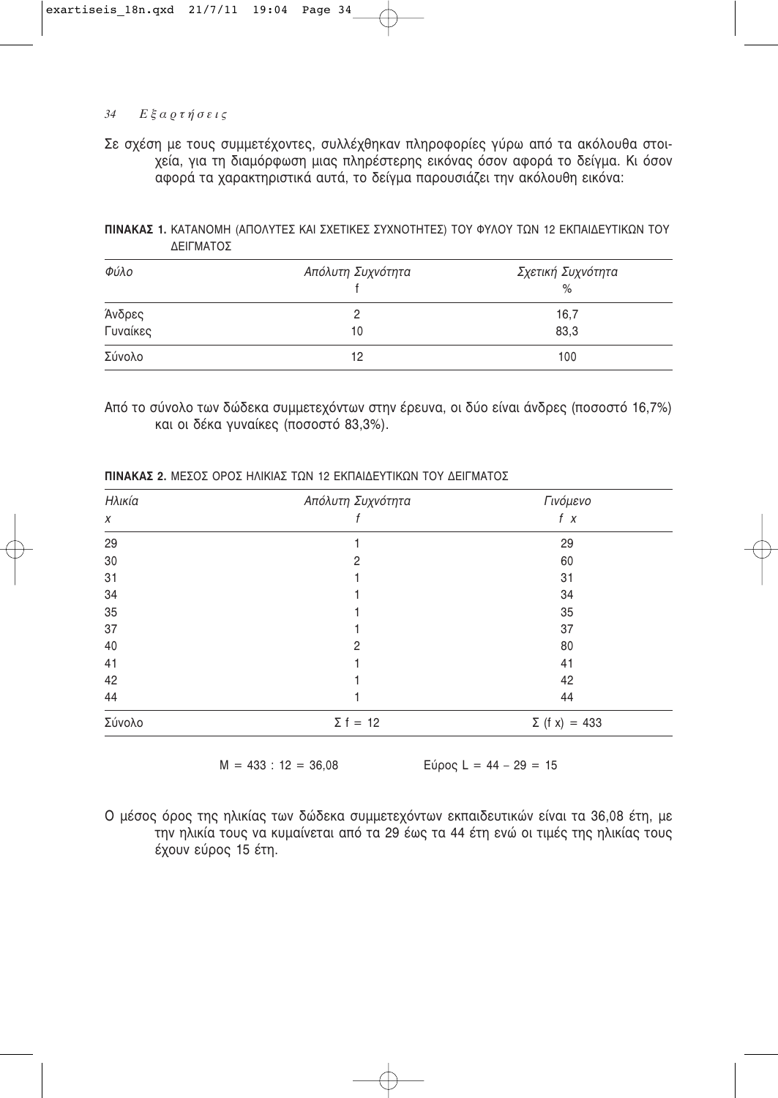Σε σχέση με τους συμμετέχοντες, συλλέχθηκαν πληροφορίες γύρω από τα ακόλουθα στοιχεία, για τη διαμόρφωση μιας πληρέστερης εικόνας όσον αφορά το δείγμα. Κι όσον αφορά τα χαρακτηριστικά αυτά, το δείγμα παρουσιάζει την ακόλουθη εικόνα:

## ΠΙΝΑΚΑΣ 1. ΚΑΤΑΝΟΜΗ (ΑΠΟΛΥΤΕΣ ΚΑΙ ΣΧΕΤΙΚΕΣ ΣΥΧΝΟΤΗΤΕΣ) ΤΟΥ ΦΥΛΟΥ ΤΩΝ 12 ΕΚΠΑΙΔΕΥΤΙΚΩΝ ΤΟΥ ΔΕΙΓΜΑΤΟΣ

| Φύλο     | Απόλυτη Συχνότητα | Σχετική Συχνότητα<br>% |
|----------|-------------------|------------------------|
| Άνδρες   |                   | 16,7                   |
| Γυναίκες | 10                | 83,3                   |
| Σύνολο   | 12                | 100                    |

Aπό το σύνολο των δώδεκα συμμετεχόντων στην έρευνα, οι δύο είναι άνδρες (ποσοστό 16,7%) και οι δέκα γυναίκες (ποσοστό 83,3%).

| Ηλικία | Απόλυτη Συχνότητα | Γινόμενο             |
|--------|-------------------|----------------------|
| X      |                   | f x                  |
| 29     |                   | 29                   |
| 30     | 2                 | 60                   |
| 31     |                   | 31                   |
| 34     |                   | 34                   |
| 35     |                   | 35                   |
| 37     |                   | 37                   |
| 40     | $\overline{2}$    | 80                   |
| 41     |                   | 41                   |
| 42     |                   | 42                   |
| 44     |                   | 44                   |
| Σύνολο | $\Sigma$ f = 12   | $\Sigma$ (f x) = 433 |

ΠΙΝΑΚΑΣ 2. ΜΕΣΟΣ ΟΡΟΣ ΗΛΙΚΙΑΣ ΤΩΝ 12 ΕΚΠΑΙΔΕΥΤΙΚΩΝ ΤΟΥ ΔΕΙΓΜΑΤΟΣ

 $M = 433 : 12 = 36,08$   $Eúpoc L = 44 - 29 = 15$ 

Ο μέσος όρος της ηλικίας των δώδεκα συμμετεχόντων εκπαιδευτικών είναι τα 36,08 έτη, με την ηλικία τους να κυμαίνεται από τα 29 έως τα 44 έτη ενώ οι τιμές της ηλικίας τους

έχουν εύρος 15 έτη.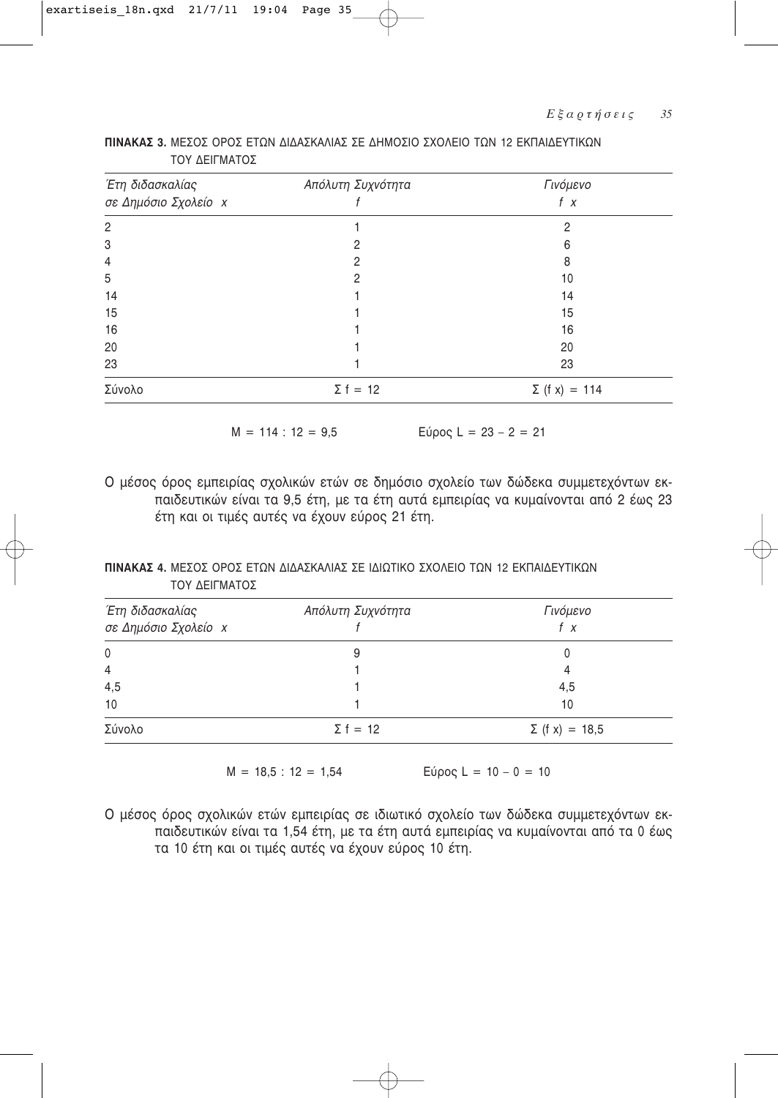| Έτη διδασκαλίας      | Απόλυτη Συχνότητα | Γινόμενο             |
|----------------------|-------------------|----------------------|
| σε Δημόσιο Σχολείο χ |                   | fх                   |
| $\overline{2}$       |                   | 2                    |
| 3                    | 2                 | 6                    |
| 4                    | 2                 | 8                    |
| 5                    | 2                 | 10                   |
| 14                   |                   | 14                   |
| 15                   |                   | 15                   |
| 16                   |                   | 16                   |
| 20                   |                   | 20                   |
| 23                   |                   | 23                   |
| Σύνολο               | $\Sigma$ f = 12   | $\Sigma$ (f x) = 114 |

## **ΠΙΝΑΚΑΣ 3.** ΜΕΣΟΣ ΟΡΟΣ ΕΤΩΝ ΔΙΔΑΣΚΑΛΙΑΣ ΣΕ ΔΗΜΟΣΙΟ ΣΧΟΛΕΙΟ ΤΩΝ 12 ΕΚΠΑΙΔΕΥΤΙΚΩΝ ΤΟΥ ΔΕΙΓΜΑΤΟΣ

 $M = 114 : 12 = 9.5$   $Eúpog L = 23 - 2 = 21$ 

Ο μέσος όρος εμπειρίας σχολικών ετών σε δημόσιο σχολείο των δώδεκα συμμετεχόντων εκπαιδευτικών είναι τα 9,5 έτη, με τα έτη αυτά εμπειρίας να κυμαίνονται από 2 έως 23 έτη και οι τιμές αυτές να έχουν εύρος 21 έτη.

**ΠΙΝΑΚΑΣ 4.** ΜΕΣΟΣ ΟΡΟΣ ΕΤΩΝ ΔΙΔΑΣΚΑΛΙΑΣ ΣΕ ΙΔΙΩΤΙΚΟ ΣΧΟΛΕΙΟ ΤΩΝ 12 ΕΚΠΑΙΔΕΥΤΙΚΩΝ ΤΟΥ ΔΕΙΓΜΑΤΟΣ

| Έτη διδασκαλίας<br>σε Δημόσιο Σχολείο χ | Απόλυτη Συχνότητα | Γινόμενο<br>f x       |
|-----------------------------------------|-------------------|-----------------------|
| $\overline{0}$                          |                   |                       |
| $\overline{4}$                          | 9                 | 4                     |
| 4,5                                     |                   | 4,5                   |
| 10                                      |                   | 10                    |
| Σύνολο                                  | $\Sigma$ f = 12   | $\Sigma$ (f x) = 18,5 |

 $M = 18,5 : 12 = 1,54$   $Eúpog L = 10 - 0 = 10$ 

Ο μέσος όρος σχολικών ετών εμπειρίας σε ιδιωτικό σχολείο των δώδεκα συμμετεχόντων εκπαιδευτικών είναι τα 1,54 έτη, με τα έτη αυτά εμπειρίας να κυμαίνονται από τα 0 έως τα 10 έτη και οι τιμές αυτές να έχουν εύρος 10 έτη.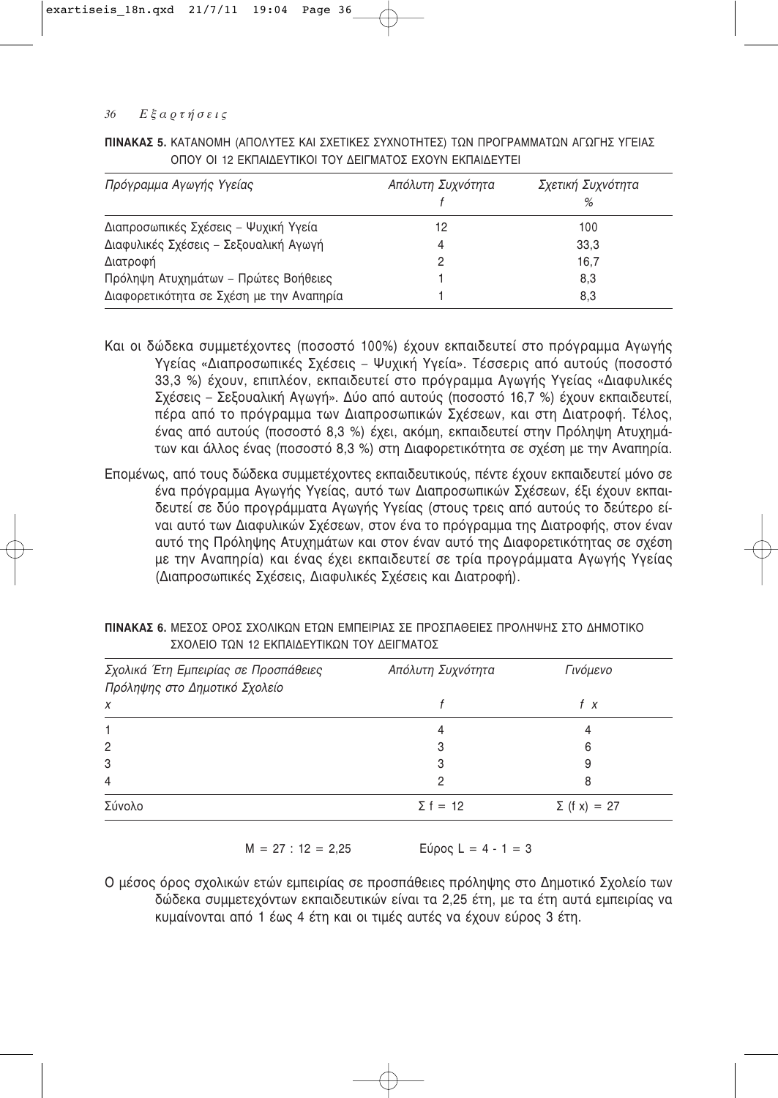**ΠΙΝΑΚΑΣ 5.** ΚΑΤΑΝΟΜΗ (ΑΠΟΛΥΤΕΣ ΚΑΙ ΣΧΕΤΙΚΕΣ ΣΥΧΝΟΤΗΤΕΣ) ΤΩΝ ΠΡΟΓΡΑΜΜΑΤΩΝ ΑΓΩΓΗΣ ΥΓΕΙΑΣ ΟΠΟΥ ΟΙ 12 ΕΚΠΑΙΔΕΥΤΙΚΟΙ ΤΟΥ ΔΕΙΓΜΑΤΟΣ ΕΧΟΥΝ ΕΚΠΑΙΔΕΥΤΕΙ

| Πρόγραμμα Αγωγής Υγείας                  | Απόλυτη Συχνότητα | Σχετική Συχνότητα<br>% |
|------------------------------------------|-------------------|------------------------|
| Διαπροσωπικές Σχέσεις - Ψυχική Υγεία     | 12                | 100                    |
| Διαφυλικές Σχέσεις – Σεξουαλική Αγωγή    | 4                 | 33,3                   |
| Διατροφή                                 | 2                 | 16,7                   |
| Πρόληψη Ατυχημάτων – Πρώτες Βοήθειες     |                   | 8,3                    |
| Διαφορετικότητα σε Σχέση με την Αναπηρία |                   | 8,3                    |

- Και οι δώδεκα συμμετέχοντες (ποσοστό 100%) έχουν εκπαιδευτεί στο πρόγραμμα Αγωγής Υγείας «Διαπροσωπικές Σχέσεις – Ψυχική Υγεία». Τέσσερις από αυτούς (ποσοστό 33,3 %) έχουν, επιπλέον, εκπαιδευτεί στο πρόγραμμα Αγωγής Υγείας «Διαφυλικές  $\Sigma$ χέσεις – Σεξουαλική Αγωγή». Δύο από αυτούς (ποσοστό 16,7 %) έχουν εκπαιδευτεί, πέρα από το πρόγραμμα των Διαπροσωπικών Σχέσεων, και στη Διατροφή. Τέλος, ένας από αυτούς (ποσοστό 8,3 %) έχει, ακόμη, εκπαιδευτεί στην Πρόληψη Ατυχημάτων και άλλος ένας (ποσοστό 8,3 %) στη Διαφορετικότητα σε σχέση με την Αναπηρία.
- Επομένως, από τους δώδεκα συμμετέχοντες εκπαιδευτικούς, πέντε έχουν εκπαιδευτεί μόνο σε ένα πρόγραμμα Αγωγής Υγείας, αυτό των Διαπροσωπικών Σχέσεων, έξι έχουν εκπαιδευτεί σε δύο προγράμματα Αγωγής Υγείας (στους τρεις από αυτούς το δεύτερο είναι αυτό των Διαφυλικών Σχέσεων, στον ένα το πρόγραμμα της Διατροφής, στον έναν αυτό της Πρόληψης Ατυχημάτων και στον έναν αυτό της Διαφορετικότητας σε σχέση με την Αναπηρία) και ένας έχει εκπαιδευτεί σε τρία προγράμματα Αγωγής Υγείας (Διαπροσωπικές Σχέσεις, Διαφυλικές Σχέσεις και Διατροφή).

| ΠΙΝΑΚΑΣ 6. ΜΕΣΟΣ ΟΡΟΣ ΣΧΟΛΙΚΩΝ ΕΤΩΝ ΕΜΠΕΙΡΙΑΣ ΣΕ ΠΡΟΣΠΑΘΕΙΕΣ ΠΡΟΛΗΨΗΣ ΣΤΟ ΔΗΜΟΤΙΚΟ |  |  |  |
|------------------------------------------------------------------------------------|--|--|--|
| ΣΧΟΛΕΙΟ ΤΩΝ 12 ΕΚΠΑΙΔΕΥΤΙΚΩΝ ΤΟΥ ΔΕΙΓΜΑΤΟΣ                                         |  |  |  |

| Σχολικά Έτη Εμπειρίας σε Προσπάθειες<br>Πρόληψης στο Δημοτικό Σχολείο | Απόλυτη Συχνότητα | Γινόμενο            |
|-----------------------------------------------------------------------|-------------------|---------------------|
| X                                                                     |                   | fх                  |
|                                                                       | 4                 |                     |
| $\overline{2}$                                                        | 3                 | 6                   |
| 3                                                                     | 3                 | 9                   |
| 4                                                                     | 2                 | 8                   |
| Σύνολο                                                                | $\Sigma$ f = 12   | $\Sigma$ (f x) = 27 |
|                                                                       |                   |                     |

 $M = 27 : 12 = 2,25$   $Eúpoc L = 4 - 1 = 3$ 

Ο μέσος όρος σχολικών ετών εμπειρίας σε προσπάθειες πρόληψης στο Δημοτικό Σχολείο των ,<br>δώδεκα συμμετεχόντων εκπαιδευτικών είναι τα 2,25 έτη, με τα έτη αυτά εμπειρίας να KUμαίνονται από 1 έως 4 έτη και οι τιμές αυτές να έχουν εύρος 3 έτη.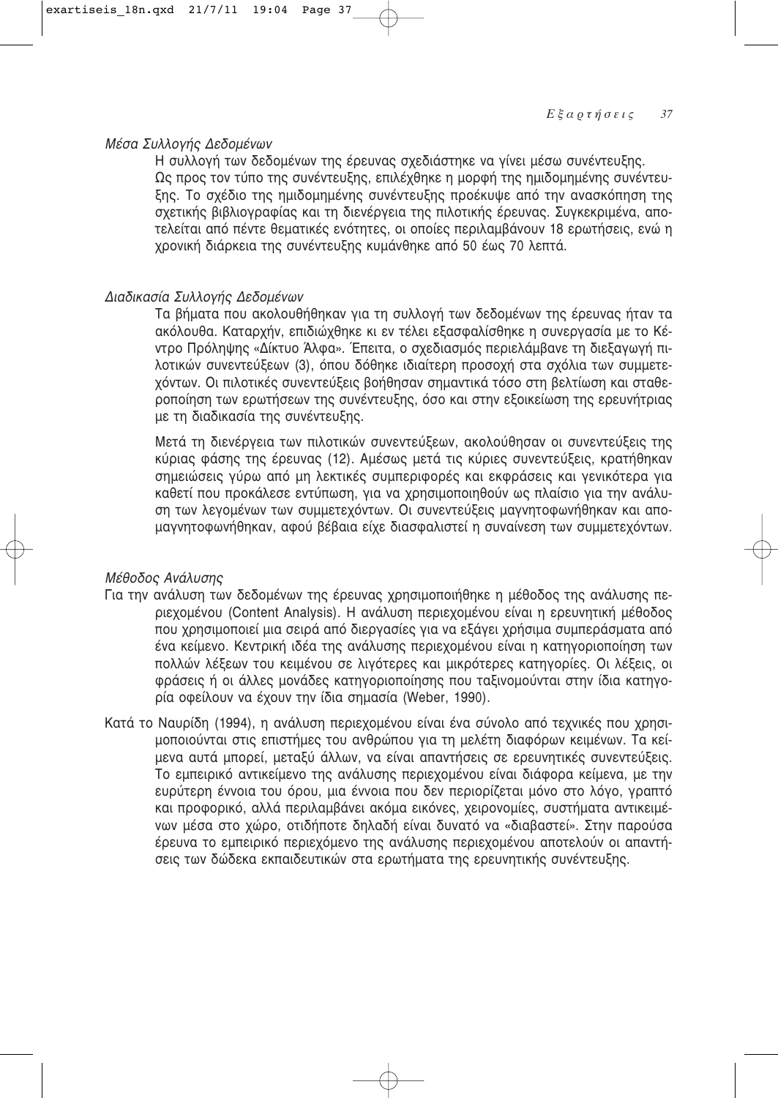### *Μέσα Συλλογής Δεδομένων*

Η συλλογή των δεδομένων της έρευνας σχεδιάστηκε να γίνει μέσω συνέντευξης. Ως προς τον τύπο της συνέντευξης, επιλέχθηκε η μορφή της ημιδομημένης συνέντευξης. Το σχέδιο της ημιδομημένης συνέντευξης προέκυψε από την ανασκόπηση της σχετικής βιβλιογραφίας και τη διενέργεια της πιλοτικής έρευνας. Συγκεκριμένα, αποτελείται από πέντε θεματικές ενότητες, οι οποίες περιλαμβάνουν 18 ερωτήσεις, ενώ η χρονική διάρκεια της συνέντευξης κυμάνθηκε από 50 έως 70 λεπτά.

### $\Delta$ ιαδικασία Συλλογής Δεδομένων

Τα βήματα που ακολουθήθηκαν για τη συλλογή των δεδομένων της έρευνας ήταν τα ακόλουθα. Καταρχήν, επιδιώχθηκε κι εν τέλει εξασφαλίσθηκε η συνεργασία με το Κέ-Vτρο Πρόληψης «Δίκτυο Άλφα». Έπειτα, ο σχεδιασμός περιελάμβανε τη διεξαγωγή πιλοτικών συνεντεύξεων (3), όπου δόθηκε ιδιαίτερη προσοχή στα σχόλια των συμμετεχόντων. Οι πιλοτικές συνεντεύξεις βοήθησαν σημαντικά τόσο στη βελτίωση και σταθεροποίηση των ερωτήσεων της συνέντευξης, όσο και στην εξοικείωση της ερευνήτριας με τη διαδικασία της συνέντευξης.

Μετά τη διενέργεια των πιλοτικών συνεντεύξεων, ακολούθησαν οι συνεντεύξεις της κύριας φάσης της έρευνας (12). Αμέσως μετά τις κύριες συνεντεύξεις, κρατήθηκαν σημειώσεις γύρω από μη λεκτικές συμπεριφορές και εκφράσεις και γενικότερα για καθετί που προκάλεσε εντύπωση, για να χρησιμοποιηθούν ως πλαίσιο για την ανάλυση των λεγομένων των συμμετεχόντων. Οι συνεντεύξεις μαγνητοφωνήθηκαν και απομαγνητοφωνήθηκαν, αφού βέβαια είχε διασφαλιστεί η συναίνεση των συμμετεχόντων.

### $M$ έθοδος Ανάλυσης

- Για την ανάλυση των δεδομένων της έρευνας χρησιμοποιήθηκε η μέθοδος της ανάλυσης περιεχομένου (Content Analysis). Η ανάλυση περιεχομένου είναι η ερευνητική μέθοδος που χρησιμοποιεί μια σειρά από διεργασίες για να εξάγει χρήσιμα συμπεράσματα από ένα κείμενο. Κεντρική ιδέα της ανάλυσης περιεχομένου είναι η κατηγοριοποίηση των πολλών λέξεων του κειμένου σε λιγότερες και μικρότερες κατηγορίες. Οι λέξεις, οι φράσεις ή οι άλλες μονάδες κατηγοριοποίησης που ταξινομούνται στην ίδια κατηγορία οφείλουν να έχουν την ίδια σημασία (Weber, 1990).
- Κατά το Ναυρίδη (1994), η ανάλυση περιεχομένου είναι ένα σύνολο από τεχνικές που χρησιμοποιούνται στις επιστήμες του ανθρώπου για τη μελέτη διαφόρων κειμένων. Τα κείμενα αυτά μπορεί, μεταξύ άλλων, να είναι απαντήσεις σε ερευνητικές συνεντεύξεις. Το εμπειρικό αντικείμενο της ανάλυσης περιεχομένου είναι διάφορα κείμενα, με την ευρύτερη έννοια του όρου, μια έννοια που δεν περιορίζεται μόνο στο λόγο, γραπτό και προφορικό, αλλά περιλαμβάνει ακόμα εικόνες, χειρονομίες, συστήματα αντικειμένων μέσα στο χώρο, οτιδήποτε δηλαδή είναι δυνατό να «διαβαστεί». Στην παρούσα έρευνα το εμπειρικό περιεχόμενο της ανάλυσης περιεχομένου αποτελούν οι απαντήσεις των δώδεκα εκπαιδευτικών στα ερωτήματα της ερευνητικής συνέντευξης.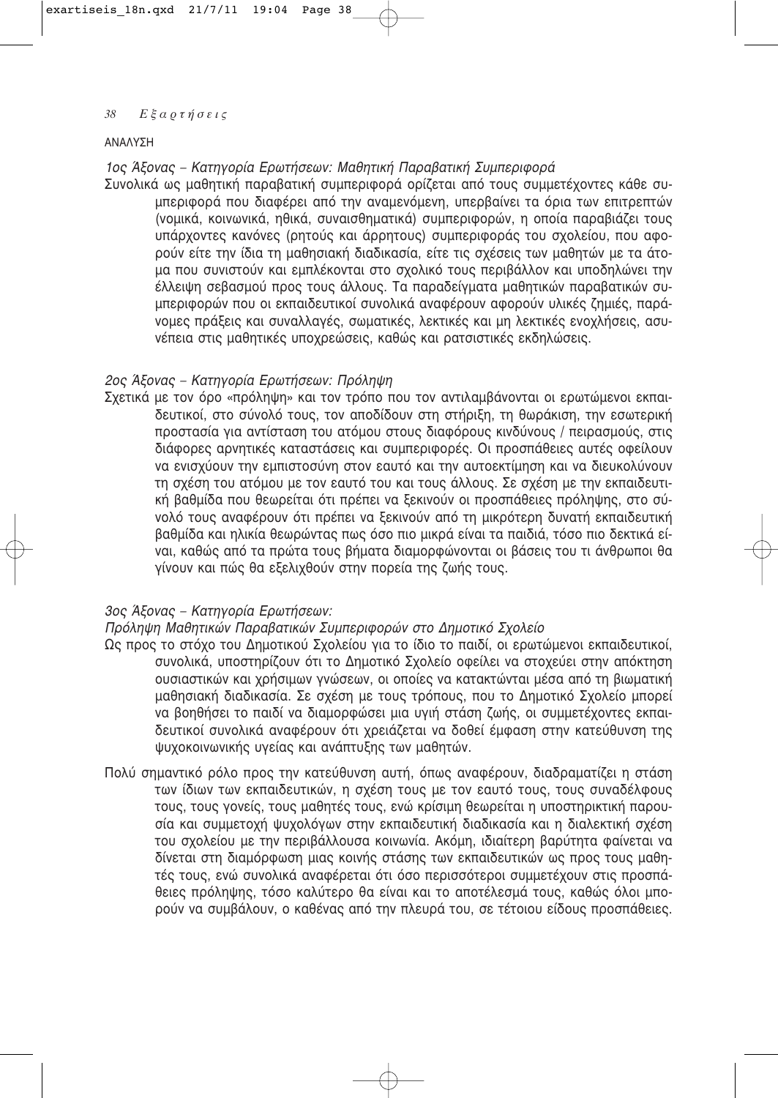### ΑΝΑΛΥΣΗ

### 1ος Άξονας - Κατηγορία Ερωτήσεων: Μαθητική Παραβατική Συμπεριφορά

Συνολικά ως μαθητική παραβατική συμπεριφορά ορίζεται από τους συμμετέχοντες κάθε συμπεριφορά που διαφέρει από την αναμενόμενη, υπερβαίνει τα όρια των επιτρεπτών (νομικά, κοινωνικά, ηθικά, συναισθηματικά) συμπεριφορών, η οποία παραβιάζει τους υπάρχοντες κανόνες (ρητούς και άρρητους) συμπεριφοράς του σχολείου, που αφορούν είτε την ίδια τη μαθησιακή διαδικασία, είτε τις σχέσεις των μαθητών με τα άτομα που συνιστούν και εμπλέκονται στο σχολικό τους περιβάλλον και υποδηλώνει την έλλειψη σεβασμού προς τους άλλους. Τα παραδείγματα μαθητικών παραβατικών συμπεριφορών που οι εκπαιδευτικοί συνολικά αναφέρουν αφορούν υλικές ζημιές, παράνομες πράξεις και συναλλαγές, σωματικές, λεκτικές και μη λεκτικές ενοχλήσεις, ασυνέπεια στις μαθητικές υποχρεώσεις, καθώς και ρατσιστικές εκδηλώσεις.

### 2ος Άξονας - Κατηγορία Ερωτήσεων: Πρόληψη

Σχετικά με τον όρο «πρόληψη» και τον τρόπο που τον αντιλαμβάνονται οι ερωτώμενοι εκπαιδευτικοί, στο σύνολό τους, τον αποδίδουν στη στήριξη, τη θωράκιση, την εσωτερική προστασία για αντίσταση του ατόμου στους διαφόρους κινδύνους / πειρασμούς, στις διάφορες αρνητικές καταστάσεις και συμπεριφορές. Οι προσπάθειες αυτές οφείλουν να ενισχύουν την εμπιστοσύνη στον εαυτό και την αυτοεκτίμηση και να διευκολύνουν τη σχέση του ατόμου με τον εαυτό του και τους άλλους. Σε σχέση με την εκπαιδευτική βαθμίδα που θεωρείται ότι πρέπει να ξεκινούν οι προσπάθειες πρόληψης, στο σύνολό τους αναφέρουν ότι πρέπει να ξεκινούν από τη μικρότερη δυνατή εκπαιδευτική βαθμίδα και ηλικία θεωρώντας πως όσο πιο μικρά είναι τα παιδιά, τόσο πιο δεκτικά είναι, καθώς από τα πρώτα τους βήματα διαμορφώνονται οι βάσεις του τι άνθρωποι θα γίνουν και πώς θα εξελιχθούν στην πορεία της ζωής τους.

### 3ος Άξονας - Κατηγορία Ερωτήσεων:

### Πρόληψη Μαθητικών Παραβατικών Συμπεριφορών στο Δημοτικό Σχολείο

- Ως προς το στόχο του Δημοτικού Σχολείου για το ίδιο το παιδί, οι ερωτώμενοι εκπαιδευτικοί, συνολικά, υποστηρίζουν ότι το Δημοτικό Σχολείο οφείλει να στοχεύει στην απόκτηση ουσιαστικών και χρήσιμων γνώσεων, οι οποίες να κατακτώνται μέσα από τη βιωματική μαθησιακή διαδικασία. Σε σχέση με τους τρόπους, που το Δημοτικό Σχολείο μπορεί να βοηθήσει το παιδί να διαμορφώσει μια υγιή στάση ζωής, οι συμμετέχοντες εκπαιδευτικοί συνολικά αναφέρουν ότι χρειάζεται να δοθεί έμφαση στην κατεύθυνση της ψυχοκοινωνικής υγείας και ανάπτυξης των μαθητών.
- Πολύ σημαντικό ρόλο προς την κατεύθυνση αυτή, όπως αναφέρουν, διαδραματίζει η στάση των ίδιων των εκπαιδευτικών, η σχέση τους με τον εαυτό τους, τους συναδέλφους τους, τους γονείς, τους μαθητές τους, ενώ κρίσιμη θεωρείται η υποστηρικτική παρουσία και συμμετοχή ψυχολόγων στην εκπαιδευτική διαδικασία και η διαλεκτική σχέση του σχολείου με την περιβάλλουσα κοινωνία. Ακόμη, ιδιαίτερη βαρύτητα φαίνεται να δίνεται στη διαμόρφωση μιας κοινής στάσης των εκπαιδευτικών ως προς τους μαθητές τους, ενώ συνολικά αναφέρεται ότι όσο περισσότεροι συμμετέχουν στις προσπάθειες πρόληψης, τόσο καλύτερο θα είναι και το αποτέλεσμά τους, καθώς όλοι μπορούν να συμβάλουν, ο καθένας από την πλευρά του, σε τέτοιου είδους προσπάθειες.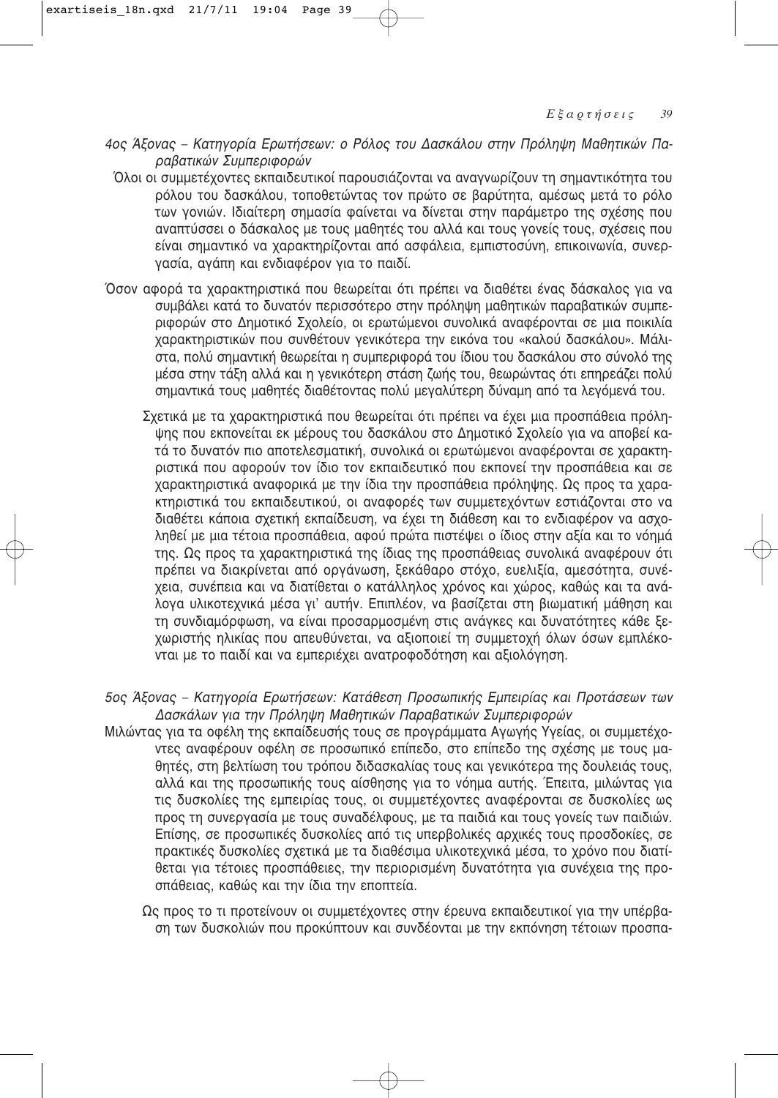exartiseis 18n. qxd 21/7/11  $19:04$ Page 39

# 4ος Άξονας - Κατηγορία Ερωτήσεων: ο Ρόλος του Δασκάλου στην Πρόληψη Μαθητικών Παραβατικών Συμπεριφορών

- Όλοι οι συμμετέχοντες εκπαιδευτικοί παρουσιάζονται να αναγνωρίζουν τη σημαντικότητα του ρόλου του δασκάλου, τοποθετώντας τον πρώτο σε βαρύτητα, αμέσως μετά το ρόλο των γονιών. Ιδιαίτερη σημασία φαίνεται να δίνεται στην παράμετρο της σχέσης που αναπτύσσει ο δάσκαλος με τους μαθητές του αλλά και τους γονείς τους, σχέσεις που είναι σημαντικό να χαρακτηρίζονται από ασφάλεια, εμπιστοσύνη, επικοινωνία, συνεργασία, αγάπη και ενδιαφέρον για το παιδί.
- Όσον αφορά τα χαρακτηριστικά που θεωρείται ότι πρέπει να διαθέτει ένας δάσκαλος για να συμβάλει κατά το δυνατόν περισσότερο στην πρόληψη μαθητικών παραβατικών συμπεριφορών στο Δημοτικό Σχολείο, οι ερωτώμενοι συνολικά αναφέρονται σε μια ποικιλία χαρακτηριστικών που συνθέτουν γενικότερα την εικόνα του «καλού δασκάλου». Μάλιστα, πολύ σημαντική θεωρείται η συμπεριφορά του ίδιου του δασκάλου στο σύνολό της μέσα στην τάξη αλλά και η γενικότερη στάση ζωής του, θεωρώντας ότι επηρεάζει πολύ σημαντικά τους μαθητές διαθέτοντας πολύ μεγαλύτερη δύναμη από τα λεγόμενά του.
	- Σχετικά με τα χαρακτηριστικά που θεωρείται ότι πρέπει να έχει μια προσπάθεια πρόληψης που εκπονείται εκ μέρους του δασκάλου στο Δημοτικό Σχολείο για να αποβεί κατά το δυνατόν πιο αποτελεσματική, συνολικά οι ερωτώμενοι αναφέρονται σε χαρακτηριστικά που αφορούν τον ίδιο τον εκπαιδευτικό που εκπονεί την προσπάθεια και σε χαρακτηριστικά αναφορικά με την ίδια την προσπάθεια πρόληψης. Ως προς τα χαρακτηριστικά του εκπαιδευτικού, οι αναφορές των συμμετεχόντων εστιάζονται στο να διαθέτει κάποια σχετική εκπαίδευση, να έχει τη διάθεση και το ενδιαφέρον να ασχοληθεί με μια τέτοια προσπάθεια, αφού πρώτα πιστέψει ο ίδιος στην αξία και το νόημά της. Ως προς τα χαρακτηριστικά της ίδιας της προσπάθειας συνολικά αναφέρουν ότι πρέπει να διακρίνεται από οργάνωση, ξεκάθαρο στόχο, ευελιξία, αμεσότητα, συνέχεια, συνέπεια και να διατίθεται ο κατάλληλος χρόνος και χώρος, καθώς και τα ανάλογα υλικοτεχνικά μέσα γι' αυτήν. Επιπλέον, να βασίζεται στη βιωματική μάθηση και τη συνδιαμόρφωση, να είναι προσαρμοσμένη στις ανάγκες και δυνατότητες κάθε ξεχωριστής ηλικίας που απευθύνεται, να αξιοποιεί τη συμμετοχή όλων όσων εμπλέκονται με το παιδί και να εμπεριέχει ανατροφοδότηση και αξιολόγηση.

5ος Άξονας - Κατηγορία Ερωτήσεων: Κατάθεση Προσωπικής Εμπειρίας και Προτάσεων των Δασκάλων για την Πρόληψη Μαθητικών Παραβατικών Συμπεριφορών

Μιλώντας για τα οφέλη της εκπαίδευσής τους σε προγράμματα Αγωγής Υγείας, οι συμμετέχοντες αναφέρουν οφέλη σε προσωπικό επίπεδο, στο επίπεδο της σχέσης με τους μαθητές, στη βελτίωση του τρόπου διδασκαλίας τους και γενικότερα της δουλειάς τους, αλλά και της προσωπικής τους αίσθησης για το νόημα αυτής. Έπειτα, μιλώντας για τις δυσκολίες της εμπειρίας τους, οι συμμετέχοντες αναφέρονται σε δυσκολίες ως προς τη συνεργασία με τους συναδέλφους, με τα παιδιά και τους γονείς των παιδιών. Επίσης, σε προσωπικές δυσκολίες από τις υπερβολικές αρχικές τους προσδοκίες, σε πρακτικές δυσκολίες σχετικά με τα διαθέσιμα υλικοτεχνικά μέσα, το χρόνο που διατίθεται για τέτοιες προσπάθειες, την περιορισμένη δυνατότητα για συνέχεια της προσπάθειας, καθώς και την ίδια την εποπτεία.

Ως προς το τι προτείνουν οι συμμετέχοντες στην έρευνα εκπαιδευτικοί για την υπέρβαση των δυσκολιών που προκύπτουν και συνδέονται με την εκπόνηση τέτοιων προσπα-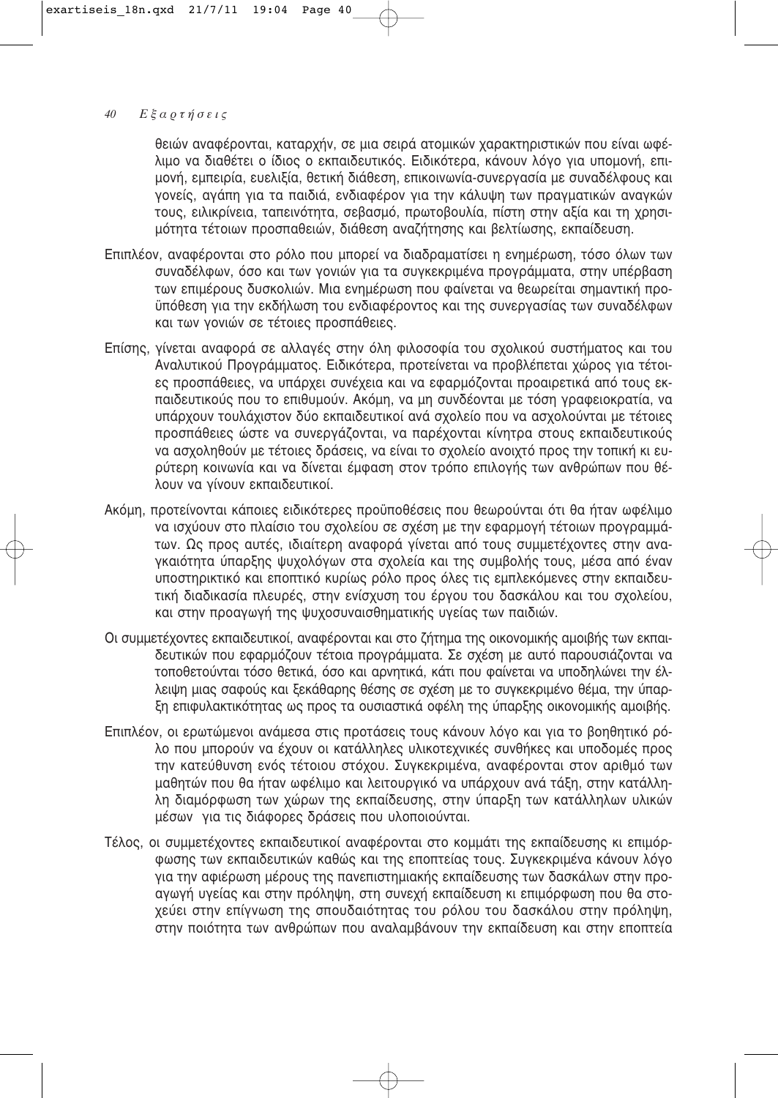> θειών αναφέρονται, καταρχήν, σε μια σειρά ατομικών χαρακτηριστικών που είναι ωφέλιμο να διαθέτει ο ίδιος ο εκπαιδευτικός. Ειδικότερα, κάνουν λόγο για υπομονή, επιμονή, εμπειρία, ευελιξία, θετική διάθεση, επικοινωνία-συνεργασία με συναδέλφους και γονείς, αγάπη για τα παιδιά, ενδιαφέρον για την κάλυψη των πραγματικών αναγκών τους. ειλικρίνεια, ταπεινότητα, σεβασμό, πρωτοβουλία, πίστη στην αξία και τη χρησιμότητα τέτοιων προσπαθειών, διάθεση αναζήτησης και βελτίωσης, εκπαίδευση.

- Επιπλέον, αναφέρονται στο ρόλο που μπορεί να διαδραματίσει η ενημέρωση, τόσο όλων των συναδέλφων, όσο και των γονιών για τα συγκεκριμένα προγράμματα, στην υπέρβαση των επιμέρους δυσκολιών. Μια ενημέρωση που φαίνεται να θεωρείται σημαντική προϋπόθεση για την εκδήλωση του ενδιαφέροντος και της συνεργασίας των συναδέλφων και των γονιών σε τέτοιες προσπάθειες.
- Επίσης, γίνεται αναφορά σε αλλαγές στην όλη φιλοσοφία του σχολικού συστήματος και του Αναλυτικού Προγράμματος. Ειδικότερα, προτείνεται να προβλέπεται χώρος για τέτοιες προσπάθειες, να υπάρχει συνέχεια και να εφαρμόζονται προαιρετικά από τους εκπαιδευτικούς που το επιθυμούν. Ακόμη, να μη συνδέονται με τόση γραφειοκρατία, να υπάρχουν τουλάχιστον δύο εκπαιδευτικοί ανά σχολείο που να ασχολούνται με τέτοιες προσπάθειες ώστε να συνεργάζονται, να παρέχονται κίνητρα στους εκπαιδευτικούς να ασχοληθούν με τέτοιες δράσεις, να είναι το σχολείο ανοιχτό προς την τοπική κι ευρύτερη κοινωνία και να δίνεται έμφαση στον τρόπο επιλογής των ανθρώπων που θέλουν να γίνουν εκπαιδευτικοί.
- Ακόμη, προτείνονται κάποιες ειδικότερες προϋποθέσεις που θεωρούνται ότι θα ήταν ωφέλιμο να ισχύουν στο πλαίσιο του σχολείου σε σχέση με την εφαρμογή τέτοιων προγραμμάτων. Ως προς αυτές, ιδιαίτερη αναφορά γίνεται από τους συμμετέχοντες στην αναγκαιότητα ύπαρξης ψυχολόγων στα σχολεία και της συμβολής τους, μέσα από έναν υποστηρικτικό και εποπτικό κυρίως ρόλο προς όλες τις εμπλεκόμενες στην εκπαιδευτική διαδικασία πλευρές, στην ενίσχυση του έργου του δασκάλου και του σχολείου, και στην προαγωγή της ψυχοσυναισθηματικής υγείας των παιδιών.
- Οι συμμετέχοντες εκπαιδευτικοί, αναφέρονται και στο ζήτημα της οικονομικής αμοιβής των εκπαιδευτικών που εφαρμόζουν τέτοια προγράμματα. Σε σχέση με αυτό παρουσιάζονται να τοποθετούνται τόσο θετικά, όσο και αρνητικά, κάτι που φαίνεται να υποδηλώνει την έλλειψη μιας σαφούς και ξεκάθαρης θέσης σε σχέση με το συγκεκριμένο θέμα, την ύπαρξη επιφυλακτικότητας ως προς τα ουσιαστικά οφέλη της ύπαρξης οικονομικής αμοιβής.
- Επιπλέον, οι ερωτώμενοι ανάμεσα στις προτάσεις τους κάνουν λόγο και για το βοηθητικό ρόλο που μπορούν να έχουν οι κατάλληλες υλικοτεχνικές συνθήκες και υποδομές προς την κατεύθυνση ενός τέτοιου στόχου. Συγκεκριμένα, αναφέρονται στον αριθμό των μαθητών που θα ήταν ωφέλιμο και λειτουργικό να υπάρχουν ανά τάξη, στην κατάλληλη διαμόρφωση των χώρων της εκπαίδευσης, στην ύπαρξη των κατάλληλων υλικών μέσων για τις διάφορες δράσεις που υλοποιούνται.
- Τέλος, οι συμμετέχοντες εκπαιδευτικοί αναφέρονται στο κομμάτι της εκπαίδευσης κι επιμόρφωσης των εκπαιδευτικών καθώς και της εποπτείας τους. Συνκεκριμένα κάνουν λόνο για την αφιέρωση μέρους της πανεπιστημιακής εκπαίδευσης των δασκάλων στην προαγωγή υγείας και στην πρόληψη, στη συνεχή εκπαίδευση κι επιμόρφωση που θα στογεύει στην επίννωση της σπουδαιότητας του ρόλου του δασκάλου στην πρόληψη. στην ποιότητα των ανθρώπων που αναλαμβάνουν την εκπαίδευση και στην εποπτεία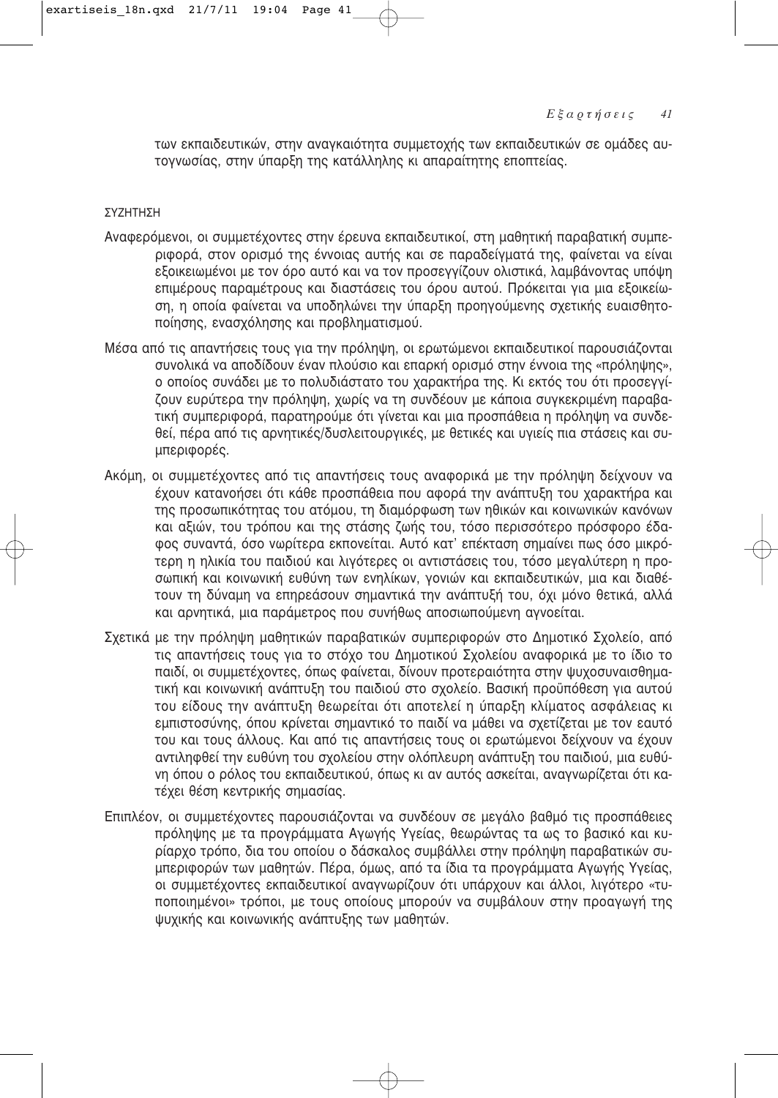των εκπαιδευτικών, στην αναγκαιότητα συμμετοχής των εκπαιδευτικών σε ομάδες αυτογνωσίας, στην ύπαρξη της κατάλληλης κι απαραίτητης εποπτείας.

### ΣΥΖΗΤΗΣΗ

- Αναφερόμενοι, οι συμμετέχοντες στην έρευνα εκπαιδευτικοί, στη μαθητική παραβατική συμπεριφορά, στον ορισμό της έννοιας αυτής και σε παραδείγματά της, φαίνεται να είναι εξοικειωμένοι με τον όρο αυτό και να τον προσεγγίζουν ολιστικά, λαμβάνοντας υπόψη επιμέρους παραμέτρους και διαστάσεις του όρου αυτού. Πρόκειται για μια εξοικείωση, η οποία φαίνεται να υποδηλώνει την ύπαρξη προηγούμενης σχετικής ευαισθητοποίησης, ενασχόλησης και προβληματισμού.
- Μέσα από τις απαντήσεις τους για την πρόληψη, οι ερωτώμενοι εκπαιδευτικοί παρουσιάζονται συνολικά να αποδίδουν έναν πλούσιο και επαρκή ορισμό στην έννοια της «πρόληψης», ο οποίος συνάδει με το πολυδιάστατο του χαρακτήρα της. Κι εκτός του ότι προσεγγίζουν ευρύτερα την πρόληψη, χωρίς να τη συνδέουν με κάποια συγκεκριμένη παραβατική συμπεριφορά, παρατηρούμε ότι γίνεται και μια προσπάθεια η πρόληψη να συνδεθεί, πέρα από τις αρνητικές/δυσλειτουργικές, με θετικές και υγιείς πια στάσεις και συμπεριφορές.
- Ακόμη, οι συμμετέχοντες από τις απαντήσεις τους αναφορικά με την πρόληψη δείχνουν να έχουν κατανοήσει ότι κάθε προσπάθεια που αφορά την ανάπτυξη του χαρακτήρα και της προσωπικότητας του ατόμου, τη διαμόρφωση των ηθικών και κοινωνικών κανόνων και αξιών, του τρόπου και της στάσης ζωής του, τόσο περισσότερο πρόσφορο έδαφος συναντά, όσο νωρίτερα εκπονείται. Αυτό κατ' επέκταση σημαίνει πως όσο μικρότερη η ηλικία του παιδιού και λιγότερες οι αντιστάσεις του, τόσο μεγαλύτερη η προσωπική και κοινωνική ευθύνη των ενηλίκων, γονιών και εκπαιδευτικών, μια και διαθέτουν τη δύναμη να επηρεάσουν σημαντικά την ανάπτυξή του, όχι μόνο θετικά, αλλά και αρνητικά, μια παράμετρος που συνήθως αποσιωπούμενη αγνοείται.
- Σχετικά με την πρόληψη μαθητικών παραβατικών συμπεριφορών στο Δημοτικό Σχολείο, από τις απαντήσεις τους για το στόχο του Δημοτικού Σχολείου αναφορικά με το ίδιο το παιδί, οι συμμετέχοντες, όπως φαίνεται, δίνουν προτεραιότητα στην ψυχοσυναισθηματική και κοινωνική ανάπτυξη του παιδιού στο σχολείο. Βασική προϋπόθεση για αυτού του είδους την ανάπτυξη θεωρείται ότι αποτελεί η ύπαρξη κλίματος ασφάλειας κι εμπιστοσύνης, όπου κρίνεται σημαντικό το παιδί να μάθει να σχετίζεται με τον εαυτό του και τους άλλους. Και από τις απαντήσεις τους οι ερωτώμενοι δείχνουν να έχουν αντιληφθεί την ευθύνη του σχολείου στην ολόπλευρη ανάπτυξη του παιδιού, μια ευθύνη όπου ο ρόλος του εκπαιδευτικού, όπως κι αν αυτός ασκείται, αναγνωρίζεται ότι κατέχει θέση κεντρικής σημασίας.
- Επιπλέον, οι συμμετέχοντες παρουσιάζονται να συνδέουν σε μεγάλο βαθμό τις προσπάθειες πρόληψης με τα προγράμματα Αγωγής Υγείας, θεωρώντας τα ως το βασικό και κυρίαρχο τρόπο, δια του οποίου ο δάσκαλος συμβάλλει στην πρόληψη παραβατικών συμπεριφορών των μαθητών. Πέρα, όμως, από τα ίδια τα προγράμματα Αγωγής Υγείας, οι συμμετέχοντες εκπαιδευτικοί αναγνωρίζουν ότι υπάρχουν και άλλοι. λιγότερο «τυποποιημένοι» τρόποι, με τους οποίους μπορούν να συμβάλουν στην προαγωγή της ψυχικής και κοινωνικής ανάπτυξης των μαθητών.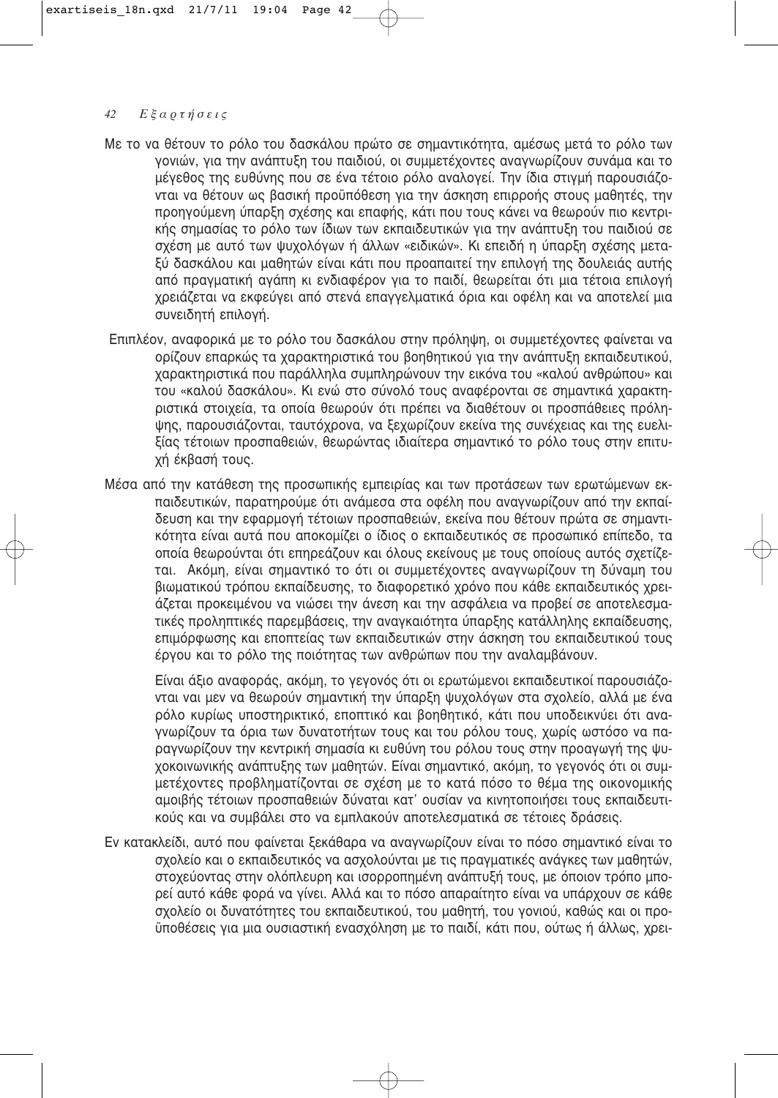- Με το να θέτουν το ρόλο του δασκάλου πρώτο σε σημαντικότητα, αμέσως μετά το ρόλο των γονιών, για την ανάπτυξη του παιδιού, οι συμμετέχοντες αναγνωρίζουν συνάμα και το μέγεθος της ευθύνης που σε ένα τέτοιο ρόλο αναλογεί. Την ίδια στιγμή παρουσιάζονται να θέτουν ως βασική προϋπόθεση για την άσκηση επιρροής στους μαθητές, την προηγούμενη ύπαρξη σχέσης και επαφής, κάτι που τους κάνει να θεωρούν πιο κεντρικής σημασίας το ρόλο των ίδιων των εκπαιδευτικών για την ανάπτυξη του παιδιού σε σχέση με αυτό των ψυχολόγων ή άλλων «ειδικών». Κι επειδή η ύπαρξη σχέσης μεταξύ δασκάλου και μαθητών είναι κάτι που προαπαιτεί την επιλογή της δουλειάς αυτής από πραγματική αγάπη κι ενδιαφέρον για το παιδί, θεωρείται ότι μια τέτοια επιλογή χρειάζεται να εκφεύγει από στενά επαγγελματικά όρια και οφέλη και να αποτελεί μια συνειδητή επιλογή.
- Επιπλέον, αναφορικά με το ρόλο του δασκάλου στην πρόληψη, οι συμμετέχοντες φαίνεται να ορίζουν επαρκώς τα χαρακτηριστικά του βοηθητικού για την ανάπτυξη εκπαιδευτικού. χαρακτηριστικά που παράλληλα συμπληρώνουν την εικόνα του «καλού ανθρώπου» και του «καλού δασκάλου». Κι ενώ στο σύνολό τους αναφέρονται σε σημαντικά χαρακτηριστικά στοιχεία, τα οποία θεωρούν ότι πρέπει να διαθέτουν οι προσπάθειες πρόληψης, παρουσιάζονται, ταυτόχρονα, να ξεχωρίζουν εκείνα της συνέχειας και της ευελιξίας τέτοιων προσπαθειών, θεωρώντας ιδιαίτερα σημαντικό το ρόλο τους στην επιτυχή έκβασή τους.
- Μέσα από την κατάθεση της προσωπικής εμπειρίας και των προτάσεων των ερωτώμενων εκπαιδευτικών, παρατηρούμε ότι ανάμεσα στα οφέλη που αναγνωρίζουν από την εκπαίδευση και την εφαρμογή τέτοιων προσπαθειών, εκείνα που θέτουν πρώτα σε σημαντικότητα είναι αυτά που αποκομίζει ο ίδιος ο εκπαιδευτικός σε προσωπικό επίπεδο, τα οποία θεωρούνται ότι επηρεάζουν και όλους εκείνους με τους οποίους αυτός σχετίζεται. Ακόμη, είναι σημαντικό το ότι οι συμμετέχοντες αναγνωρίζουν τη δύναμη του βιωματικού τρόπου εκπαίδευσης, το διαφορετικό χρόνο που κάθε εκπαιδευτικός χρειάζεται προκειμένου να νιώσει την άνεση και την ασφάλεια να προβεί σε αποτελεσματικές προληπτικές παρεμβάσεις, την αναγκαιότητα ύπαρξης κατάλληλης εκπαίδευσης, επιμόρφωσης και εποπτείας των εκπαιδευτικών στην άσκηση του εκπαιδευτικού τους έργου και το ρόλο της ποιότητας των ανθρώπων που την αναλαμβάνουν.

Είναι άξιο αναφοράς, ακόμη, το γεγονός ότι οι ερωτώμενοι εκπαιδευτικοί παρουσιάζονται ναι μεν να θεωρούν σημαντική την ύπαρξη ψυχολόγων στα σχολείο, αλλά με ένα ρόλο κυρίως υποστηρικτικό, εποπτικό και βοηθητικό, κάτι που υποδεικνύει ότι αναγνωρίζουν τα όρια των δυνατοτήτων τους και του ρόλου τους, χωρίς ωστόσο να παραγνωρίζουν την κεντρική σημασία κι ευθύνη του ρόλου τους στην προαγωγή της ψυχοκοινωνικής ανάπτυξης των μαθητών. Είναι σημαντικό, ακόμη, το γεγονός ότι οι συμμετέχοντες προβληματίζονται σε σχέση με το κατά πόσο το θέμα της οικονομικής αμοιβής τέτοιων προσπαθειών δύναται κατ' ουσίαν να κινητοποιήσει τους εκπαιδευτικούς και να συμβάλει στο να εμπλακούν αποτελεσματικά σε τέτοιες δράσεις.

Εν κατακλείδι, αυτό που φαίνεται ξεκάθαρα να αναγνωρίζουν είναι το πόσο σημαντικό είναι το σχολείο και ο εκπαιδευτικός να ασχολούνται με τις πραγματικές ανάγκες των μαθητών, στοχεύοντας στην ολόπλευρη και ισορροπημένη ανάπτυξή τους, με όποιον τρόπο μπορεί αυτό κάθε φορά να γίνει. Αλλά και το πόσο απαραίτητο είναι να υπάρχουν σε κάθε σχολείο οι δυνατότητες του εκπαιδευτικού, του μαθητή, του γονιού, καθώς και οι προϋποθέσεις για μια ουσιαστική ενασχόληση με το παιδί, κάτι που, ούτως ή άλλως, χρει-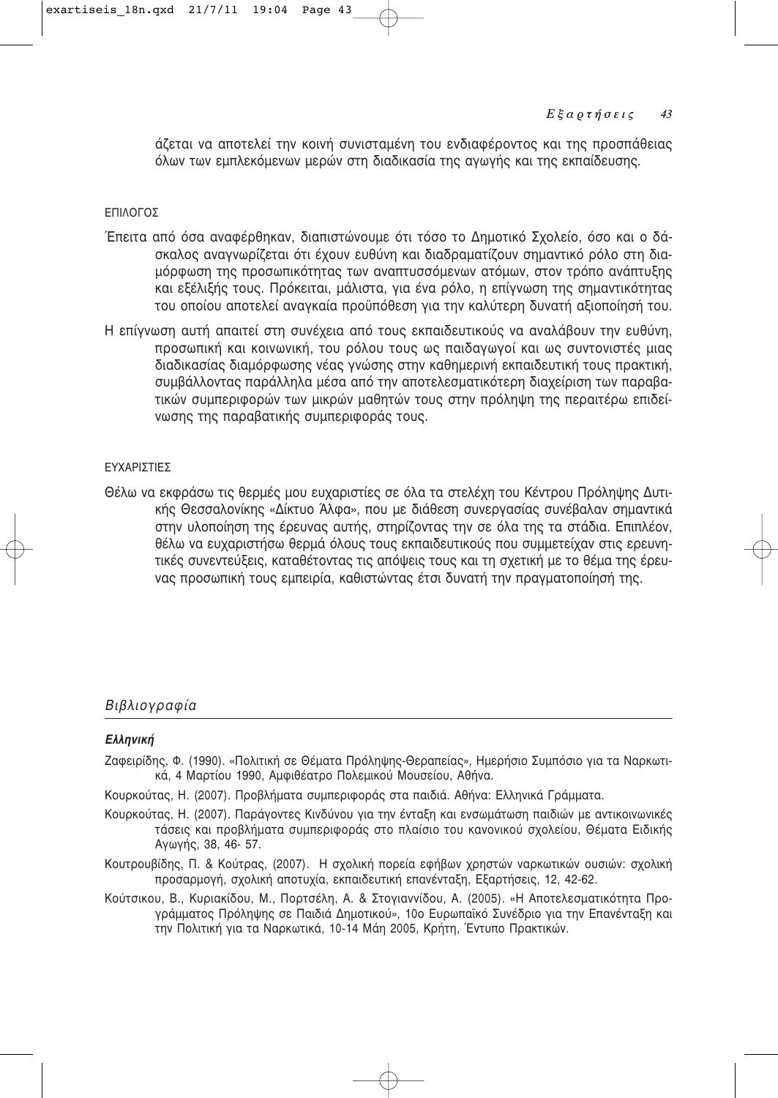exartiseis\_18n.qxd 21/7/11 19:04 Page 43

άζεται να αποτελεί την κοινή συνισταμένη του ενδιαφέροντος και της προσπάθειας όλων των εμπλεκόμενων μερών στη διαδικασία της αγωγής και της εκπαίδευσης.

### ΕΠΙΛΟΓΟΣ

- Έπειτα από όσα αναφέρθηκαν, διαπιστώνουμε ότι τόσο το Δημοτικό Σχολείο, όσο και ο δάσκαλος αναγνωρίζεται ότι έχουν ευθύνη και διαδραματίζουν σημαντικό ρόλο στη διαμόρφωση της προσωπικότητας των αναπτυσσόμενων ατόμων, στον τρόπο ανάπτυξης Και εξέλιξής τους. Πρόκειται, μάλιστα, για ένα ρόλο, η επίγνωση της σημαντικότητας του οποίου αποτελεί αναγκαία προϋπόθεση για την καλύτερη δυνατή αξιοποίησή του.
- Η επίγνωση αυτή απαιτεί στη συνέχεια από τους εκπαιδευτικούς να αναλάβουν την ευθύνη, προσωπική και κοινωνική, του ρόλου τους ως παιδαγωγοί και ως συντονιστές μιας διαδικασίας διαμόρφωσης νέας γνώσης στην καθημερινή εκπαιδευτική τους πρακτική, συμβάλλοντας παράλληλα μέσα από την αποτελεσματικότερη διαχείριση των παραβατικών συμπεριφορών των μικρών μαθητών τους στην πρόληψη της περαιτέρω επιδείνωσης της παραβατικής συμπεριφοράς τους.

### ΕΥΧΑΡΙΣΤΙΕΣ

Θέλω να εκφράσω τις θερμές μου ευχαριστίες σε όλα τα στελέχη του Κέντρου Πρόληψης Δυτικής Θεσσαλονίκης «Δίκτυο Άλφα», που με διάθεση συνεργασίας συνέβαλαν σημαντικά στην υλοποίηση της έρευνας αυτής, στηρίζοντας την σε όλα της τα στάδια. Επιπλέον, θέλω να ευχαριστήσω θερμά όλους τους εκπαιδευτικούς που συμμετείχαν στις ερευνητικές συνεντεύξεις, καταθέτοντας τις απόψεις τους και τη σχετική με το θέμα της έρευνας προσωπική τους εμπειρία, καθιστώντας έτσι δυνατή την πραγματοποίησή της.

### $B$ *ιβλιογραφία*

### *<i>Eλληνική*

- Zαφειρίδης, Φ. (1990). «Πολιτική σε Θέματα Πρόληψης-Θεραπείας», Ημερήσιο Συμπόσιο για τα Ναρκωτικά, 4 Μαρτίου 1990, Αμφιθέατρο Πολεμικού Μουσείου, Αθήνα.
- Κουρκούτας, Η. (2007). Προβλήματα συμπεριφοράς στα παιδιά. Αθήνα: Ελληνικά Γράμματα.
- Κουρκούτας, Η. (2007). Παράγοντες Κινδύνου για την ένταξη και ενσωμάτωση παιδιών με αντικοινωνικές τάσεις και προβλήματα συμπεριφοράς στο πλαίσιο του κανονικού σχολείου. Θέματα Ειδικής Aγωγής, 38, 46- 57.
- Κουτρουβίδης, Π. & Κούτρας, (2007). Η σχολική πορεία εφήβων χρηστών ναρκωτικών ουσιών: σχολική προσαρμογή, σχολική αποτυχία, εκπαιδευτική επανένταξη, Εξαρτήσεις, 12, 42-62.
- Κούτσικου, Β., Κυριακίδου, Μ., Πορτσέλη, Α. & Στογιαννίδου, Α. (2005). «Η Αποτελεσματικότητα Προγράμματος Πρόληψης σε Παιδιά Δημοτικού», 10ο Ευρωπαϊκό Συνέδριο για την Επανένταξη και την Πολιτική για τα Ναρκωτικά, 10-14 Μάη 2005, Κρήτη, Έντυπο Πρακτικών.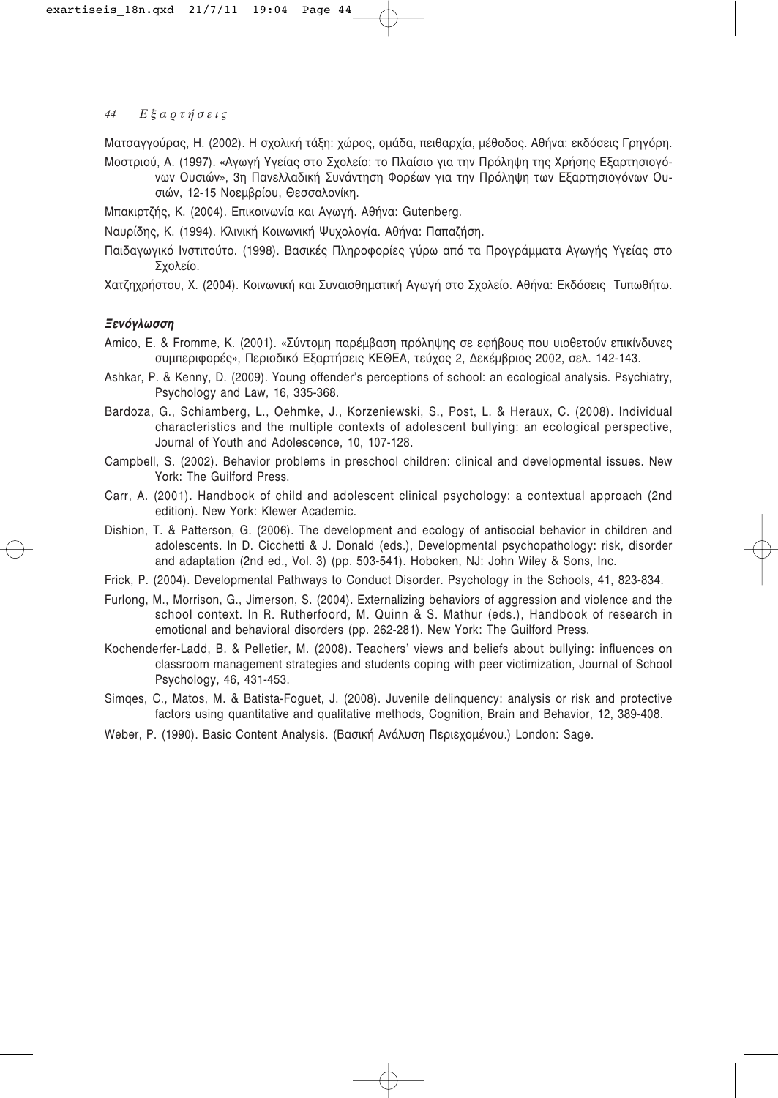### $\overline{44}$ Εξαρτήσεις

Ματσαγγούρας, Η. (2002). Η σχολική τάξη: χώρος, ομάδα, πειθαρχία, μέθοδος. Αθήνα: εκδόσεις Γρηγόρη. Μοστριού, Α. (1997). «Αγωγή Υγείας στο Σχολείο: το Πλαίσιο για την Πρόληψη της Χρήσης Εξαρτησιογό-

νων Ουσιών», 3η Πανελλαδική Συνάντηση Φορέων για την Πρόληψη των Εξαρτησιογόνων Ουσιών, 12-15 Νοεμβρίου, Θεσσαλονίκη.

Μπακιρτζής, Κ. (2004). Επικοινωνία και Αγωγή. Αθήνα: Gutenberg.

Ναυρίδης, Κ. (1994). Κλινική Κοινωνική Ψυχολογία. Αθήνα: Παπαζήση.

Παιδαγωγικό Ινστιτούτο. (1998). Βασικές Πληροφορίες γύρω από τα Προγράμματα Αγωγής Υγείας στο Σχολείο.

Χατζηχρήστου, Χ. (2004). Κοινωνική και Συναισθηματική Αγωγή στο Σχολείο. Αθήνα: Εκδόσεις Τυπωθήτω.

### Ξενόγλωσση

- Amico, E. & Fromme, K. (2001). «Σύντομη παρέμβαση πρόληψης σε εφήβους που υιοθετούν επικίνδυνες συμπεριφορές», Περιοδικό Εξαρτήσεις ΚΕΘΕΑ, τεύχος 2, Δεκέμβριος 2002, σελ. 142-143.
- Ashkar, P. & Kenny, D. (2009). Young offender's perceptions of school: an ecological analysis. Psychiatry, Psychology and Law, 16, 335-368.
- Bardoza, G., Schiamberg, L., Oehmke, J., Korzeniewski, S., Post, L. & Heraux, C. (2008). Individual characteristics and the multiple contexts of adolescent bullying: an ecological perspective, Journal of Youth and Adolescence, 10, 107-128.
- Campbell, S. (2002). Behavior problems in preschool children: clinical and developmental issues. New York: The Guilford Press.
- Carr, A. (2001). Handbook of child and adolescent clinical psychology: a contextual approach (2nd edition). New York: Klewer Academic.
- Dishion, T. & Patterson, G. (2006). The development and ecology of antisocial behavior in children and adolescents. In D. Cicchetti & J. Donald (eds.), Developmental psychopathology: risk, disorder and adaptation (2nd ed., Vol. 3) (pp. 503-541). Hoboken, NJ: John Wiley & Sons, Inc.
- Frick, P. (2004). Developmental Pathways to Conduct Disorder. Psychology in the Schools, 41, 823-834.
- Furlong, M., Morrison, G., Jimerson, S. (2004). Externalizing behaviors of aggression and violence and the school context. In R. Rutherfoord, M. Quinn & S. Mathur (eds.), Handbook of research in emotional and behavioral disorders (pp. 262-281). New York: The Guilford Press.
- Kochenderfer-Ladd, B. & Pelletier, M. (2008). Teachers' views and beliefs about bullying: influences on classroom management strategies and students coping with peer victimization, Journal of School Psychology, 46, 431-453.
- Simges, C., Matos, M. & Batista-Foguet, J. (2008), Juvenile delinguency; analysis or risk and protective factors using quantitative and qualitative methods, Cognition, Brain and Behavior, 12, 389-408.
- Weber, P. (1990). Basic Content Analysis. (Βασική Ανάλυση Περιεχομένου.) London: Sage.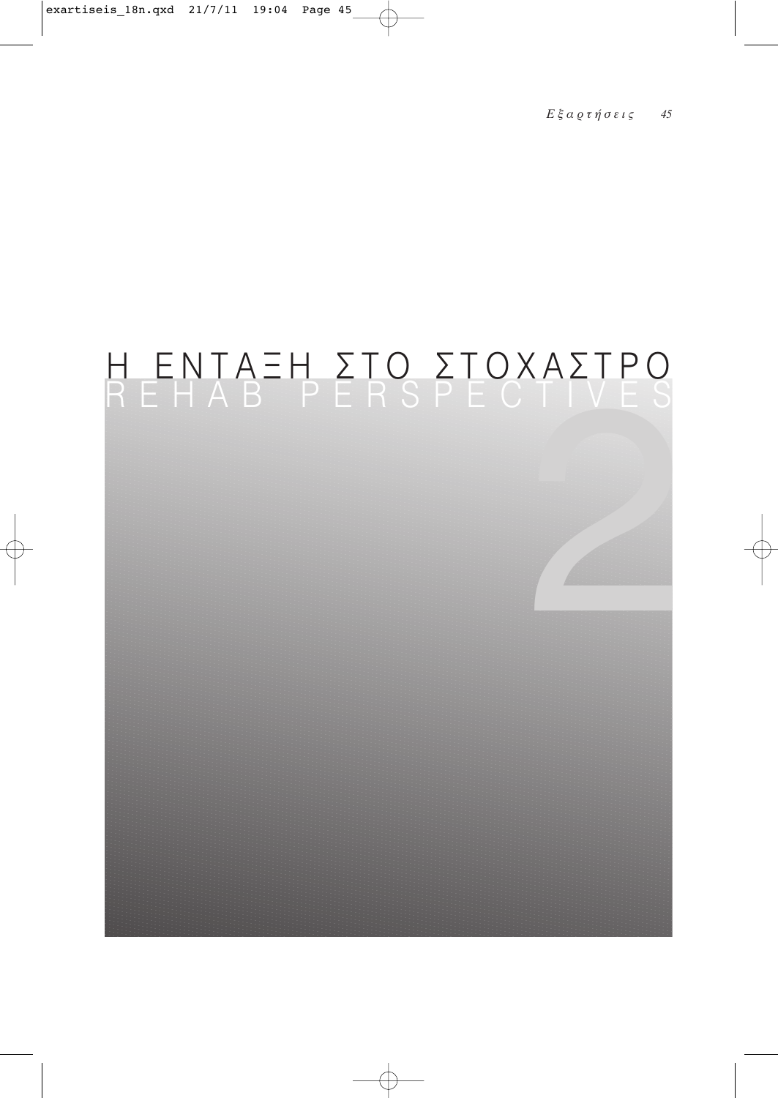$E \xi a \varrho \tau \eta \sigma \varepsilon \iota$  5 45

# H ENTAEH STO STOXASTPO<br>R E H A B P E R S P E C T I V E S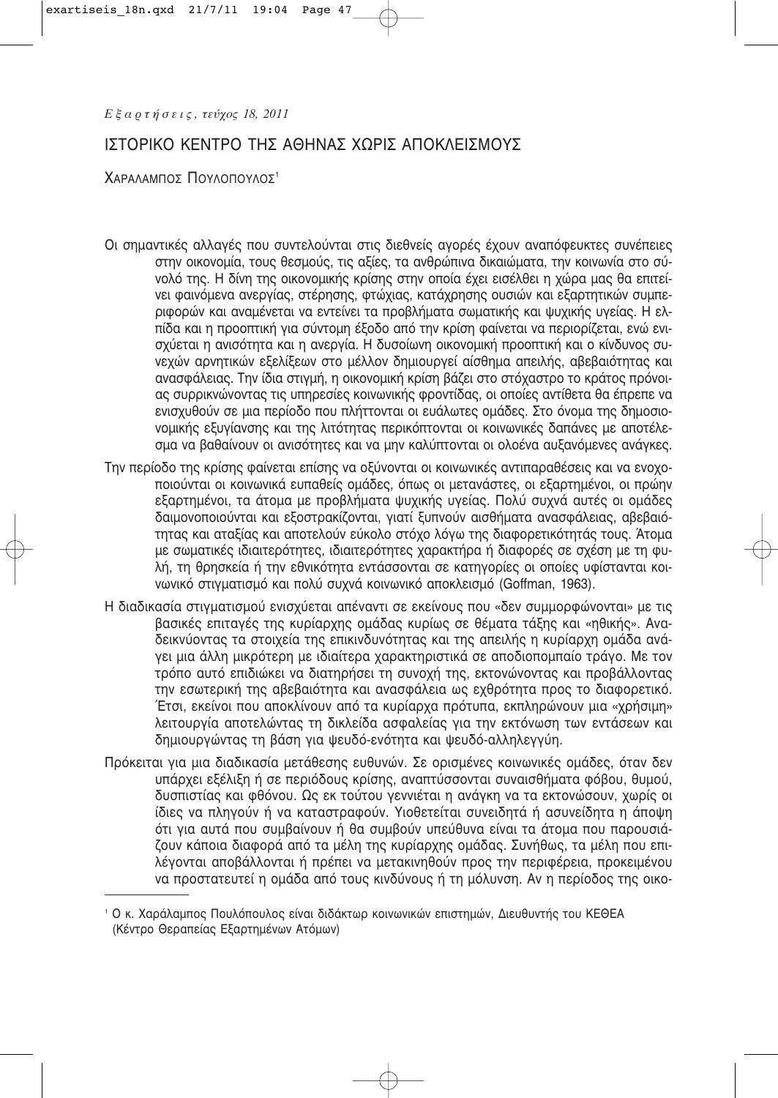Εξαρτήσεις, τεύγος 18, 2011

# ΙΣΤΟΡΙΚΟ ΚΕΝΤΡΟ ΤΗΣ ΑΘΗΝΑΣ ΧΩΡΙΣ ΑΠΟΚΛΕΙΣΜΟΥΣ

ΧΑΡΑΛΑΜΠΟΣ ΠΟΥΛΟΠΟΥΛΟΣ<sup>1</sup>

- Οι σημαντικές αλλαγές που συντελούνται στις διεθνείς αγορές έχουν αναπόφευκτες συνέπειες στην οικονομία, τους θεσμούς, τις αξίες, τα ανθρώπινα δικαιώματα, την κοινωνία στο σύνολό της. Η δίνη της οικονομικής κρίσης στην οποία έχει εισέλθει η χώρα μας θα επιτείνει φαινόμενα ανεργίας, στέρησης, φτώχιας, κατάχρησης ουσιών και εξαρτητικών συμπεριφορών και αναμένεται να εντείνει τα προβλήματα σωματικής και ψυχικής υγείας. Η ελπίδα και η προοπτική για σύντομη έξοδο από την κρίση φαίνεται να περιορίζεται, ενώ ενισχύεται η ανισότητα και η ανεργία. Η δυσοίωνη οικονομική προοπτική και ο κίνδυνος συνεχών αρνητικών εξελίξεων στο μέλλον δημιουργεί αίσθημα απειλής, αβεβαιότητας και ανασφάλειας. Την ίδια στιγμή, η οικονομική κρίση βάζει στο στόχαστρο το κράτος πρόνοιας συρρικνώνοντας τις υπηρεσίες κοινωνικής φροντίδας, οι οποίες αντίθετα θα έπρεπε να ενισχυθούν σε μια περίοδο που πλήττονται οι ευάλωτες ομάδες. Στο όνομα της δημοσιονομικής εξυγίανσης και της λιτότητας περικόπτονται οι κοινωνικές δαπάνες με αποτέλεσμα να βαθαίνουν οι ανισότητες και να μην καλύπτονται οι ολοένα αυξανόμενες ανάνκες.
- Την περίοδο της κρίσης φαίνεται επίσης να οξύνονται οι κοινωνικές αντιπαραθέσεις και να ενοχοποιούνται οι κοινωνικά ευπαθείς ομάδες, όπως οι μετανάστες, οι εξαρτημένοι, οι πρώην εξαρτημένοι, τα άτομα με προβλήματα ψυχικής υγείας. Πολύ συχνά αυτές οι ομάδες δαιμονοποιούνται και εξοστρακίζονται, γιατί ξυπνούν αισθήματα ανασφάλειας, αβεβαιότητας και αταξίας και αποτελούν εύκολο στόχο λόγω της διαφορετικότητάς τους. Άτομα με σωματικές ιδιαιτερότητες, ιδιαιτερότητες χαρακτήρα ή διαφορές σε σχέση με τη φυλή, τη θρησκεία ή την εθνικότητα εντάσσονται σε κατηγορίες οι οποίες υφίστανται κοινωνικό στιγματισμό και πολύ συχνά κοινωνικό αποκλεισμό (Goffman, 1963).
- Η διαδικασία στιγματισμού ενισχύεται απέναντι σε εκείνους που «δεν συμμορφώνονται» με τις βασικές επιταγές της κυρίαρχης ομάδας κυρίως σε θέματα τάξης και «ηθικής». Αναδεικνύοντας τα στοιχεία της επικινδυνότητας και της απειλής η κυρίαρχη ομάδα ανάγει μια άλλη μικρότερη με ιδιαίτερα χαρακτηριστικά σε αποδιοπομπαίο τράγο. Με τον τρόπο αυτό επιδιώκει να διατηρήσει τη συνοχή της, εκτονώνοντας και προβάλλοντας την εσωτερική της αβεβαιότητα και ανασφάλεια ως εχθρότητα προς το διαφορετικό. Έτσι, εκείνοι που αποκλίνουν από τα κυρίαρχα πρότυπα, εκπληρώνουν μια «χρήσιμη» λειτουργία αποτελώντας τη δικλείδα ασφαλείας για την εκτόνωση των εντάσεων και δημιουργώντας τη βάση για ψευδό-ενότητα και ψευδό-αλληλεγγύη.
- Πρόκειται για μια διαδικασία μετάθεσης ευθυνών. Σε ορισμένες κοινωνικές ομάδες, όταν δεν υπάρχει εξέλιξη ή σε περιόδους κρίσης, αναπτύσσονται συναισθήματα φόβου, θυμού, δυσπιστίας και φθόνου. Ως εκ τούτου γεννιέται η ανάγκη να τα εκτονώσουν, χωρίς οι ίδιες να πληγούν ή να καταστραφούν. Υιοθετείται συνειδητά ή ασυνείδητα η άποψη ότι για αυτά που συμβαίνουν ή θα συμβούν υπεύθυνα είναι τα άτομα που παρουσιάζουν κάποια διαφορά από τα μέλη της κυρίαρχης ομάδας. Συνήθως, τα μέλη που επιλέγονται αποβάλλονται ή πρέπει να μετακινηθούν προς την περιφέρεια, προκειμένου να προστατευτεί η ομάδα από τους κινδύνους ή τη μόλυνση. Αν η περίοδος της οικο-

<sup>&</sup>lt;sup>1</sup> Ο κ. Χαράλαμπος Πουλόπουλος είναι διδάκτωρ κοινωνικών επιστημών, Διευθυντής του ΚΕΘΕΑ (Κέντρο Θεραπείας Εξαρτημένων Ατόμων)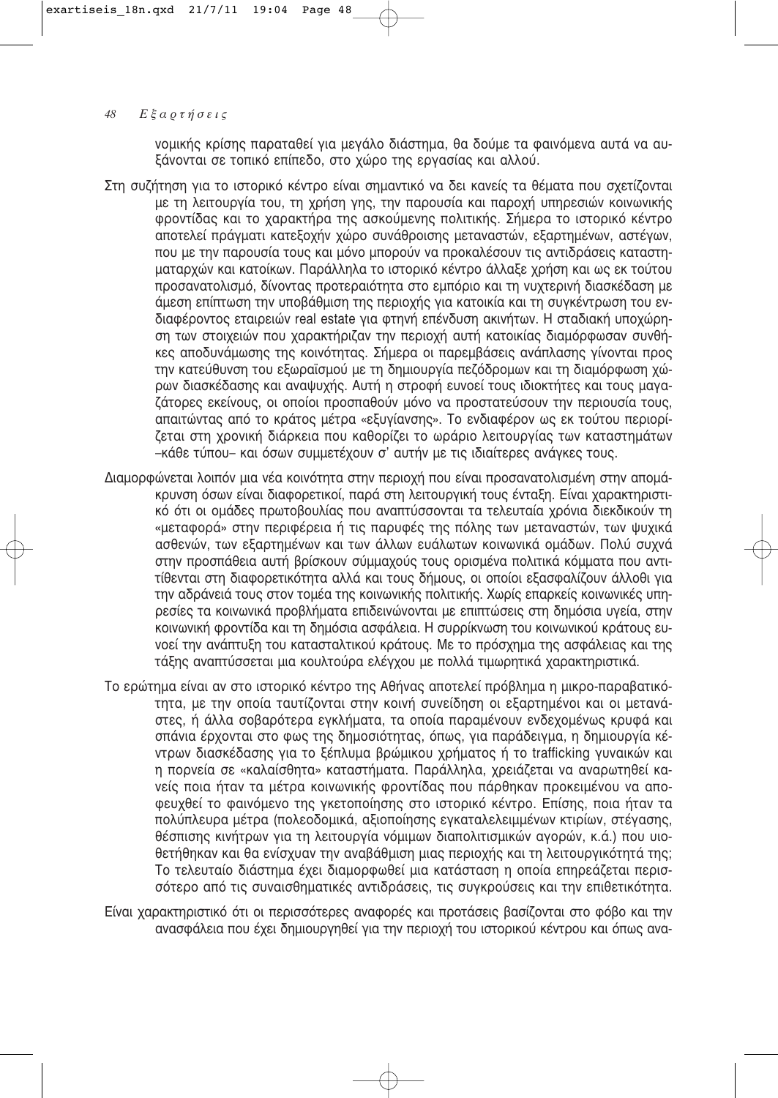νομικής κρίσης παραταθεί για μεγάλο διάστημα, θα δούμε τα φαινόμενα αυτά να αυξάνονται σε τοπικό επίπεδο, στο χώρο της εργασίας και αλλού.

- Στη συζήτηση για το ιστορικό κέντρο είναι σημαντικό να δει κανείς τα θέματα που σχετίζονται με τη λειτουργία του, τη χρήση γης, την παρουσία και παροχή υπηρεσιών κοινωνικής φροντίδας και το χαρακτήρα της ασκούμενης πολιτικής. Σήμερα το ιστορικό κέντρο αποτελεί πράγματι κατεξοχήν χώρο συνάθροισης μεταναστών, εξαρτημένων, αστέγων, που με την παρουσία τους και μόνο μπορούν να προκαλέσουν τις αντιδράσεις καταστηματαρχών και κατοίκων. Παράλληλα το ιστορικό κέντρο άλλαξε χρήση και ως εκ τούτου προσανατολισμό, δίνοντας προτεραιότητα στο εμπόριο και τη νυχτερινή διασκέδαση με άμεση επίπτωση την υποβάθμιση της περιοχής για κατοικία και τη συγκέντρωση του ενδιαφέροντος εταιρειών real estate για φτηνή επένδυση ακινήτων. Η σταδιακή υποχώρηση των στοιχειών που χαρακτήριζαν την περιοχή αυτή κατοικίας διαμόρφωσαν συνθήκες αποδυνάμωσης της κοινότητας. Σήμερα οι παρεμβάσεις ανάπλασης γίνονται προς την κατεύθυνση του εξωραϊσμού με τη δημιουργία πεζόδρομων και τη διαμόρφωση χώρων διασκέδασης και αναψυχής. Αυτή η στροφή ευνοεί τους ιδιοκτήτες και τους μαγαζάτορες εκείνους, οι οποίοι προσπαθούν μόνο να προστατεύσουν την περιουσία τους, απαιτώντας από το κράτος μέτρα «εξυγίανσης». Το ενδιαφέρον ως εκ τούτου περιορίζεται στη χρονική διάρκεια που καθορίζει το ωράριο λειτουργίας των καταστημάτων -κάθε τύπου- και όσων συμμετέχουν σ' αυτήν με τις ιδιαίτερες ανάγκες τους.
- Διαμορφώνεται λοιπόν μια νέα κοινότητα στην περιοχή που είναι προσανατολισμένη στην απομάκρυνση όσων είναι διαφορετικοί, παρά στη λειτουργική τους ένταξη. Είναι χαρακτηριστικό ότι οι ομάδες πρωτοβουλίας που αναπτύσσονται τα τελευταία χρόνια διεκδικούν τη «μεταφορά» στην περιφέρεια ή τις παρυφές της πόλης των μεταναστών, των ψυχικά ασθενών, των εξαρτημένων και των άλλων ευάλωτων κοινωνικά ομάδων. Πολύ συχνά στην προσπάθεια αυτή βρίσκουν σύμμαχούς τους ορισμένα πολιτικά κόμματα που αντιτίθενται στη διαφορετικότητα αλλά και τους δήμους, οι οποίοι εξασφαλίζουν άλλοθι για την αδράνειά τους στον τομέα της κοινωνικής πολιτικής. Χωρίς επαρκείς κοινωνικές υπηρεσίες τα κοινωνικά προβλήματα επιδεινώνονται με επιπτώσεις στη δημόσια υγεία, στην κοινωνική φροντίδα και τη δημόσια ασφάλεια. Η συρρίκνωση του κοινωνικού κράτους ευνοεί την ανάπτυξη του κατασταλτικού κράτους. Με το πρόσχημα της ασφάλειας και της τάξης αναπτύσσεται μια κουλτούρα ελέγχου με πολλά τιμωρητικά χαρακτηριστικά.
- Το ερώτημα είναι αν στο ιστορικό κέντρο της Αθήνας αποτελεί πρόβλημα η μικρο-παραβατικότητα, με την οποία ταυτίζονται στην κοινή συνείδηση οι εξαρτημένοι και οι μετανάστες, ή άλλα σοβαρότερα εγκλήματα, τα οποία παραμένουν ενδεχομένως κρυφά και σπάνια έρχονται στο φως της δημοσιότητας, όπως, για παράδειγμα, η δημιουργία κέντρων διασκέδασης για το ξέπλυμα βρώμικου χρήματος ή το trafficking γυναικών και η πορνεία σε «καλαίσθητα» καταστήματα. Παράλληλα, χρειάζεται να αναρωτηθεί κανείς ποια ήταν τα μέτρα κοινωνικής φροντίδας που πάρθηκαν προκειμένου να αποφευχθεί το φαινόμενο της γκετοποίησης στο ιστορικό κέντρο. Επίσης, ποια ήταν τα πολύπλευρα μέτρα (πολεοδομικά, αξιοποίησης εγκαταλελειμμένων κτιρίων, στέγασης, θέσπισης κινήτρων για τη λειτουργία νόμιμων διαπολιτισμικών αγορών, κ.ά.) που υιοθετήθηκαν και θα ενίσχυαν την αναβάθμιση μιας περιοχής και τη λειτουργικότητά της; Το τελευταίο διάστημα έχει διαμορφωθεί μια κατάσταση η οποία επηρεάζεται περισσότερο από τις συναισθηματικές αντιδράσεις, τις συγκρούσεις και την επιθετικότητα.
- Είναι χαρακτηριστικό ότι οι περισσότερες αναφορές και προτάσεις βασίζονται στο φόβο και την ανασφάλεια που έχει δημιουργηθεί για την περιοχή του ιστορικού κέντρου και όπως ανα-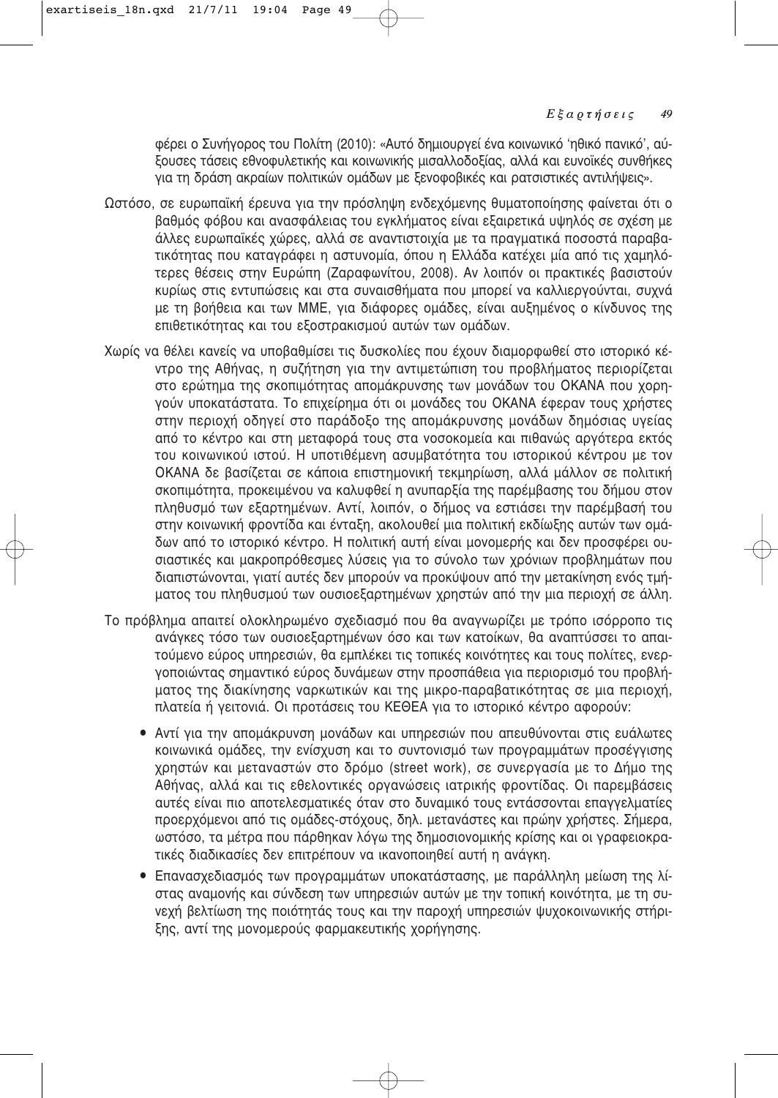exartiseis  $18n.qxd$   $21/7/11$   $19:04$  Page

φέρει ο Συνήγορος του Πολίτη (2010): «Αυτό δημιουργεί ένα κοινωνικό 'ηθικό πανικό', αύξουσες τάσεις εθνοφυλετικής και κοινωνικής μισαλλοδοξίας, αλλά και ευνοϊκές συνθήκες για τη δράση ακραίων πολιτικών ομάδων με ξενοφοβικές και ρατσιστικές αντιλήψεις».

- Ωστόσο, σε ευρωπαϊκή έρευνα για την πρόσληψη ενδεχόμενης θυματοποίησης φαίνεται ότι ο βαθμός φόβου και ανασφάλειας του εγκλήματος είναι εξαιρετικά υψηλός σε σχέση με άλλες ευρωπαϊκές χώρες, αλλά σε αναντιστοιχία με τα πραγματικά ποσοστά παραβατικότητας που καταγράφει η αστυνομία, όπου η Ελλάδα κατέχει μία από τις χαμηλότερες θέσεις στην Ευρώπη (Ζαραφωνίτου, 2008). Αν λοιπόν οι πρακτικές βασιστούν κυρίως στις εντυπώσεις και στα συναισθήματα που μπορεί να καλλιεργούνται, συχνά με τη βοήθεια και των ΜΜΕ, για διάφορες ομάδες, είναι αυξημένος ο κίνδυνος της επιθετικότητας και του εξοστρακισμού αυτών των ομάδων.
- Χωρίς να θέλει κανείς να υποβαθμίσει τις δυσκολίες που έχουν διαμορφωθεί στο ιστορικό κέντρο της Αθήνας, η συζήτηση για την αντιμετώπιση του προβλήματος περιορίζεται στο ερώτημα της σκοπιμότητας απομάκρυνσης των μονάδων του OKANA που χορηγούν υποκατάστατα. Το επιχείρημα ότι οι μονάδες του ΟΚΑΝΑ έφεραν τους χρήστες στην περιοχή οδηγεί στο παράδοξο της απομάκρυνσης μονάδων δημόσιας υγείας από το κέντρο και στη μεταφορά τους στα νοσοκομεία και πιθανώς αργότερα εκτός του κοινωνικού ιστού. Η υποτιθέμενη ασυμβατότητα του ιστορικού κέντρου με τον ΟΚΑΝΑ δε βασίζεται σε κάποια επιστημονική τεκμηρίωση, αλλά μάλλον σε πολιτική σκοπιμότητα, προκειμένου να καλυφθεί η ανυπαρξία της παρέμβασης του δήμου στον πληθυσμό των εξαρτημένων. Αντί, λοιπόν, ο δήμος να εστιάσει την παρέμβασή του στην κοινωνική φροντίδα και ένταξη, ακολουθεί μια πολιτική εκδίωξης αυτών των ομάδων από το ιστορικό κέντρο. Η πολιτική αυτή είναι μονομερής και δεν προσφέρει ουσιαστικές και μακροπρόθεσμες λύσεις για το σύνολο των χρόνιων προβλημάτων που διαπιστώνονται, γιατί αυτές δεν μπορούν να προκύψουν από την μετακίνηση ενός τμήματος του πληθυσμού των ουσιοεξαρτημένων χρηστών από την μια περιοχή σε άλλη.
- Το πρόβλημα απαιτεί ολοκληρωμένο σχεδιασμό που θα αναγνωρίζει με τρόπο ισόρροπο τις ανάγκες τόσο των ουσιοεξαρτημένων όσο και των κατοίκων, θα αναπτύσσει το απαιτούμενο εύρος υπηρεσιών, θα εμπλέκει τις τοπικές κοινότητες και τους πολίτες, ενεργοποιώντας σημαντικό εύρος δυνάμεων στην προσπάθεια για περιορισμό του προβλήματος της διακίνησης ναρκωτικών και της μικρο-παραβατικότητας σε μια περιοχή, πλατεία ή γειτονιά. Οι προτάσεις του ΚΕΘΕΑ για το ιστορικό κέντρο αφορούν:
	- Αντί για την απομάκρυνση μονάδων και υπηρεσιών που απευθύνονται στις ευάλωτες ΚΟΙΥΦΥΙΚΆ Ομάδες, την ενίσχυση και το συντονισμό των προνραμμάτων προσέννισης χρηστών και μεταναστών στο δρόμο (street work), σε συνεργασία με το Δήμο της Αθήνας, αλλά και τις εθελοντικές οργανώσεις ιατρικής φροντίδας. Οι παρεμβάσεις αυτές είναι πιο αποτελεσματικές όταν στο δυναμικό τους εντάσσονται επαγγελματίες προερχόμενοι από τις ομάδες-στόχους, δηλ. μετανάστες και πρώην χρήστες. Σήμερα, ωστόσο, τα μέτρα που πάρθηκαν λόγω της δημοσιονομικής κρίσης και οι γραφειοκρατικές διαδικασίες δεν επιτρέπουν να ικανοποιηθεί αυτή η ανάγκη.
	- Επανασχεδιασμός των προγραμμάτων υποκατάστασης, με παράλληλη μείωση της λίστας αναμονής και σύνδεση των υπηρεσιών αυτών με την τοπική κοινότητα, με τη συνεχή βελτίωση της ποιότητάς τους και την παροχή υπηρεσιών ψυχοκοινωνικής στήριξης, αντί της μονομερούς φαρμακευτικής χορήγησης.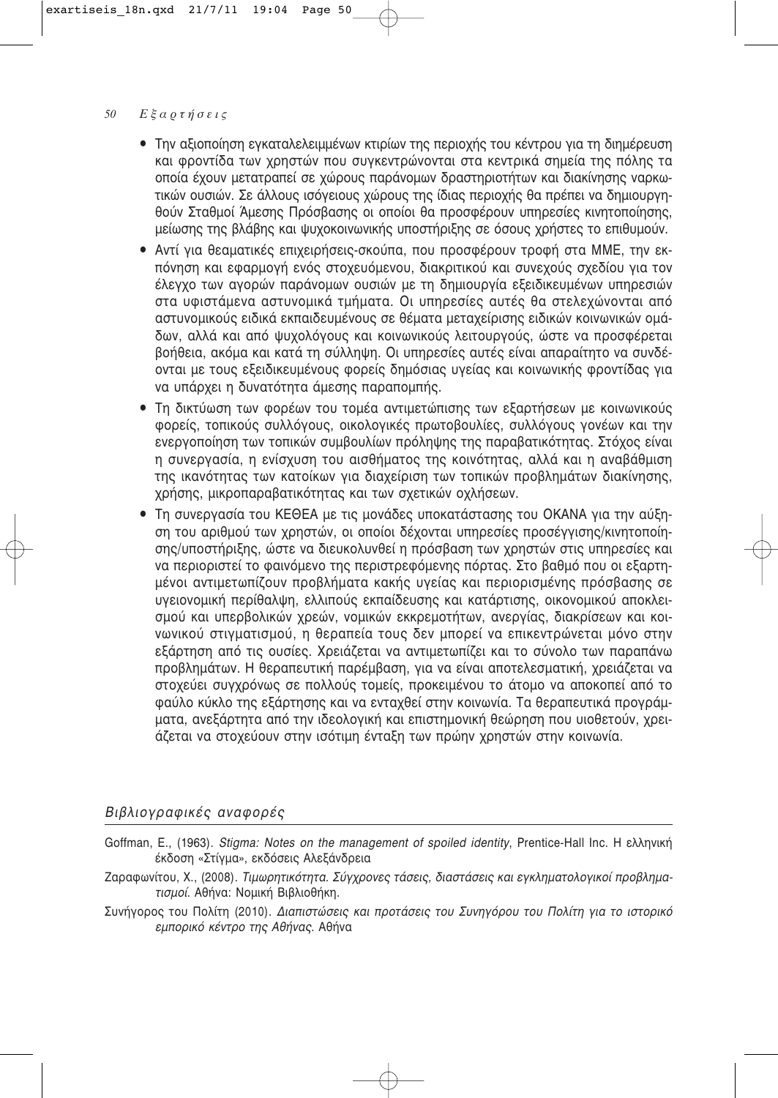- Την αξιοποίηση εγκαταλελειμμένων κτιρίων της περιοχής του κέντρου για τη διημέρευση και φροντίδα των χρηστών που συγκεντρώνονται στα κεντρικά σημεία της πόλης τα οποία έχουν μετατραπεί σε χώρους παράνομων δραστηριοτήτων και διακίνησης ναρκωτικών ουσιών. Σε άλλους ισόγειους χώρους της ίδιας περιοχής θα πρέπει να δημιουργηθούν Σταθμοί Άμεσης Πρόσβασης οι οποίοι θα προσφέρουν υπηρεσίες κινητοποίησης, μείωσης της βλάβης και ψυχοκοινωνικής υποστήριξης σε όσους χρήστες το επιθυμούν.
- Αντί για θεαματικές επιχειρήσεις-σκούπα, που προσφέρουν τροφή στα ΜΜΕ, την εκπόνηση και εφαρμογή ενός στοχευόμενου, διακριτικού και συνεχούς σχεδίου για τον έλενχο των ανορών παράνομων ουσιών με τη δημιουρνία εξειδικευμένων υπηρεσιών στα υφιστάμενα αστυνομικά τμήματα. Οι υπηρεσίες αυτές θα στελεχώνονται από αστυνομικούς ειδικά εκπαιδευμένους σε θέματα μεταχείρισης ειδικών κοινωνικών ομάδων, αλλά και από ψυχολόγους και κοινωνικούς λειτουργούς, ώστε να προσφέρεται βοήθεια, ακόμα και κατά τη σύλληψη. Οι υπηρεσίες αυτές είναι απαραίτητο να συνδέονται με τους εξειδικευμένους φορείς δημόσιας υγείας και κοινωνικής φροντίδας για να υπάρχει η δυνατότητα άμεσης παραπομπής.
- Τη δικτύωση των φορέων του τομέα αντιμετώπισης των εξαρτήσεων με κοινωνικούς φορείς, τοπικούς συλλόγους, οικολογικές πρωτοβουλίες, συλλόγους γονέων και την ενεργοποίηση των τοπικών συμβουλίων πρόληψης της παραβατικότητας. Στόχος είναι η συνεργασία, η ενίσχυση του αισθήματος της κοινότητας, αλλά και η αναβάθμιση της ικανότητας των κατοίκων για διαχείριση των τοπικών προβλημάτων διακίνησης, χρήσης, μικροπαραβατικότητας και των σχετικών οχλήσεων.
- Τη συνεργασία του ΚΕΘΕΑ με τις μονάδες υποκατάστασης του ΟΚΑΝΑ για την αύξηση του αριθμού των χρηστών, οι οποίοι δέχονται υπηρεσίες προσέγγισης/κινητοποίησης/υποστήριξης, ώστε να διευκολυνθεί η πρόσβαση των χρηστών στις υπηρεσίες και να περιοριστεί το φαινόμενο της περιστρεφόμενης πόρτας. Στο βαθμό που οι εξαρτημένοι αντιμετωπίζουν προβλήματα κακής υγείας και περιορισμένης πρόσβασης σε υγειονομική περίθαλψη, ελλιπούς εκπαίδευσης και κατάρτισης, οικονομικού αποκλεισμού και υπερβολικών χρεών, νομικών εκκρεμοτήτων, ανεργίας, διακρίσεων και κοινωνικού στιγματισμού, η θεραπεία τους δεν μπορεί να επικεντρώνεται μόνο στην εξάρτηση από τις ουσίες. Χρειάζεται να αντιμετωπίζει και το σύνολο των παραπάνω προβλημάτων. Η θεραπευτική παρέμβαση, για να είναι αποτελεσματική, χρειάζεται να στοχεύει συγχρόνως σε πολλούς τομείς, προκειμένου το άτομο να αποκοπεί από το φαύλο κύκλο της εξάρτησης και να ενταχθεί στην κοινωνία. Τα θεραπευτικά προγράμματα, ανεξάρτητα από την ιδεολογική και επιστημονική θεώρηση που υιοθετούν, χρειάζεται να στοχεύουν στην ισότιμη ένταξη των πρώην χρηστών στην κοινωνία.

### *Βιβλιογραφικές αναφορές*

Goffman, E., (1963). *Stigma: Notes on the management of spoiled identity*, Prentice-Hall Inc. H ελληνική έκδοση «Στίγμα», εκδόσεις Αλεξάνδρεια

Zαραφωνίτου, X., (2008). *Τιμωρητικότητα. Σύγχρονες τάσεις, διαστάσεις και εγκληματολογικοί προβλημα*τισμοί. Αθήνα: Νομική Βιβλιοθήκη.

Συνήνορος του Πολίτη (2010). Διαπιστώσεις και προτάσεις του Συνηγόρου του Πολίτη για το ιστορικό εμπορικό κέντρο της Αθήνας. Αθήνα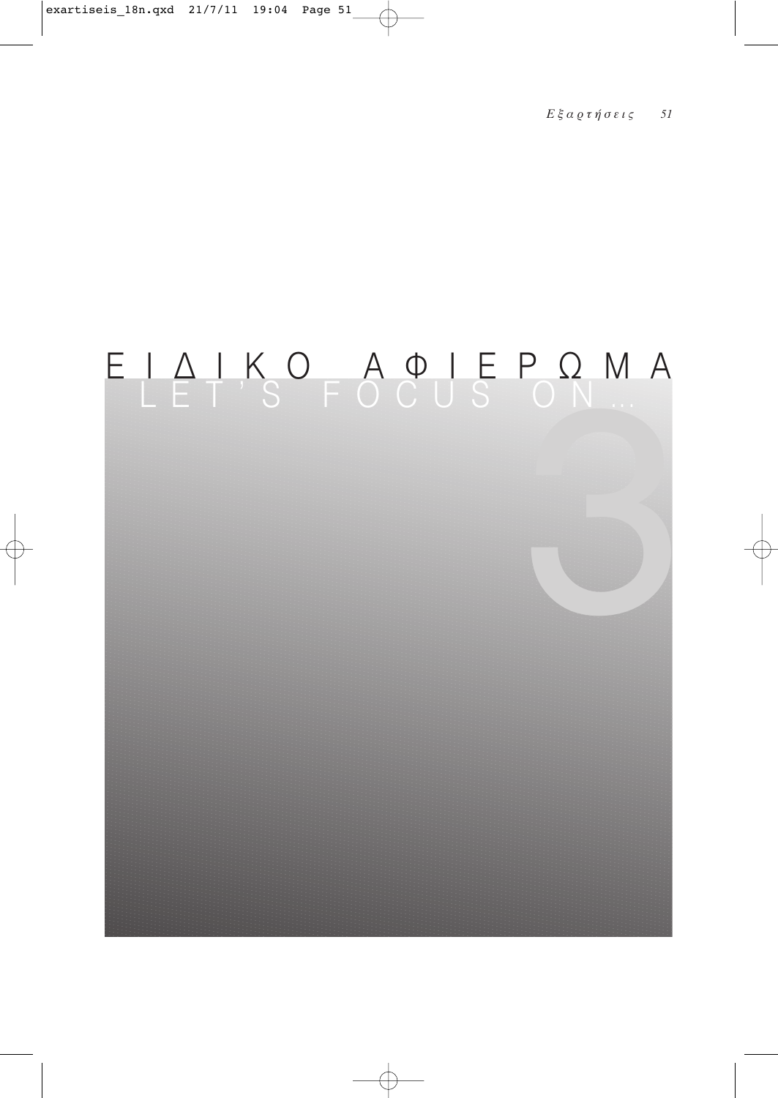$E \xi \alpha \varrho \tau \eta \sigma \varepsilon \iota \varsigma = 5l$ 

# E | A | K O | A O | E P O M A<br>L E T 'S F O C U S O N ...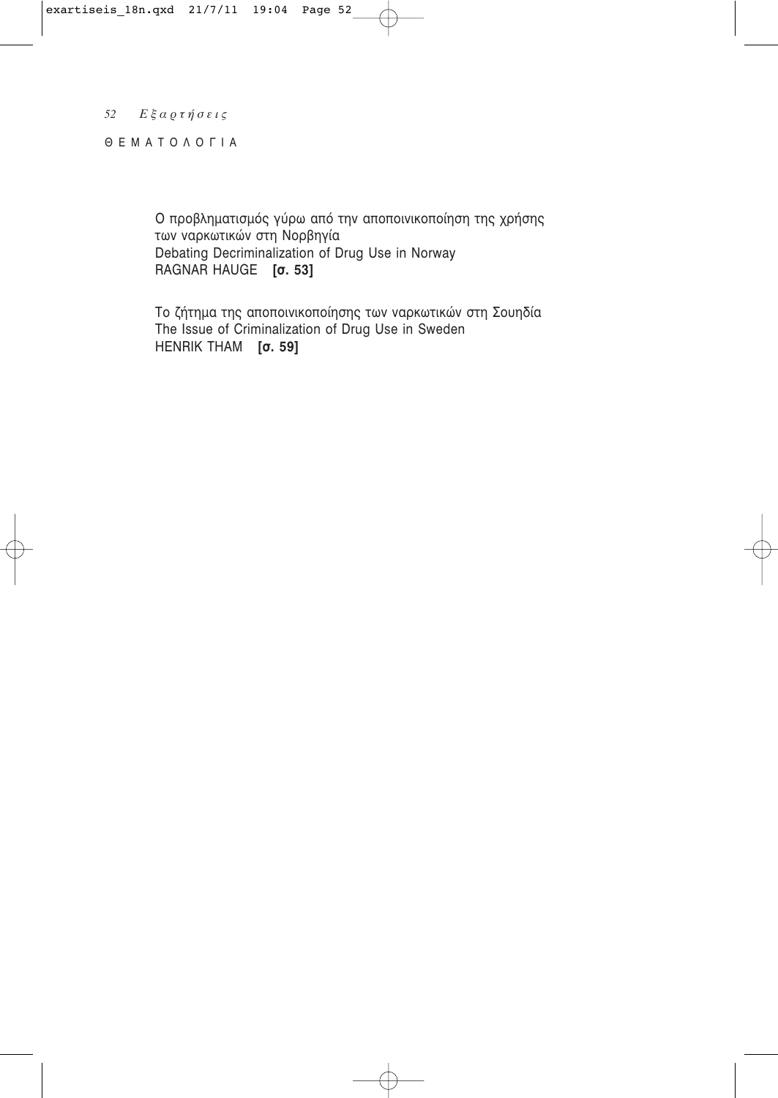$E$ ξαρτήσεις 52

**OEMATOAOFIA** 

Ο προβληματισμός γύρω από την αποποινικοποίηση της χρήσης των ναρκωτικών στη Νορβηγία Debating Decriminalization of Drug Use in Norway RAGNAR HAUGE [o. 53]

Το ζήτημα της αποποινικοποίησης των ναρκωτικών στη Σουηδία The Issue of Criminalization of Drug Use in Sweden HENRIK THAM [o. 59]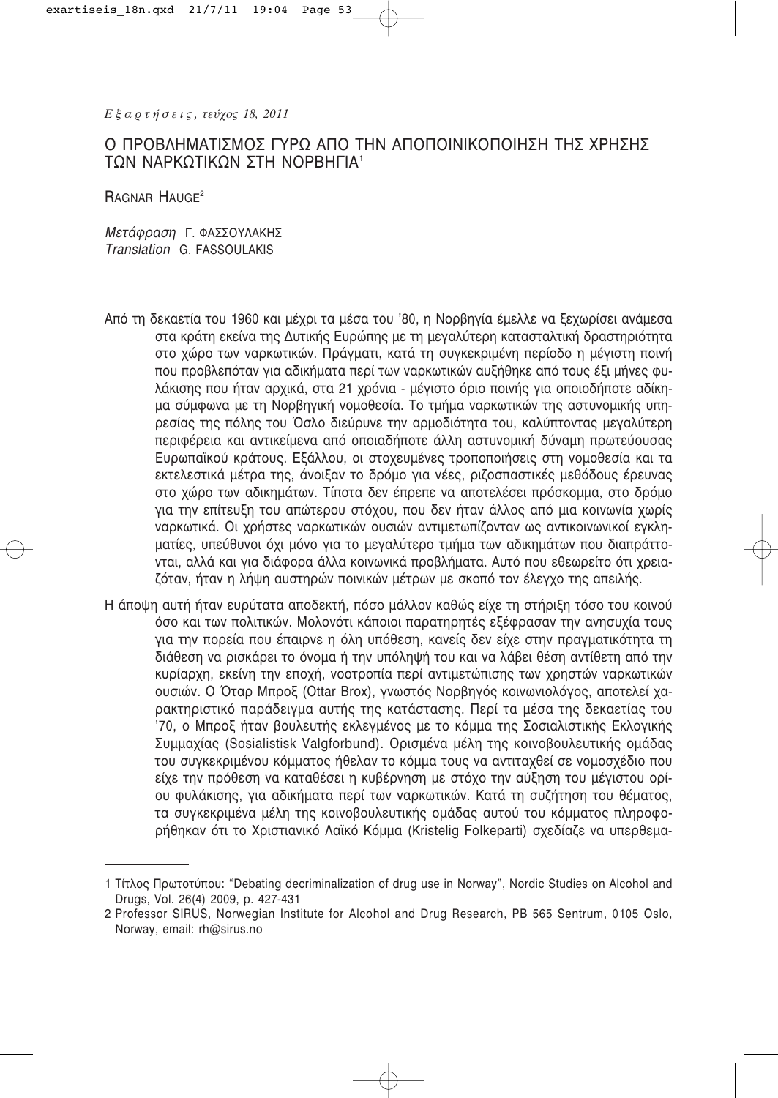*Ε ξ α ρ τ ή σ ε ι ς , τεύχος 18, 2011*

# Ο ΠΡΟΒΛΗΜΑΤΙΣΜΟΣ ΓΥΡΩ ΑΠΟ ΤΗΝ ΑΠΟΠΟΙΝΙΚΟΠΟΙΗΣΗ ΤΗΣ ΧΡΗΣΗΣ ΤΟΝ ΝΑΡΚΟΤΙΚΟΝ ΣΤΗ ΝΟΡΒΗΓΙΑ<sup>1</sup>

RAGNAR HAUGF<sup>2</sup>

*Μετάφραση* Γ. ΦΑΣΣΟΥΛΑΚΗΣ *Translation* G. FASSOULAKIS

- Aπό τη δεκαετία του 1960 και μέχρι τα μέσα του '80, η Νορβηγία έμελλε να ξεχωρίσει ανάμεσα στα κράτη εκείνα της Δυτικής Ευρώπης με τη μεγαλύτερη κατασταλτική δραστηριότητα στο χώρο των ναρκωτικών. Πράγματι, κατά τη συγκεκριμένη περίοδο η μέγιστη ποινή που προβλεπόταν για αδικήματα περί των ναρκωτικών αυξήθηκε από τους έξι μήνες φυλάκισης που ήταν αρχικά, στα 21 χρόνια - μέγιστο όριο ποινής για οποιοδήποτε αδίκημα σύμφωνα με τη Νοοβηνική νομοθεσία. Το τμήμα ναρκωτικών της αστυνομικής υπηρεσίας της πόλης του Όσλο διεύρυνε την αρμοδιότητα του, καλύπτοντας μεγαλύτερη περιφέρεια και αντικείμενα από οποιαδήποτε άλλη αστυνομική δύναμη πρωτεύουσας Ευρωπαϊκού κράτους. Εξάλλου, οι στοχευμένες τροποποιήσεις στη νομοθεσία και τα εκτελεστικά μέτρα της, άνοιξαν το δρόμο για νέες, ριζοσπαστικές μεθόδους έρευνας στο χώρο των αδικημάτων. Τίποτα δεν έπρεπε να αποτελέσει πρόσκομμα, στο δρόμο για την επίτευξη του απώτερου στόχου, που δεν ήταν άλλος από μια κοινωνία χωρίς ναρκωτικά. Οι χρήστες ναρκωτικών ουσιών αντιμετωπίζονταν ως αντικοινωνικοί εγκληματίες, υπεύθυνοι όχι μόνο για το μεγαλύτερο τμήμα των αδικημάτων που διαπράττονται, αλλά και για διάφορα άλλα κοινωνικά προβλήματα. Αυτό που εθεωρείτο ότι χρειαζόταν, ήταν η λήψη αυστηρών ποινικών μέτρων με σκοπό τον έλενχο της απειλής.
- Η άποψη αυτή ήταν ευρύτατα αποδεκτή, πόσο μάλλον καθώς είχε τη στήριξη τόσο του κοινού όσο και των πολιτικών. Μολονότι κάποιοι παρατηρητές εξέφρασαν την ανησυχία τους για την πορεία που έπαιρνε η όλη υπόθεση, κανείς δεν είχε στην πραγματικότητα τη διάθεση να ρισκάρει το όνομα ή την υπόληψή του και να λάβει θέση αντίθετη από την κυρίαρχη, εκείνη την εποχή, νοοτροπία περί αντιμετώπισης των χρηστών ναρκωτικών ουσιών. Ο Όταρ Μπροξ (Ottar Brox), γνωστός Νορβηγός κοινωνιολόγος, αποτελεί χαρακτηριστικό παράδειγμα αυτής της κατάστασης. Περί τα μέσα της δεκαετίας του '70, ο Μπροξ ήταν βουλευτής εκλεγμένος με το κόμμα της Σοσιαλιστικής Εκλογικής Συμμαχίας (Sosialistisk Valgforbund). Ορισμένα μέλη της κοινοβουλευτικής ομάδας του συγκεκριμένου κόμματος ήθελαν το κόμμα τους να αντιταχθεί σε νομοσχέδιο που είχε την πρόθεση να καταθέσει η κυβέρνηση με στόχο την αύξηση του μέγιστου ορίου φυλάκισης, για αδικήματα περί των ναρκωτικών. Κατά τη συζήτηση του θέματος, τα συγκεκριμένα μέλη της κοινοβουλευτικής ομάδας αυτού του κόμματος πληροφορήθηκαν ότι το Χριστιανικό Λαϊκό Κόμμα (Kristelig Folkeparti) σχεδίαζε να υπερθεμα-

<sup>1</sup> Τίτλος Πρωτοτύπου: "Debating decriminalization of drug use in Norway", Nordic Studies on Alcohol and Drugs, Vol. 26(4) 2009, p. 427-431

<sup>2</sup> Professor SIRUS, Norwegian Institute for Alcohol and Drug Research, PB 565 Sentrum, 0105 Oslo, Norway, email: rh@sirus.no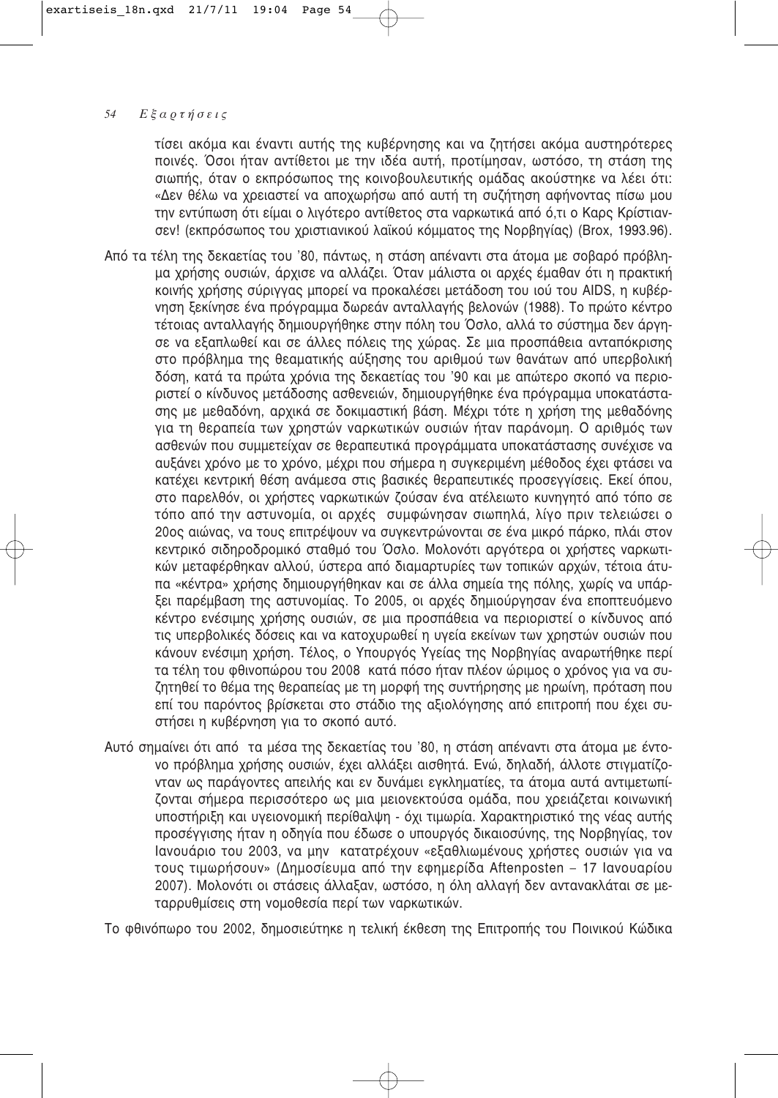τίσει ακόμα και έναντι αυτής της κυβέρνησης και να ζητήσει ακόμα αυστηρότερες ποινές. Όσοι ήταν αντίθετοι με την ιδέα αυτή, προτίμησαν, ωστόσο, τη στάση της σιωπής, όταν ο εκπρόσωπος της κοινοβουλευτικής ομάδας ακούστηκε να λέει ότι: «Δεν θέλω να χρειαστεί να αποχωρήσω από αυτή τη συζήτηση αφήνοντας πίσω μου την εντύπωση ότι είμαι ο λινότερο αντίθετος στα ναρκωτικά από ό,τι ο Καρς Κρίστιανσεν! (εκπρόσωπος του χριστιανικού λαϊκού κόμματος της Νορβηνίας) (Brox, 1993.96).

- Aπό τα τέλη της δεκαετίας του '80, πάντως, η στάση απέναντι στα άτομα με σοβαρό πρόβλημα χρήσης ουσιών, άρχισε να αλλάζει. Όταν μάλιστα οι αρχές έμαθαν ότι η πρακτική κοινής χρήσης σύριγγας μπορεί να προκαλέσει μετάδοση του ιού του AIDS, η κυβέρνηση ξεκίνησε ένα πρόγραμμα δωρεάν ανταλλαγής βελονών (1988). Το πρώτο κέντρο τέτοιας ανταλλαγής δημιουργήθηκε στην πόλη του Όσλο, αλλά το σύστημα δεν άργησε να εξαπλωθεί και σε άλλες πόλεις της χώρας. Σε μια προσπάθεια ανταπόκρισης στο πρόβλημα της θεαματικής αύξησης του αριθμού των θανάτων από υπερβολική δόση, κατά τα πρώτα χρόνια της δεκαετίας του '90 και με απώτερο σκοπό να περιοριστεί ο κίνδυνος μετάδοσης ασθενειών, δημιουργήθηκε ένα πρόγραμμα υποκατάστασης με μεθαδόνη, αρχικά σε δοκιμαστική βάση. Μέχρι τότε η χρήση της μεθαδόνης για τη θεραπεία των χρηστών ναρκωτικών ουσιών ήταν παράνομη. Ο αριθμός των ασθενών που συμμετείχαν σε θεραπευτικά προγράμματα υποκατάστασης συνέχισε να αυξάνει χρόνο με το χρόνο, μέχρι που σήμερα η συγκεριμένη μέθοδος έχει φτάσει να κατέχει κεντρική θέση ανάμεσα στις βασικές θεραπευτικές προσεγγίσεις. Εκεί όπου, στο παρελθόν, οι χρήστες ναρκωτικών ζούσαν ένα ατέλειωτο κυνηγητό από τόπο σε τόπο από την αστυνομία, οι αρχές συμφώνησαν σιωπηλά, λίγο πριν τελειώσει ο 20ος αιώνας, να τους επιτρέψουν να συγκεντρώνονται σε ένα μικρό πάρκο, πλάι στον Κεντρικό σιδηροδρομικό σταθμό του Όσλο. Μολονότι αρνότερα οι χρήστες ναρκωτι-Κών μεταφέρθηκαν αλλού, ύστερα από διαμαρτυρίες των τοπικών αρχών, τέτοια άτυπα «κέντρα» χρήσης δημιουργήθηκαν και σε άλλα σημεία της πόλης, χωρίς να υπάρξει παρέμβαση της αστυνομίας. Το 2005, οι αρχές δημιούργησαν ένα εποπτευόμενο κέντρο ενέσιμης χρήσης ουσιών, σε μια προσπάθεια να περιοριστεί ο κίνδυνος από τις υπερβολικές δόσεις και να κατοχυρωθεί η υγεία εκείνων των χρηστών ουσιών που κάνουν ενέσιμη χρήση. Τέλος, ο Υπουργός Υγείας της Νορβηγίας αναρωτήθηκε περί τα τέλη του φθινοπώρου του 2008 κατά πόσο ήταν πλέον ώριμος ο χρόνος για να συζητηθεί το θέμα της θεραπείας με τη μορφή της συντήρησης με ηρωίνη, πρόταση που επί του παρόντος βρίσκεται στο στάδιο της αξιολόγησης από επιτροπή που έχει συστήσει η κυβέρνηση για το σκοπό αυτό.
- Aυτό σημαίνει ότι από τα μέσα της δεκαετίας του '80, η στάση απέναντι στα άτομα με έντονο πρόβλημα χρήσης ουσιών, έχει αλλάξει αισθητά. Ενώ, δηλαδή, άλλοτε στιγματίζονταν ως παράγοντες απειλής και εν δυνάμει εγκληματίες, τα άτομα αυτά αντιμετωπίζονται σήμερα περισσότερο ως μια μειονεκτούσα ομάδα, που χρειάζεται κοινωνική υποστήριξη και υγειονομική περίθαλψη - όχι τιμωρία. Χαρακτηριστικό της νέας αυτής προσέννισης ήταν η οδηνία που έδωσε ο υπουργός δικαιοσύνης, της Νορβηνίας, τον Iανουάριο του 2003, να μην κατατρέχουν «εξαθλιωμένους χρήστες ουσιών για να τους τιμωρήσουν» (Δημοσίευμα από την εφημερίδα Aftenposten – 17 Ιανουαρίου 2007). Μολονότι οι στάσεις άλλαξαν, ωστόσο, η όλη αλλαγή δεν αντανακλάται σε μεταρρυθμίσεις στη νομοθεσία περί των ναρκωτικών.

Το φθινόπωρο του 2002, δημοσιεύτηκε η τελική έκθεση της Επιτροπής του Ποινικού Κώδικα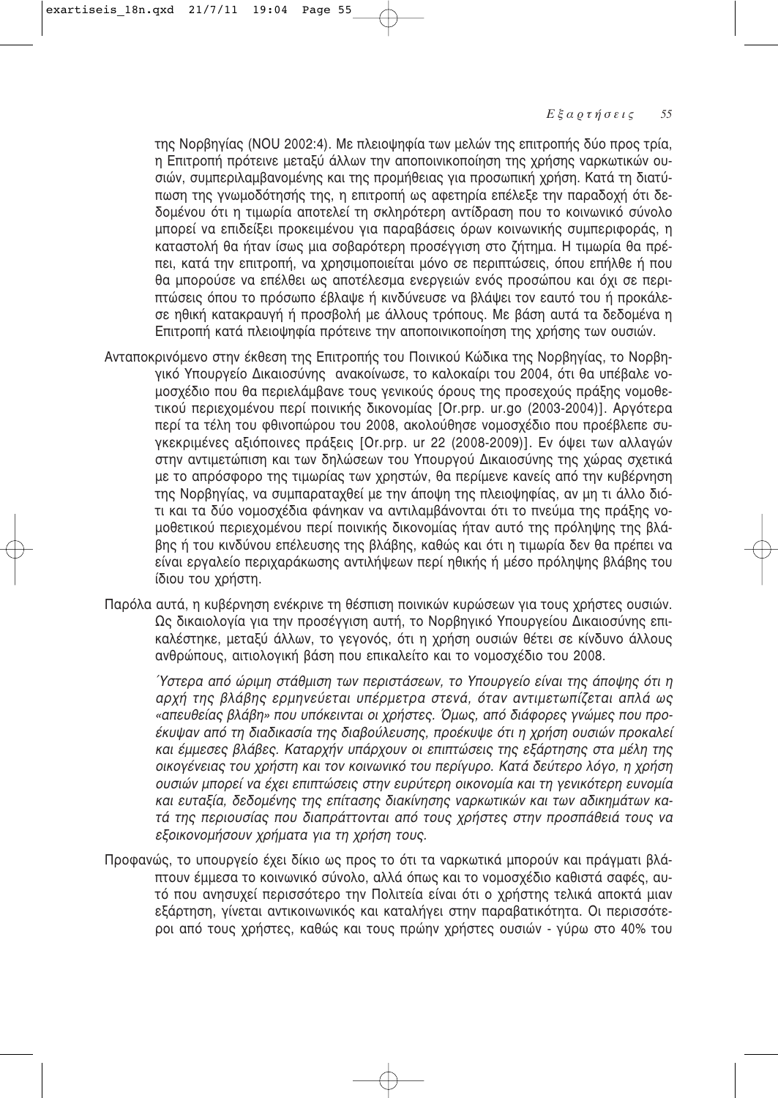της Νορβηγίας (NOU 2002:4). Με πλειοψηφία των μελών της επιτροπής δύο προς τρία, η Επιτροπή πρότεινε μεταξύ άλλων την αποποινικοποίηση της χρήσης ναρκωτικών ουσιών, συμπεριλαμβανομένης και της προμήθειας για προσωπική χρήση. Κατά τη διατύπωση της γνωμοδότησής της, η επιτροπή ως αφετηρία επέλεξε την παραδοχή ότι δεδομένου ότι η τιμωρία αποτελεί τη σκληρότερη αντίδραση που το κοινωνικό σύνολο μπορεί να επιδείξει προκειμένου για παραβάσεις όρων κοινωνικής συμπεριφοράς, η καταστολή θα ήταν ίσως μια σοβαρότερη προσέγγιση στο ζήτημα. Η τιμωρία θα πρέπει, κατά την επιτροπή, να χρησιμοποιείται μόνο σε περιπτώσεις, όπου επήλθε ή που θα μπορούσε να επέλθει ως αποτέλεσμα ενεργειών ενός προσώπου και όχι σε περιπτώσεις όπου το πρόσωπο έβλαψε ή κινδύνευσε να βλάψει τον εαυτό του ή προκάλεσε ηθική κατακραυνή ή προσβολή με άλλους τρόπους. Με βάση αυτά τα δεδομένα η Επιτροπή κατά πλειοψηφία πρότεινε την αποποινικοποίηση της χρήσης των ουσιών.

exartiseis\_18n.qxd 21/7/11 19:04 Page 55

- Ανταποκρινόμενο στην έκθεση της Επιτροπής του Ποινικού Κώδικα της Νορβηγίας, το Νορβηγικό Υπουργείο Δικαιοσύνης ανακοίνωσε, το καλοκαίρι του 2004, ότι θα υπέβαλε νομοσχέδιο που θα περιελάμβανε τους γενικούς όρους της προσεχούς πράξης νομοθετικού περιεχομένου περί ποινικής δικονομίας [Or.prp. ur.go (2003-2004)]. Αργότερα περί τα τέλη του φθινοπώρου του 2008, ακολούθησε νομοσχέδιο που προέβλεπε συγκεκριμένες αξιόποινες πράξεις [Or.prp. ur 22 (2008-2009)]. Εν όψει των αλλαγών στην αντιμετώπιση και των δηλώσεων του Υπουργού Δικαιοσύνης της χώρας σχετικά με το απρόσφορο της τιμωρίας των χρηστών, θα περίμενε κανείς από την κυβέρνηση της Νορβηγίας, να συμπαραταχθεί με την άποψη της πλειοψηφίας, αν μη τι άλλο διότι και τα δύο νομοσχέδια φάνηκαν να αντιλαμβάνονται ότι το πνεύμα της πράξης νομοθετικού περιεχομένου περί ποινικής δικονομίας ήταν αυτό της πρόληψης της βλάβης ή του κινδύνου επέλευσης της βλάβης, καθώς και ότι η τιμωρία δεν θα πρέπει να είναι εργαλείο περιχαράκωσης αντιλήψεων περί ηθικής ή μέσο πρόληψης βλάβης του ίδιου του χρήστη.
- Παρόλα αυτά, η κυβέρνηση ενέκρινε τη θέσπιση ποινικών κυρώσεων για τους χρήστες ουσιών. Ως δικαιολογία για την προσέννιση αυτή, το Νορβηνικό Υπουργείου Δικαιοσύνης επικαλέστηκε, μεταξύ άλλων, το γεγονός, ότι η χρήση ουσιών θέτει σε κίνδυνο άλλους ανθρώπους, αιτιολογική βάση που επικαλείτο και το νομοσχέδιο του 2008.

*Ύστερα από ώριμη στάθμιση των περιστάσεων, το Υπουργείο είναι της άποψης ότι η ·Ú¯‹ Ù˘ 'Ï¿'˘ ÂÚÌËÓ‡ÂÙ·È ˘¤ÚÌÂÙÚ· ÛÙÂÓ¿, fiÙ·Ó ·ÓÙÈÌÂÙˆ›˙ÂÙ·È ·Ï¿ ˆ˜* «απευθείας βλάβη» που υπόκεινται οι χρήστες. Όμως, από διάφορες γνώμες που προέκυψαν από τη διαδικασία της διαβούλευσης, προέκυψε ότι η χρήση ουσιών προκαλεί και έμμεσες βλάβες. Καταρχήν υπάρχουν οι επιπτώσεις της εξάρτησης στα μέλη της *ÔÈÎÔÁ¤ÓÂÈ·˜ ÙÔ˘ ¯Ú‹ÛÙË Î·È ÙÔÓ ÎÔÈÓˆÓÈÎfi ÙÔ˘ ÂÚ›Á˘ÚÔ. ∫·Ù¿ ‰Â‡ÙÂÚÔ ÏfiÁÔ, Ë ¯Ú‹ÛË* ουσιών μπορεί να έχει επιπτώσεις στην ευρύτερη οικονομία και τη γενικότερη ευνομία **και ευταξία, δεδομένης της επίτασης διακίνησης ναρκωτικών και των αδικημάτων κα**τά της περιουσίας που διαπράττονται από τους χρήστες στην προσπάθειά τους να εξοικονομήσουν χρήματα για τη χρήση τους.

Προφανώς, το υπουργείο έχει δίκιο ως προς το ότι τα ναρκωτικά μπορούν και πράγματι βλάπτουν έμμεσα το κοινωνικό σύνολο, αλλά όπως και το νομοσχέδιο καθιστά σαφές, αυτό που ανησυχεί περισσότερο την Πολιτεία είναι ότι ο χρήστης τελικά αποκτά μιαν εξάρτηση, γίνεται αντικοινωνικός και καταλήγει στην παραβατικότητα. Οι περισσότεροι από τους χρήστες, καθώς και τους πρώην χρήστες ουσιών - γύρω στο 40% του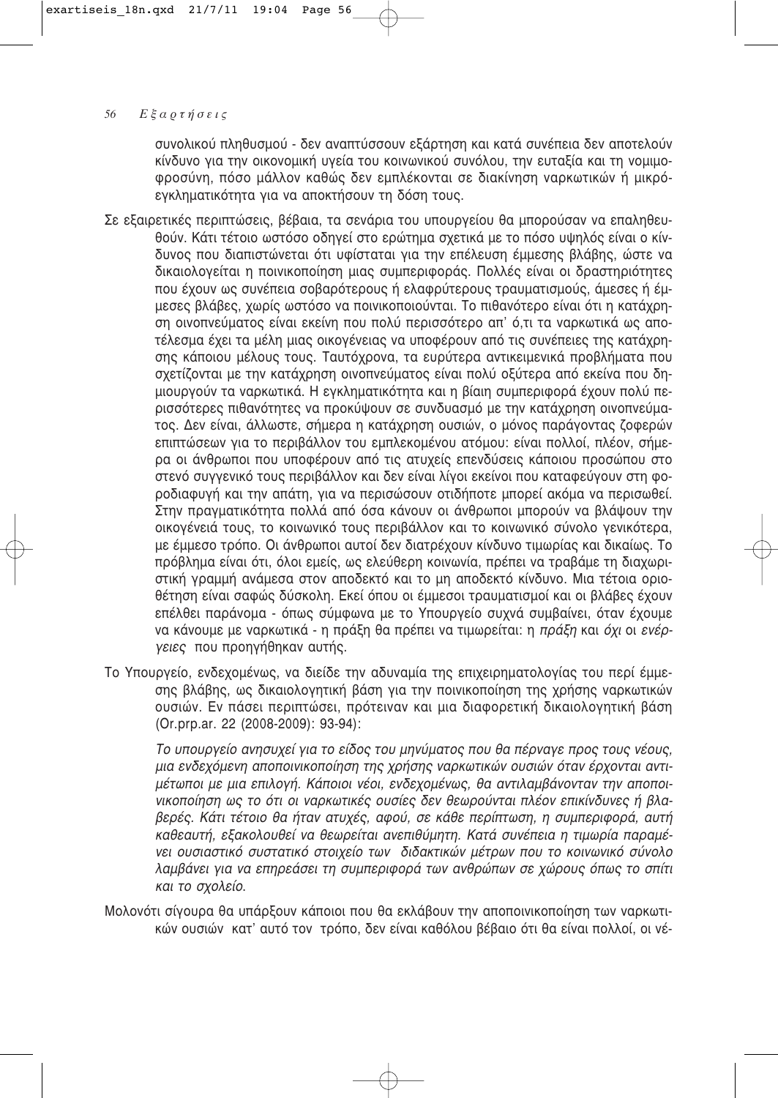συνολικού πληθυσμού - δεν αναπτύσσουν εξάρτηση και κατά συνέπεια δεν αποτελούν κίνδυνο για την οικονομική υγεία του κοινωνικού συνόλου, την ευταξία και τη νομιμοφροσύνη, πόσο μάλλον καθώς δεν εμπλέκονται σε διακίνηση ναρκωτικών ή μικρόεγκληματικότητα για να αποκτήσουν τη δόση τους.

- Σε εξαιρετικές περιπτώσεις, βέβαια, τα σενάρια του υπουργείου θα μπορούσαν να επαληθευθούν. Κάτι τέτοιο ωστόσο οδηγεί στο ερώτημα σχετικά με το πόσο υψηλός είναι ο κίνδυνος που διαπιστώνεται ότι υφίσταται για την επέλευση έμμεσης βλάβης, ώστε να δικαιολογείται η ποινικοποίηση μιας συμπεριφοράς. Πολλές είναι οι δραστηριότητες που έχουν ως συνέπεια σοβαρότερους ή ελαφρύτερους τραυματισμούς, άμεσες ή έμμεσες βλάβες, χωρίς ωστόσο να ποινικοποιούνται. Το πιθανότερο είναι ότι η κατάχρηση οινοπνεύματος είναι εκείνη που πολύ περισσότερο απ' ό,τι τα ναρκωτικά ως αποτέλεσμα έχει τα μέλη μιας οικογένειας να υποφέρουν από τις συνέπειες της κατάχρησης κάποιου μέλους τους. Ταυτόχρονα, τα ευρύτερα αντικειμενικά προβλήματα που σχετίζονται με την κατάχρηση οινοπνεύματος είναι πολύ οξύτερα από εκείνα που δημιουργούν τα ναρκωτικά. Η εγκληματικότητα και η βίαιη συμπεριφορά έχουν πολύ περισσότερες πιθανότητες να προκύψουν σε συνδυασμό με την κατάχρηση οινοπνεύματος. Δεν είναι, άλλωστε, σήμερα η κατάχρηση ουσιών, ο μόνος παράγοντας ζοφερών επιπτώσεων για το περιβάλλον του εμπλεκομένου ατόμου; είναι πολλοί, πλέον, σήμερα οι άνθρωποι που υποφέρουν από τις ατυχείς επενδύσεις κάποιου προσώπου στο στενό συγγενικό τους περιβάλλον και δεν είναι λίγοι εκείνοι που καταφεύγουν στη φοροδιαφυγή και την απάτη, για να περισώσουν οτιδήποτε μπορεί ακόμα να περισωθεί. Στην πραγματικότητα πολλά από όσα κάνουν οι άνθρωποι μπορούν να βλάψουν την ΟΙΚΟΥένειά τους, το κοινωνικό τους περιβάλλον και το κοινωνικό σύνολο γενικότερα, με έμμεσο τρόπο. Οι άνθρωποι αυτοί δεν διατρέχουν κίνδυνο τιμωρίας και δικαίως. Το πρόβλημα είναι ότι, όλοι εμείς, ως ελεύθερη κοινωνία, πρέπει να τραβάμε τη διαχωριστική γραμμή ανάμεσα στον αποδεκτό και το μη αποδεκτό κίνδυνο. Μια τέτοια οριοθέτηση είναι σαφώς δύσκολη. Εκεί όπου οι έμμεσοι τραυματισμοί και οι βλάβες έχουν επέλθει παράνομα - όπως σύμφωνα με το Υπουργείο συχνά συμβαίνει, όταν έχουμε να κάνουμε με ναρκωτικά - η πράξη θα πρέπει να τιμωρείται: η *πράξη* και *όχι* οι *ενέρ-VEIEC* **ΠΟ**υ ΠΩΟΠΥΠθηκαν αυτής.
- <u>Το Υπουργείο, ενδεχομένως, να διείδε την αδυναμία της επιχειρηματολογίας του περί έμμε-</u> σης βλάβης, ως δικαιολογητική βάση για την ποινικοποίηση της χρήσης ναρκωτικών ουσιών. Εν πάσει περιπτώσει, πρότειναν και μια διαφορετική δικαιολογητική βάση (Or.prp.ar. 22 (2008-2009): 93-94):

*Το υπουργείο ανησυχεί για το είδος του μηνύματος που θα πέρναγε προς τους νέους,* μια ενδεχόμενη αποποινικοποίηση της χρήσης ναρκωτικών ουσιών όταν έρχονται αντιμέτωποι με μια επιλογή. Κάποιοι νέοι, ενδεχομένως, θα αντιλαμβάνονταν την αποποι-*VIΚΟΠΟ*ύηση ως το ότι οι ναρκωτικές ουσίες δεν θεωρούνται πλέον επικίνδυνες ή βλαβερές. Κάτι τέτοιο θα ήταν ατυχές, αφού, σε κάθε περίπτωση, η συμπεριφορά, αυτή καθεαυτή, εξακολουθεί να θεωρείται ανεπιθύμητη. Κατά συνέπεια η τιμωρία παραμέ-VEI Ουσιαστικό συστατικό στοιχείο των διδακτικών μέτρων που το κοινωνικό σύνολο λαμβάνει για να επηρεάσει τη συμπεριφορά των ανθρώπων σε χώρους όπως το σπίτι *και το σχολείο.* 

Μολονότι σίγουρα θα υπάρξουν κάποιοι που θα εκλάβουν την αποποινικοποίηση των ναρκωτι-Kών ουσιών κατ' αυτό τον τρόπο, δεν είναι καθόλου βέβαιο ότι θα είναι πολλοί, οι νέ-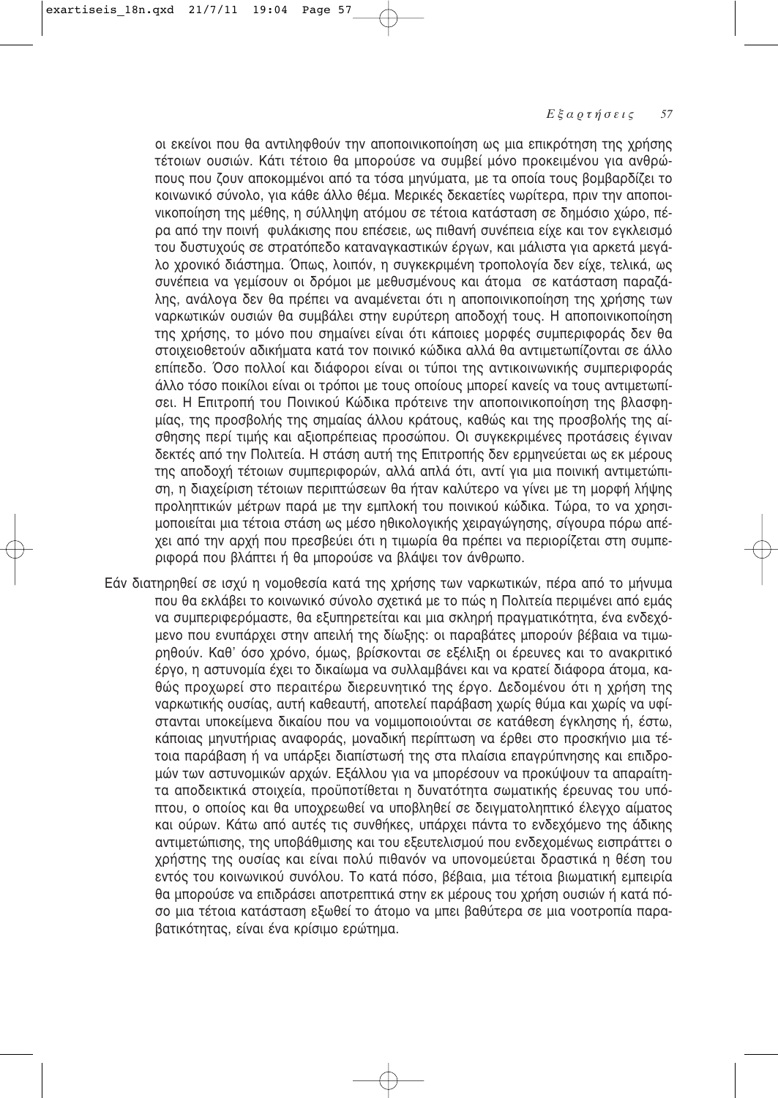οι εκείνοι που θα αντιληφθούν την αποποινικοποίηση ως μια επικρότηση της χρήσης τέτοιων ουσιών. Κάτι τέτοιο θα μπορούσε να συμβεί μόνο προκειμένου νια ανθρώπους που ζουν αποκομμένοι από τα τόσα μηνύματα, με τα οποία τους βομβαρδίζει το ΚΟΙνωνικό σύνολο, νια κάθε άλλο θέμα. Μερικές δεκαετίες νωρίτερα, πριν την αποποι-VΙΚΟΠΟΊΝση της μέθης, η σύλληψη ατόμου σε τέτοια κατάσταση σε δημόσιο χώρο, πέρα από την ποινή φυλάκισης που επέσειε, ως πιθανή συνέπεια είχε και τον ενκλεισμό του δυστυχούς σε στρατόπεδο καταναγκαστικών έργων, και μάλιστα για αρκετά μεγάλο χρονικό διάστημα. Όπως, λοιπόν, η συγκεκριμένη τροπολογία δεν είχε, τελικά, ως συνέπεια να γεμίσουν οι δρόμοι με μεθυσμένους και άτομα σε κατάσταση παραζάλης, ανάλονα δεν θα πρέπει να αναμένεται ότι η αποποινικοποίηση της χρήσης των ναρκωτικών ουσιών θα συμβάλει στην ευρύτερη αποδοχή τους. Η αποποινικοποίηση της χρήσης, το μόνο που σημαίνει είναι ότι κάποιες μορφές συμπεριφοράς δεν θα στοιχειοθετούν αδικήματα κατά τον ποινικό κώδικα αλλά θα αντιμετωπίζονται σε άλλο επίπεδο. Όσο πολλοί και διάφοροι είναι οι τύποι της αντικοινωνικής συμπεριφοράς άλλο τόσο ποικίλοι είναι οι τρόποι με τους οποίους μπορεί κανείς να τους αντιμετωπίσει. Η Επιτροπή του Ποινικού Κώδικα πρότεινε την αποποινικοποίηση της βλασφημίας, της προσβολής της σημαίας άλλου κράτους, καθώς και της προσβολής της αίσθησης περί τιμής και αξιοπρέπειας προσώπου. Οι συγκεκριμένες προτάσεις έγιναν δεκτές από την Πολιτεία. Η στάση αυτή της Επιτροπής δεν ερμηνεύεται ως εκ μέρους της αποδοχή τέτοιων συμπεριφορών, αλλά απλά ότι, αντί νια μια ποινική αντιμετώπιση, η διαχείριση τέτοιων περιπτώσεων θα ήταν καλύτερο να γίνει με τη μορφή λήψης προληπτικών μέτρων παρά με την εμπλοκή του ποινικού κώδικα. Τώρα, το να χρησιμοποιείται μια τέτοια στάση ως μέσο ηθικολογικής χειραγώγησης, σίγουρα πόρω απέχει από την αρχή που πρεσβεύει ότι η τιμωρία θα πρέπει να περιορίζεται στη συμπεριφορά που βλάπτει ή θα μπορούσε να βλάψει τον άνθρωπο.

Εάν διατηρηθεί σε ισχύ η νομοθεσία κατά της χρήσης των ναρκωτικών, πέρα από το μήνυμα που θα εκλάβει το κοινωνικό σύνολο σχετικά με το πώς η Πολιτεία περιμένει από εμάς να συμπεριφερόμαστε, θα εξυπηρετείται και μια σκληρή πραγματικότητα, ένα ενδεχόμενο που ενυπάρχει στην απειλή της δίωξης: οι παραβάτες μπορούν βέβαια να τιμωρηθούν. Καθ' όσο χρόνο, όμως, βρίσκονται σε εξέλιξη οι έρευνες και το ανακριτικό έργο, η αστυνομία έχει το δικαίωμα να συλλαμβάνει και να κρατεί διάφορα άτομα, καθώς προχωρεί στο περαιτέρω διερευνητικό της έργο. Δεδομένου ότι η χρήση της ναρκωτικής ουσίας, αυτή καθεαυτή, αποτελεί παράβαση χωρίς θύμα και χωρίς να υφίστανται υποκείμενα δικαίου που να νομιμοποιούνται σε κατάθεση έγκλησης ή, έστω, κάποιας μηνυτήριας αναφοράς, μοναδική περίπτωση να έρθει στο προσκήνιο μια τέτοια παράβαση ή να υπάρξει διαπίστωσή της στα πλαίσια επαγρύπνησης και επιδρομών των αστυνομικών αρχών. Εξάλλου για να μπορέσουν να προκύψουν τα απαραίτητα αποδεικτικά στοιχεία, προϋποτίθεται η δυνατότητα σωματικής έρευνας του υπόπτου, ο οποίος και θα υποχρεωθεί να υποβληθεί σε δειγματοληπτικό έλεγχο αίματος και ούρων. Κάτω από αυτές τις συνθήκες, υπάρχει πάντα το ενδεχόμενο της άδικης αντιμετώπισης, της υποβάθμισης και του εξευτελισμού που ενδεχομένως εισπράττει ο χρήστης της ουσίας και είναι πολύ πιθανόν να υπονομεύεται δραστικά η θέση του εντός του κοινωνικού συνόλου. Το κατά πόσο, βέβαια, μια τέτοια βιωματική εμπειρία θα μπορούσε να επιδράσει αποτρεπτικά στην εκ μέρους του χρήση ουσιών ή κατά πόσο μια τέτοια κατάσταση εξωθεί το άτομο να μπει βαθύτερα σε μια νοοτροπία παραβατικότητας, είναι ένα κρίσιμο ερώτημα.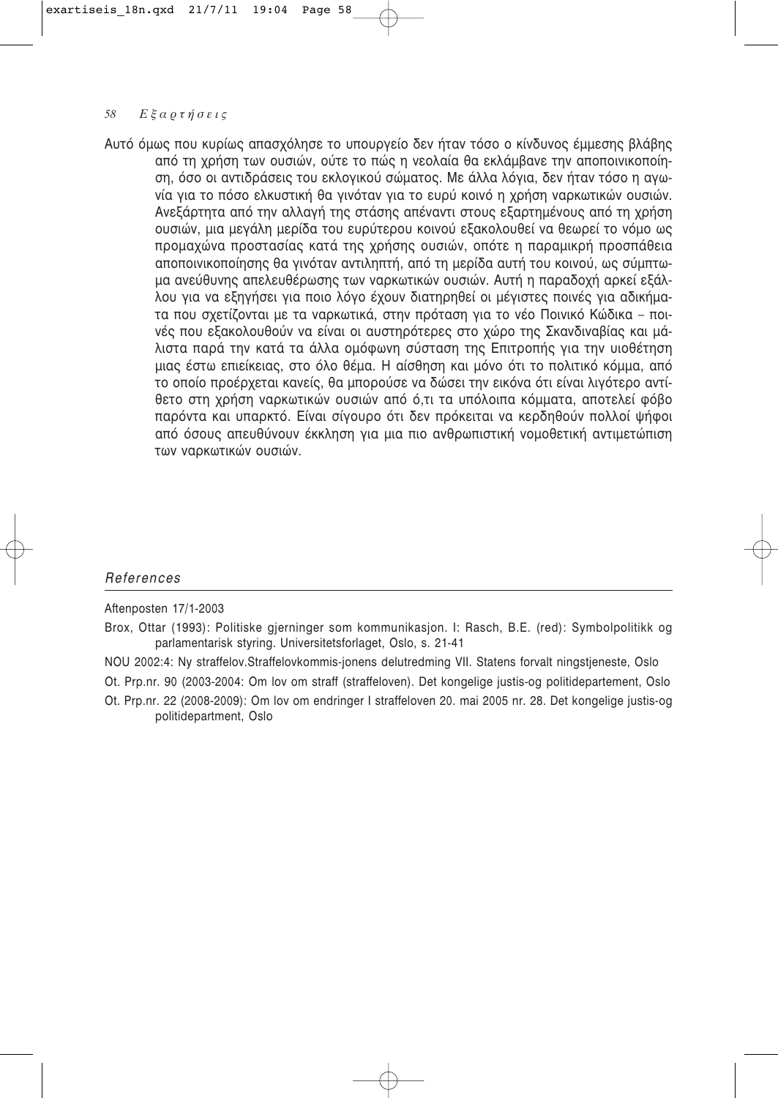Aυτό όμως που κυρίως απασχόλησε το υπουργείο δεν ήταν τόσο ο κίνδυνος έμμεσης βλάβης από τη χρήση των ουσιών, ούτε το πώς η νεολαία θα εκλάμβανε την αποποινικοποίηση, όσο οι αντιδράσεις του εκλογικού σώματος. Με άλλα λόγια, δεν ήταν τόσο η αγωνία για το πόσο ελκυστική θα γινόταν για το ευρύ κοινό η χρήση ναρκωτικών ουσιών. Ανεξάρτητα από την αλλαγή της στάσης απέναντι στους εξαρτημένους από τη χρήση ουσιών, μια μεγάλη μερίδα του ευρύτερου κοινού εξακολουθεί να θεωρεί το νόμο ως προμαχώνα προστασίας κατά της χρήσης ουσιών, οπότε η παραμικρή προσπάθεια αποποινικοποίησης θα γινόταν αντιληπτή, από τη μερίδα αυτή του κοινού, ως σύμπτωμα ανεύθυνης απελευθέρωσης των ναρκωτικών ουσιών. Αυτή η παραδοχή αρκεί εξάλλου για να εξηγήσει για ποιο λόγο έχουν διατηρηθεί οι μέγιστες ποινές για αδικήματα που σχετίζονται με τα ναρκωτικά, στην πρόταση για το νέο Ποινικό Κώδικα – ποινές που εξακολουθούν να είναι οι αυστηρότερες στο χώρο της Σκανδιναβίας και μάλιστα παρά την κατά τα άλλα ομόφωνη σύσταση της Επιτροπής για την υιοθέτηση μιας έστω επιείκειας, στο όλο θέμα. Η αίσθηση και μόνο ότι το πολιτικό κόμμα, από το οποίο προέρχεται κανείς, θα μπορούσε να δώσει την εικόνα ότι είναι λιγότερο αντίθετο στη χρήση ναρκωτικών ουσιών από ό,τι τα υπόλοιπα κόμματα, αποτελεί φόβο παρόντα και υπαρκτό. Είναι σίγουρο ότι δεν πρόκειται να κερδηθούν πολλοί ψήφοι από όσους απευθύνουν έκκληση για μια πιο ανθρωπιστική νομοθετική αντιμετώπιση των ναρκωτικών ουσιών.

### *References*

Aftenposten 17/1-2003

Brox, Ottar (1993): Politiske gjerninger som kommunikasjon. I: Rasch, B.E. (red): Symbolpolitikk og parlamentarisk styring. Universitetsforlaget, Oslo, s. 21-41

NOU 2002:4: Ny straffelov.Straffelovkommis-jonens delutredming VII. Statens forvalt ningstjeneste, Oslo

Ot. Prp.nr. 90 (2003-2004: Om lov om straff (straffeloven). Det kongelige justis-og politidepartement, Oslo

Ot. Prp.nr. 22 (2008-2009): Om lov om endringer I straffeloven 20. mai 2005 nr. 28. Det kongelige justis-og politidepartment, Oslo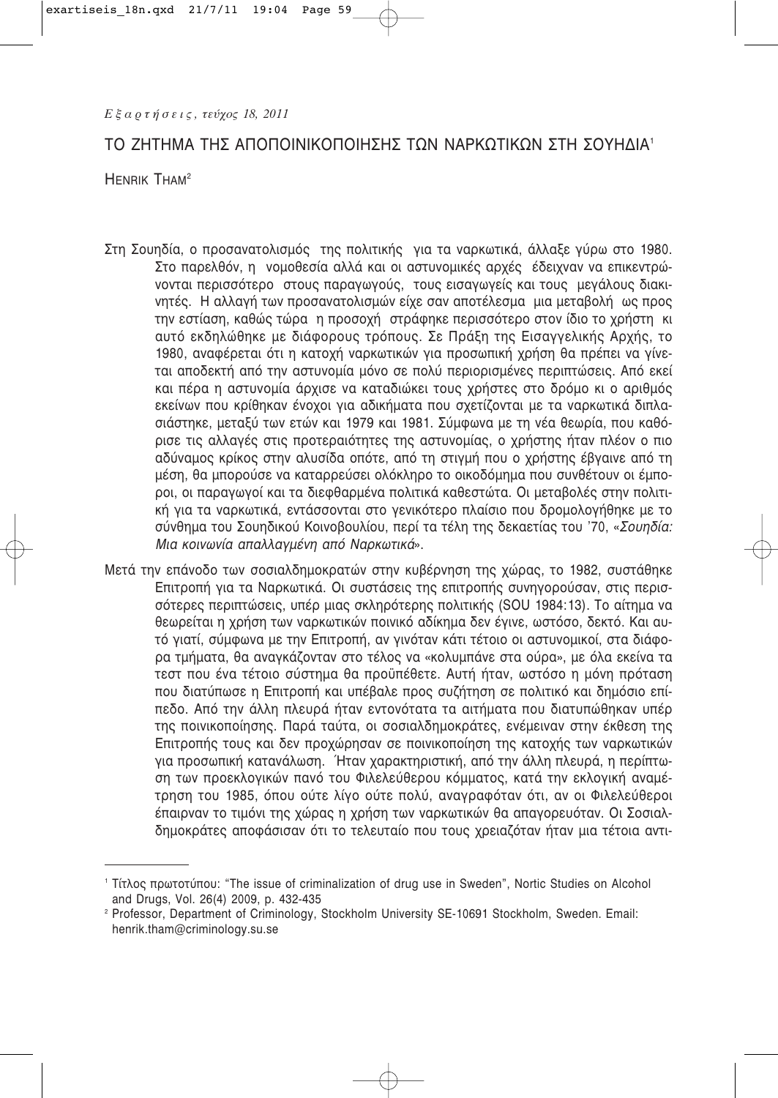Εξαρτήσεις, τεύγος 18, 2011

# ΤΟ ΖΗΤΗΜΑ ΤΗΣ ΑΠΟΠΟΙΝΙΚΟΠΟΙΗΣΗΣ ΤΩΝ ΝΑΡΚΩΤΙΚΩΝ ΣΤΗ ΣΟΥΗΔΙΑΊ

HENRIK THAM<sup>2</sup>

- Στη Σουηδία, ο προσανατολισμός της πολιτικής για τα ναρκωτικά, άλλαξε γύρω στο 1980. Στο παρελθόν, η νομοθεσία αλλά και οι αστυνομικές αρχές έδειχναν να επικεντρώνονται περισσότερο στους παραγωγούς, τους εισαγωγείς και τους μεγάλους διακινητές. Η αλλαγή των προσανατολισμών είχε σαν αποτέλεσμα μια μεταβολή ως προς την εστίαση, καθώς τώρα η προσοχή στράφηκε περισσότερο στον ίδιο το χρήστη κι αυτό εκδηλώθηκε με διάφορους τρόπους. Σε Πράξη της Εισαγγελικής Αρχής, το 1980, αναφέρεται ότι η κατοχή ναρκωτικών για προσωπική χρήση θα πρέπει να γίνεται αποδεκτή από την αστυνομία μόνο σε πολύ περιορισμένες περιπτώσεις. Από εκεί και πέρα η αστυνομία άρχισε να καταδιώκει τους χρήστες στο δρόμο κι ο αριθμός εκείνων που κρίθηκαν ένοχοι για αδικήματα που σχετίζονται με τα ναρκωτικά διπλασιάστηκε, μεταξύ των ετών και 1979 και 1981. Σύμφωνα με τη νέα θεωρία, που καθόρισε τις αλλαγές στις προτεραιότητες της αστυνομίας, ο χρήστης ήταν πλέον ο πιο αδύναμος κρίκος στην αλυσίδα οπότε, από τη στιγμή που ο χρήστης έβγαινε από τη μέση, θα μπορούσε να καταρρεύσει ολόκληρο το οικοδόμημα που συνθέτουν οι έμποροι, οι παραγωγοί και τα διεφθαρμένα πολιτικά καθεστώτα. Οι μεταβολές στην πολιτική για τα ναρκωτικά, εντάσσονται στο γενικότερο πλαίσιο που δρομολογήθηκε με το σύνθημα του Σουηδικού Κοινοβουλίου, περί τα τέλη της δεκαετίας του '70, «*Σουηδία:* Μια κοινωνία απαλλαγμένη από Ναρκωτικά».
- Μετά την επάνοδο των σοσιαλδημοκρατών στην κυβέρνηση της χώρας, το 1982, συστάθηκε Επιτροπή για τα Ναρκωτικά. Οι συστάσεις της επιτροπής συνηγορούσαν, στις περισσότερες περιπτώσεις, υπέρ μιας σκληρότερης πολιτικής (SOU 1984:13). Το αίτημα να θεωρείται η χρήση των ναρκωτικών ποινικό αδίκημα δεν έγινε, ωστόσο, δεκτό. Και αυτό γιατί, σύμφωνα με την Επιτροπή, αν γινόταν κάτι τέτοιο οι αστυνομικοί, στα διάφορα τμήματα, θα αναγκάζονταν στο τέλος να «κολυμπάνε στα ούρα», με όλα εκείνα τα τεστ που ένα τέτοιο σύστημα θα προϋπέθετε. Αυτή ήταν, ωστόσο η μόνη πρόταση που διατύπωσε η Επιτροπή και υπέβαλε προς συζήτηση σε πολιτικό και δημόσιο επίπεδο. Από την άλλη πλευρά ήταν εντονότατα τα αιτήματα που διατυπώθηκαν υπέρ της ποινικοποίησης. Παρά ταύτα, οι σοσιαλδημοκράτες, ενέμειναν στην έκθεση της Επιτροπής τους και δεν προχώρησαν σε ποινικοποίηση της κατοχής των ναρκωτικών για προσωπική κατανάλωση. Ήταν χαρακτηριστική, από την άλλη πλευρά, η περίπτωση των προεκλογικών πανό του Φιλελεύθερου κόμματος, κατά την εκλογική αναμέτρηση του 1985, όπου ούτε λίγο ούτε πολύ, αναγραφόταν ότι, αν οι Φιλελεύθεροι έπαιρναν το τιμόνι της χώρας η χρήση των ναρκωτικών θα απαγορευόταν. Οι Σοσιαλδημοκράτες αποφάσισαν ότι το τελευταίο που τους χρειαζόταν ήταν μια τέτοια αντι-

<sup>&</sup>lt;sup>1</sup> Τίτλος πρωτοτύπου: "The issue of criminalization of drug use in Sweden", Nortic Studies on Alcohol and Drugs, Vol. 26(4) 2009, p. 432-435

<sup>&</sup>lt;sup>2</sup> Professor, Department of Criminology, Stockholm University SE-10691 Stockholm, Sweden. Email: henrik.tham@criminology.su.se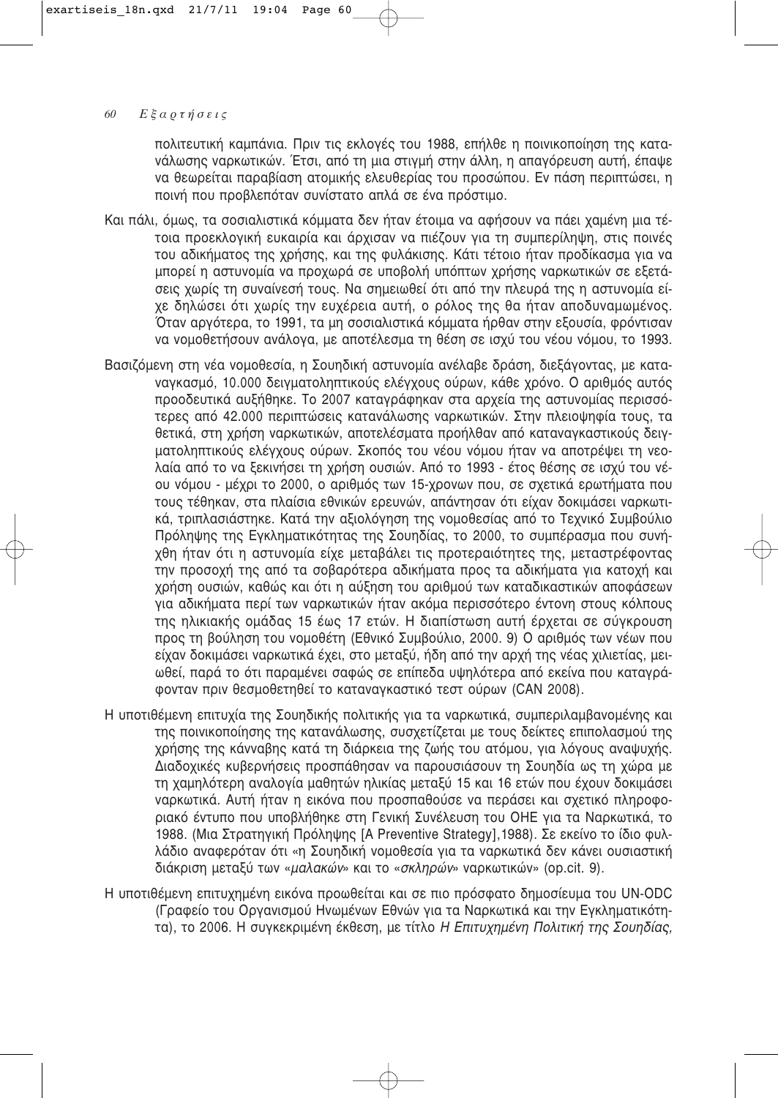πολιτευτική καμπάνια. Πριν τις εκλογές του 1988, επήλθε η ποινικοποίηση της κατανάλωσης ναρκωτικών. Έτσι, από τη μια στιγμή στην άλλη, η απαγόρευση αυτή, έπαψε να θεωρείται παραβίαση ατομικής ελευθερίας του προσώπου. Εν πάση περιπτώσει, η ποινή που προβλεπόταν συνίστατο απλά σε ένα πρόστιμο.

- Και πάλι, όμως, τα σοσιαλιστικά κόμματα δεν ήταν έτοιμα να αφήσουν να πάει χαμένη μια τέτοια προεκλογική ευκαιρία και άρχισαν να πιέζουν για τη συμπερίληψη, στις ποινές του αδικήματος της χρήσης, και της φυλάκισης, Κάτι τέτοιο ήταν προδίκασμα για να μπορεί η αστυνομία να προχωρά σε υποβολή υπόπτων χρήσης ναρκωτικών σε εξετάσεις χωρίς τη συναίνεσή τους. Να σημειωθεί ότι από την πλευρά της η αστυνομία είχε δηλώσει ότι χωρίς την ευχέρεια αυτή, ο ρόλος της θα ήταν αποδυναμωμένος. Όταν αργότερα, το 1991, τα μη σοσιαλιστικά κόμματα ήρθαν στην εξουσία, φρόντισαν να νομοθετήσουν ανάλογα, με αποτέλεσμα τη θέση σε ισχύ του νέου νόμου, το 1993.
- Βασιζόμενη στη νέα νομοθεσία, η Σουηδική αστυνομία ανέλαβε δράση, διεξάγοντας, με καταναγκασμό, 10.000 δειγματοληπτικούς ελέγχους ούρων, κάθε χρόνο. Ο αριθμός αυτός προοδευτικά αυξήθηκε. Το 2007 κατανράφηκαν στα αρχεία της αστυνομίας περισσότερες από 42.000 περιπτώσεις κατανάλωσης ναρκωτικών. Στην πλειοψηφία τους, τα θετικά, στη χρήση ναρκωτικών, αποτελέσματα προήλθαν από καταναγκαστικούς δειγματοληπτικούς ελένχους ούρων. Σκοπός του νέου νόμου ήταν να αποτρέψει τη νεολαία από το να ξεκινήσει τη χρήση ουσιών. Από το 1993 - έτος θέσης σε ισχύ του νέου νόμου - μέχρι το 2000, ο αριθμός των 15-χρονων που, σε σχετικά ερωτήματα που τους τέθηκαν, στα πλαίσια εθνικών ερευνών, απάντησαν ότι είχαν δοκιμάσει ναρκωτικά, τριπλασιάστηκε. Κατά την αξιολόγηση της νομοθεσίας από το Τεχνικό Συμβούλιο Πρόληψης της Εγκληματικότητας της Σουηδίας, το 2000, το συμπέρασμα που συνήχθη ήταν ότι η αστυνομία είχε μεταβάλει τις προτεραιότητες της, μεταστρέφοντας την προσοχή της από τα σοβαρότερα αδικήματα προς τα αδικήματα για κατοχή και χρήση ουσιών, καθώς και ότι η αύξηση του αριθμού των καταδικαστικών αποφάσεων για αδικήματα περί των ναρκωτικών ήταν ακόμα περισσότερο έντονη στους κόλπους της ηλικιακής ομάδας 15 έως 17 ετών. Η διαπίστωση αυτή έρχεται σε σύγκρουση προς τη βούληση του νομοθέτη (Εθνικό Συμβούλιο, 2000. 9) Ο αριθμός των νέων που είχαν δοκιμάσει ναρκωτικά έχει, στο μεταξύ, ήδη από την αρχή της νέας χιλιετίας, μειωθεί, παρά το ότι παραμένει σαφώς σε επίπεδα υψηλότερα από εκείνα που καταγράφονταν πριν θεσμοθετηθεί το καταναγκαστικό τεστ ούρων (CAN 2008).
- Η υποτιθέμενη επιτυχία της Σουηδικής πολιτικής για τα ναρκωτικά, συμπεριλαμβανομένης και της ποινικοποίησης της κατανάλωσης, συσχετίζεται με τους δείκτες επιπολασμού της χρήσης της κάνναβης κατά τη διάρκεια της ζωής του ατόμου, για λόγους αναψυχής. Διαδοχικές κυβερνήσεις προσπάθησαν να παρουσιάσουν τη Σουηδία ως τη χώρα με τη χαμηλότερη αναλονία μαθητών ηλικίας μεταξύ 15 και 16 ετών που έχουν δοκιμάσει ναρκωτικά. Αυτή ήταν η εικόνα που προσπαθούσε να περάσει και σχετικό πληροφοριακό έντυπο που υποβλήθηκε στη Γενική Συνέλευση του ΟΗΕ για τα Ναρκωτικά, το 1988. (Μια Στρατηγική Πρόληψης [A Preventive Strategy], 1988). Σε εκείνο το ίδιο φυλλάδιο αναφερόταν ότι «η Σουηδική νομοθεσία για τα ναρκωτικά δεν κάνει ουσιαστική διάκριση μεταξύ των «μαλακών» και το «σκληρών» ναρκωτικών» (op.cit. 9).
- Η υποτιθέμενη επιτυχημένη εικόνα προωθείται και σε πιο πρόσφατο δημοσίευμα του UN-ODC (Γραφείο του Οργανισμού Ηνωμένων Εθνών για τα Ναρκωτικά και την Εγκληματικότητα), το 2006. Η συγκεκριμένη έκθεση, με τίτλο Η Επιτυχημένη Πολιτική της Σουηδίας,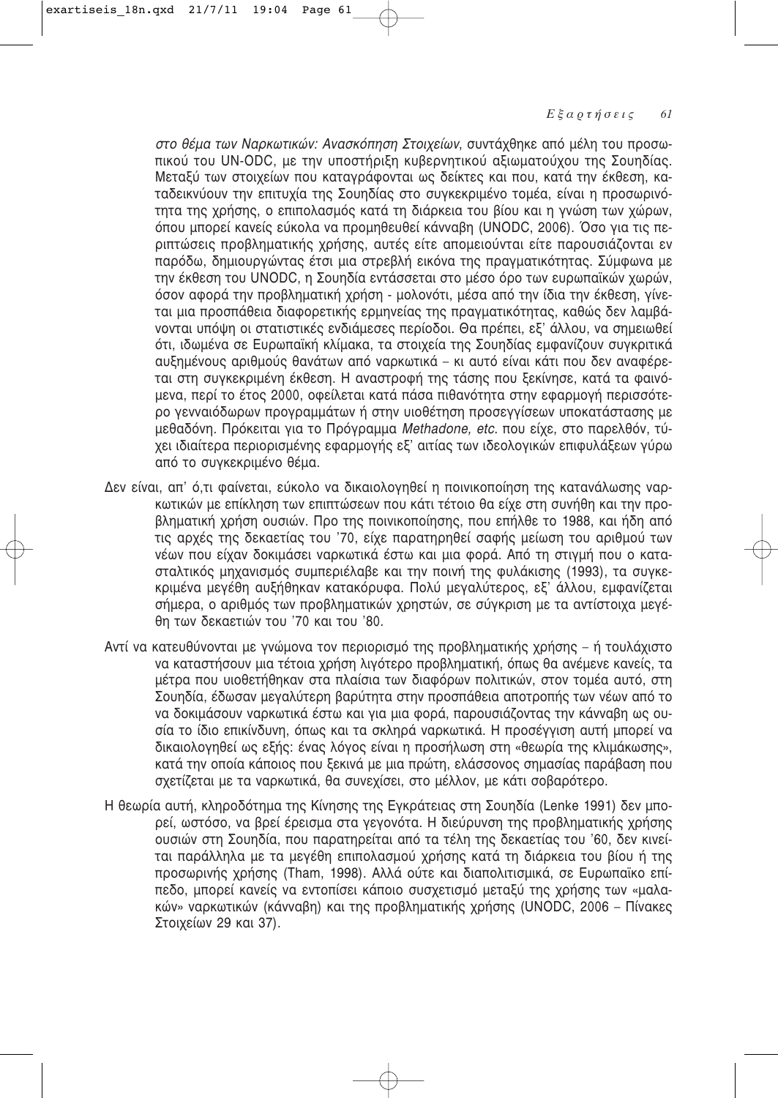στο θέμα των Ναρκωτικών: Ανασκόπηση Στοιχείων, συντάχθηκε από μέλη του προσωπικού του UN-ODC, με την υποστήριξη κυβερνητικού αξιωματούχου της Σουηδίας. Μεταξύ των στοιχείων που καταγράφονται ως δείκτες και που, κατά την έκθεση, καταδεικνύουν την επιτυχία της Σουηδίας στο συγκεκριμένο τομέα, είναι η προσωρινότητα της χρήσης, ο επιπολασμός κατά τη διάρκεια του βίου και η γνώση των χώρων, όπου μπορεί κανείς εύκολα να προμηθευθεί κάνναβη (UNODC, 2006). Όσο για τις περιπτώσεις προβληματικής χρήσης, αυτές είτε απομειούνται είτε παρουσιάζονται εν παρόδω, δημιουργώντας έτσι μια στρεβλή εικόνα της πραγματικότητας. Σύμφωνα με την έκθεση του UNODC, η Σουηδία εντάσσεται στο μέσο όρο των ευρωπαϊκών χωρών. όσον αφορά την προβληματική χρήση - μολονότι, μέσα από την ίδια την έκθεση, γίνεται μια προσπάθεια διαφορετικής ερμηνείας της πραγματικότητας, καθώς δεν λαμβάνονται υπόψη οι στατιστικές ενδιάμεσες περίοδοι. Θα πρέπει, εξ' άλλου, να σημειωθεί ότι, ιδωμένα σε Ευρωπαϊκή κλίμακα, τα στοιχεία της Σουηδίας εμφανίζουν συγκριτικά αυξημένους αριθμούς θανάτων από ναρκωτικά – κι αυτό είναι κάτι που δεν αναφέρεται στη συγκεκριμένη έκθεση. Η αναστροφή της τάσης που ξεκίνησε, κατά τα φαινόμενα, περί το έτος 2000, οφείλεται κατά πάσα πιθανότητα στην εφαρμογή περισσότερο γενναιόδωρων προγραμμάτων ή στην υιοθέτηση προσεγγίσεων υποκατάστασης με μεθαδόνη. Πρόκειται για το Πρόγραμμα *Methadone, etc.* που είχε, στο παρελθόν, τύχει ιδιαίτερα περιορισμένης εφαρμογής εξ' αιτίας των ιδεολογικών επιφυλάξεων γύρω από το συγκεκριμένο θέμα.

exartiseis  $18n$ .qxd  $21/7/11$  19:04 Page

- Δεν είναι, απ' ό,τι φαίνεται, εύκολο να δικαιολογηθεί η ποινικοποίηση της κατανάλωσης ναρκωτικών με επίκληση των επιπτώσεων που κάτι τέτοιο θα είχε στη συνήθη και την προβληματική χρήση ουσιών. Προ της ποινικοποίησης, που επήλθε το 1988, και ήδη από τις αρχές της δεκαετίας του '70, είχε παρατηρηθεί σαφής μείωση του αριθμού των νέων που είχαν δοκιμάσει ναρκωτικά έστω και μια φορά. Από τη στιγμή που ο κατασταλτικός μηχανισμός συμπεριέλαβε και την ποινή της φυλάκισης (1993), τα συγκεκριμένα μεγέθη αυξήθηκαν κατακόρυφα. Πολύ μεγαλύτερος, εξ' άλλου, εμφανίζεται σήμερα, ο αριθμός των προβληματικών χρηστών, σε σύγκριση με τα αντίστοιχα μεγέθη των δεκαετιών του '70 και του '80.
- Aντί να κατευθύνονται με γνώμονα τον περιορισμό της προβληματικής χρήσης ή τουλάχιστο να καταστήσουν μια τέτοια χρήση λιγότερο προβληματική, όπως θα ανέμενε κανείς, τα μέτρα που υιοθετήθηκαν στα πλαίσια των διαφόρων πολιτικών, στον τομέα αυτό, στη Σουηδία, έδωσαν μεγαλύτερη βαρύτητα στην προσπάθεια αποτροπής των νέων από το να δοκιμάσουν ναρκωτικά έστω και νια μια φορά, παρουσιάζοντας την κάνναβη ως ουσία το ίδιο επικίνδυνη, όπως και τα σκληρά ναρκωτικά. Η προσέγγιση αυτή μπορεί να δικαιολογηθεί ως εξής: ένας λόγος είναι η προσήλωση στη «θεωρία της κλιμάκωσης», κατά την οποία κάποιος που ξεκινά με μια πρώτη, ελάσσονος σημασίας παράβαση που σχετίζεται με τα ναρκωτικά, θα συνεχίσει, στο μέλλον, με κάτι σοβαρότερο.
- Η θεωρία αυτή, κληροδότημα της Κίνησης της Εγκράτειας στη Σουηδία (Lenke 1991) δεν μποοεί, ωστόσο, να βρεί έρεισμα στα νενονότα. Η διεύρυνση της προβληματικής χρήσης ουσιών στη Σουηδία, που παρατηρείται από τα τέλη της δεκαετίας του '60, δεν κινείται παράλληλα με τα μεγέθη επιπολασμού χρήσης κατά τη διάρκεια του βίου ή της προσωρινής χρήσης (Tham, 1998). Αλλά ούτε και διαπολιτισμικά, σε Ευρωπαϊκο επίπεδο, μπορεί κανείς να εντοπίσει κάποιο συσχετισμό μεταξύ της χρήσης των «μαλα-Κών» ναρκωτικών (κάνναβη) και της προβληματικής χρήσης (UNODC, 2006 – Πίνακες Στοιχείων 29 και 37).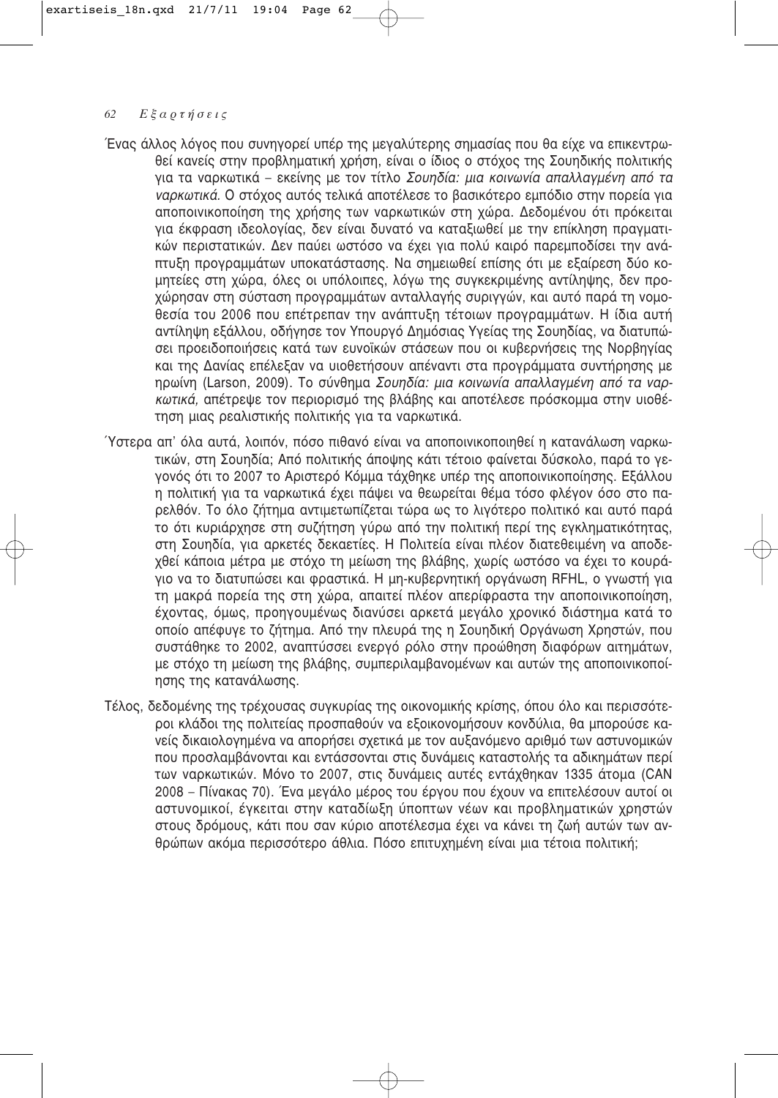- Ένας άλλος λόγος που συνηγορεί υπέρ της μεγαλύτερης σημασίας που θα είχε να επικεντρωθεί κανείς στην προβληματική χρήση, είναι ο ίδιος ο στόχος της Σουηδικής πολιτικής για τα ναρκωτικά – εκείνης με τον τίτλο *Σουηδία: μια κοινωνία απαλλαγμένη από τα Vαρκωτικά.* Ο στόχος αυτός τελικά αποτέλεσε το βασικότερο εμπόδιο στην πορεία για αποποινικοποίηση της χρήσης των ναρκωτικών στη χώρα. Δεδομένου ότι πρόκειται για έκφραση ιδεολογίας, δεν είναι δυνατό να καταξιωθεί με την επίκληση πραγματικών περιστατικών. Δεν παύει ωστόσο να έχει για πολύ καιρό παρεμποδίσει την ανάπτυξη προγραμμάτων υποκατάστασης. Να σημειωθεί επίσης ότι με εξαίρεση δύο κομητείες στη χώρα, όλες οι υπόλοιπες, λόγω της συγκεκριμένης αντίληψης, δεν προχώρησαν στη σύσταση προγραμμάτων ανταλλαγής συριγγών, και αυτό παρά τη νομοθεσία του 2006 που επέτρεπαν την ανάπτυξη τέτοιων προγραμμάτων. Η ίδια αυτή αντίληψη εξάλλου, οδήγησε τον Υπουργό Δημόσιας Υγείας της Σουηδίας, να διατυπώσει προειδοποιήσεις κατά των ευνοϊκών στάσεων που οι κυβερνήσεις της Νορβηγίας και της Δανίας επέλεξαν να υιοθετήσουν απέναντι στα προγράμματα συντήρησης με ηρωίνη (Larson, 2009). Το σύνθημα *Σουηδία: μια κοινωνία απαλλαγμένη από τα ναρ-Κωτικά,* απέτρεψε τον περιορισμό της βλάβης και αποτέλεσε πρόσκομμα στην υιοθέτηση μιας ρεαλιστικής πολιτικής για τα ναρκωτικά.
- Ύστερα απ' όλα αυτά, λοιπόν, πόσο πιθανό είναι να αποποινικοποιηθεί η κατανάλωση ναρκωτικών, στη Σουηδία; Από πολιτικής άποψης κάτι τέτοιο φαίνεται δύσκολο, παρά το γεγονός ότι το 2007 το Αριστερό Κόμμα τάχθηκε υπέρ της αποποινικοποίησης. Εξάλλου η πολιτική για τα ναρκωτικά έχει πάψει να θεωρείται θέμα τόσο φλέγον όσο στο παρελθόν. Το όλο ζήτημα αντιμετωπίζεται τώρα ως το λιγότερο πολιτικό και αυτό παρά το ότι κυριάρχησε στη συζήτηση γύρω από την πολιτική περί της εγκληματικότητας, στη Σουηδία, για αρκετές δεκαετίες. Η Πολιτεία είναι πλέον διατεθειμένη να αποδεχθεί κάποια μέτρα με στόχο τη μείωση της βλάβης, χωρίς ωστόσο να έχει το κουράγιο να το διατυπώσει και φραστικά. Η μη-κυβερνητική οργάνωση RFHL, ο γνωστή για τη μακρά πορεία της στη χώρα, απαιτεί πλέον απερίφραστα την αποποινικοποίηση, έχοντας, όμως, προηγουμένως διανύσει αρκετά μεγάλο χρονικό διάστημα κατά το οποίο απέφυγε το ζήτημα. Από την πλευρά της η Σουηδική Οργάνωση Χρηστών, που συστάθηκε το 2002, αναπτύσσει ενεργό ρόλο στην προώθηση διαφόρων αιτημάτων, με στόχο τη μείωση της βλάβης, συμπεριλαμβανομένων και αυτών της αποποινικοποίησης της κατανάλωσης.
- Τέλος, δεδομένης της τρέχουσας συγκυρίας της οικονομικής κρίσης, όπου όλο και περισσότεροι κλάδοι της πολιτείας προσπαθούν να εξοικονομήσουν κονδύλια, θα μπορούσε κανείς δικαιολογημένα να απορήσει σχετικά με τον αυξανόμενο αριθμό των αστυνομικών που προσλαμβάνονται και εντάσσονται στις δυνάμεις καταστολής τα αδικημάτων περί των ναρκωτικών. Μόνο το 2007, στις δυνάμεις αυτές εντάχθηκαν 1335 άτομα (CAN 2008 – Πίνακας 70). Ένα μεγάλο μέρος του έργου που έχουν να επιτελέσουν αυτοί οι αστυνομικοί, έγκειται στην καταδίωξη ύποπτων νέων και προβληματικών χρηστών στους δρόμους, κάτι που σαν κύριο αποτέλεσμα έχει να κάνει τη ζωή αυτών των ανθρώπων ακόμα περισσότερο άθλια. Πόσο επιτυχημένη είναι μια τέτοια πολιτική;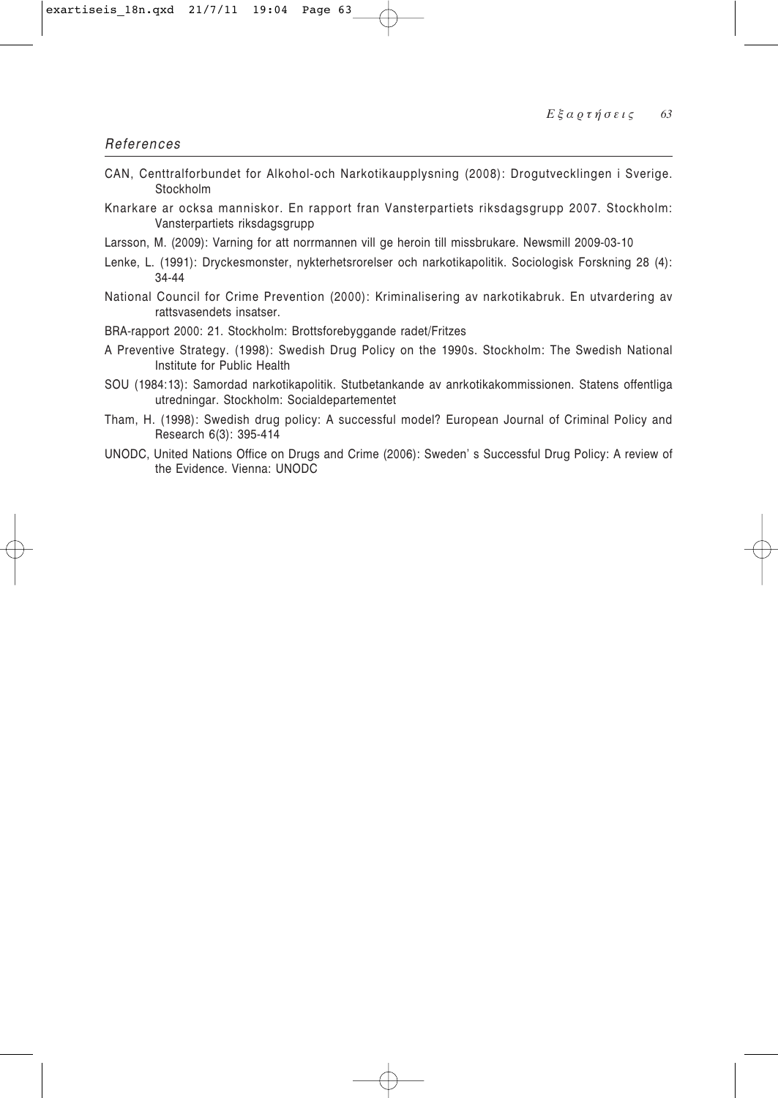### *References*

- CAN, Centtralforbundet for Alkohol-och Narkotikaupplysning (2008): Drogutvecklingen i Sverige. Stockholm
- Knarkare ar ocksa manniskor. En rapport fran Vansterpartiets riksdagsgrupp 2007. Stockholm: Vansterpartiets riksdagsgrupp
- Larsson, M. (2009): Varning for att norrmannen vill ge heroin till missbrukare. Newsmill 2009-03-10
- Lenke, L. (1991): Dryckesmonster, nykterhetsrorelser och narkotikapolitik. Sociologisk Forskning 28 (4): 34-44
- National Council for Crime Prevention (2000): Kriminalisering av narkotikabruk. En utvardering av rattsvasendets insatser.
- BRA-rapport 2000: 21. Stockholm: Brottsforebyggande radet/Fritzes
- A Preventive Strategy. (1998): Swedish Drug Policy on the 1990s. Stockholm: The Swedish National Institute for Public Health
- SOU (1984:13): Samordad narkotikapolitik. Stutbetankande av anrkotikakommissionen. Statens offentliga utredningar. Stockholm: Socialdepartementet
- Tham, H. (1998): Swedish drug policy: A successful model? European Journal of Criminal Policy and Research 6(3): 395-414
- UNODC, United Nations Office on Drugs and Crime (2006): Sweden' s Successful Drug Policy: A review of the Evidence. Vienna: UNODC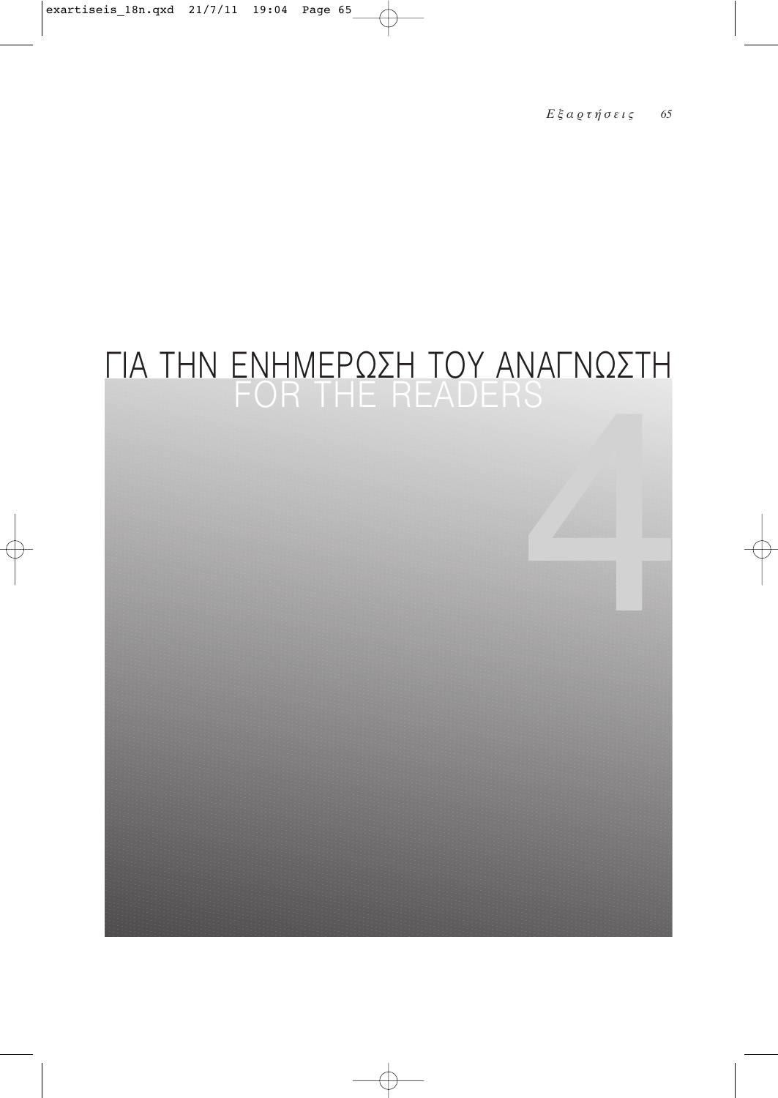# ΓΙΑ ΤΗΝ ΕΝΗΜΕΡΩΣΗ ΤΟΥ ΑΝΑΓΝΩΣΤΗ<br>FOR THE READERS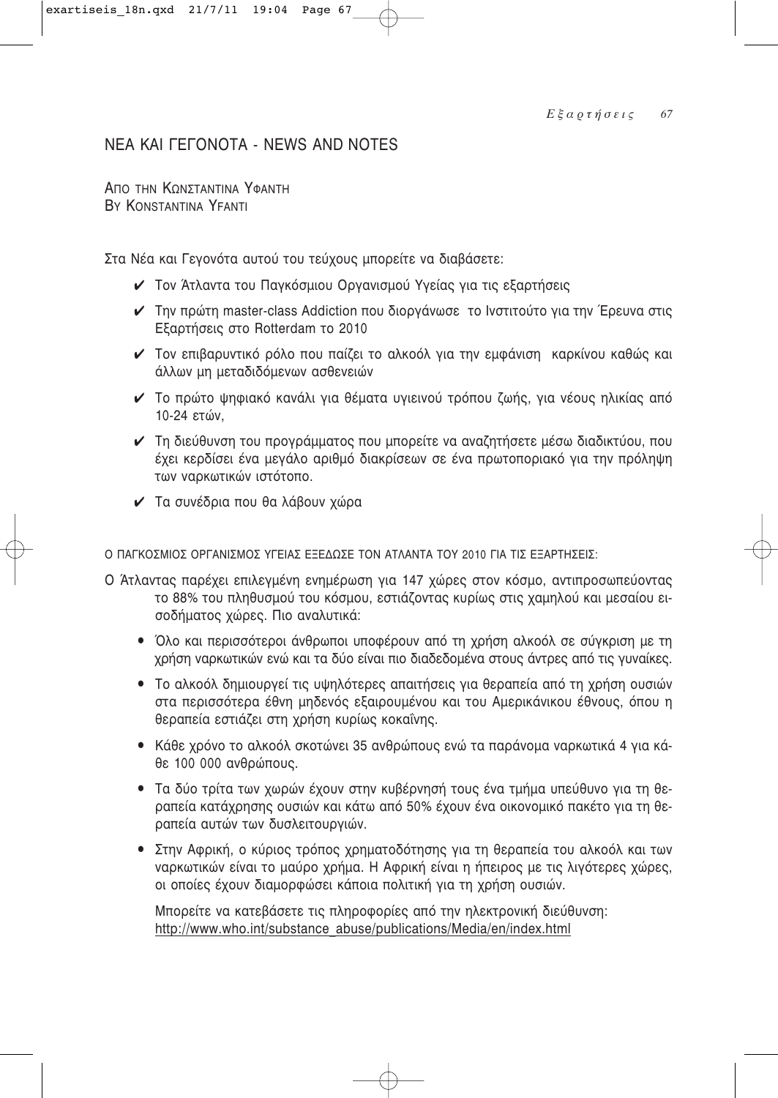### exartiseis  $18n.qxd$   $21/7/11$   $19:04$  Page

# NEA KAL FEFONOTA - NEWS AND NOTES

ΑΠΟ ΤΗΝ ΚΩΝΣΤΑΝΤΙΝΑ ΥΦΑΝΤΗ **BY KONSTANTINA YEANTI** 

Στα Νέα και Γεγονότα αυτού του τεύχους μπορείτε να διαβάσετε:

- $ှី Τον Άτλαντα του Παγκόσμιου Οργανισμού Υγείας για τις εξαρτήσεις$
- $\checkmark$  Την πρώτη master-class Addiction που διοργάνωσε το Ινστιτούτο για την Έρευνα στις Eξαρτήσεις στο Rotterdam το 2010
- ✔ Τον επιβαρυντικό ρόλο που παίζει το αλκοόλ για την εμφάνιση καρκίνου καθώς και άλλων μη μεταδιδόμενων ασθενειών
- **Το πρώτο ψηφιακό κανάλι για θέματα υγιεινού τρόπου ζωής, για νέους ηλικίας από** 10-24 ετών.
- **Τη διεύθυνση του προγράμματος που μπορείτε να αναζητήσετε μέσω διαδικτύου, που** έχει κερδίσει ένα μεγάλο αριθμό διακρίσεων σε ένα πρωτοποριακό για την πρόληψη των ναρκωτικών ιστότοπο.
- **∕** Τα συνέδρια που θα λάβουν χώρα

Ο ΠΑΓΚΟΣΜΙΟΣ ΟΡΓΑΝΙΣΜΟΣ ΥΓΕΙΑΣ ΕΞΕΔΩΣΕ ΤΟΝ ΑΤΛΑΝΤΑ ΤΟΥ 2010 ΓΙΑ ΤΙΣ ΕΞΑΡΤΗΣΕΙΣ:

- Ο Άτλαντας παρέχει επιλεγμένη ενημέρωση για 147 χώρες στον κόσμο, αντιπροσωπεύοντας το 88% του πληθυσμού του κόσμου, εστιάζοντας κυρίως στις χαμηλού και μεσαίου εισοδήματος χώρες. Πιο αναλυτικά:
	- Όλο και περισσότεροι άνθρωποι υποφέρουν από τη χρήση αλκοόλ σε σύγκριση με τη χρήση ναρκωτικών ενώ και τα δύο είναι πιο διαδεδομένα στους άντρες από τις γυναίκες.
	- Το αλκοόλ δημιουργεί τις υψηλότερες απαιτήσεις για θεραπεία από τη χρήση ουσιών στα περισσότερα έθνη μηδενός εξαιρουμένου και του Αμερικάνικου έθνους, όπου η θεραπεία εστιάζει στη χρήση κυρίως κοκαΐνης.
	- $\bullet$  Κάθε χρόνο το αλκοόλ σκοτώνει 35 ανθρώπους ενώ τα παράνομα ναρκωτικά 4 για κάθε 100 000 ανθρώπους.
	- Τα δύο τρίτα των χωρών έχουν στην κυβέρνησή τους ένα τμήμα υπεύθυνο για τη θεραπεία κατάχρησης ουσιών και κάτω από 50% έχουν ένα οικονομικό πακέτο για τη θεραπεία αυτών των δυσλειτουργιών.
	- Στην Αφρική, ο κύριος τρόπος χρηματοδότησης για τη θεραπεία του αλκοόλ και των ναρκωτικών είναι το μαύρο χρήμα. Η Αφρική είναι η ήπειρος με τις λιγότερες χώρες, οι οποίες έχουν διαμορφώσει κάποια πολιτική για τη χρήση ουσιών.

Μπορείτε να κατεβάσετε τις πληροφορίες από την ηλεκτρονική διεύθυνση: http://www.who.int/substance\_abuse/publications/Media/en/index.html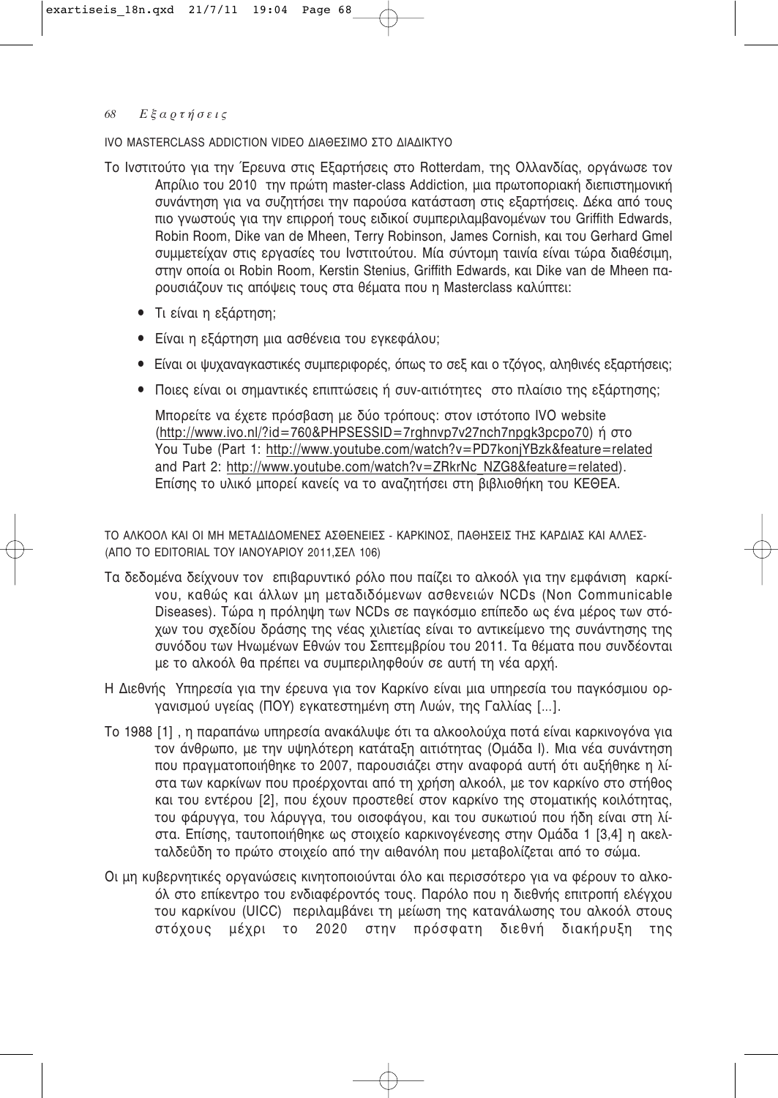IVO MASTERCLASS ADDICTION VIDEO ΔΙΑΘΕΣΙΜΟ ΣΤΟ ΔΙΑΔΙΚΤΥΟ

- Το Ινστιτούτο για την Έρευνα στις Εξαρτήσεις στο Rotterdam, της Ολλανδίας, οργάνωσε τον Aπρίλιο του 2010 την πρώτη master-class Addiction, μια πρωτοποριακή διεπιστημονική συνάντηση για να συζητήσει την παρούσα κατάσταση στις εξαρτήσεις. Δέκα από τους πιο γνωστούς για την επιρροή τους ειδικοί συμπεριλαμβανομένων του Griffith Edwards, Robin Room, Dike van de Mheen, Terry Robinson, James Cornish, και του Gerhard Gmel συμμετείχαν στις εργασίες του Ινστιτούτου. Μία σύντομη ταινία είναι τώρα διαθέσιμη, στην οποία οι Robin Room, Kerstin Stenius, Griffith Edwards, και Dike van de Mheen παρουσιάζουν τις απόψεις τους στα θέματα που η Masterclass καλύπτει:
	- Τι είναι η εξάρτηση;
	- Είναι η εξάρτηση μια ασθένεια του εγκεφάλου;
	- Είναι οι ψυχαναγκαστικές συμπεριφορές, όπως το σεξ και ο τζόγος, αληθινές εξαρτήσεις;
	- Ποιες είναι οι σημαντικές επιπτώσεις ή συν-αιτιότητες στο πλαίσιο της εξάρτησης;

Μπορείτε να έχετε πρόσβαση με δύο τρόπους: στον ιστότοπο IVO website (http://www.ivo.nl/?id=760&PHPSESSID=7rghnvp7v27nch7npgk3pcpo70) ή στο You Tube (Part 1: http://www.youtube.com/watch?v=PD7konjYBzk&feature=related and Part 2: http://www.youtube.com/watch?v=ZRkrNc\_NZG8&feature=related). Επίσης το υλικό μπορεί κανείς να το αναζητήσει στη βιβλιοθήκη του ΚΕΘΕΑ.

ΤΟ ΑΛΚΟΟΛ ΚΑΙ ΟΙ ΜΗ ΜΕΤΑΔΙΔΟΜΕΝΕΣ ΑΣΘΕΝΕΙΕΣ - ΚΑΡΚΙΝΟΣ, ΠΑΘΗΣΕΙΣ ΤΗΣ ΚΑΡΔΙΑΣ ΚΑΙ ΑΛΛΕΣ-(AΠΟ ΤΟ EDITORIAL TOY IANOYAPIOY 2011, ΣΕΛ 106)

- Τα δεδομένα δείχνουν τον επιβαρυντικό ρόλο που παίζει το αλκοόλ για την εμφάνιση καρκί-VOU, καθώς και άλλων μη μεταδιδόμενων ασθενειών NCDs (Non Communicable Diseases). Τώρα η πρόληψη των NCDs σε παγκόσμιο επίπεδο ως ένα μέρος των στόχων του σχεδίου δράσης της νέας χιλιετίας είναι το αντικείμενο της συνάντησης της συνόδου των Ηνωμένων Εθνών του Σεπτεμβρίου του 2011. Τα θέματα που συνδέονται με το αλκοόλ θα πρέπει να συμπεριληφθούν σε αυτή τη νέα αρχή.
- Η Διεθνής Υπηρεσία για την έρευνα για τον Καρκίνο είναι μια υπηρεσία του παγκόσμιου οργανισμού υγείας (ΠΟΥ) εγκατεστημένη στη Λυών, της Γαλλίας [...].
- Το 1988 [1], η παραπάνω υπηρεσία ανακάλυψε ότι τα αλκοολούχα ποτά είναι καρκινογόνα για τον άνθρωπο, με την υψηλότερη κατάταξη αιτιότητας (Ομάδα Ι). Μια νέα συνάντηση που πραγματοποιήθηκε το 2007, παρουσιάζει στην αναφορά αυτή ότι αυξήθηκε η λίστα των καρκίνων που προέρχονται από τη χρήση αλκοόλ, με τον καρκίνο στο στήθος και του εντέρου [2], που έχουν προστεθεί στον καρκίνο της στοματικής κοιλότητας, του φάρυγγα, του λάρυγγα, του οισοφάγου, και του συκωτιού που ήδη είναι στη λίστα. Επίσης, ταυτοποιήθηκε ως στοιχείο καρκινογένεσης στην Ομάδα 1 [3,4] η ακελταλδεΰδη το πρώτο στοιχείο από την αιθανόλη που μεταβολίζεται από το σώμα.
- Οι μη κυβερνητικές οργανώσεις κινητοποιούνται όλο και περισσότερο για να φέρουν το αλκοόλ στο επίκεντρο του ενδιαφέροντός τους. Παρόλο που η διεθνής επιτροπή ελέγχου <u>του καρκίνου (UICC) περιλαμβάνει τη μείωση της κατανάλωσης του αλκοόλ στους</u> στόχους μέχρι το 2020 στην πρόσφατη διεθνή διακήρυξη της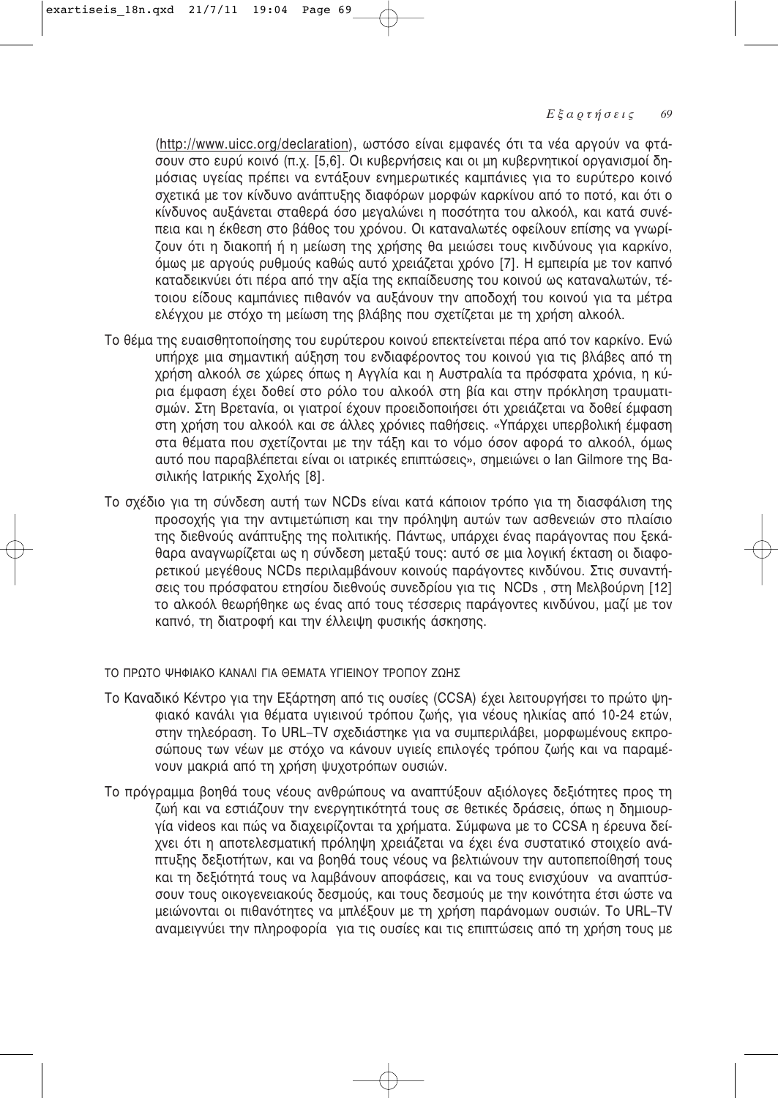(http://www.uicc.org/declaration), ωστόσο είναι εμφανές ότι τα νέα αργούν να φτάσουν στο ευρύ κοινό (π.χ. [5,6]. Οι κυβερνήσεις και οι μη κυβερνητικοί οργανισμοί δημόσιας υγείας πρέπει να εντάξουν ενημερωτικές καμπάνιες για το ευρύτερο κοινό σχετικά με τον κίνδυνο ανάπτυξης διαφόρων μορφών καρκίνου από το ποτό, και ότι ο κίνδυνος αυξάνεται σταθερά όσο μεγαλώνει η ποσότητα του αλκοόλ, και κατά συνέπεια και η έκθεση στο βάθος του χρόνου. Οι καταναλωτές οφείλουν επίσης να γνωρίζουν ότι η διακοπή ή η μείωση της χρήσης θα μειώσει τους κινδύνους για καρκίνο, όμως με αργούς ρυθμούς καθώς αυτό χρειάζεται χρόνο [7]. Η εμπειρία με τον καπνό καταδεικνύει ότι πέρα από την αξία της εκπαίδευσης του κοινού ως καταναλωτών, τέτοιου είδους καμπάνιες πιθανόν να αυξάνουν την αποδοχή του κοινού για τα μέτρα ελέγχου με στόχο τη μείωση της βλάβης που σχετίζεται με τη χρήση αλκοόλ.

- Το θέμα της ευαισθητοποίησης του ευρύτερου κοινού επεκτείνεται πέρα από τον καρκίνο. Ενώ υπήρχε μια σημαντική αύξηση του ενδιαφέροντος του κοινού για τις βλάβες από τη χρήση αλκοόλ σε χώρες όπως η Αγγλία και η Αυστραλία τα πρόσφατα χρόνια, η κύρια έμφαση έχει δοθεί στο ρόλο του αλκοόλ στη βία και στην πρόκληση τραυματισμών. Στη Βρετανία, οι γιατροί έχουν προειδοποιήσει ότι χρειάζεται να δοθεί έμφαση στη χρήση του αλκοόλ και σε άλλες χρόνιες παθήσεις. «Υπάρχει υπερβολική έμφαση στα θέματα που σχετίζονται με την τάξη και το νόμο όσον αφορά το αλκοόλ, όμως αυτό που παραβλέπεται είναι οι ιατρικές επιπτώσεις», σημειώνει ο lan Gilmore της Βασιλικής Ιατρικής Σχολής [8].
- Το σχέδιο για τη σύνδεση αυτή των NCDs είναι κατά κάποιον τρόπο για τη διασφάλιση της προσοχής για την αντιμετώπιση και την πρόληψη αυτών των ασθενειών στο πλαίσιο της διεθνούς ανάπτυξης της πολιτικής. Πάντως, υπάρχει ένας παράγοντας που ξεκάθαρα αναγνωρίζεται ως η σύνδεση μεταξύ τους: αυτό σε μια λογική έκταση οι διαφορετικού μενέθους NCDs περιλαμβάνουν κοινούς παράνοντες κινδύνου. Στις συναντήσεις του πρόσφατου ετησίου διεθνούς συνεδρίου για τις NCDs, στη Μελβούρνη [12] το αλκοόλ θεωρήθηκε ως ένας από τους τέσσερις παράγοντες κινδύνου, μαζί με τον καπνό, τη διατροφή και την έλλειψη φυσικής άσκησης.
- ΤΟ ΠΡΩΤΟ ΨΗΦΙΑΚΟ ΚΑΝΑΛΙ ΓΙΑ ΘΕΜΑΤΑ ΥΓΙΕΙΝΟΥ ΤΡΟΠΟΥ ΖΩΗΣ
- Το Καναδικό Κέντρο για την Εξάρτηση από τις ουσίες (CCSA) έχει λειτουργήσει το πρώτο ψηφιακό κανάλι για θέματα υγιεινού τρόπου ζωής, για νέους ηλικίας από 10-24 ετών, στην τηλεόραση. Το URL–TV σχεδιάστηκε για να συμπεριλάβει, μορφωμένους εκπροσώπους των νέων με στόχο να κάνουν υγιείς επιλογές τρόπου ζωής και να παραμένουν μακριά από τη χρήση ψυχοτρόπων ουσιών.
- Το πρόγραμμα βοηθά τους νέους ανθρώπους να αναπτύξουν αξιόλογες δεξιότητες προς τη ζωή και να εστιάζουν την ενεργητικότητά τους σε θετικές δράσεις, όπως η δημιουργία videos και πώς να διαχειρίζονται τα χρήματα. Σύμφωνα με το CCSA η έρευνα δείχνει ότι η αποτελεσματική πρόληψη χρειάζεται να έχει ένα συστατικό στοιχείο ανάπτυξης δεξιοτήτων, και να βοηθά τους νέους να βελτιώνουν την αυτοπεποίθησή τους και τη δεξιότητά τους να λαμβάνουν αποφάσεις, και να τους ενισχύουν να αναπτύσσουν τους οικογενειακούς δεσμούς, και τους δεσμούς με την κοινότητα έτσι ώστε να μειώνονται οι πιθανότητες να μπλέξουν με τη χρήση παράνομων ουσιών. Το URL–TV αναμειγνύει την πληροφορία για τις ουσίες και τις επιπτώσεις από τη χρήση τους με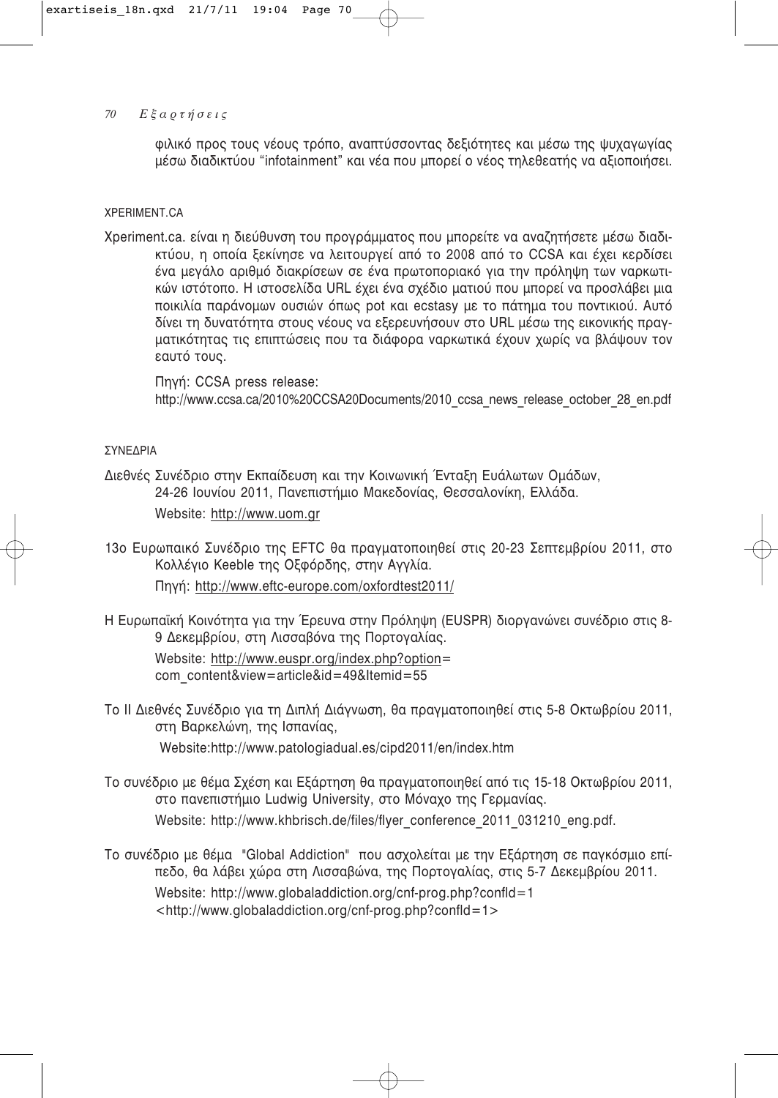Φιλικό προς τους νέους τρόπο, αναπτύσσοντας δεξιότητες και μέσω της ψυχαγωγίας µέσω διαδικτύου "infotainment" και νέα που μπορεί ο νέος τηλεθεατής να αξιοποιήσει.

### XPERIMENT.CA

Xperiment.ca. είναι η διεύθυνση του προγράμματος που μπορείτε να αναζητήσετε μέσω διαδι-Κτύου, η οποία ξεκίνησε να λειτουργεί από το 2008 από το CCSA και έχει κερδίσει ένα μεγάλο αριθμό διακρίσεων σε ένα πρωτοποριακό για την πρόληψη των ναρκωτικών ιστότοπο. Η ιστοσελίδα URL έχει ένα σχέδιο ματιού που μπορεί να προσλάβει μια ποικιλία παράνομων ουσιών όπως pot και ecstasy με το πάτημα του ποντικιού. Αυτό δίνει τη δυνατότητα στους νέους να εξερευνήσουν στο URL μέσω της εικονικής πραγματικότητας τις επιπτώσεις που τα διάφορα ναρκωτικά έχουν χωρίς να βλάψουν τον εαυτό τους.

Πηγή: CCSA press release: http://www.ccsa.ca/2010%20CCSA20Documents/2010\_ccsa\_news\_release\_october\_28\_en.pdf

### ΣΥΝΕΔΡΙΑ

Διεθνές Συνέδριο στην Εκπαίδευση και την Κοινωνική Ένταξη Ευάλωτων Ομάδων, 24-26 Ιουνίου 2011, Πανεπιστήμιο Μακεδονίας, Θεσσαλονίκη, Ελλάδα. Website: http://www.uom.gr

- 13o Ευρωπαικό Συνέδριο της ΕFTC θα πραγματοποιηθεί στις 20-23 Σεπτεμβρίου 2011, στο Κολλέγιο Keeble της Οξφόρδης, στην Αγγλία. Πηγή: http://www.eftc-europe.com/oxfordtest2011/
- Η Ευρωπαϊκή Κοινότητα για την Έρευνα στην Πρόληψη (EUSPR) διοργανώνει συνέδριο στις 8-9 Δεκεμβρίου, στη Λισσαβόνα της Πορτογαλίας. Website: http://www.euspr.org/index.php?option= com\_content&view=article&id=49&Itemid=55
- Το ΙΙ Διεθνές Συνέδριο για τη Διπλή Διάγνωση, θα πραγματοποιηθεί στις 5-8 Οκτωβρίου 2011, στη Βαρκελώνη, της Ισπανίας, Website:http://www.patologiadual.es/cipd2011/en/index.htm
- Το συνέδριο με θέμα Σχέση και Εξάρτηση θα πραγματοποιηθεί από τις 15-18 Οκτωβρίου 2011, στο πανεπιστήμιο Ludwig University, στο Μόναχο της Γερμανίας. Website: http://www.khbrisch.de/files/flyer\_conference\_2011\_031210\_eng.pdf.
- Το συνέδριο με θέμα "Global Addiction" που ασχολείται με την Εξάρτηση σε παγκόσμιο επίπεδο, θα λάβει χώρα στη Λισσαβώνα, της Πορτογαλίας, στις 5-7 Δεκεμβρίου 2011. Website: http://www.globaladdiction.org/cnf-prog.php?confld=1 <http://www.globaladdiction.org/cnf-prog.php?confld=1>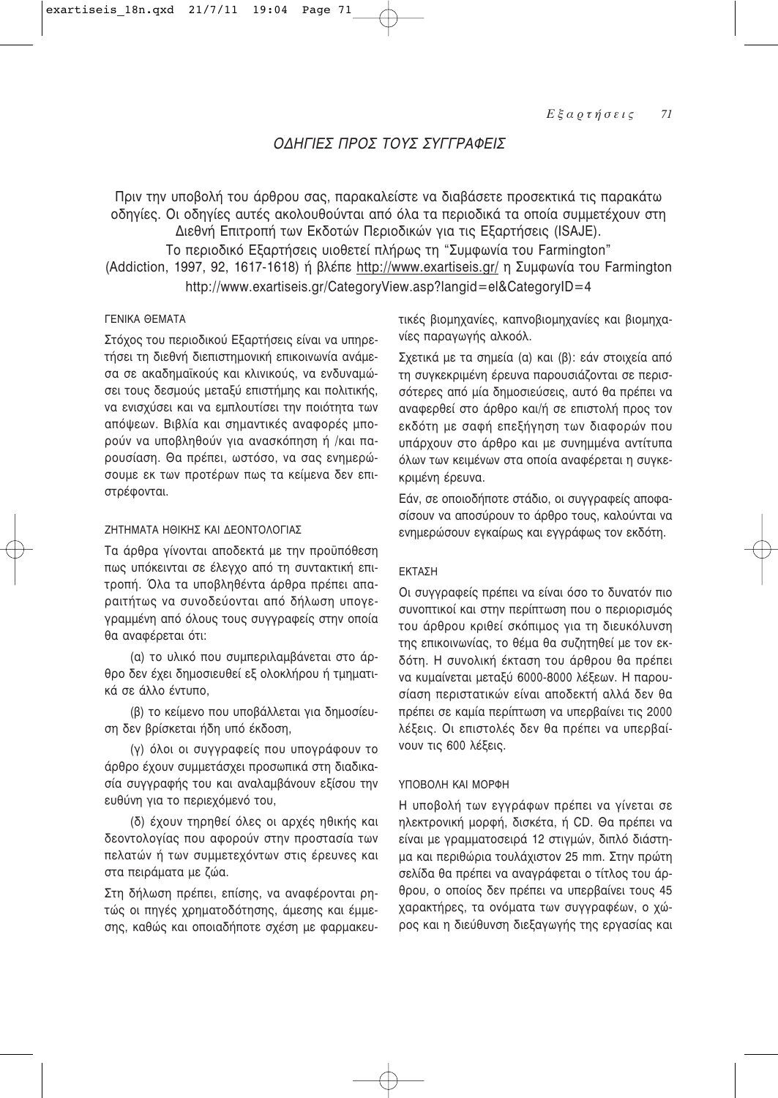### exartiseis 18n. axd

### ΟΛΗΓΙΕΣ ΠΡΟΣ ΤΟΥΣ ΣΥΓΓΡΑΦΕΙΣ

Πριν την υποβολή του άρθρου σας, παρακαλείστε να διαβάσετε προσεκτικά τις παρακάτω οδηγίες. Οι οδηγίες αυτές ακολουθούνται από όλα τα περιοδικά τα οποία συμμετέχουν στη Διεθνή Επιτροπή των Εκδοτών Περιοδικών για τις Εξαρτήσεις (ISAJE).

Το περιοδικό Εξαρτήσεις υιοθετεί πλήρως τη "Συμφωνία του Farmington" (Addiction, 1997, 92, 1617-1618) ή βλέπε http://www.exartiseis.gr/ η Συμφωνία του Farmington http://www.exartiseis.gr/CategoryView.asp?langid=el&CategoryID=4

### *TENIKA ΘΕΜΑΤΑ*

Στόχος του περιοδικού Εξαρτήσεις είναι να υπηρετήσει τη διεθνή διεπιστημονική επικοινωνία ανάμεσα σε ακαδημαϊκούς και κλινικούς, να ενδυναμώσει τους δεσμούς μεταξύ επιστήμης και πολιτικής, να ενισχύσει και να εμπλουτίσει την ποιότητα των απόψεων. Βιβλία και σημαντικές αναφορές μπορούν να υποβληθούν για ανασκόπηση ή /και παρουσίαση. Θα πρέπει, ωστόσο, να σας ενημερώσουμε εκ των προτέρων πως τα κείμενα δεν επιστρέφονται.

### ΖΗΤΗΜΑΤΑ ΗΘΙΚΗΣ ΚΑΙ ΔΕΟΝΤΟΛΟΓΙΑΣ

Τα άρθρα γίνονται αποδεκτά με την προϋπόθεση πως υπόκεινται σε έλεγχο από τη συντακτική επιτροπή. Όλα τα υποβληθέντα άρθρα πρέπει απαραιτήτως να συνοδεύονται από δήλωση υπογεγραμμένη από όλους τους συγγραφείς στην οποία θα αναφέρεται ότι:

(α) το υλικό που συμπεριλαμβάνεται στο άρθρο δεν έχει δημοσιευθεί εξ ολοκλήρου ή τμηματικά σε άλλο έντυπο.

(β) το κείμενο που υποβάλλεται για δημοσίευση δεν βρίσκεται ήδη υπό έκδοση,

(γ) όλοι οι συγγραφείς που υπογράφουν το άρθρο έχουν συμμετάσχει προσωπικά στη διαδικασία συγγραφής του και αναλαμβάνουν εξίσου την ευθύνη για το περιεχόμενό του,

(δ) έχουν τηρηθεί όλες οι αρχές ηθικής και δεοντολογίας που αφορούν στην προστασία των πελατών ή των συμμετεχόντων στις έρευνες και στα πειράματα με ζώα.

Στη δήλωση πρέπει, επίσης, να αναφέρονται ρητώς οι πηγές χρηματοδότησης, άμεσης και έμμεσης, καθώς και οποιαδήποτε σχέση με φαρμακευτικές βιομηχανίες, καπνοβιομηχανίες και βιομηχανίες παραγωγής αλκοόλ.

Σχετικά με τα σημεία (α) και (β): εάν στοιχεία από τη συγκεκριμένη έρευνα παρουσιάζονται σε περισσότερες από μία δημοσιεύσεις, αυτό θα πρέπει να αναφερθεί στο άρθρο και/ή σε επιστολή προς τον εκδότη με σαφή επεξήγηση των διαφορών που υπάρχουν στο άρθρο και με συνημμένα αντίτυπα όλων των κειμένων στα οποία αναφέρεται η συγκεκριμένη έρευνα.

Εάν, σε οποιοδήποτε στάδιο, οι συγγραφείς αποφασίσουν να αποσύρουν το άρθρο τους, καλούνται να ενημερώσουν εγκαίρως και εγγράφως τον εκδότη.

### ΕΚΤΑΣΗ

Οι συγγραφείς πρέπει να είναι όσο το δυνατόν πιο συνοπτικοί και στην περίπτωση που ο περιορισμός του άρθρου κριθεί σκόπιμος για τη διευκόλυνση της επικοινωνίας, το θέμα θα συζητηθεί με τον εκδότη. Η συνολική έκταση του άρθρου θα πρέπει να κυμαίνεται μεταξύ 6000-8000 λέξεων. Η παρουσίαση περιστατικών είναι αποδεκτή αλλά δεν θα πρέπει σε καμία περίπτωση να υπερβαίνει τις 2000 λέξεις. Οι επιστολές δεν θα πρέπει να υπερβαίνουν τις 600 λέξεις.

### ҮПОВОЛН КАІ МОРФН

Η υποβολή των εγγράφων πρέπει να γίνεται σε ηλεκτρονική μορφή, δισκέτα, ή CD. Θα πρέπει να είναι με γραμματοσειρά 12 στιγμών, διπλό διάστημα και περιθώρια τουλάχιστον 25 mm. Στην πρώτη σελίδα θα πρέπει να αναγράφεται ο τίτλος του άρθρου, ο οποίος δεν πρέπει να υπερβαίνει τους 45 χαρακτήρες, τα ονόματα των συγγραφέων, ο χώρος και η διεύθυνση διεξαγωγής της εργασίας και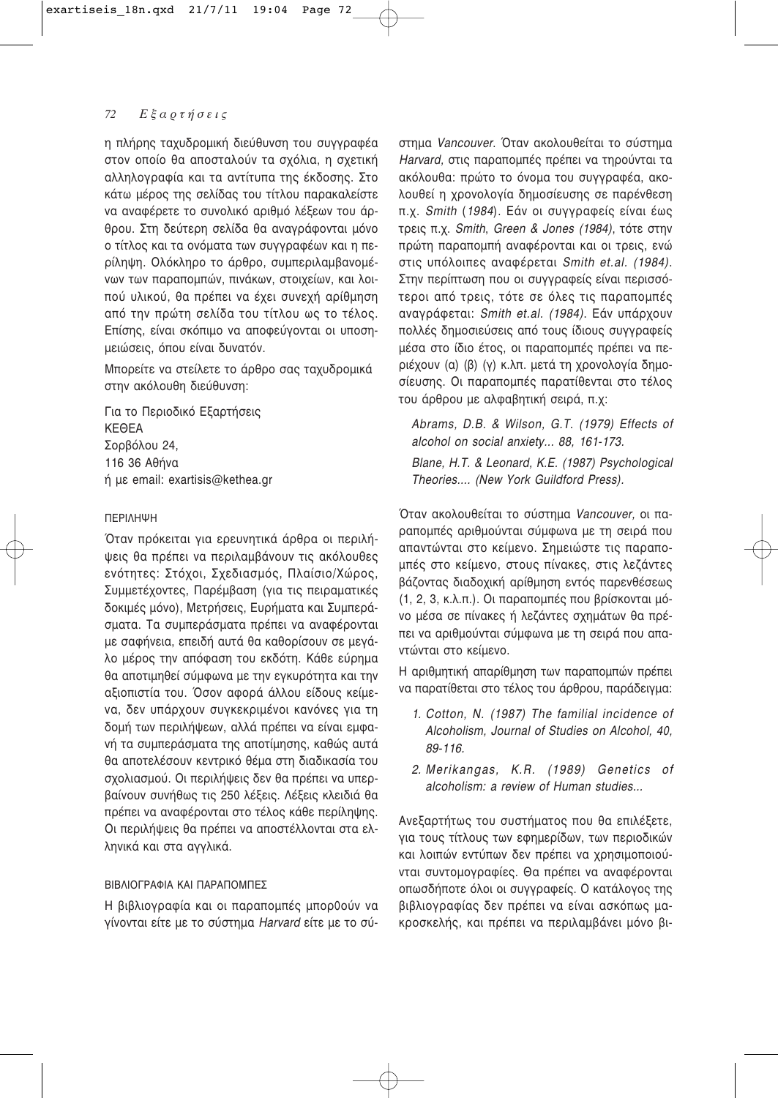η πλήρης ταχυδρομική διεύθυνση του συγγραφέα στον οποίο θα αποσταλούν τα σχόλια, η σχετική αλληλογραφία και τα αντίτυπα της έκδοσης. Στο κάτω μέρος της σελίδας του τίτλου παρακαλείστε να αναφέρετε το συνολικό αριθμό λέξεων του άρθρου. Στη δεύτερη σελίδα θα αναγράφονται μόνο ο τίτλος και τα ονόματα των συγγραφέων και η περίληψη. Ολόκληρο το άρθρο, συμπεριλαμβανομένων των παραπομπών, πινάκων, στοιχείων, και λοιπού υλικού, θα πρέπει να έχει συνεχή αρίθμηση από την πρώτη σελίδα του τίτλου ως το τέλος. Επίσης, είναι σκόπιμο να αποφεύγονται οι υποσημειώσεις, όπου είναι δυνατόν.

Μπορείτε να στείλετε το άρθρο σας ταχυδρομικά στην ακόλουθη διεύθυνση:

Για το Περιοδικό Εξαρτήσεις **KEOEA** Σορβόλου 24, 116 36 Αθήνα ή με email: exartisis@kethea.gr

### ПЕРІЛНФН

Όταν πρόκειται για ερευνητικά άρθρα οι περιλήψεις θα πρέπει να περιλαμβάνουν τις ακόλουθες ενότητες: Στόχοι, Σχεδιασμός, Πλαίσιο/Χώρος, Συμμετέχοντες, Παρέμβαση (για τις πειραματικές δοκιμές μόνο), Μετρήσεις, Ευρήματα και Συμπεράσματα. Τα συμπεράσματα πρέπει να αναφέρονται με σαφήνεια, επειδή αυτά θα καθορίσουν σε μεγάλο μέρος την απόφαση του εκδότη. Κάθε εύρημα θα αποτιμηθεί σύμφωνα με την εγκυρότητα και την αξιοπιστία του. Όσον αφορά άλλου είδους κείμενα, δεν υπάρχουν συγκεκριμένοι κανόνες για τη δομή των περιλήψεων, αλλά πρέπει να είναι εμφανή τα συμπεράσματα της αποτίμησης, καθώς αυτά θα αποτελέσουν κεντρικό θέμα στη διαδικασία του σχολιασμού. Οι περιλήψεις δεν θα πρέπει να υπερβαίνουν συνήθως τις 250 λέξεις. Λέξεις κλειδιά θα πρέπει να αναφέρονται στο τέλος κάθε περίληψης. Οι περιλήψεις θα πρέπει να αποστέλλονται στα ελληνικά και στα αγγλικά.

### ΒΙΒΛΙΟΓΡΑΦΙΑ ΚΑΙ ΠΑΡΑΠΟΜΠΕΣ

Η βιβλιογραφία και οι παραπομπές μπορθούν να γίνονται είτε με το σύστημα Harvard είτε με το σύ-

στημα Vancouver. Όταν ακολουθείται το σύστημα Harvard, στις παραπομπές πρέπει να τηρούνται τα ακόλουθα: πρώτο το όνομα του συγγραφέα, ακολουθεί η χρονολογία δημοσίευσης σε παρένθεση π.χ. Smith (1984). Εάν οι συγγραφείς είναι έως τρεις π.χ. Smith, Green & Jones (1984), τότε στην πρώτη παραπομπή αναφέρονται και οι τρεις, ενώ στις υπόλοιπες αναφέρεται Smith et.al. (1984). Στην περίπτωση που οι συγγραφείς είναι περισσότεροι από τρεις, τότε σε όλες τις παραπομπές αναγράφεται: Smith et.al. (1984). Εάν υπάρχουν πολλές δημοσιεύσεις από τους ίδιους συγγραφείς μέσα στο ίδιο έτος, οι παραπομπές πρέπει να περιέχουν (α) (β) (γ) κ.λπ. μετά τη χρονολογία δημοσίευσης. Οι παραπομπές παρατίθενται στο τέλος του άρθρου με αλφαβητική σειρά, π.χ:

Abrams, D.B. & Wilson, G.T. (1979) Effects of alcohol on social anxiety... 88, 161-173. Blane, H.T. & Leonard, K.E. (1987) Psychological Theories.... (New York Guildford Press).

Όταν ακολουθείται το σύστημα Vancouver, οι παραπομπές αριθμούνται σύμφωνα με τη σειρά που απαντώνται στο κείμενο. Σημειώστε τις παραπομπές στο κείμενο, στους πίνακες, στις λεζάντες βάζοντας διαδοχική αρίθμηση εντός παρενθέσεως (1, 2, 3, κ.λ.π.). Οι παραπομπές που βρίσκονται μόνο μέσα σε πίνακες ή λεζάντες σχημάτων θα πρέπει να αριθμούνται σύμφωνα με τη σειρά που απαντώνται στο κείμενο.

Η αριθμητική απαρίθμηση των παραπομπών πρέπει να παρατίθεται στο τέλος του άρθρου, παράδειγμα:

- 1. Cotton, N. (1987) The familial incidence of Alcoholism, Journal of Studies on Alcohol, 40, 89-116.
- 2. Merikangas, K.R. (1989) Genetics of alcoholism: a review of Human studies...

Ανεξαρτήτως του συστήματος που θα επιλέξετε, για τους τίτλους των εφημερίδων, των περιοδικών και λοιπών εντύπων δεν πρέπει να χρησιμοποιούνται συντομογραφίες. Θα πρέπει να αναφέρονται οπωσδήποτε όλοι οι συγγραφείς. Ο κατάλογος της βιβλιογραφίας δεν πρέπει να είναι ασκόπως μακροσκελής, και πρέπει να περιλαμβάνει μόνο βι-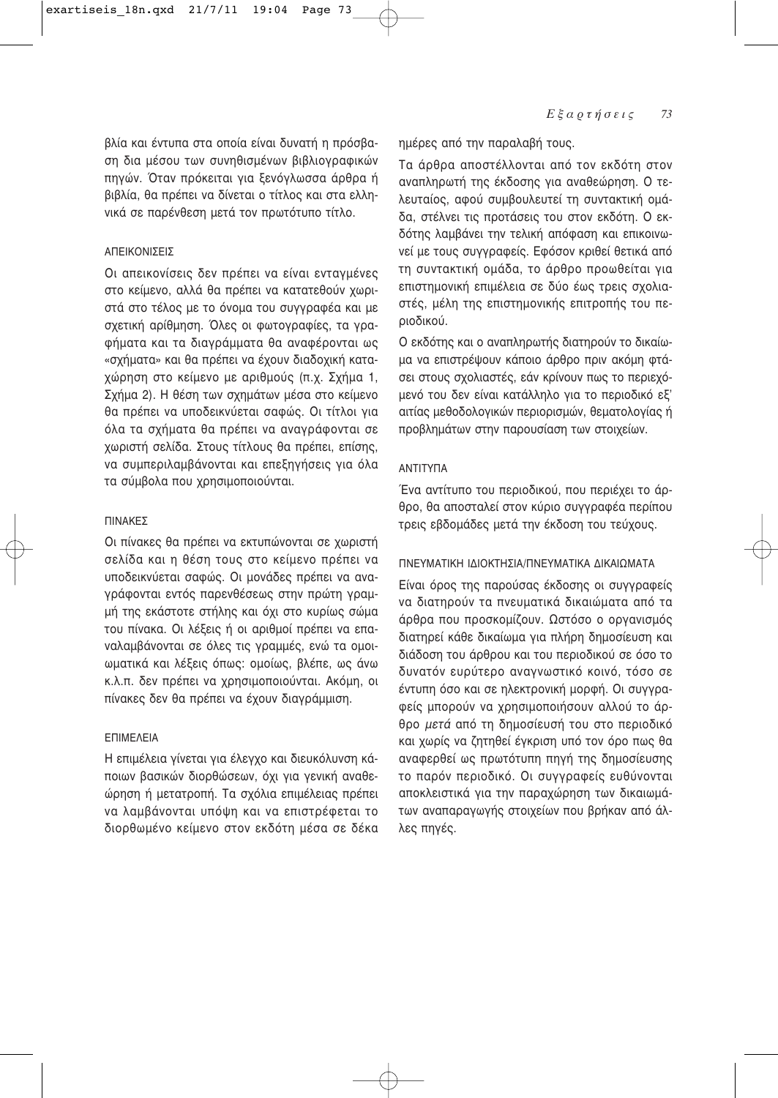βλία και έντυπα στα οποία είναι δυνατή η πρόσβαση δια μέσου των συνηθισμένων βιβλιονραφικών πηγών. Όταν πρόκειται για ξενόγλωσσα άρθρα ή βιβλία, θα πρέπει να δίνεται ο τίτλος και στα ελληνικά σε παρένθεση μετά τον πρωτότυπο τίτλο.

# ΑΠΕΙΚΟΝΙΣΕΙΣ

Οι απεικονίσεις δεν πρέπει να είναι ενταγμένες στο κείμενο, αλλά θα πρέπει να κατατεθούν χωριστά στο τέλος με το όνομα του συγγραφέα και με σχετική αρίθμηση. Όλες οι φωτογραφίες, τα γραφήματα και τα διαγράμματα θα αναφέρονται ως «σχήματα» και θα πρέπει να έχουν διαδοχική καταχώρηση στο κείμενο με αριθμούς (π.χ. Σχήμα 1, Σχήμα 2). Η θέση των σχημάτων μέσα στο κείμενο θα πρέπει να υποδεικνύεται σαφώς. Οι τίτλοι για όλα τα σχήματα θα πρέπει να αναγράφονται σε χωριστή σελίδα. Στους τίτλους θα πρέπει, επίσης, να συμπεριλαμβάνονται και επεξηγήσεις για όλα τα σύμβολα που χρησιμοποιούνται.

## ΠΙΝΑΚΕΣ

Οι πίνακες θα πρέπει να εκτυπώνονται σε χωριστή σελίδα και η θέση τους στο κείμενο πρέπει να υποδεικνύεται σαφώς. Οι μονάδες πρέπει να αναγράφονται εντός παρενθέσεως στην πρώτη γραμμή της εκάστοτε στήλης και όχι στο κυρίως σώμα του πίνακα. Οι λέξεις ή οι αριθμοί πρέπει να επαναλαμβάνονται σε όλες τις γραμμές, ενώ τα ομοιωματικά και λέξεις όπως: ομοίως, βλέπε, ως άνω κ.λ.π. δεν πρέπει να χρησιμοποιούνται. Ακόμη, οι πίνακες δεν θα πρέπει να έχουν διαγράμμιση.

### **FUIMFAFIA**

Η επιμέλεια γίνεται για έλεγχο και διευκόλυνση κάποιων βασικών διορθώσεων, όχι για γενική αναθεώρηση ή μετατροπή. Τα σχόλια επιμέλειας πρέπει να λαμβάνονται υπόψη και να επιστρέφεται το διορθωμένο κείμενο στον εκδότη μέσα σε δέκα

#### Εξαρτήσεις 73

ημέρες από την παραλαβή τους.

Τα άρθρα αποστέλλονται από τον εκδότη στον αναπληρωτή της έκδοσης για αναθεώρηση. Ο τελευταίος, αφού συμβουλευτεί τη συντακτική ομάδα, στέλνει τις προτάσεις του στον εκδότη. Ο εκδότης λαμβάνει την τελική απόφαση και επικοινωνεί με τους συγγραφείς. Εφόσον κριθεί θετικά από τη συντακτική ομάδα, το άρθρο προωθείται για επιστημονική επιμέλεια σε δύο έως τρεις σχολιαστές, μέλη της επιστημονικής επιτροπής του περιοδικού.

Ο εκδότης και ο αναπληρωτής διατηρούν το δικαίωμα να επιστρέψουν κάποιο άρθρο πριν ακόμη φτάσει στους σχολιαστές, εάν κρίνουν πως το περιεχόμενό του δεν είναι κατάλληλο για το περιοδικό εξ' αιτίας μεθοδολογικών περιορισμών, θεματολογίας ή προβλημάτων στην παρουσίαση των στοιχείων.

### ΑΝΤΙΤΥΠΑ

Ένα αντίτυπο του περιοδικού, που περιέχει το άρθρο, θα αποσταλεί στον κύριο συγγραφέα περίπου τρεις εβδομάδες μετά την έκδοση του τεύχους.

### ΠΝΕΥΜΑΤΙΚΗ ΙΔΙΟΚΤΗΣΙΑ/ΠΝΕΥΜΑΤΙΚΑ ΔΙΚΑΙΩΜΑΤΑ

Είναι όρος της παρούσας έκδοσης οι συγγραφείς να διατηρούν τα πνευματικά δικαιώματα από τα άρθρα που προσκομίζουν. Ωστόσο ο οργανισμός διατηρεί κάθε δικαίωμα για πλήρη δημοσίευση και διάδοση του άρθρου και του περιοδικού σε όσο το δυνατόν ευρύτερο αναγνωστικό κοινό, τόσο σε έντυπη όσο και σε ηλεκτρονική μορφή. Οι συγγραφείς μπορούν να χρησιμοποιήσουν αλλού το άρθρο μετά από τη δημοσίευσή του στο περιοδικό και χωρίς να ζητηθεί έγκριση υπό τον όρο πως θα αναφερθεί ως πρωτότυπη πηγή της δημοσίευσης το παρόν περιοδικό. Οι συγγραφείς ευθύνονται αποκλειστικά για την παραχώρηση των δικαιωμάτων αναπαραγωγής στοιχείων που βρήκαν από άλλες πηγές.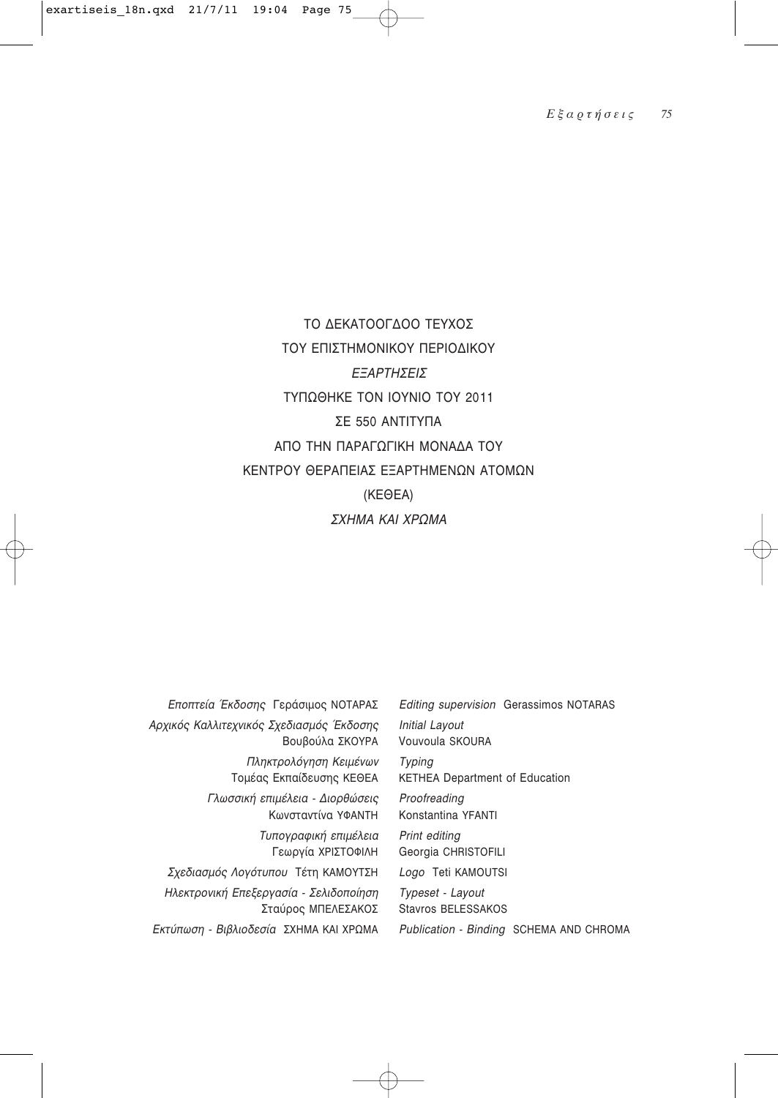exartiseis\_18n.qxd 21/7/11 19:04 Page 75

ΤΟ ΔΕΚΑΤΟΟΓΔΟΟ ΤΕΥΧΟΣ ΤΟΥ ΕΠΙΣΤΗΜΟΝΙΚΟΥ ΠΕΡΙΟΔΙΚΟΥ ΕΞΑΡΤΗΣΕΙΣ ΤΥΠΩΘΗΚΕ ΤΟΝ ΙΟΥΝΙΟ ΤΟΥ 2011 ΣE 550 ANTITYΠA ΑΠΟ ΤΗΝ ΠΑΡΑΓΩΓΙΚΗ ΜΟΝΑΔΑ ΤΟΥ ΚΕΝΤΡΟΥ ΘΕΡΑΠΕΙΑΣ ΕΞΑΡΤΗΜΕΝΩΝ ΑΤΟΜΩΝ  $(KE $\Theta$ E $A$ )$ ΣΧΗΜΑ ΚΑΙ ΧΡΩΜΑ

| Εποπτεία Έκδοσης Γεράσιμος ΝΟΤΑΡΑΣ       | Editing supervision Gerassimos NOTARAS  |
|------------------------------------------|-----------------------------------------|
| Αρχικός Καλλιτεχνικός Σχεδιασμός Έκδοσης | <b>Initial Layout</b>                   |
| Βουβούλα ΣΚΟΥΡΑ                          | Vouvoula SKOURA                         |
| Πληκτρολόγηση Κειμένων                   | Typing                                  |
| Τομέας Εκπαίδευσης ΚΕΘΕΑ                 | <b>KETHEA Department of Education</b>   |
| Γλωσσική επιμέλεια - Διορθώσεις          | Proofreading                            |
| Κωνσταντίνα ΥΦΑΝΤΗ                       | Konstantina YFANTI                      |
| Τυπογραφική επιμέλεια                    | Print editing                           |
| Γεωργία ΧΡΙΣΤΟΦΙΛΗ                       | Georgia CHRISTOFILI                     |
| Σχεδιασμός Λογότυπου Τέτη ΚΑΜΟΥΤΣΗ       | Logo Teti KAMOUTSI                      |
| Ηλεκτρονική Επεξεργασία - Σελιδοποίηση   | Typeset - Layout                        |
| Σταύρος ΜΠΕΛΕΣΑΚΟΣ                       | Stavros BELESSAKOS                      |
| Εκτύπωση - Βιβλιοδεσία ΣΧΗΜΑ ΚΑΙ ΧΡΩΜΑ   | Publication - Binding SCHEMA AND CHROMA |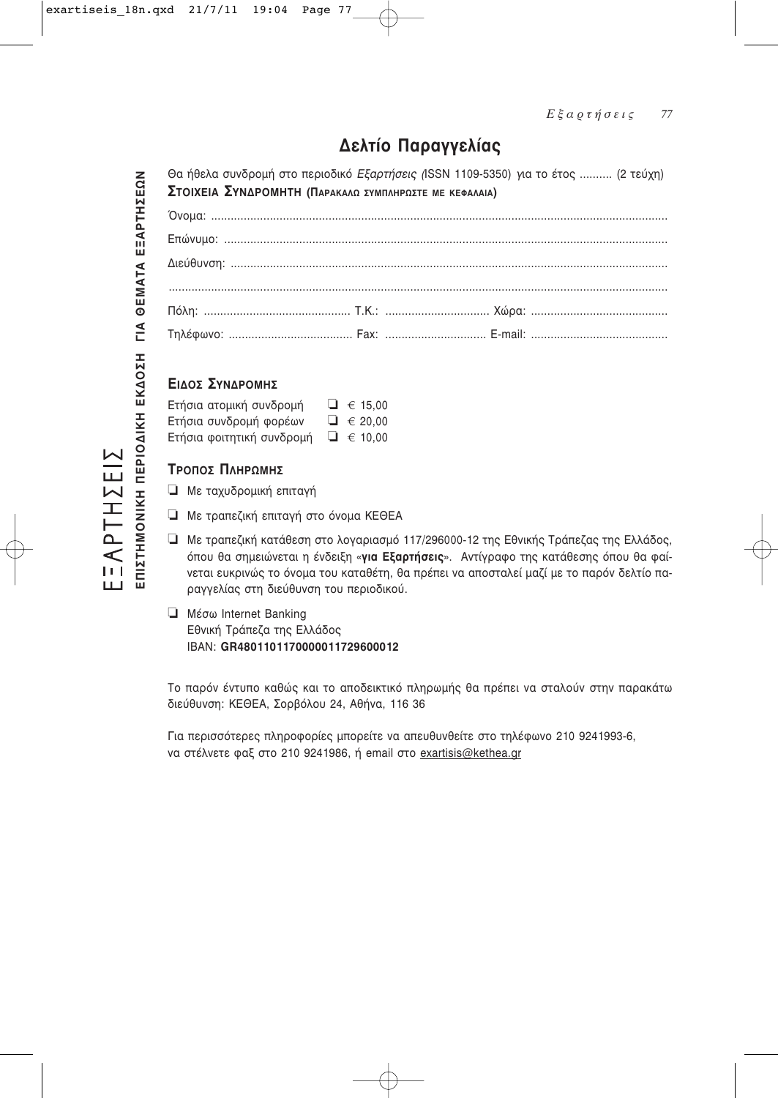# Δελτίο Παραγγελίας

ΣΤΟΙΧΕΙΑ ΣΥΝΔΡΟΜΗΤΗ (ΠΑΡΑΚΑΛΩ ΣΥΜΠΛΗΡΩΣΤΕ ΜΕ ΚΕΦΑΛΑΙΑ)

**OEMATA EEAPTHZEON**  $\tilde{=}$ ΕΠΙΣΤΗΜΟΝΙΚΗ ΠΕΡΙΟΔΙΚΗ ΕΚΔΟΣΗ

ΕΙΔΟΣ ΣΥΝΔΡΟΜΗΣ

| Ετήσια ατομική συνδρομή   | $\Box$ $\in$ 15,00 |
|---------------------------|--------------------|
| Ετήσια συνδρομή φορέων    | $\Box$ $\in$ 20.00 |
| Ετήσια φοιτητική συνδρομή | $\Box$ $\in$ 10.00 |

# **ΤΡΟΠΟΣ ΠΛΗΡΩΜΗΣ**

**Β** Με ταχυδρομική επιταγή

**Δ** Με τραπεζική επιταγή στο όνομα ΚΕΘΕΑ

- Δ Με τραπεζική κατάθεση στο λογαριασμό 117/296000-12 της Εθνικής Τράπεζας της Ελλάδος, όπου θα σημειώνεται η ένδειξη «για Εξαρτήσεις». Αντίγραφο της κατάθεσης όπου θα φαίνεται ευκρινώς το όνομα του καταθέτη, θα πρέπει να αποσταλεί μαζί με το παρόν δελτίο παραγγελίας στη διεύθυνση του περιοδικού.
- Μέσω Internet Banking Εθνική Τράπεζα της Ελλάδος IBAN: GR4801101170000011729600012

Το παρόν έντυπο καθώς και το αποδεικτικό πληρωμής θα πρέπει να σταλούν στην παρακάτω διεύθυνση: ΚΕΘΕΑ, Σορβόλου 24, Αθήνα, 116 36

Για περισσότερες πληροφορίες μπορείτε να απευθυνθείτε στο τηλέφωνο 210 9241993-6, να στέλνετε φαξ στο 210 9241986, ή email στο exartisis@kethea.gr

# Θα ήθελα συνδρομή στο περιοδικό Εξαρτήσεις (ISSN 1109-5350) για το έτος .......... (2 τεύχη)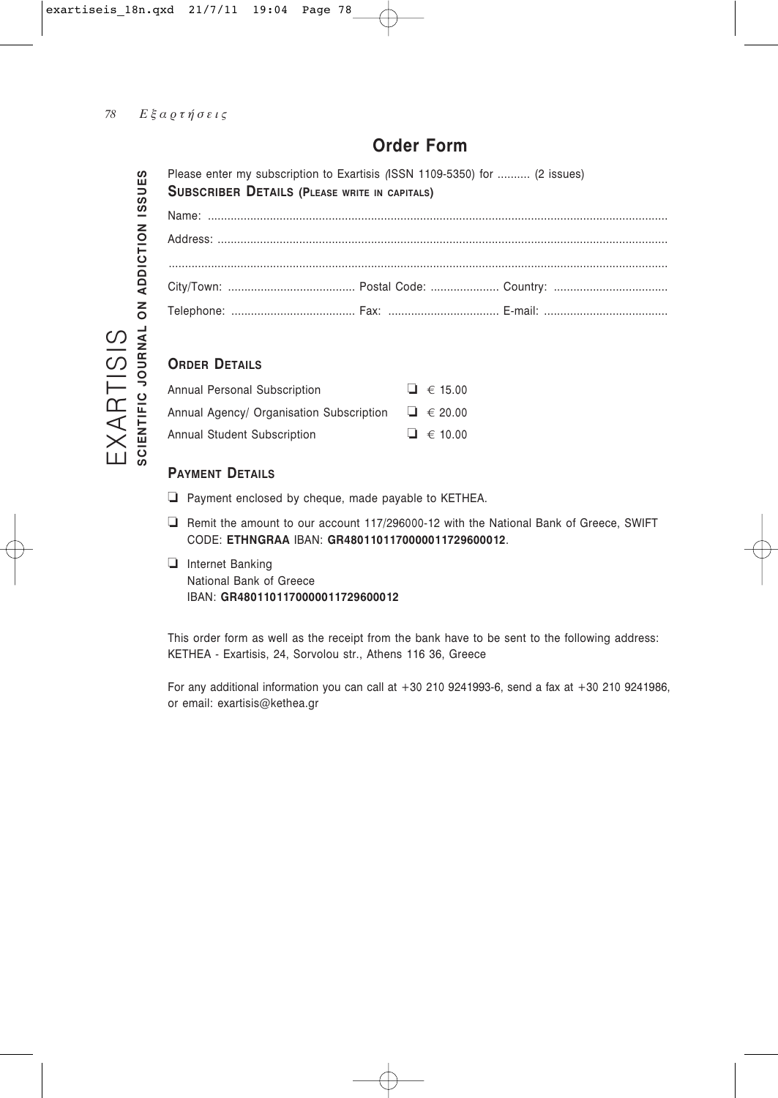# **Order Form**

| Please enter my subscription to Exartisis (ISSN 1109-5350) for  (2 issues)<br><b>SUBSCRIBER DETAILS (PLEASE WRITE IN CAPITALS)</b> |
|------------------------------------------------------------------------------------------------------------------------------------|
|                                                                                                                                    |
|                                                                                                                                    |
|                                                                                                                                    |
|                                                                                                                                    |
|                                                                                                                                    |
|                                                                                                                                    |

# **ORDER DETAILS**

| Annual Personal Subscription             | $\Box$ $\in$ 15.00 |
|------------------------------------------|--------------------|
| Annual Agency/ Organisation Subscription | $\Box$ $\in$ 20.00 |
| <b>Annual Student Subscription</b>       | $\Box$ $\in$ 10.00 |

# **PAYMENT DETAILS**

- ❏ Payment enclosed by cheque, made payable to KETHEA.
- ❏ Remit the amount to our account 117/296000-12 with the National Bank of Greece, SWIFT CODE: **ETHNGRAA** IBAN: **GR4801101170000011729600012**.
- ❏ πnternet Banking National Bank of Greece IBAN: **GR4801101170000011729600012**

This order form as well as the receipt from the bank have to be sent to the following address: KETHEA - Exartisis, 24, Sorvolou str., Athens 116 36, Greece

For any additional information you can call at +30 210 9241993-6, send a fax at +30 210 9241986, or email: exartisis@kethea.gr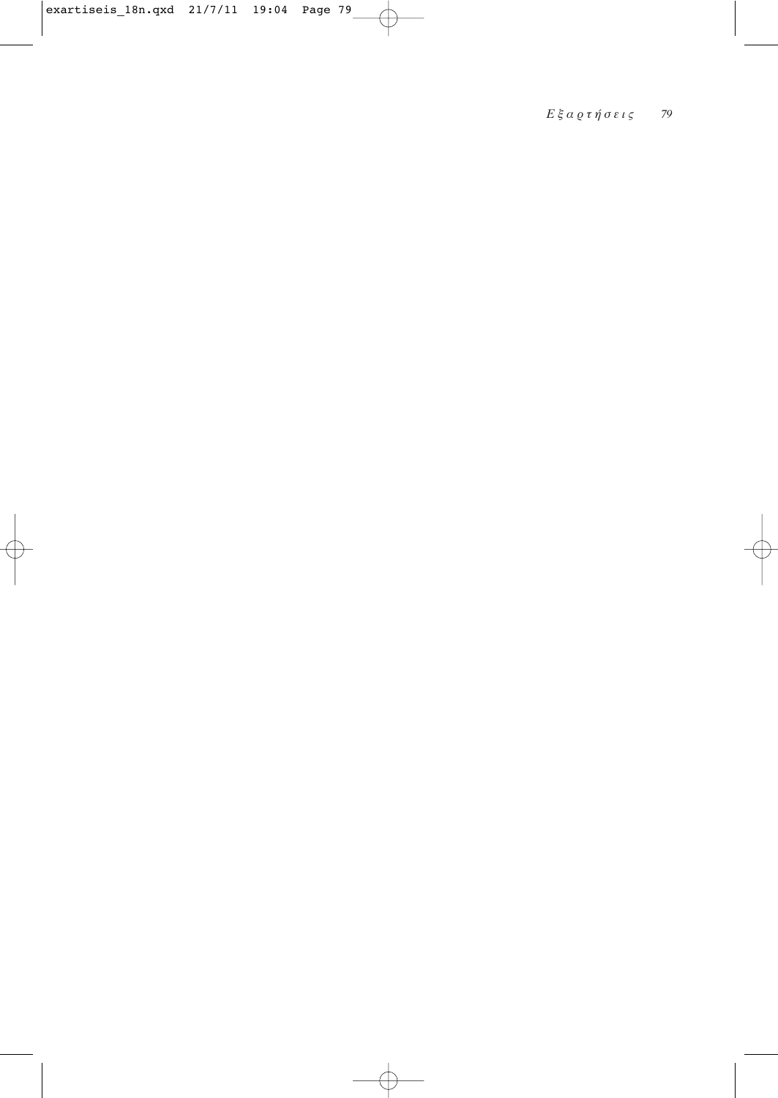exartiseis\_18n.qxd 21/7/11 19:04 Page 79

*Εξαρτήσεις 79*